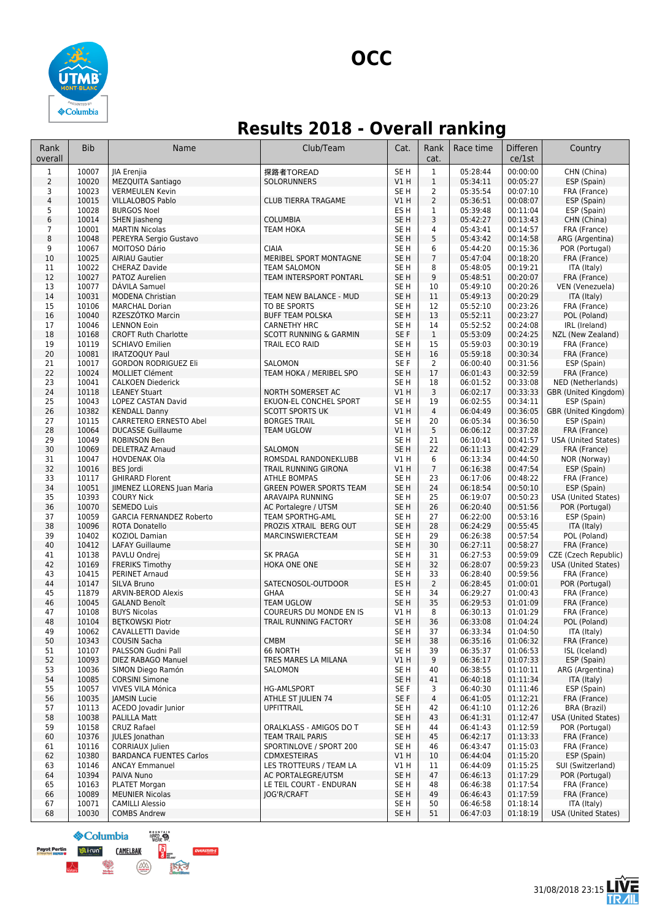

## **Results 2018 - Overall ranking**

| Rank<br>overall         | <b>Bib</b>     | Name                                                     | Club/Team                                  | Cat.                               | Rank<br>cat.         | Race time            | <b>Differen</b><br>ce/1st | Country                             |
|-------------------------|----------------|----------------------------------------------------------|--------------------------------------------|------------------------------------|----------------------|----------------------|---------------------------|-------------------------------------|
| $\mathbf 1$             | 10007          | JIA Erenjia                                              | 探路者TOREAD                                  | SE <sub>H</sub>                    | $1\,$                | 05:28:44             | 00:00:00                  | CHN (China)                         |
| $\overline{2}$          | 10020          | <b>MEZQUITA Santiago</b>                                 | <b>SOLORUNNERS</b>                         | V1H                                | $1\,$                | 05:34:11             | 00:05:27                  | ESP (Spain)                         |
| 3                       | 10023          | <b>VERMEULEN Kevin</b>                                   |                                            | SE <sub>H</sub>                    | 2                    | 05:35:54             | 00:07:10                  | FRA (France)                        |
| $\overline{\mathbf{4}}$ | 10015          | <b>VILLALOBOS Pablo</b>                                  | <b>CLUB TIERRA TRAGAME</b>                 | V1H                                | $\overline{2}$       | 05:36:51             | 00:08:07                  | ESP (Spain)                         |
| 5                       | 10028          | <b>BURGOS Noel</b>                                       |                                            | ES H                               | 1                    | 05:39:48             | 00:11:04                  | ESP (Spain)                         |
| 6                       | 10014          | SHEN Jiasheng                                            | <b>COLUMBIA</b>                            | SE <sub>H</sub>                    | 3                    | 05:42:27             | 00:13:43                  | CHN (China)                         |
| $\overline{7}$          | 10001          | <b>MARTIN Nicolas</b>                                    | <b>TEAM HOKA</b>                           | SE <sub>H</sub>                    | $\overline{4}$       | 05:43:41             | 00:14:57                  | FRA (France)                        |
| 8                       | 10048          | PEREYRA Sergio Gustavo                                   |                                            | SE <sub>H</sub>                    | 5                    | 05:43:42             | 00:14:58                  | ARG (Argentina)                     |
| 9                       | 10067          | MOITOSO Dário                                            | <b>CIAIA</b>                               | SE <sub>H</sub>                    | 6                    | 05:44:20             | 00:15:36                  | POR (Portugal)                      |
| 10                      | 10025          | <b>AIRIAU Gautier</b>                                    | MERIBEL SPORT MONTAGNE                     | SE <sub>H</sub>                    | $\overline{7}$       | 05:47:04             | 00:18:20                  | FRA (France)                        |
| 11                      | 10022          | CHERAZ Davide                                            | <b>TEAM SALOMON</b>                        | SE <sub>H</sub>                    | 8                    | 05:48:05             | 00:19:21                  | ITA (Italy)                         |
| 12                      | 10027          | PATOZ Aurelien                                           | TEAM INTERSPORT PONTARL                    | SE <sub>H</sub>                    | 9                    | 05:48:51             | 00:20:07                  | FRA (France)                        |
| 13                      | 10077          | DAVILA Samuel                                            |                                            | SE <sub>H</sub>                    | 10                   | 05:49:10             | 00:20:26                  | VEN (Venezuela)                     |
| 14<br>15                | 10031<br>10106 | <b>MODENA Christian</b><br><b>MARCHAL Dorian</b>         | TEAM NEW BALANCE - MUD<br>TO BE SPORTS     | SE <sub>H</sub><br>SE <sub>H</sub> | 11<br>12             | 05:49:13             | 00:20:29<br>00:23:26      | ITA (Italy)                         |
| 16                      | 10040          | RZESZÓTKO Marcin                                         | <b>BUFF TEAM POLSKA</b>                    | SE <sub>H</sub>                    | 13                   | 05:52:10<br>05:52:11 | 00:23:27                  | FRA (France)<br>POL (Poland)        |
| 17                      | 10046          | <b>LENNON Eoin</b>                                       | <b>CARNETHY HRC</b>                        | SE H                               | 14                   | 05:52:52             | 00:24:08                  | IRL (Ireland)                       |
| 18                      | 10168          | <b>CROFT Ruth Charlotte</b>                              | <b>SCOTT RUNNING &amp; GARMIN</b>          | SE F                               | $\mathbf{1}$         | 05:53:09             | 00:24:25                  | NZL (New Zealand)                   |
| 19                      | 10119          | <b>SCHIAVO Emilien</b>                                   | TRAIL ECO RAID                             | SE <sub>H</sub>                    | 15                   | 05:59:03             | 00:30:19                  | FRA (France)                        |
| 20                      | 10081          | IRATZOQUY Paul                                           |                                            | SE <sub>H</sub>                    | 16                   | 05:59:18             | 00:30:34                  | FRA (France)                        |
| 21                      | 10017          | <b>GORDON RODRIGUEZ Eli</b>                              | SALOMON                                    | SE F                               | 2                    | 06:00:40             | 00:31:56                  | ESP (Spain)                         |
| 22                      | 10024          | <b>MOLLIET Clément</b>                                   | TEAM HOKA / MERIBEL SPO                    | SE <sub>H</sub>                    | 17                   | 06:01:43             | 00:32:59                  | FRA (France)                        |
| 23                      | 10041          | <b>CALKOEN Diederick</b>                                 |                                            | SE <sub>H</sub>                    | 18                   | 06:01:52             | 00:33:08                  | NED (Netherlands)                   |
| 24                      | 10118          | <b>LEANEY Stuart</b>                                     | NORTH SOMERSET AC                          | V1H                                | 3                    | 06:02:17             | 00:33:33                  | GBR (United Kingdom)                |
| 25                      | 10043          | <b>LOPEZ CASTAN David</b>                                | EKUON-EL CONCHEL SPORT                     | SE <sub>H</sub>                    | 19                   | 06:02:55             | 00:34:11                  | ESP (Spain)                         |
| 26                      | 10382          | <b>KENDALL Danny</b>                                     | <b>SCOTT SPORTS UK</b>                     | V1H                                | $\overline{4}$       | 06:04:49             | 00:36:05                  | GBR (United Kingdom)                |
| 27                      | 10115          | <b>CARRETERO ERNESTO Abel</b>                            | <b>BORGES TRAIL</b>                        | SE <sub>H</sub>                    | 20                   | 06:05:34             | 00:36:50                  | ESP (Spain)                         |
| 28                      | 10064          | <b>DUCASSE Guillaume</b>                                 | <b>TEAM UGLOW</b>                          | VIH                                | 5                    | 06:06:12             | 00:37:28                  | FRA (France)                        |
| 29                      | 10049          | <b>ROBINSON Ben</b>                                      |                                            | SE H                               | 21                   | 06:10:41             | 00:41:57                  | USA (United States)                 |
| 30                      | 10069          | <b>DELETRAZ Arnaud</b>                                   | SALOMON                                    | SE <sub>H</sub>                    | 22                   | 06:11:13             | 00:42:29                  | FRA (France)                        |
| 31                      | 10047          | <b>HOVDENAK Ola</b>                                      | ROMSDAL RANDONEKLUBB                       | V1H                                | 6                    | 06:13:34             | 00:44:50                  | NOR (Norway)                        |
| 32                      | 10016          | BES Jordi                                                | TRAIL RUNNING GIRONA                       | V1H                                | $\overline{7}$       | 06:16:38             | 00:47:54                  | ESP (Spain)                         |
| 33                      | 10117          | <b>GHIRARD Florent</b>                                   | <b>ATHLE BOMPAS</b>                        | SE <sub>H</sub>                    | 23                   | 06:17:06             | 00:48:22                  | FRA (France)                        |
| 34                      | 10051          | JIMENEZ LLORENS Juan Maria                               | <b>GREEN POWER SPORTS TEAM</b>             | SE <sub>H</sub>                    | 24                   | 06:18:54             | 00:50:10                  | ESP (Spain)                         |
| 35                      | 10393          | <b>COURY Nick</b>                                        | ARAVAIPA RUNNING                           | SE <sub>H</sub>                    | 25                   | 06:19:07             | 00:50:23                  | <b>USA (United States)</b>          |
| 36                      | 10070          | <b>SEMEDO Luis</b>                                       | AC Portalegre / UTSM                       | SE <sub>H</sub>                    | 26                   | 06:20:40             | 00:51:56                  | POR (Portugal)                      |
| 37<br>38                | 10059<br>10096 | <b>GARCIA FERNANDEZ Roberto</b><br><b>ROTA Donatello</b> | TEAM SPORTHG-AML<br>PROZIS XTRAIL BERG OUT | SE <sub>H</sub><br>SE <sub>H</sub> | 27<br>28             | 06:22:00<br>06:24:29 | 00:53:16<br>00:55:45      | ESP (Spain)<br>ITA (Italy)          |
| 39                      | 10402          | KOZIOL Damian                                            | MARCINSWIERCTEAM                           | SE <sub>H</sub>                    | 29                   | 06:26:38             | 00:57:54                  | POL (Poland)                        |
| 40                      | 10412          | <b>LAFAY Guillaume</b>                                   |                                            | SE <sub>H</sub>                    | 30                   | 06:27:11             | 00:58:27                  | FRA (France)                        |
| 41                      | 10138          | PAVLU Ondrej                                             | <b>SK PRAGA</b>                            | SE H                               | 31                   | 06:27:53             | 00:59:09                  | CZE (Czech Republic)                |
| 42                      | 10169          | <b>FRERIKS Timothy</b>                                   | HOKA ONE ONE                               | SE <sub>H</sub>                    | 32                   | 06:28:07             | 00:59:23                  | USA (United States)                 |
| 43                      | 10415          | PERINET Arnaud                                           |                                            | SE H                               | 33                   | 06:28:40             | 00:59:56                  | FRA (France)                        |
| 44                      | 10147          | SILVA Bruno                                              | SATECNOSOL-OUTDOOR                         | ES H                               | $\overline{2}$       | 06:28:45             | 01:00:01                  | POR (Portugal)                      |
| 45                      | 11879          | <b>ARVIN-BEROD Alexis</b>                                | GHAA                                       | SE <sub>H</sub>                    | 34                   | 06:29:27             | 01:00:43                  | FRA (France)                        |
| 46                      | 10045          | <b>GALAND Benoît</b>                                     | <b>TEAM UGLOW</b>                          | SE <sub>H</sub>                    | 35                   | 06:29:53             | 01:01:09                  | FRA (France)                        |
| 47                      | 10108          | <b>BUYS Nicolas</b>                                      | COUREURS DU MONDE EN IS                    | V1 H                               | 8                    | 06:30:13             | 01:01:29                  | FRA (France)                        |
| 48                      | 10104          | <b>BETKOWSKI Piotr</b>                                   | TRAIL RUNNING FACTORY                      | SE <sub>H</sub>                    | 36                   | 06:33:08             | 01:04:24                  | POL (Poland)                        |
| 49                      | 10062          | CAVALLETTI Davide                                        |                                            | SE H                               | 37                   | 06:33:34             | 01:04:50                  | ITA (Italy)                         |
| 50                      | 10343          | COUSIN Sacha                                             | <b>CMBM</b>                                | SE <sub>H</sub>                    | 38                   | 06:35:16             | 01:06:32                  | FRA (France)                        |
| 51                      | 10107          | PALSSON Gudni Pall                                       | 66 NORTH                                   | SE <sub>H</sub>                    | 39                   | 06:35:37             | 01:06:53                  | ISL (Iceland)                       |
| 52                      | 10093          | DIEZ RABAGO Manuel                                       | TRES MARES LA MILANA                       | VIH                                | 9                    | 06:36:17             | 01:07:33                  | ESP (Spain)                         |
| 53                      | 10036          | SIMON Diego Ramón                                        | SALOMON                                    | SE H                               | 40                   | 06:38:55             | 01:10:11                  | ARG (Argentina)                     |
| 54                      | 10085          | <b>CORSINI Simone</b>                                    |                                            | SE H                               | 41                   | 06:40:18             | 01:11:34                  | ITA (Italy)                         |
| 55                      | 10057          | VIVES VILA Mónica                                        | <b>HG-AMLSPORT</b>                         | SE F                               | 3                    | 06:40:30             | 01:11:46                  | ESP (Spain)                         |
| 56                      | 10035<br>10113 | JAMSIN Lucie<br>ACEDO Jovadir Junior                     | ATHLE ST JULIEN 74                         | SE F                               | $\overline{4}$<br>42 | 06:41:05             | 01:12:21<br>01:12:26      | FRA (France)<br><b>BRA (Brazil)</b> |
| 57<br>58                | 10038          | <b>PALILLA Matt</b>                                      | <b>UPFITTRAIL</b>                          | SE H<br>SE <sub>H</sub>            | 43                   | 06:41:10<br>06:41:31 | 01:12:47                  | USA (United States)                 |
| 59                      | 10158          | <b>CRUZ Rafael</b>                                       | ORALKLASS - AMIGOS DO T                    | SE H                               | 44                   | 06:41:43             | 01:12:59                  | POR (Portugal)                      |
| 60                      | 10376          | <b>IULES</b> Jonathan                                    | <b>TEAM TRAIL PARIS</b>                    | SE <sub>H</sub>                    | 45                   | 06:42:17             | 01:13:33                  | FRA (France)                        |
| 61                      | 10116          | CORRIAUX Julien                                          | SPORTINLOVE / SPORT 200                    | SE H                               | 46                   | 06:43:47             | 01:15:03                  | FRA (France)                        |
| 62                      | 10380          | <b>BARDANCA FUENTES Carlos</b>                           | <b>CDMXESTEIRAS</b>                        | V1H                                | 10                   | 06:44:04             | 01:15:20                  | ESP (Spain)                         |
| 63                      | 10146          | <b>ANCAY Emmanuel</b>                                    | LES TROTTEURS / TEAM LA                    | V1 H                               | 11                   | 06:44:09             | 01:15:25                  | SUI (Switzerland)                   |
| 64                      | 10394          | PAIVA Nuno                                               | AC PORTALEGRE/UTSM                         | SE <sub>H</sub>                    | 47                   | 06:46:13             | 01:17:29                  | POR (Portugal)                      |
| 65                      | 10163          | <b>PLATET Morgan</b>                                     | LE TEIL COURT - ENDURAN                    | SE H                               | 48                   | 06:46:38             | 01:17:54                  | FRA (France)                        |
| 66                      | 10089          | <b>MEUNIER Nicolas</b>                                   | JOG'R/CRAFT                                | SE <sub>H</sub>                    | 49                   | 06:46:43             | 01:17:59                  | FRA (France)                        |
| 67                      | 10071          | <b>CAMILLI Alessio</b>                                   |                                            | SE H                               | 50                   | 06:46:58             | 01:18:14                  | ITA (Italy)                         |
| 68                      | 10030          | <b>COMBS Andrew</b>                                      |                                            | SE <sub>H</sub>                    | 51                   | 06:47:03             | 01:18:19                  | USA (United States)                 |

HARD S **S**Columbia **Payot Pertin**<br>**Altri Pertin Digital Indian Person CAMELBAK** 

 $\frac{1}{3}$ 

 $\left(\frac{\partial}{\partial x}\right)$ 

联

**DVERSTIM-S** 

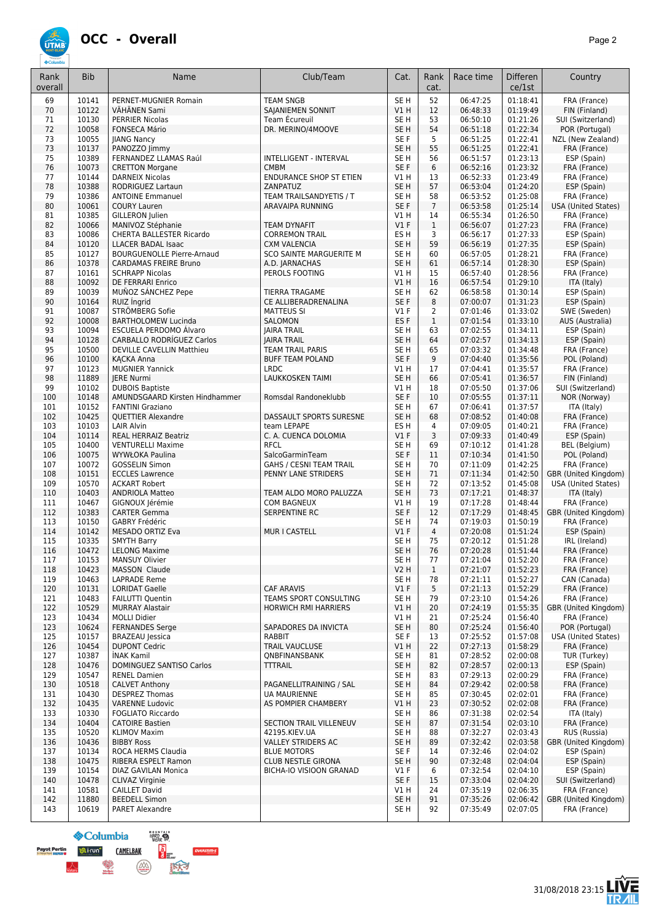

| Rank<br>overall | <b>Bib</b>     | Name                                                     | Club/Team                                      | Cat.                    | Rank<br>cat.   | Race time            | Differen<br>ce/1st   | Country                           |
|-----------------|----------------|----------------------------------------------------------|------------------------------------------------|-------------------------|----------------|----------------------|----------------------|-----------------------------------|
| 69              | 10141          | PERNET-MUGNIER Romain                                    | <b>TEAM SNGB</b>                               | SE <sub>H</sub>         | 52             | 06:47:25             | 01:18:41             | FRA (France)                      |
| 70              | 10122          | VÄHÄNEN Sami                                             | SAJANIEMEN SONNIT                              | V1H                     | 12             | 06:48:33             | 01:19:49             | FIN (Finland)                     |
| 71              | 10130          | <b>PERRIER Nicolas</b>                                   | Team Écureuil                                  | SE H                    | 53             | 06:50:10             | 01:21:26             | SUI (Switzerland)                 |
| 72              | 10058          | <b>FONSECA Mário</b>                                     | DR. MERINO/4MOOVE                              | SE <sub>H</sub>         | 54             | 06:51:18             | 01:22:34             | POR (Portugal)                    |
| 73              | 10055          | <b>JIANG Nancy</b>                                       |                                                | SE F                    | 5              | 06:51:25             | 01:22:41             | NZL (New Zealand)                 |
| 73              | 10137          | PANOZZO Jimmy                                            |                                                | SE <sub>H</sub>         | 55             | 06:51:25             | 01:22:41             | FRA (France)                      |
| 75              | 10389          | FERNANDEZ LLAMAS Raúl                                    | INTELLIGENT - INTERVAL                         | SE H                    | 56             | 06:51:57             | 01:23:13             | ESP (Spain)                       |
| 76              | 10073          | <b>CRETTON Morgane</b>                                   | <b>CMBM</b>                                    | SE F                    | 6              | 06:52:16             | 01:23:32             | FRA (France)                      |
| 77<br>78        | 10144<br>10388 | <b>DARNEIX Nicolas</b><br><b>RODRIGUEZ Lartaun</b>       | <b>ENDURANCE SHOP ST ETIEN</b><br>ZANPATUZ     | V1 H<br>SE <sub>H</sub> | 13<br>57       | 06:52:33             | 01:23:49<br>01:24:20 | FRA (France)                      |
| 79              | 10386          | <b>ANTOINE Emmanuel</b>                                  | TEAM TRAILSANDYETIS / T                        | SE <sub>H</sub>         | 58             | 06:53:04<br>06:53:52 | 01:25:08             | ESP (Spain)<br>FRA (France)       |
| 80              | 10061          | <b>COURY Lauren</b>                                      | <b>ARAVAIPA RUNNING</b>                        | SE F                    | $\overline{7}$ | 06:53:58             | 01:25:14             | USA (United States)               |
| 81              | 10385          | <b>GILLERON</b> Julien                                   |                                                | V1 H                    | 14             | 06:55:34             | 01:26:50             | FRA (France)                      |
| 82              | 10066          | MANIVOZ Stéphanie                                        | <b>TEAM DYNAFIT</b>                            | $VI$ F                  | $\mathbf{1}$   | 06:56:07             | 01:27:23             | FRA (France)                      |
| 83              | 10086          | CHERTA BALLESTER Ricardo                                 | <b>CORREMON TRAIL</b>                          | ES <sub>H</sub>         | 3              | 06:56:17             | 01:27:33             | ESP (Spain)                       |
| 84              | 10120          | <b>LLACER BADAL Isaac</b>                                | <b>CXM VALENCIA</b>                            | SE <sub>H</sub>         | 59             | 06:56:19             | 01:27:35             | ESP (Spain)                       |
| 85              | 10127          | <b>BOURGUENOLLE Pierre-Arnaud</b>                        | SCO SAINTE MARGUERITE M                        | SE <sub>H</sub>         | 60             | 06:57:05             | 01:28:21             | FRA (France)                      |
| 86              | 10378          | <b>CARDAMAS FREIRE Bruno</b>                             | A.D. JARNACHAS                                 | SE <sub>H</sub>         | 61             | 06:57:14             | 01:28:30             | ESP (Spain)                       |
| 87<br>88        | 10161<br>10092 | <b>SCHRAPP Nicolas</b>                                   | PEROLS FOOTING                                 | V1 H                    | 15             | 06:57:40             | 01:28:56             | FRA (France)                      |
| 89              | 10039          | DE FERRARI Enrico<br>MUÑOZ SÁNCHEZ Pepe                  | <b>TIERRA TRAGAME</b>                          | VIH<br>SE H             | 16<br>62       | 06:57:54<br>06:58:58 | 01:29:10<br>01:30:14 | ITA (Italy)<br>ESP (Spain)        |
| 90              | 10164          | RUIZ Ingrid                                              | CE ALLIBERADRENALINA                           | SE F                    | 8              | 07:00:07             | 01:31:23             | ESP (Spain)                       |
| 91              | 10087          | STRÖMBERG Sofie                                          | <b>MATTEUS SI</b>                              | $VI$ F                  | 2              | 07:01:46             | 01:33:02             | SWE (Sweden)                      |
| 92              | 10008          | <b>BARTHOLOMEW Lucinda</b>                               | SALOMON                                        | ES <sub>F</sub>         | $\mathbf{1}$   | 07:01:54             | 01:33:10             | AUS (Australia)                   |
| 93              | 10094          | <b>ESCUELA PERDOMO Álvaro</b>                            | <b>JAIRA TRAIL</b>                             | SE <sub>H</sub>         | 63             | 07:02:55             | 01:34:11             | ESP (Spain)                       |
| 94              | 10128          | <b>CARBALLO RODRÍGUEZ Carlos</b>                         | <b>JAIRA TRAIL</b>                             | SE <sub>H</sub>         | 64             | 07:02:57             | 01:34:13             | ESP (Spain)                       |
| 95              | 10500          | DEVILLE CAVELLIN Matthieu                                | TEAM TRAIL PARIS                               | SE H                    | 65             | 07:03:32             | 01:34:48             | FRA (France)                      |
| 96              | 10100          | <b>KACKA Anna</b>                                        | <b>BUFF TEAM POLAND</b>                        | SE F                    | 9              | 07:04:40             | 01:35:56             | POL (Poland)                      |
| 97              | 10123          | <b>MUGNIER Yannick</b>                                   | <b>LRDC</b>                                    | V1 H                    | 17             | 07:04:41             | 01:35:57             | FRA (France)                      |
| 98              | 11889          | <b>IERE Nurmi</b>                                        | <b>LAUKKOSKEN TAIMI</b>                        | SE <sub>H</sub>         | 66             | 07:05:41             | 01:36:57             | FIN (Finland)                     |
| 99<br>100       | 10102<br>10148 | <b>DUBOIS Baptiste</b><br>AMUNDSGAARD Kirsten Hindhammer | Romsdal Randoneklubb                           | V1 H<br>SE F            | 18<br>10       | 07:05:50<br>07:05:55 | 01:37:06<br>01:37:11 | SUI (Switzerland)<br>NOR (Norway) |
| 101             | 10152          | <b>FANTINI Graziano</b>                                  |                                                | SE H                    | 67             | 07:06:41             | 01:37:57             | ITA (Italy)                       |
| 102             | 10425          | <b>QUETTIER Alexandre</b>                                | DASSAULT SPORTS SURESNE                        | SE <sub>H</sub>         | 68             | 07:08:52             | 01:40:08             | FRA (France)                      |
| 103             | 10103          | <b>LAIR Alvin</b>                                        | team LEPAPE                                    | ES <sub>H</sub>         | 4              | 07:09:05             | 01:40:21             | FRA (France)                      |
| 104             | 10114          | <b>REAL HERRAIZ Beatriz</b>                              | C. A. CUENCA DOLOMIA                           | V1F                     | 3              | 07:09:33             | 01:40:49             | ESP (Spain)                       |
| 105             | 10400          | <b>VENTURELLI Maxime</b>                                 | <b>RFCL</b>                                    | SE <sub>H</sub>         | 69             | 07:10:12             | 01:41:28             | BEL (Belgium)                     |
| 106             | 10075          | <b>WYWŁOKA Paulina</b>                                   | SalcoGarminTeam                                | SE F                    | 11             | 07:10:34             | 01:41:50             | POL (Poland)                      |
| 107             | 10072          | <b>GOSSELIN Simon</b>                                    | GAHS / CESNI TEAM TRAIL                        | SE <sub>H</sub>         | 70             | 07:11:09             | 01:42:25             | FRA (France)                      |
| 108             | 10151          | <b>ECCLES Lawrence</b>                                   | PENNY LANE STRIDERS                            | SE <sub>H</sub>         | 71             | 07:11:34             | 01:42:50             | GBR (United Kingdom)              |
| 109             | 10570          | <b>ACKART Robert</b>                                     |                                                | SE <sub>H</sub>         | 72             | 07:13:52             | 01:45:08             | USA (United States)               |
| 110<br>111      | 10403<br>10467 | <b>ANDRIOLA Matteo</b><br>GIGNOUX Jérémie                | TEAM ALDO MORO PALUZZA<br><b>COM BAGNEUX</b>   | SE <sub>H</sub><br>V1 H | 73<br>19       | 07:17:21<br>07:17:28 | 01:48:37<br>01:48:44 | ITA (Italy)<br>FRA (France)       |
| 112             | 10383          | <b>CARTER Gemma</b>                                      | SERPENTINE RC                                  | SE F                    | 12             | 07:17:29             | 01:48:45             | GBR (United Kingdom)              |
| 113             | 10150          | GABRY Frédéric                                           |                                                | SE H                    | 74             | 07:19:03             | 01:50:19             | FRA (France)                      |
| 114             | 10142          | MESADO ORTIZ Eva                                         | MUR I CASTELL                                  | $VI$ F                  | $\overline{4}$ | 07:20:08             | 01:51:24             | ESP (Spain)                       |
| 115             | 10335          | <b>SMYTH Barry</b>                                       |                                                | SE H                    | 75             | 07:20:12             | 01:51:28             | IRL (Ireland)                     |
| 116             | 10472          | <b>LELONG Maxime</b>                                     |                                                | SE <sub>H</sub>         | 76             | 07:20:28             | 01:51:44             | FRA (France)                      |
| 117             | 10153          | MANSUY Olivier                                           |                                                | SE <sub>H</sub>         | 77             | 07:21:04             | 01:52:20             | FRA (France)                      |
| 118             | 10423          | MASSON Claude                                            |                                                | <b>V2 H</b>             | $\mathbf{1}$   | 07:21:07             | 01:52:23             | FRA (France)                      |
| 119             | 10463          | LAPRADE Reme                                             |                                                | SE H                    | 78             | 07:21:11<br>07:21:13 | 01:52:27<br>01:52:29 | CAN (Canada)<br>FRA (France)      |
| 120<br>121      | 10131<br>10483 | <b>LORIDAT Gaelle</b><br><b>FAILUTTI Quentin</b>         | <b>CAF ARAVIS</b><br>TEAMS SPORT CONSULTING    | $VI$ F<br>SE H          | 5<br>79        | 07:23:10             | 01:54:26             | FRA (France)                      |
| 122             | 10529          | <b>MURRAY Alastair</b>                                   | <b>HORWICH RMI HARRIERS</b>                    | V1H                     | 20             | 07:24:19             | 01:55:35             | GBR (United Kingdom)              |
| 123             | 10434          | <b>MOLLI Didier</b>                                      |                                                | V1 H                    | 21             | 07:25:24             | 01:56:40             | FRA (France)                      |
| 123             | 10624          | <b>FERNANDES Serge</b>                                   | SAPADORES DA INVICTA                           | SE <sub>H</sub>         | 80             | 07:25:24             | 01:56:40             | POR (Portugal)                    |
| 125             | 10157          | <b>BRAZEAU</b> Jessica                                   | RABBIT                                         | SE F                    | 13             | 07:25:52             | 01:57:08             | <b>USA (United States)</b>        |
| 126             | 10454          | <b>DUPONT Cedric</b>                                     | TRAIL VAUCLUSE                                 | V1 H                    | 22             | 07:27:13             | 01:58:29             | FRA (France)                      |
| 127             | 10387          | <b>INAK Kamil</b>                                        | QNBFINANSBANK                                  | SE H                    | 81             | 07:28:52             | 02:00:08             | TUR (Turkey)                      |
| 128             | 10476          | DOMINGUEZ SANTISO Carlos                                 | <b>TTTRAIL</b>                                 | SE <sub>H</sub>         | 82             | 07:28:57             | 02:00:13             | ESP (Spain)                       |
| 129             | 10547          | <b>RENEL Damien</b>                                      |                                                | SE H                    | 83             | 07:29:13             | 02:00:29             | FRA (France)                      |
| 130<br>131      | 10518<br>10430 | <b>CALVET Anthony</b><br><b>DESPREZ Thomas</b>           | PAGANELLITRAINING / SAL<br><b>UA MAURIENNE</b> | SE <sub>H</sub><br>SE H | 84<br>85       | 07:29:42<br>07:30:45 | 02:00:58<br>02:02:01 | FRA (France)<br>FRA (France)      |
| 132             | 10435          | <b>VARENNE Ludovic</b>                                   | AS POMPIER CHAMBERY                            | V1H                     | 23             | 07:30:52             | 02:02:08             | FRA (France)                      |
| 133             | 10330          | <b>FOGLIATO Riccardo</b>                                 |                                                | SE H                    | 86             | 07:31:38             | 02:02:54             | ITA (Italy)                       |
| 134             | 10404          | <b>CATOIRE Bastien</b>                                   | SECTION TRAIL VILLENEUV                        | SE <sub>H</sub>         | 87             | 07:31:54             | 02:03:10             | FRA (France)                      |
| 135             | 10520          | <b>KLIMOV Maxim</b>                                      | 42195.KIEV.UA                                  | SE H                    | 88             | 07:32:27             | 02:03:43             | RUS (Russia)                      |
| 136             | 10436          | <b>BIBBY Ross</b>                                        | <b>VALLEY STRIDERS AC</b>                      | SE <sub>H</sub>         | 89             | 07:32:42             | 02:03:58             | GBR (United Kingdom)              |
| 137             | 10134          | ROCA HERMS Claudia                                       | <b>BLUE MOTORS</b>                             | SE F                    | 14             | 07:32:46             | 02:04:02             | ESP (Spain)                       |
| 138             | 10475          | RIBERA ESPELT Ramon                                      | CLUB NESTLE GIRONA                             | SE H                    | 90             | 07:32:48             | 02:04:04             | ESP (Spain)                       |
| 139             | 10154          | DIAZ GAVILAN Monica                                      | <b>BICHA-IO VISIOON GRANAD</b>                 | $VI$ F                  | 6              | 07:32:54             | 02:04:10             | ESP (Spain)                       |
| 140<br>141      | 10478<br>10581 | CLIVAZ Virginie<br><b>CAILLET David</b>                  |                                                | SE F<br>V1 H            | 15<br>24       | 07:33:04<br>07:35:19 | 02:04:20<br>02:06:35 | SUI (Switzerland)<br>FRA (France) |
| 142             | 11880          | <b>BEEDELL Simon</b>                                     |                                                | SE <sub>H</sub>         | 91             | 07:35:26             | 02:06:42             | GBR (United Kingdom)              |
| 143             | 10619          | PARET Alexandre                                          |                                                | SE H                    | 92             | 07:35:49             | 02:07:05             | FRA (France)                      |
|                 |                |                                                          |                                                |                         |                |                      |                      |                                   |

HARD S **S**Columbia **Payot Pertin**<br>**Expertise Definition CAMELBAK** 

L

 $\left(\frac{\partial}{\partial x}\right)$ 

**Crum OVERSTIM-S** 医大才

31/08/2018 23:15

Ē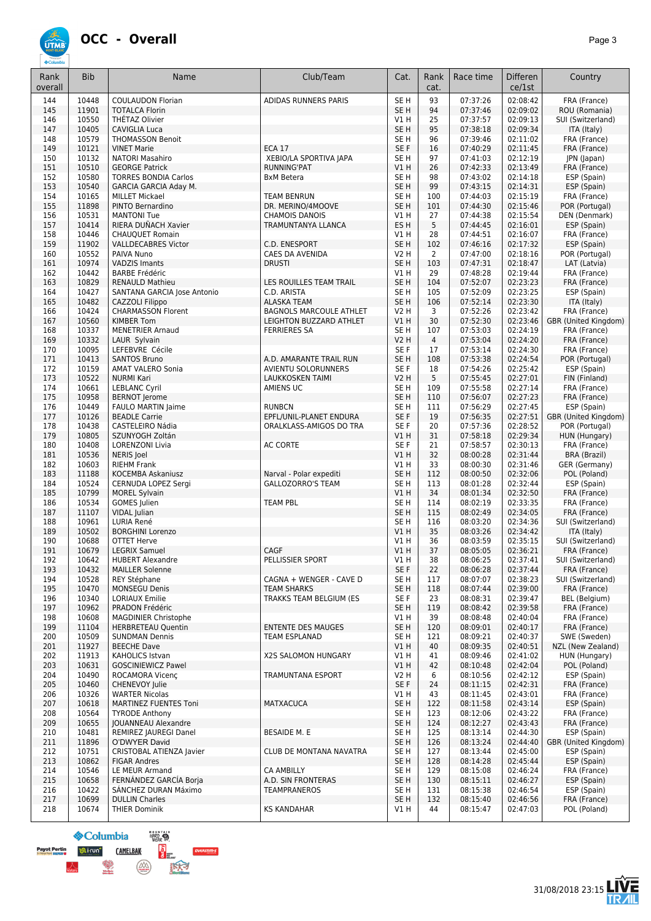

| Rank<br>overall | <b>Bib</b>     | Name                                            | Club/Team                                           | Cat.                               | Rank<br>cat.         | Race time            | Differen<br>ce/1st   | Country                             |
|-----------------|----------------|-------------------------------------------------|-----------------------------------------------------|------------------------------------|----------------------|----------------------|----------------------|-------------------------------------|
| 144             | 10448          | <b>COULAUDON Florian</b>                        | ADIDAS RUNNERS PARIS                                | SE <sub>H</sub>                    | 93                   | 07:37:26             | 02:08:42             | FRA (France)                        |
| 145             | 11901          | <b>TOTALCA Florin</b>                           |                                                     | SE <sub>H</sub>                    | 94                   | 07:37:46             | 02:09:02             | ROU (Romania)                       |
| 146             | 10550          | THETAZ Olivier                                  |                                                     | VIH                                | 25                   | 07:37:57             | 02:09:13             | SUI (Switzerland)                   |
| 147             | 10405          | <b>CAVIGLIA Luca</b>                            |                                                     | SE <sub>H</sub>                    | 95                   | 07:38:18             | 02:09:34             | ITA (Italy)                         |
| 148             | 10579<br>10121 | <b>THOMASSON Benoit</b><br><b>VINET Marie</b>   | <b>ECA 17</b>                                       | SE <sub>H</sub><br>SE F            | 96<br>16             | 07:39:46             | 02:11:02             | FRA (France)                        |
| 149<br>150      | 10132          | <b>NATORI Masahiro</b>                          | XEBIO/LA SPORTIVA JAPA                              | SE <sub>H</sub>                    | 97                   | 07:40:29<br>07:41:03 | 02:11:45<br>02:12:19 | FRA (France)<br>JPN (Japan)         |
| 151             | 10510          | <b>GEORGE Patrick</b>                           | RUNNING'PAT                                         | V1H                                | 26                   | 07:42:33             | 02:13:49             | FRA (France)                        |
| 152             | 10580          | <b>TORRES BONDIA Carlos</b>                     | <b>BxM Betera</b>                                   | SE <sub>H</sub>                    | 98                   | 07:43:02             | 02:14:18             | ESP (Spain)                         |
| 153             | 10540          | <b>GARCIA GARCIA Aday M.</b>                    |                                                     | SE <sub>H</sub>                    | 99                   | 07:43:15             | 02:14:31             | ESP (Spain)                         |
| 154             | 10165          | <b>MILLET Mickael</b>                           | <b>TEAM BENRUN</b>                                  | SE <sub>H</sub>                    | 100                  | 07:44:03             | 02:15:19             | FRA (France)                        |
| 155             | 11898          | PINTO Bernardino<br><b>MANTONI Tue</b>          | DR. MERINO/4MOOVE<br><b>CHAMOIS DANOIS</b>          | SE <sub>H</sub>                    | 101                  | 07:44:30<br>07:44:38 | 02:15:46             | POR (Portugal)                      |
| 156<br>157      | 10531<br>10414 | RIERA DUÑACH Xavier                             | TRAMUNTANYA LLANCA                                  | $VI$ H<br>ES <sub>H</sub>          | 27<br>5              | 07:44:45             | 02:15:54<br>02:16:01 | DEN (Denmark)<br>ESP (Spain)        |
| 158             | 10446          | <b>CHAUQUET Romain</b>                          |                                                     | VIH                                | 28                   | 07:44:51             | 02:16:07             | FRA (France)                        |
| 159             | 11902          | <b>VALLDECABRES Victor</b>                      | C.D. ENESPORT                                       | SE <sub>H</sub>                    | 102                  | 07:46:16             | 02:17:32             | ESP (Spain)                         |
| 160             | 10552          | PAIVA Nuno                                      | CAES DA AVENIDA                                     | V2 H                               | $\overline{2}$       | 07:47:00             | 02:18:16             | POR (Portugal)                      |
| 161             | 10974          | <b>VADZIS Imants</b>                            | <b>DRUSTI</b>                                       | SE <sub>H</sub>                    | 103                  | 07:47:31             | 02:18:47             | LAT (Latvia)                        |
| 162<br>163      | 10442<br>10829 | <b>BARBE Frédéric</b><br><b>RENAULD Mathieu</b> | LES ROUILLES TEAM TRAIL                             | V1 H<br>SE <sub>H</sub>            | 29<br>104            | 07:48:28<br>07:52:07 | 02:19:44<br>02:23:23 | FRA (France)<br>FRA (France)        |
| 164             | 10427          | SANTANA GARCIA Jose Antonio                     | C.D. ARISTA                                         | SE <sub>H</sub>                    | 105                  | 07:52:09             | 02:23:25             | ESP (Spain)                         |
| 165             | 10482          | CAZZOLI Filippo                                 | <b>ALASKA TEAM</b>                                  | SE <sub>H</sub>                    | 106                  | 07:52:14             | 02:23:30             | ITA (Italy)                         |
| 166             | 10424          | <b>CHARMASSON Florent</b>                       | <b>BAGNOLS MARCOULE ATHLET</b>                      | <b>V2 H</b>                        | 3                    | 07:52:26             | 02:23:42             | FRA (France)                        |
| 167             | 10560          | <b>KIMBER Tom</b>                               | LEIGHTON BUZZARD ATHLET                             | VIH                                | 30                   | 07:52:30             | 02:23:46             | GBR (United Kingdom)                |
| 168             | 10337          | <b>MENETRIER Arnaud</b>                         | <b>FERRIERES SA</b>                                 | SE <sub>H</sub>                    | 107                  | 07:53:03             | 02:24:19             | FRA (France)                        |
| 169<br>170      | 10332<br>10095 | LAUR Sylvain<br>LEFEBVRE Cécile                 |                                                     | <b>V2 H</b><br>SE F                | $\overline{4}$<br>17 | 07:53:04<br>07:53:14 | 02:24:20<br>02:24:30 | FRA (France)<br>FRA (France)        |
| 171             | 10413          | <b>SANTOS Bruno</b>                             | A.D. AMARANTE TRAIL RUN                             | SE <sub>H</sub>                    | 108                  | 07:53:38             | 02:24:54             | POR (Portugal)                      |
| 172             | 10159          | <b>AMAT VALERO Sonia</b>                        | AVIENTU SOLORUNNERS                                 | SE F                               | 18                   | 07:54:26             | 02:25:42             | ESP (Spain)                         |
| 173             | 10522          | <b>NURMI Kari</b>                               | <b>LAUKKOSKEN TAIMI</b>                             | <b>V2 H</b>                        | 5                    | 07:55:45             | 02:27:01             | FIN (Finland)                       |
| 174             | 10661          | <b>LEBLANC Cyril</b>                            | AMIENS UC                                           | SE <sub>H</sub>                    | 109                  | 07:55:58             | 02:27:14             | FRA (France)                        |
| 175             | 10958          | <b>BERNOT Jerome</b>                            |                                                     | SE <sub>H</sub>                    | 110                  | 07:56:07             | 02:27:23             | FRA (France)                        |
| 176<br>177      | 10449<br>10126 | FAULO MARTIN Jaime<br><b>BEADLE Carrie</b>      | <b>RUNBCN</b><br>EPFL/UNIL-PLANET ENDURA            | SE <sub>H</sub><br>SE F            | 111<br>19            | 07:56:29<br>07:56:35 | 02:27:45<br>02:27:51 | ESP (Spain)<br>GBR (United Kingdom) |
| 178             | 10438          | CASTELEIRO Nádia                                | ORALKLASS-AMIGOS DO TRA                             | SE F                               | 20                   | 07:57:36             | 02:28:52             | POR (Portugal)                      |
| 179             | 10805          | SZUNYOGH Zoltán                                 |                                                     | V1H                                | 31                   | 07:58:18             | 02:29:34             | HUN (Hungary)                       |
| 180             | 10408          | <b>LORENZONI Livia</b>                          | <b>AC CORTE</b>                                     | SE F                               | 21                   | 07:58:57             | 02:30:13             | FRA (France)                        |
| 181             | 10536          | NERIS Joel                                      |                                                     | V1H                                | 32                   | 08:00:28             | 02:31:44             | BRA (Brazil)                        |
| 182             | 10603          | <b>RIEHM Frank</b>                              |                                                     | $VI$ H                             | 33                   | 08:00:30             | 02:31:46             | GER (Germany)                       |
| 183<br>184      | 11188<br>10524 | KOCEMBA Askaniusz<br>CERNUDA LOPEZ Sergi        | Narval - Polar expediti<br><b>GALLOZORRO'S TEAM</b> | SE <sub>H</sub><br>SE <sub>H</sub> | 112<br>113           | 08:00:50<br>08:01:28 | 02:32:06<br>02:32:44 | POL (Poland)<br>ESP (Spain)         |
| 185             | 10799          | <b>MOREL Sylvain</b>                            |                                                     | VIH                                | 34                   | 08:01:34             | 02:32:50             | FRA (France)                        |
| 186             | 10534          | <b>GOMES</b> Julien                             | <b>TEAM PBL</b>                                     | SE <sub>H</sub>                    | 114                  | 08:02:19             | 02:33:35             | FRA (France)                        |
| 187             | 11107          | VIDAL Julian                                    |                                                     | SE <sub>H</sub>                    | 115                  | 08:02:49             | 02:34:05             | FRA (France)                        |
| 188             | 10961          | LURIA René                                      |                                                     | SE <sub>H</sub>                    | 116                  | 08:03:20             | 02:34:36             | SUI (Switzerland)                   |
| 189<br>190      | 10502<br>10688 | <b>BORGHINI Lorenzo</b><br><b>OTTET Herve</b>   |                                                     | VIH<br>V1 H                        | 35<br>36             | 08:03:26<br>08:03:59 | 02:34:42<br>02:35:15 | ITA (Italy)<br>SUI (Switzerland)    |
| 191             | 10679          | <b>LEGRIX Samuel</b>                            | CAGF                                                | VIH                                | 37                   | 08:05:05             | 02:36:21             | FRA (France)                        |
| 192             | 10642          | <b>HUBERT Alexandre</b>                         | PELLISSIER SPORT                                    | VIH                                | 38                   | 08:06:25             | 02:37:41             | SUI (Switzerland)                   |
| 193             | 10432          | <b>MAILLER Solenne</b>                          |                                                     | SE F                               | 22                   | 08:06:28             | 02:37:44             | FRA (France)                        |
| 194             | 10528          | REY Stéphane                                    | CAGNA + WENGER - CAVE D                             | SE <sub>H</sub>                    | 117                  | 08:07:07             | 02:38:23             | SUI (Switzerland)                   |
| 195             | 10470          | <b>MONSEGU Denis</b>                            | <b>TEAM SHARKS</b>                                  | SE <sub>H</sub>                    | 118                  | 08:07:44             | 02:39:00             | FRA (France)                        |
| 196<br>197      | 10340<br>10962 | <b>LORIAUX Emilie</b><br>PRADON Frédéric        | TRAKKS TEAM BELGIUM (ES                             | SE F<br>SE <sub>H</sub>            | 23<br>119            | 08:08:31<br>08:08:42 | 02:39:47<br>02:39:58 | BEL (Belgium)<br>FRA (France)       |
| 198             | 10608          | <b>MAGDINIER Christophe</b>                     |                                                     | VIH                                | 39                   | 08:08:48             | 02:40:04             | FRA (France)                        |
| 199             | 11104          | <b>HERBRETEAU Quentin</b>                       | <b>ENTENTE DES MAUGES</b>                           | SE <sub>H</sub>                    | 120                  | 08:09:01             | 02:40:17             | FRA (France)                        |
| 200             | 10509          | <b>SUNDMAN Dennis</b>                           | TEAM ESPLANAD                                       | SE <sub>H</sub>                    | 121                  | 08:09:21             | 02:40:37             | SWE (Sweden)                        |
| 201             | 11927          | <b>BEECHE Dave</b>                              |                                                     | V1H                                | 40                   | 08:09:35             | 02:40:51             | NZL (New Zealand)                   |
| 202             | 11913          | KAHOLICS Istvan                                 | X2S SALOMON HUNGARY                                 | V1 H                               | 41                   | 08:09:46             | 02:41:02             | HUN (Hungary)                       |
| 203<br>204      | 10631<br>10490 | <b>GOSCINIEWICZ Pawel</b><br>ROCAMORA Vicenc    | TRAMUNTANA ESPORT                                   | V1H<br>V2 H                        | 42<br>6              | 08:10:48<br>08:10:56 | 02:42:04<br>02:42:12 | POL (Poland)<br>ESP (Spain)         |
| 205             | 10460          | CHENEVOY Julie                                  |                                                     | SE F                               | 24                   | 08:11:15             | 02:42:31             | FRA (France)                        |
| 206             | 10326          | <b>WARTER Nicolas</b>                           |                                                     | VIH                                | 43                   | 08:11:45             | 02:43:01             | FRA (France)                        |
| 207             | 10618          | MARTINEZ FUENTES Toni                           | <b>MATXACUCA</b>                                    | SE <sub>H</sub>                    | 122                  | 08:11:58             | 02:43:14             | ESP (Spain)                         |
| 208             | 10564          | <b>TYRODE Anthony</b>                           |                                                     | SE <sub>H</sub>                    | 123                  | 08:12:06             | 02:43:22             | FRA (France)                        |
| 209             | 10655          | JOUANNEAU Alexandre                             |                                                     | SE <sub>H</sub>                    | 124                  | 08:12:27             | 02:43:43             | FRA (France)                        |
| 210<br>211      | 10481<br>11896 | REMIREZ JAUREGI Danel<br>O'DWYER David          | BESAIDE M. E                                        | SE <sub>H</sub><br>SE <sub>H</sub> | 125<br>126           | 08:13:14<br>08:13:24 | 02:44:30<br>02:44:40 | ESP (Spain)<br>GBR (United Kingdom) |
| 212             | 10751          | CRISTOBAL ATIENZA Javier                        | CLUB DE MONTANA NAVATRA                             | SE <sub>H</sub>                    | 127                  | 08:13:44             | 02:45:00             | ESP (Spain)                         |
| 213             | 10862          | <b>FIGAR Andres</b>                             |                                                     | SE <sub>H</sub>                    | 128                  | 08:14:28             | 02:45:44             | ESP (Spain)                         |
| 214             | 10546          | LE MEUR Armand                                  | CA AMBILLY                                          | SE <sub>H</sub>                    | 129                  | 08:15:08             | 02:46:24             | FRA (France)                        |
| 215             | 10658          | FERNÁNDEZ GARCÍA Borja                          | A.D. SIN FRONTERAS                                  | SE <sub>H</sub>                    | 130                  | 08:15:11             | 02:46:27             | ESP (Spain)                         |
| 216<br>217      | 10422<br>10699 | SÁNCHEZ DURAN Máximo                            | TEAMPRANEROS                                        | SE <sub>H</sub><br>SE <sub>H</sub> | 131<br>132           | 08:15:38             | 02:46:54             | ESP (Spain)                         |
| 218             | 10674          | <b>DULLIN Charles</b><br><b>THIER Dominik</b>   | <b>KS KANDAHAR</b>                                  | VIH                                | 44                   | 08:15:40<br>08:15:47 | 02:46:56<br>02:47:03 | FRA (France)<br>POL (Poland)        |
|                 |                |                                                 |                                                     |                                    |                      |                      |                      |                                     |



À

**OVERSTIMES**  $\left(\frac{\partial}{\partial x}\right)$ 医大才

E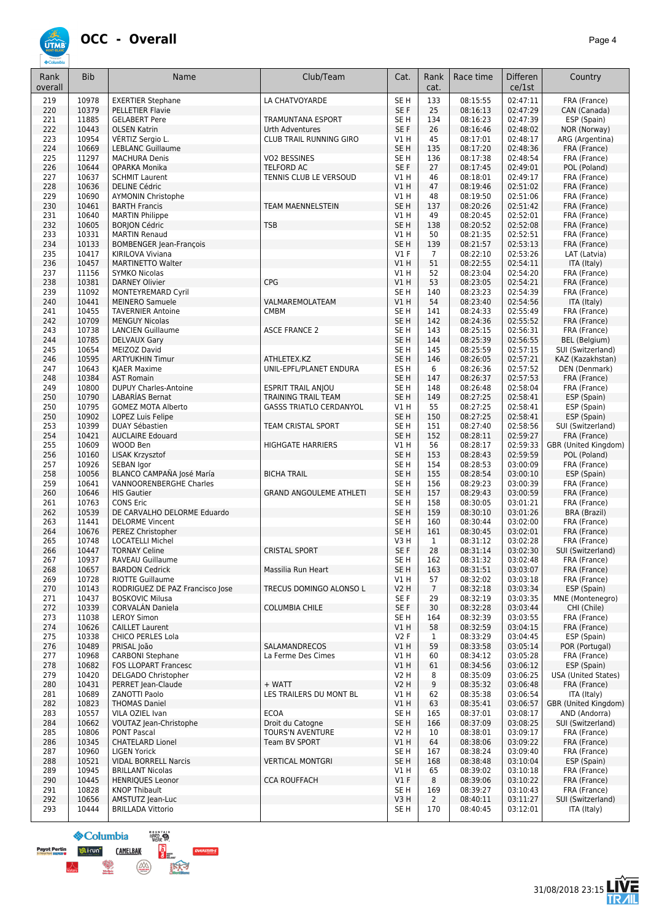#### **OCC - Overall** *Page 4*

PELLETIER Flavie

HENRIQUES Leonor

**HARD SALE** 

B.

区分

**S**Columbia

**CAMELBAK** 

 $\binom{N}{\text{number}}$ 

**ULi-run**<sup>o</sup>

**Payot Pertin<br>Brisk Post Supper U** 



Rank overall

| 226 | 10644 | OPARKA Monika                   | <b>TELFORD AC</b>              | SE <sub>F</sub> | 27             | 08:17:45 | 02:49:01 | POL (Poland)                 |
|-----|-------|---------------------------------|--------------------------------|-----------------|----------------|----------|----------|------------------------------|
| 227 | 10637 | <b>SCHMIT Laurent</b>           | TENNIS CLUB LE VERSOUD         | <b>V1 H</b>     | 46             | 08:18:01 | 02:49:17 | FRA (France)                 |
| 228 | 10636 | <b>DELINE Cédric</b>            |                                | <b>V1 H</b>     | 47             | 08:19:46 | 02:51:02 | FRA (France)                 |
| 229 | 10690 | <b>AYMONIN Christophe</b>       |                                | <b>V1 H</b>     | 48             | 08:19:50 | 02:51:06 | FRA (France)                 |
| 230 | 10461 | <b>BARTH Francis</b>            | <b>TEAM MAENNELSTEIN</b>       | SE <sub>H</sub> | 137            | 08:20:26 | 02:51:42 | FRA (France)                 |
| 231 | 10640 | <b>MARTIN Philippe</b>          |                                | V1H             | 49             | 08:20:45 | 02:52:01 | FRA (France)                 |
| 232 | 10605 | <b>BORJON Cédric</b>            | <b>TSB</b>                     | SE <sub>H</sub> | 138            | 08:20:52 | 02:52:08 | FRA (France)                 |
| 233 | 10331 | <b>MARTIN Renaud</b>            |                                | <b>V1 H</b>     | 50             | 08:21:35 | 02:52:51 | FRA (France)                 |
| 234 | 10133 | <b>BOMBENGER Jean-François</b>  |                                | SE <sub>H</sub> | 139            | 08:21:57 | 02:53:13 | FRA (France)                 |
| 235 | 10417 | KIRILOVA Viviana                |                                | $VI$ F          | $\overline{7}$ | 08:22:10 | 02:53:26 | LAT (Latvia)                 |
| 236 | 10457 | <b>MARTINETTO Walter</b>        |                                | V1H             | 51             | 08:22:55 | 02:54:11 | ITA (Italy)                  |
| 237 | 11156 | <b>SYMKO Nicolas</b>            |                                | V1H             | 52             | 08:23:04 | 02:54:20 |                              |
| 238 | 10381 | <b>DARNEY Olivier</b>           | <b>CPG</b>                     | V1H             | 53             | 08:23:05 | 02:54:21 | FRA (France)<br>FRA (France) |
|     | 11092 | MONTEYREMARD Cyril              |                                | SE <sub>H</sub> | 140            | 08:23:23 | 02:54:39 | FRA (France)                 |
| 239 | 10441 | <b>MEINERO Samuele</b>          |                                | <b>V1 H</b>     | 54             | 08:23:40 | 02:54:56 |                              |
| 240 |       |                                 | VALMAREMOLATEAM                |                 |                |          |          | ITA (Italy)                  |
| 241 | 10455 | <b>TAVERNIER Antoine</b>        | <b>CMBM</b>                    | SE <sub>H</sub> | 141            | 08:24:33 | 02:55:49 | FRA (France)                 |
| 242 | 10709 | <b>MENGUY Nicolas</b>           |                                | SE <sub>H</sub> | 142            | 08:24:36 | 02:55:52 | FRA (France)                 |
| 243 | 10738 | <b>LANCIEN Guillaume</b>        | <b>ASCE FRANCE 2</b>           | SE H            | 143            | 08:25:15 | 02:56:31 | FRA (France)                 |
| 244 | 10785 | <b>DELVAUX Gary</b>             |                                | SE H            | 144            | 08:25:39 | 02:56:55 | BEL (Belgium)                |
| 245 | 10654 | MEIZOZ David                    |                                | SE <sub>H</sub> | 145            | 08:25:59 | 02:57:15 | SUI (Switzerland)            |
| 246 | 10595 | <b>ARTYUKHIN Timur</b>          | ATHLETEX.KZ                    | SE <sub>H</sub> | 146            | 08:26:05 | 02:57:21 | KAZ (Kazakhstan)             |
| 247 | 10643 | KJAER Maxime                    | UNIL-EPFL/PLANET ENDURA        | ES <sub>H</sub> | 6              | 08:26:36 | 02:57:52 | DEN (Denmark)                |
| 248 | 10384 | <b>AST Romain</b>               |                                | SE <sub>H</sub> | 147            | 08:26:37 | 02:57:53 | FRA (France)                 |
| 249 | 10800 | <b>DUPUY Charles-Antoine</b>    | <b>ESPRIT TRAIL ANIOU</b>      | SE <sub>H</sub> | 148            | 08:26:48 | 02:58:04 | FRA (France)                 |
| 250 | 10790 | LABARIAS Bernat                 | <b>TRAINING TRAIL TEAM</b>     | SE <sub>H</sub> | 149            | 08:27:25 | 02:58:41 | ESP (Spain)                  |
| 250 | 10795 | <b>GOMEZ MOTA Alberto</b>       | <b>GASSS TRIATLO CERDANYOL</b> | <b>V1 H</b>     | 55             | 08:27:25 | 02:58:41 | ESP (Spain)                  |
| 250 | 10902 | <b>LOPEZ Luis Felipe</b>        |                                | SE <sub>H</sub> | 150            | 08:27:25 | 02:58:41 | ESP (Spain)                  |
| 253 | 10399 | DUAY Sébastien                  | <b>TEAM CRISTAL SPORT</b>      | SE <sub>H</sub> | 151            | 08:27:40 | 02:58:56 | SUI (Switzerland)            |
| 254 | 10421 | <b>AUCLAIRE Edouard</b>         |                                | SE <sub>H</sub> | 152            | 08:28:11 | 02:59:27 | FRA (France)                 |
| 255 | 10609 | WOOD Ben                        | <b>HIGHGATE HARRIERS</b>       | V1 H            | 56             | 08:28:17 | 02:59:33 | GBR (United Kingdom)         |
| 256 | 10160 | LISAK Krzysztof                 |                                | SE <sub>H</sub> | 153            | 08:28:43 | 02:59:59 | POL (Poland)                 |
| 257 | 10926 | SEBAN Igor                      |                                | SE <sub>H</sub> | 154            | 08:28:53 | 03:00:09 | FRA (France)                 |
| 258 | 10056 | BLANCO CAMPAÑA José María       | <b>BICHA TRAIL</b>             | SE <sub>H</sub> | 155            | 08:28:54 | 03:00:10 | ESP (Spain)                  |
| 259 | 10641 | <b>VANNOORENBERGHE Charles</b>  |                                | SE <sub>H</sub> | 156            | 08:29:23 | 03:00:39 | FRA (France)                 |
| 260 | 10646 | <b>HIS Gautier</b>              | <b>GRAND ANGOULEME ATHLETI</b> | SE <sub>H</sub> | 157            | 08:29:43 | 03:00:59 | FRA (France)                 |
| 261 | 10763 | <b>CONS Eric</b>                |                                | SE <sub>H</sub> | 158            | 08:30:05 | 03:01:21 | FRA (France)                 |
| 262 | 10539 | DE CARVALHO DELORME Eduardo     |                                | SE <sub>H</sub> | 159            | 08:30:10 | 03:01:26 | BRA (Brazil)                 |
| 263 | 11441 | <b>DELORME Vincent</b>          |                                | SE <sub>H</sub> | 160            | 08:30:44 | 03:02:00 | FRA (France)                 |
| 264 | 10676 | PEREZ Christopher               |                                | SE <sub>H</sub> | 161            | 08:30:45 | 03:02:01 | FRA (France)                 |
| 265 | 10748 | <b>LOCATELLI Michel</b>         |                                | V3H             | $\mathbf{1}$   | 08:31:12 | 03:02:28 | FRA (France)                 |
| 266 | 10447 | <b>TORNAY Celine</b>            | <b>CRISTAL SPORT</b>           | SE F            | 28             | 08:31:14 | 03:02:30 | SUI (Switzerland)            |
| 267 | 10937 | RAVEAU Guillaume                |                                | SE <sub>H</sub> | 162            | 08:31:32 | 03:02:48 | FRA (France)                 |
| 268 | 10657 | <b>BARDON Cedrick</b>           | Massilia Run Heart             | SE <sub>H</sub> | 163            | 08:31:51 | 03:03:07 | FRA (France)                 |
| 269 | 10728 | <b>RIOTTE Guillaume</b>         |                                | V1 H            | 57             | 08:32:02 | 03:03:18 | FRA (France)                 |
| 270 | 10143 | RODRIGUEZ DE PAZ Francisco Jose | TRECUS DOMINGO ALONSO L        | <b>V2 H</b>     | $\overline{7}$ | 08:32:18 | 03:03:34 | ESP (Spain)                  |
| 271 | 10437 | <b>BOSKOVIC Milusa</b>          |                                | SE F            | 29             | 08:32:19 | 03:03:35 | MNE (Montenegro)             |
| 272 | 10339 | <b>CORVALÁN Daniela</b>         | <b>COLUMBIA CHILE</b>          | SE F            | 30             | 08:32:28 | 03:03:44 | CHI (Chile)                  |
| 273 | 11038 | <b>LEROY Simon</b>              |                                | SE <sub>H</sub> | 164            | 08:32:39 | 03:03:55 | FRA (France)                 |
| 274 | 10626 | <b>CAILLET Laurent</b>          |                                | V1H             | 58             | 08:32:59 | 03:04:15 | FRA (France)                 |
| 275 | 10338 | <b>CHICO PERLES Lola</b>        |                                | <b>V2F</b>      | 1              | 08:33:29 | 03:04:45 | ESP (Spain)                  |
| 276 | 10489 | PRISAL João                     | <b>SALAMANDRECOS</b>           | V1H             | 59             | 08:33:58 | 03:05:14 | POR (Portugal)               |
| 277 | 10968 | <b>CARBONI Stephane</b>         | La Ferme Des Cimes             | VIH             | 60             | 08:34:12 | 03:05:28 | FRA (France)                 |
| 278 | 10682 | FOS LLOPART Francesc            |                                | V1H             | 61             | 08:34:56 | 03:06:12 | ESP (Spain)                  |
| 279 | 10420 | DELGADO Christopher             |                                | <b>V2 H</b>     | 8              | 08:35:09 | 03:06:25 | <b>USA (United States)</b>   |
| 280 | 10431 | PERRET Jean-Claude              | + WATT                         | V2H             | 9              | 08:35:32 | 03:06:48 | FRA (France)                 |
| 281 | 10689 | ZANOTTI Paolo                   | LES TRAILERS DU MONT BL        | V1 H            | 62             | 08:35:38 | 03:06:54 | ITA (Italy)                  |
| 282 | 10823 | <b>THOMAS Daniel</b>            |                                | V1 H            | 63             | 08:35:41 | 03:06:57 | GBR (United Kingdom)         |
| 283 | 10557 | VILA OZIEL Ivan                 | <b>ECOA</b>                    | SE H            | 165            | 08:37:01 | 03:08:17 | AND (Andorra)                |
| 284 | 10662 | VOUTAZ Jean-Christophe          | Droit du Catogne               | SE <sub>H</sub> | 166            | 08:37:09 | 03:08:25 | SUI (Switzerland)            |
| 285 | 10806 | <b>PONT Pascal</b>              | TOURS'N AVENTURE               | V2 H            | 10             | 08:38:01 | 03:09:17 | FRA (France)                 |
|     | 10345 | <b>CHATELARD Lionel</b>         | Team BV SPORT                  | V1H             | 64             | 08:38:06 | 03:09:22 | FRA (France)                 |
| 286 |       |                                 |                                |                 |                |          |          |                              |

 10960 LIGEN Yorick SE H 167 08:38:24 03:09:40 FRA (France) 10521 VIDAL BORRELL Narcis VERTICAL MONTGRI SE H 168 08:38:48 03:10:04 ESP (Spain) 10945 BRILLANT Nicolas V1 H 65 08:39:02 03:10:18 FRA (France)

 10828 KNOP Thibault SE H 169 08:39:27 03:10:43 FRA (France) 10656 AMSTUTZ Jean-Luc V3 H 2 08:40:11 03:11:27 SUI (Switzerland) 10444 BRILLADA Vittorio SE H 170 08:40:45 03:12:01 ITA (Italy)

Bib Name Name Club/Team Club Cat. Rank

219 | 10978 | EXERTIER Stephane | LA CHATVOYARDE | SE H | 133 | 08:15:55 | 02:47:11 | FRA (France)<br>220 | 10379 | PELLETIER Flavie | SE F | 25 | 08:16:13 | 02:47:29 | CAN (Canada)

 11885 GELABERT Pere TRAMUNTANA ESPORT SE H 134 08:16:23 02:47:39 ESP (Spain) 10443 OLSEN Katrin Urth Adventures SE F 26 08:16:46 02:48:02 NOR (Norway) 223 | 10954 | VÉRTIZ Sergio L. | CLUB TRAIL RUNNING GIRO | V1 H | 45 | 08:17:01 | 02:48:17 | ARG (Argentina)<br>224 | 10669 | LEBLANC Guillaume | CLUB TRAIL RUNNING GIRO | SE H | 135 | 08:17:20 | 02:48:36 | ERA (France) 10669 LEBLANC Guillaume SE H 135 08:17:20 02:48:36 FRA (France) 11297 MACHURA Denis VO2 BESSINES SE H 136 08:17:38 02:48:54 FRA (France)

cat.

Race time | Differen

ce/1st



**Country** 

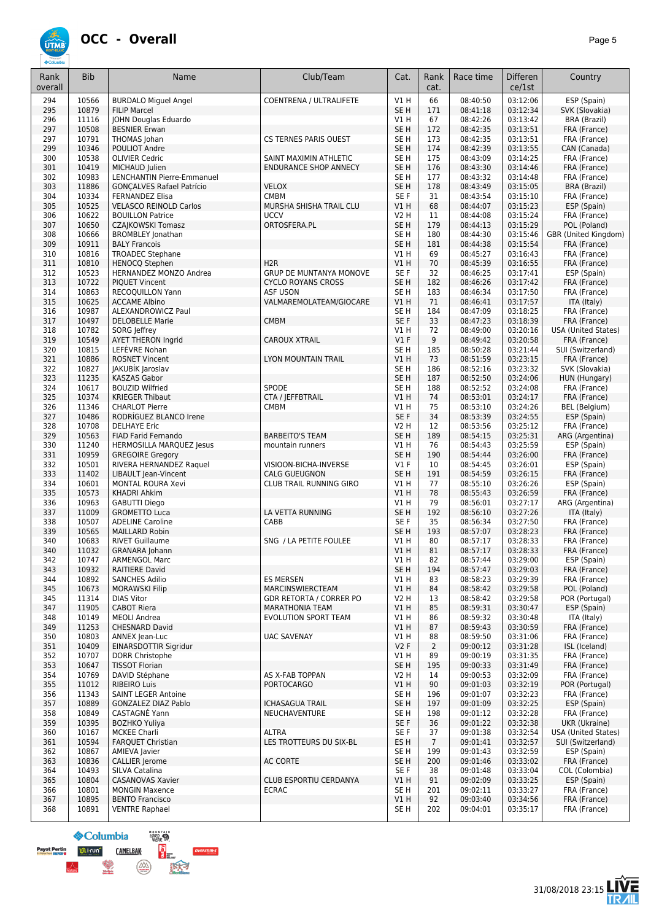### **ÚTMB**

| ۰.<br>×<br>×<br>۰. |
|--------------------|
|--------------------|

| Rank<br>overall | <b>Bib</b>     | Name                                             | Club/Team                      | Cat.                               | Rank<br>cat.    | Race time            | <b>Differen</b><br>ce/1st | Country                                    |
|-----------------|----------------|--------------------------------------------------|--------------------------------|------------------------------------|-----------------|----------------------|---------------------------|--------------------------------------------|
| 294             | 10566          | <b>BURDALO Miguel Angel</b>                      | COENTRENA / ULTRALIFETE        | VIH                                | 66              | 08:40:50             | 03:12:06                  | ESP (Spain)                                |
| 295             | 10879          | <b>FILIP Marcel</b>                              |                                | SE <sub>H</sub>                    | 171             | 08:41:18             | 03:12:34                  | SVK (Slovakia)                             |
| 296             | 11116          | JOHN Douglas Eduardo                             |                                | V1H                                | 67              | 08:42:26             | 03:13:42                  | <b>BRA</b> (Brazil)                        |
| 297             | 10508          | <b>BESNIER Erwan</b>                             |                                | SE <sub>H</sub>                    | 172             | 08:42:35             | 03:13:51                  | FRA (France)                               |
| 297             | 10791          | THOMAS Johan                                     | CS TERNES PARIS OUEST          | SE <sub>H</sub>                    | 173             | 08:42:35             | 03:13:51                  | FRA (France)                               |
| 299             | 10346          | POULIOT Andre                                    |                                | SE <sub>H</sub>                    | 174             | 08:42:39             | 03:13:55                  | CAN (Canada)                               |
| 300             | 10538          | <b>OLIVIER Cedric</b>                            | SAINT MAXIMIN ATHLETIC         | SE <sub>H</sub>                    | 175             | 08:43:09             | 03:14:25                  | FRA (France)                               |
| 301<br>302      | 10419<br>10983 | MICHAUD Julien<br>LENCHANTIN Pierre-Emmanuel     | <b>ENDURANCE SHOP ANNECY</b>   | SE <sub>H</sub><br>SE <sub>H</sub> | 176<br>177      | 08:43:30<br>08:43:32 | 03:14:46<br>03:14:48      | FRA (France)<br>FRA (France)               |
| 303             | 11886          | <b>GONCALVES Rafael Patrício</b>                 | <b>VELOX</b>                   | SE <sub>H</sub>                    | 178             | 08:43:49             | 03:15:05                  | <b>BRA</b> (Brazil)                        |
| 304             | 10334          | <b>FERNANDEZ Elisa</b>                           | CMBM                           | SE F                               | 31              | 08:43:54             | 03:15:10                  | FRA (France)                               |
| 305             | 10525          | <b>VELASCO REINOLD Carlos</b>                    | MURSHA SHISHA TRAIL CLU        | V1H                                | 68              | 08:44:07             | 03:15:23                  | ESP (Spain)                                |
| 306             | 10622          | <b>BOUILLON Patrice</b>                          | <b>UCCV</b>                    | <b>V2 H</b>                        | 11              | 08:44:08             | 03:15:24                  | FRA (France)                               |
| 307             | 10650          | CZAJKOWSKI Tomasz                                | ORTOSFERA.PL                   | SE <sub>H</sub>                    | 179             | 08:44:13             | 03:15:29                  | POL (Poland)                               |
| 308             | 10666          | <b>BROMBLEY Jonathan</b>                         |                                | SE H                               | 180             | 08:44:30             | 03:15:46                  | GBR (United Kingdom)                       |
| 309             | 10911          | <b>BALY Francois</b>                             |                                | SE <sub>H</sub>                    | 181             | 08:44:38             | 03:15:54                  | FRA (France)                               |
| 310             | 10816          | <b>TROADEC Stephane</b>                          |                                | V1H                                | 69              | 08:45:27             | 03:16:43                  | FRA (France)                               |
| 311             | 10810          | <b>HENOCQ Stephen</b>                            | H <sub>2</sub> R               | V1H                                | 70              | 08:45:39             | 03:16:55                  | FRA (France)                               |
| 312             | 10523          | HERNANDEZ MONZO Andrea                           | <b>GRUP DE MUNTANYA MONOVE</b> | SE <sub>F</sub>                    | 32              | 08:46:25             | 03:17:41                  | ESP (Spain)                                |
| 313             | 10722          | <b>PIOUET Vincent</b>                            | <b>CYCLO ROYANS CROSS</b>      | SE <sub>H</sub>                    | 182             | 08:46:26             | 03:17:42                  | FRA (France)                               |
| 314             | 10863          | RECOQUILLON Yann                                 | <b>ASF USON</b>                | SE H                               | 183             | 08:46:34             | 03:17:50                  | FRA (France)                               |
| 315             | 10625          | <b>ACCAME Albino</b>                             | VALMAREMOLATEAM/GIOCARE        | VIH                                | 71              | 08:46:41             | 03:17:57                  | ITA (Italy)                                |
| 316             | 10987          | ALEXANDROWICZ Paul                               |                                | SE <sub>H</sub>                    | 184             | 08:47:09             | 03:18:25                  | FRA (France)                               |
| 317             | 10497          | <b>DELOBELLE Marie</b>                           | <b>CMBM</b>                    | SE F                               | 33              | 08:47:23             | 03:18:39                  | FRA (France)                               |
| 318<br>319      | 10782<br>10549 | SORG Jeffrey<br><b>AYET THERON Ingrid</b>        | <b>CAROUX XTRAIL</b>           | VIH<br>$VI$ F                      | 72<br>9         | 08:49:00<br>08:49:42 | 03:20:16<br>03:20:58      | <b>USA</b> (United States)<br>FRA (France) |
| 320             | 10815          | LEFEVRE Nohan                                    |                                | SE H                               | 185             | 08:50:28             | 03:21:44                  | SUI (Switzerland)                          |
| 321             | 10886          | <b>ROSNET Vincent</b>                            | <b>LYON MOUNTAIN TRAIL</b>     | VIH                                | 73              | 08:51:59             | 03:23:15                  | FRA (France)                               |
| 322             | 10827          | JAKUBIK Jaroslav                                 |                                | SE <sub>H</sub>                    | 186             | 08:52:16             | 03:23:32                  | SVK (Slovakia)                             |
| 323             | 11235          | <b>KASZAS Gabor</b>                              |                                | SE <sub>H</sub>                    | 187             | 08:52:50             | 03:24:06                  | HUN (Hungary)                              |
| 324             | 10617          | <b>BOUZID Wilfried</b>                           | <b>SPODE</b>                   | SE <sub>H</sub>                    | 188             | 08:52:52             | 03:24:08                  | FRA (France)                               |
| 325             | 10374          | <b>KRIEGER Thibaut</b>                           | CTA / JEFFBTRAIL               | VIH                                | 74              | 08:53:01             | 03:24:17                  | FRA (France)                               |
| 326             | 11346          | <b>CHARLOT Pierre</b>                            | <b>CMBM</b>                    | VIH                                | 75              | 08:53:10             | 03:24:26                  | <b>BEL</b> (Belgium)                       |
| 327             | 10486          | RODRÍGUEZ BLANCO Irene                           |                                | SE F                               | 34              | 08:53:39             | 03:24:55                  | ESP (Spain)                                |
| 328             | 10708          | <b>DELHAYE Eric</b>                              |                                | <b>V2 H</b>                        | 12              | 08:53:56             | 03:25:12                  | FRA (France)                               |
| 329             | 10563          | FIAD Farid Fernando                              | <b>BARBEITO'S TEAM</b>         | SE <sub>H</sub>                    | 189             | 08:54:15             | 03:25:31                  | ARG (Argentina)                            |
| 330             | 11240          | HERMOSILLA MARQUEZ Jesus                         | mountain runners               | VIH                                | 76              | 08:54:43             | 03:25:59                  | ESP (Spain)                                |
| 331             | 10959          | <b>GREGOIRE Gregory</b>                          |                                | SE <sub>H</sub>                    | 190             | 08:54:44             | 03:26:00                  | FRA (France)                               |
| 332             | 10501          | RIVERA HERNANDEZ Raquel                          | VISIOON-BICHA-INVERSE          | $VI$ F                             | 10              | 08:54:45             | 03:26:01                  | ESP (Spain)                                |
| 333             | 11402          | LIBAULT Jean-Vincent                             | <b>CALG GUEUGNON</b>           | SE <sub>H</sub>                    | 191             | 08:54:59             | 03:26:15                  | FRA (France)                               |
| 334<br>335      | 10601<br>10573 | <b>MONTAL ROURA Xevi</b><br><b>KHADRI Ahkim</b>  | CLUB TRAIL RUNNING GIRO        | V1H<br>VIH                         | 77<br>78        | 08:55:10<br>08:55:43 | 03:26:26<br>03:26:59      | ESP (Spain)<br>FRA (France)                |
| 336             | 10963          | <b>GABUTTI Diego</b>                             |                                | V1H                                | 79              | 08:56:01             | 03:27:17                  | ARG (Argentina)                            |
| 337             | 11009          | <b>GROMETTO Luca</b>                             | LA VETTA RUNNING               | SE <sub>H</sub>                    | 192             | 08:56:10             | 03:27:26                  | ITA (Italy)                                |
| 338             | 10507          | <b>ADELINE Caroline</b>                          | CABB                           | SE <sub>F</sub>                    | 35              | 08:56:34             | 03:27:50                  | FRA (France)                               |
| 339             | 10565          | <b>MAILLARD Robin</b>                            |                                | SE <sub>H</sub>                    | 193             | 08:57:07             | 03:28:23                  | FRA (France)                               |
| 340             | 10683          | <b>RIVET Guillaume</b>                           | SNG / LA PETITE FOULEE         | VIH                                | 80              | 08:57:17             | 03:28:33                  | FRA (France)                               |
| 340             | 11032          | <b>GRANARA</b> Johann                            |                                | V1H                                | 81              | 08:57:17             | 03:28:33                  | FRA (France)                               |
| 342             | 10747          | <b>ARMENGOL Marc</b>                             |                                | V1H                                | 82              | 08:57:44             | 03:29:00                  | ESP (Spain)                                |
| 343             | 10932          | RAITIERE David                                   |                                | SE <sub>H</sub>                    | 194             | 08:57:47             | 03:29:03                  | FRA (France)                               |
| 344             | 10892          | <b>SANCHES Adilio</b>                            | ES MERSEN                      | V1H                                | 83              | 08:58:23             | 03:29:39                  | FRA (France)                               |
| 345             | 10673          | <b>MORAWSKI Filip</b>                            | MARCINSWIERCTEAM               | VIH                                | 84              | 08:58:42             | 03:29:58                  | POL (Poland)                               |
| 345             | 11314          | DIAS Vitor                                       | GDR RETORTA / CORRER PO        | V <sub>2</sub> H                   | 13              | 08:58:42             | 03:29:58                  | POR (Portugal)                             |
| 347             | 11905          | <b>CABOT Riera</b><br><b>MEOLI Andrea</b>        | <b>MARATHONIA TEAM</b>         | VIH                                | 85<br>86        | 08:59:31             | 03:30:47                  | ESP (Spain)                                |
| 348<br>349      | 10149<br>11253 | <b>CHESNARD David</b>                            | <b>EVOLUTION SPORT TEAM</b>    | V1H<br>VIH                         | 87              | 08:59:32<br>08:59:43 | 03:30:48<br>03:30:59      | ITA (Italy)<br>FRA (France)                |
| 350             | 10803          | <b>ANNEX lean-Luc</b>                            | <b>UAC SAVENAY</b>             | V1H                                | 88              | 08:59:50             | 03:31:06                  | FRA (France)                               |
| 351             | 10409          | <b>EINARSDOTTIR Sigridur</b>                     |                                | V2F                                | $\overline{2}$  | 09:00:12             | 03:31:28                  | ISL (Iceland)                              |
| 352             | 10707          | DORR Christophe                                  |                                | V1H                                | 89              | 09:00:19             | 03:31:35                  | FRA (France)                               |
| 353             | 10647          | <b>TISSOT Florian</b>                            |                                | SE <sub>H</sub>                    | 195             | 09:00:33             | 03:31:49                  | FRA (France)                               |
| 354             | 10769          | DAVID Stéphane                                   | AS X-FAB TOPPAN                | V2 H                               | 14              | 09:00:53             | 03:32:09                  | FRA (France)                               |
| 355             | 11012          | <b>RIBEIRO Luis</b>                              | <b>PORTOCARGO</b>              | V1H                                | 90              | 09:01:03             | 03:32:19                  | POR (Portugal)                             |
| 356             | 11343          | <b>SAINT LEGER Antoine</b>                       |                                | SE H                               | 196             | 09:01:07             | 03:32:23                  | FRA (France)                               |
| 357             | 10889          | <b>GONZALEZ DIAZ Pablo</b>                       | <b>ICHASAGUA TRAIL</b>         | SE <sub>H</sub>                    | 197             | 09:01:09             | 03:32:25                  | ESP (Spain)                                |
| 358             | 10849          | CASTAGNÉ Yann                                    | NEUCHAVENTURE                  | SE H                               | 198             | 09:01:12             | 03:32:28                  | FRA (France)                               |
| 359             | 10395          | <b>BOZHKO Yuliya</b>                             |                                | SE F                               | 36              | 09:01:22             | 03:32:38                  | UKR (Ukraine)                              |
| 360             | 10167          | <b>MCKEE Charli</b>                              | <b>ALTRA</b>                   | SE F                               | 37              | 09:01:38             | 03:32:54                  | USA (United States)                        |
| 361             | 10594          | <b>FARQUET Christian</b><br><b>AMIEVA Javier</b> | LES TROTTEURS DU SIX-BL        | ES H                               | $7\overline{ }$ | 09:01:41             | 03:32:57                  | SUI (Switzerland)                          |
| 362<br>363      | 10867<br>10836 | <b>CALLIER Jerome</b>                            | <b>AC CORTE</b>                | SE <sub>H</sub><br>SE <sub>H</sub> | 199<br>200      | 09:01:43<br>09:01:46 | 03:32:59<br>03:33:02      | ESP (Spain)<br>FRA (France)                |
| 364             | 10493          | SILVA Catalina                                   |                                | SE F                               | 38              | 09:01:48             | 03:33:04                  | COL (Colombia)                             |
| 365             | 10804          | <b>CASANOVAS Xavier</b>                          | CLUB ESPORTIU CERDANYA         | V1H                                | 91              | 09:02:09             | 03:33:25                  | ESP (Spain)                                |
| 366             | 10801          | <b>MONGIN Maxence</b>                            | <b>ECRAC</b>                   | SE <sub>H</sub>                    | 201             | 09:02:11             | 03:33:27                  | FRA (France)                               |
| 367             | 10895          | <b>BENTO Francisco</b>                           |                                | VIH                                | 92              | 09:03:40             | 03:34:56                  | FRA (France)                               |
| 368             | 10891          | <b>VENTRE Raphael</b>                            |                                | SE <sub>H</sub>                    | 202             | 09:04:01             | 03:35:17                  | FRA (France)                               |
|                 |                |                                                  |                                |                                    |                 |                      |                           |                                            |

HARD<sub>(</sub> **S**Columbia Payot Pertin **10.** ir un<sup>e</sup> (AMELBAK E) **IERS** 翌  $\left(\frac{\sqrt{\lambda}}{\text{equation}}\right)$ 

 $\lambda$ 

aversnm-s

31/08/2018 23:15

Ē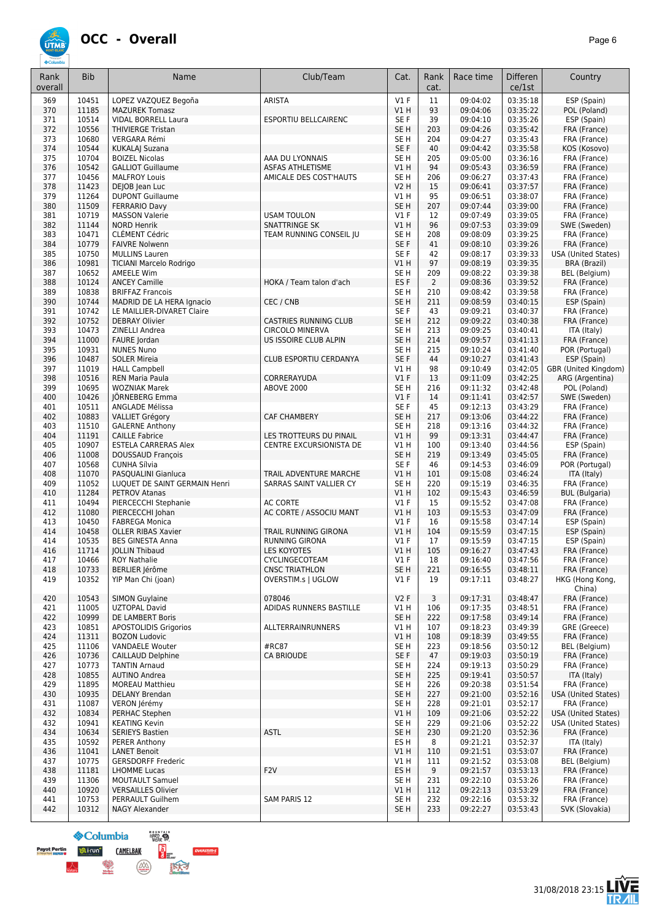

| Rank<br>overall | <b>Bib</b>     | Name                                                    | Club/Team                                              | Cat.                               | Rank<br>cat.   | Race time            | Differen<br>ce/1st   | Country                                    |
|-----------------|----------------|---------------------------------------------------------|--------------------------------------------------------|------------------------------------|----------------|----------------------|----------------------|--------------------------------------------|
| 369             | 10451          | LOPEZ VAZQUEZ Begoña                                    | <b>ARISTA</b>                                          | $VI$ F                             | 11             | 09:04:02             | 03:35:18             | ESP (Spain)                                |
| 370             | 11185          | <b>MAZUREK Tomasz</b>                                   |                                                        | V1H                                | 93             | 09:04:06             | 03:35:22             | POL (Poland)                               |
| 371             | 10514          | <b>VIDAL BORRELL Laura</b>                              | <b>ESPORTIU BELLCAIRENC</b>                            | SE F                               | 39             | 09:04:10             | 03:35:26             | ESP (Spain)                                |
| 372<br>373      | 10556<br>10680 | <b>THIVIERGE Tristan</b><br>VERGARA Rémi                |                                                        | SE <sub>H</sub><br>SE <sub>H</sub> | 203<br>204     | 09:04:26<br>09:04:27 | 03:35:42<br>03:35:43 | FRA (France)<br>FRA (France)               |
| 374             | 10544          | <b>KUKALA  Suzana</b>                                   |                                                        | SE F                               | 40             | 09:04:42             | 03:35:58             | KOS (Kosovo)                               |
| 375             | 10704          | <b>BOIZEL Nicolas</b>                                   | AAA DU LYONNAIS                                        | SE <sub>H</sub>                    | 205            | 09:05:00             | 03:36:16             | FRA (France)                               |
| 376             | 10542          | <b>GALLIOT Guillaume</b>                                | <b>ASFAS ATHLETISME</b>                                | V1 H                               | 94             | 09:05:43             | 03:36:59             | FRA (France)                               |
| 377             | 10456          | <b>MALFROY Louis</b>                                    | AMICALE DES COST'HAUTS                                 | SE <sub>H</sub>                    | 206            | 09:06:27             | 03:37:43             | FRA (France)                               |
| 378             | 11423          | DEJOB Jean Luc                                          |                                                        | <b>V2 H</b>                        | 15             | 09:06:41             | 03:37:57             | FRA (France)                               |
| 379<br>380      | 11264<br>11509 | <b>DUPONT Guillaume</b><br><b>FERRARIO Davy</b>         |                                                        | V1 H<br>SE <sub>H</sub>            | 95<br>207      | 09:06:51<br>09:07:44 | 03:38:07<br>03:39:00 | FRA (France)<br>FRA (France)               |
| 381             | 10719          | <b>MASSON Valerie</b>                                   | <b>USAM TOULON</b>                                     | $VI$ F                             | 12             | 09:07:49             | 03:39:05             | FRA (France)                               |
| 382             | 11144          | <b>NORD Henrik</b>                                      | <b>SNATTRINGE SK</b>                                   | V1H                                | 96             | 09:07:53             | 03:39:09             | SWE (Sweden)                               |
| 383             | 10471          | <b>CLÉMENT Cédric</b>                                   | TEAM RUNNING CONSEIL JU                                | SE <sub>H</sub>                    | 208            | 09:08:09             | 03:39:25             | FRA (France)                               |
| 384             | 10779          | <b>FAIVRE Nolwenn</b>                                   |                                                        | SE F                               | 41             | 09:08:10             | 03:39:26             | FRA (France)                               |
| 385<br>386      | 10750<br>10981 | <b>MULLINS Lauren</b><br><b>TICIANI Marcelo Rodrigo</b> |                                                        | SE F<br>V1 H                       | 42<br>97       | 09:08:17<br>09:08:19 | 03:39:33<br>03:39:35 | <b>USA (United States)</b><br>BRA (Brazil) |
| 387             | 10652          | AMEELE Wim                                              |                                                        | SE <sub>H</sub>                    | 209            | 09:08:22             | 03:39:38             | <b>BEL</b> (Belgium)                       |
| 388             | 10124          | <b>ANCEY Camille</b>                                    | HOKA / Team talon d'ach                                | ES <sub>F</sub>                    | $\overline{2}$ | 09:08:36             | 03:39:52             | FRA (France)                               |
| 389             | 10838          | <b>BRIFFAZ Francois</b>                                 |                                                        | SE <sub>H</sub>                    | 210            | 09:08:42             | 03:39:58             | FRA (France)                               |
| 390             | 10744          | MADRID DE LA HERA Ignacio                               | CEC / CNB                                              | SE <sub>H</sub>                    | 211            | 09:08:59             | 03:40:15             | ESP (Spain)                                |
| 391             | 10742          | LE MAILLIER-DIVARET Claire                              |                                                        | SE F                               | 43             | 09:09:21             | 03:40:37             | FRA (France)                               |
| 392<br>393      | 10752<br>10473 | <b>DEBRAY Olivier</b><br>ZINELLI Andrea                 | <b>CASTRIES RUNNING CLUB</b><br><b>CIRCOLO MINERVA</b> | SE <sub>H</sub><br>SE <sub>H</sub> | 212<br>213     | 09:09:22<br>09:09:25 | 03:40:38<br>03:40:41 | FRA (France)<br>ITA (Italy)                |
| 394             | 11000          | FAURE Jordan                                            | US ISSOIRE CLUB ALPIN                                  | SE <sub>H</sub>                    | 214            | 09:09:57             | 03:41:13             | FRA (France)                               |
| 395             | 10931          | <b>NUNES Nuno</b>                                       |                                                        | SE <sub>H</sub>                    | 215            | 09:10:24             | 03:41:40             | POR (Portugal)                             |
| 396             | 10487          | <b>SOLER Mireia</b>                                     | CLUB ESPORTIU CERDANYA                                 | SE F                               | 44             | 09:10:27             | 03:41:43             | ESP (Spain)                                |
| 397             | 11019          | <b>HALL Campbell</b>                                    |                                                        | V1 H                               | 98             | 09:10:49             | 03:42:05             | GBR (United Kingdom)                       |
| 398             | 10516          | <b>REN Maria Paula</b>                                  | CORRERAYUDA                                            | $VI$ F                             | 13             | 09:11:09             | 03:42:25             | ARG (Argentina)                            |
| 399             | 10695<br>10426 | <b>WOZNIAK Marek</b>                                    | ABOVE 2000                                             | SE <sub>H</sub>                    | 216            | 09:11:32             | 03:42:48             | POL (Poland)                               |
| 400<br>401      | 10511          | JÖRNEBERG Emma<br>ANGLADE Mélissa                       |                                                        | $VI$ F<br>SE F                     | 14<br>45       | 09:11:41<br>09:12:13 | 03:42:57<br>03:43:29 | SWE (Sweden)<br>FRA (France)               |
| 402             | 10883          | <b>VALLIET Grégory</b>                                  | <b>CAF CHAMBERY</b>                                    | SE <sub>H</sub>                    | 217            | 09:13:06             | 03:44:22             | FRA (France)                               |
| 403             | 11510          | <b>GALERNE Anthony</b>                                  |                                                        | SE <sub>H</sub>                    | 218            | 09:13:16             | 03:44:32             | FRA (France)                               |
| 404             | 11191          | <b>CAILLE Fabrice</b>                                   | LES TROTTEURS DU PINAIL                                | V1H                                | 99             | 09:13:31             | 03:44:47             | FRA (France)                               |
| 405             | 10907          | <b>ESTELA CARRERAS Alex</b>                             | CENTRE EXCURSIONISTA DE                                | V1H                                | 100            | 09:13:40             | 03:44:56             | ESP (Spain)                                |
| 406<br>407      | 11008<br>10568 | <b>DOUSSAUD François</b><br>CUNHA Sílvia                |                                                        | SE <sub>H</sub><br>SE F            | 219<br>46      | 09:13:49<br>09:14:53 | 03:45:05<br>03:46:09 | FRA (France)<br>POR (Portugal)             |
| 408             | 11070          | PASQUALINI Gianluca                                     | TRAIL ADVENTURE MARCHE                                 | V1H                                | 101            | 09:15:08             | 03:46:24             | ITA (Italy)                                |
| 409             | 11052          | LUQUET DE SAINT GERMAIN Henri                           | SARRAS SAINT VALLIER CY                                | SE <sub>H</sub>                    | 220            | 09:15:19             | 03:46:35             | FRA (France)                               |
| 410             | 11284          | <b>PETROV Atanas</b>                                    |                                                        | V1H                                | 102            | 09:15:43             | 03:46:59             | <b>BUL (Bulgaria)</b>                      |
| 411             | 10494          | PIERCECCHI Stephanie                                    | <b>AC CORTE</b>                                        | $VI$ F                             | 15             | 09:15:52             | 03:47:08             | FRA (France)                               |
| 412             | 11080          | PIERCECCHI Johan                                        | AC CORTE / ASSOCIU MANT                                | V1 H                               | 103            | 09:15:53             | 03:47:09             | FRA (France)                               |
| 413<br>414      | 10450<br>10458 | <b>FABREGA Monica</b><br><b>OLLER RIBAS Xavier</b>      | TRAIL RUNNING GIRONA                                   | $VI$ F<br>VIH                      | 16<br>104      | 09:15:58<br>09:15:59 | 03:47:14<br>03:47:15 | ESP (Spain)<br>ESP (Spain)                 |
| 414             | 10535          | <b>BES GINESTA Anna</b>                                 | <b>RUNNING GIRONA</b>                                  | $VI$ F                             | 17             | 09:15:59             | 03:47:15             | ESP (Spain)                                |
| 416             | 11714          | <b>JOLLIN Thibaud</b>                                   | <b>LES KOYOTES</b>                                     | V1H                                | 105            | 09:16:27             | 03:47:43             | FRA (France)                               |
| 41/             | 10466          | ROY Nathalie                                            | <b>CYCLINGECOTEAM</b>                                  | V1 F                               | 18             | 09:16:40             | 03:47:56             | FRA (France)                               |
| 418             | 10733          | BERLIER Jérôme                                          | <b>CNSC TRIATHLON</b>                                  | SE <sub>H</sub>                    | 221            | 09:16:55             | 03:48:11             | FRA (France)                               |
| 419             | 10352          | YIP Man Chi (joan)                                      | OVERSTIM.s   UGLOW                                     | $VI$ F                             | 19             | 09:17:11             | 03:48:27             | HKG (Hong Kong,<br>China)                  |
| 420             | 10543          | <b>SIMON Guylaine</b>                                   | 078046                                                 | V2F                                | 3              | 09:17:31             | 03:48:47             | FRA (France)                               |
| 421             | 11005          | <b>UZTOPAL David</b>                                    | ADIDAS RUNNERS BASTILLE                                | V1 H                               | 106            | 09:17:35             | 03:48:51             | FRA (France)                               |
| 422             | 10999          | DE LAMBERT Boris                                        |                                                        | SE <sub>H</sub>                    | 222            | 09:17:58             | 03:49:14             | FRA (France)                               |
| 423             | 10851          | <b>APOSTOLIDIS Grigorios</b>                            | ALLTERRAINRUNNERS                                      | V1 H                               | 107            | 09:18:23             | 03:49:39             | GRE (Greece)                               |
| 424             | 11311          | <b>BOZON Ludovic</b>                                    | #RC87                                                  | V1H                                | 108            | 09:18:39             | 03:49:55             | FRA (France)                               |
| 425<br>426      | 11106<br>10736 | <b>VANDAELE Wouter</b><br><b>CAILLAUD Delphine</b>      | <b>CA BRIOUDE</b>                                      | SE H<br>SE F                       | 223<br>47      | 09:18:56<br>09:19:03 | 03:50:12<br>03:50:19 | BEL (Belgium)<br>FRA (France)              |
| 427             | 10773          | <b>TANTIN Arnaud</b>                                    |                                                        | SE H                               | 224            | 09:19:13             | 03:50:29             | FRA (France)                               |
| 428             | 10855          | <b>AUTINO Andrea</b>                                    |                                                        | SE <sub>H</sub>                    | 225            | 09:19:41             | 03:50:57             | ITA (Italy)                                |
| 429             | 11895          | <b>MOREAU Matthieu</b>                                  |                                                        | SE <sub>H</sub>                    | 226            | 09:20:38             | 03:51:54             | FRA (France)                               |
| 430             | 10935          | <b>DELANY Brendan</b>                                   |                                                        | SE <sub>H</sub>                    | 227            | 09:21:00             | 03:52:16             | USA (United States)                        |
| 431<br>432      | 11087<br>10834 | VERON Jérémy<br>PERHAC Stephen                          |                                                        | SE H<br>V1 H                       | 228<br>109     | 09:21:01<br>09:21:06 | 03:52:17<br>03:52:22 | FRA (France)<br><b>USA (United States)</b> |
| 432             | 10941          | <b>KEATING Kevin</b>                                    |                                                        | SE H                               | 229            | 09:21:06             | 03:52:22             | <b>USA (United States)</b>                 |
| 434             | 10634          | <b>SERIEYS Bastien</b>                                  | <b>ASTL</b>                                            | SE <sub>H</sub>                    | 230            | 09:21:20             | 03:52:36             | FRA (France)                               |
| 435             | 10592          | PERER Anthony                                           |                                                        | ES H                               | 8              | 09:21:21             | 03:52:37             | ITA (Italy)                                |
| 436             | 11041          | <b>LANET Benoit</b>                                     |                                                        | V1 H                               | 110            | 09:21:51             | 03:53:07             | FRA (France)                               |
| 437             | 10775          | <b>GERSDORFF Frederic</b>                               |                                                        | V1 H                               | 111            | 09:21:52             | 03:53:08             | BEL (Belgium)                              |
| 438<br>439      | 11181<br>11306 | LHOMME Lucas<br><b>MOUTAULT Samuel</b>                  | F <sub>2</sub> V                                       | ES <sub>H</sub><br>SE H            | 9<br>231       | 09:21:57<br>09:22:10 | 03:53:13<br>03:53:26 | FRA (France)<br>FRA (France)               |
| 440             | 10920          | <b>VERSAILLES Olivier</b>                               |                                                        | V1H                                | 112            | 09:22:13             | 03:53:29             | FRA (France)                               |
| 441             | 10753          | PERRAULT Guilhem                                        | SAM PARIS 12                                           | SE H                               | 232            | 09:22:16             | 03:53:32             | FRA (France)                               |
| 442             | 10312          | NAGY Alexander                                          |                                                        | SE <sub>H</sub>                    | 233            | 09:22:27             | 03:53:43             | SVK (Slovakia)                             |

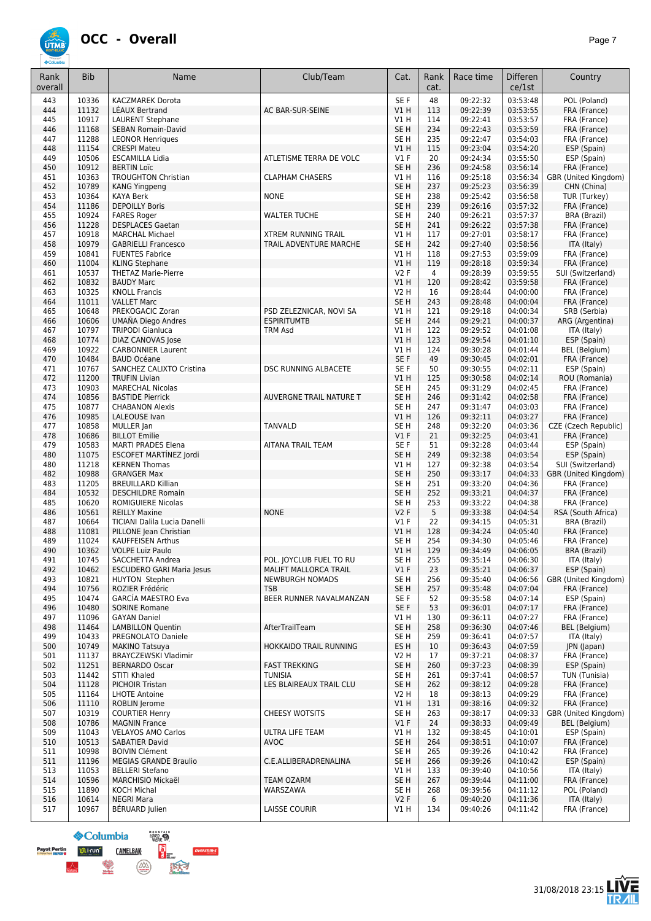

| Rank<br>overall | <b>Bib</b>     | Name                                                  | Club/Team                                        | Cat.                               | Rank<br>cat. | Race time            | <b>Differen</b><br>ce/1st | Country                      |
|-----------------|----------------|-------------------------------------------------------|--------------------------------------------------|------------------------------------|--------------|----------------------|---------------------------|------------------------------|
| 443             | 10336          | <b>KACZMAREK Dorota</b>                               |                                                  | SE F                               | 48           | 09:22:32             | 03:53:48                  | POL (Poland)                 |
| 444             | 11132          | LEAUX Bertrand                                        | AC BAR-SUR-SEINE                                 | VIH                                | 113          | 09:22:39             | 03:53:55                  | FRA (France)                 |
| 445             | 10917          | <b>LAURENT Stephane</b>                               |                                                  | V1H                                | 114          | 09:22:41             | 03:53:57                  | FRA (France)                 |
| 446             | 11168          | <b>SEBAN Romain-David</b>                             |                                                  | SE <sub>H</sub>                    | 234          | 09:22:43             | 03:53:59                  | FRA (France)                 |
| 447             | 11288          | <b>LEONOR Henriques</b>                               |                                                  | SE <sub>H</sub>                    | 235          | 09:22:47             | 03:54:03                  | FRA (France)                 |
| 448             | 11154          | <b>CRESPI Mateu</b>                                   |                                                  | V1H                                | 115          | 09:23:04             | 03:54:20                  | ESP (Spain)                  |
| 449<br>450      | 10506<br>10912 | <b>ESCAMILLA Lidia</b><br><b>BERTIN Loïc</b>          | ATLETISME TERRA DE VOLC                          | $VI$ F<br>SE <sub>H</sub>          | 20<br>236    | 09:24:34<br>09:24:58 | 03:55:50<br>03:56:14      | ESP (Spain)<br>FRA (France)  |
| 451             | 10363          | <b>TROUGHTON Christian</b>                            | <b>CLAPHAM CHASERS</b>                           | V1H                                | 116          | 09:25:18             | 03:56:34                  | GBR (United Kingdom)         |
| 452             | 10789          | <b>KANG Yingpeng</b>                                  |                                                  | SE <sub>H</sub>                    | 237          | 09:25:23             | 03:56:39                  | CHN (China)                  |
| 453             | 10364          | <b>KAYA Berk</b>                                      | <b>NONE</b>                                      | SE <sub>H</sub>                    | 238          | 09:25:42             | 03:56:58                  | TUR (Turkey)                 |
| 454             | 11186          | <b>DEPOILLY Boris</b>                                 |                                                  | SE <sub>H</sub>                    | 239          | 09:26:16             | 03:57:32                  | FRA (France)                 |
| 455             | 10924          | <b>FARES Roger</b>                                    | <b>WALTER TUCHE</b>                              | SE <sub>H</sub>                    | 240          | 09:26:21             | 03:57:37                  | <b>BRA (Brazil)</b>          |
| 456             | 11228          | <b>DESPLACES Gaetan</b>                               |                                                  | SE <sub>H</sub>                    | 241          | 09:26:22             | 03:57:38                  | FRA (France)                 |
| 457             | 10918<br>10979 | <b>MARCHAL Michael</b>                                | <b>XTREM RUNNING TRAIL</b>                       | V1H                                | 117          | 09:27:01             | 03:58:17                  | FRA (France)                 |
| 458<br>459      | 10841          | <b>GABRIELLI Francesco</b><br><b>FUENTES Fabrice</b>  | TRAIL ADVENTURE MARCHE                           | SE <sub>H</sub><br>V1 H            | 242<br>118   | 09:27:40<br>09:27:53 | 03:58:56<br>03:59:09      | ITA (Italy)<br>FRA (France)  |
| 460             | 11004          | <b>KLING Stephane</b>                                 |                                                  | V1H                                | 119          | 09:28:18             | 03:59:34                  | FRA (France)                 |
| 461             | 10537          | <b>THETAZ Marie-Pierre</b>                            |                                                  | V2F                                | 4            | 09:28:39             | 03:59:55                  | SUI (Switzerland)            |
| 462             | 10832          | <b>BAUDY Marc</b>                                     |                                                  | VIH                                | 120          | 09:28:42             | 03:59:58                  | FRA (France)                 |
| 463             | 10325          | <b>KNOLL Francis</b>                                  |                                                  | V2 H                               | 16           | 09:28:44             | 04:00:00                  | FRA (France)                 |
| 464             | 11011          | <b>VALLET Marc</b>                                    |                                                  | SE <sub>H</sub>                    | 243          | 09:28:48             | 04:00:04                  | FRA (France)                 |
| 465             | 10648          | PREKOGACIC Zoran                                      | PSD ZELEZNICAR, NOVI SA                          | V1H                                | 121          | 09:29:18             | 04:00:34                  | SRB (Serbia)                 |
| 466             | 10606<br>10797 | UMAÑA Diego Andres<br><b>TRIPODI Gianluca</b>         | <b>ESPIRITUMTB</b>                               | SE <sub>H</sub><br>V1H             | 244<br>122   | 09:29:21             | 04:00:37                  | ARG (Argentina)              |
| 467<br>468      | 10774          | DIAZ CANOVAS Jose                                     | <b>TRM Asd</b>                                   | V1H                                | 123          | 09:29:52<br>09:29:54 | 04:01:08<br>04:01:10      | ITA (Italy)<br>ESP (Spain)   |
| 469             | 10922          | <b>CARBONNIER Laurent</b>                             |                                                  | V1 H                               | 124          | 09:30:28             | 04:01:44                  | <b>BEL</b> (Belgium)         |
| 470             | 10484          | <b>BAUD Océane</b>                                    |                                                  | SE F                               | 49           | 09:30:45             | 04:02:01                  | FRA (France)                 |
| 471             | 10767          | SANCHEZ CALIXTO Cristina                              | <b>DSC RUNNING ALBACETE</b>                      | SE <sub>F</sub>                    | 50           | 09:30:55             | 04:02:11                  | ESP (Spain)                  |
| 472             | 11200          | <b>TRUFIN Livian</b>                                  |                                                  | V1H                                | 125          | 09:30:58             | 04:02:14                  | ROU (Romania)                |
| 473             | 10903          | <b>MARECHAL Nicolas</b>                               |                                                  | SE <sub>H</sub>                    | 245          | 09:31:29             | 04:02:45                  | FRA (France)                 |
| 474             | 10856          | <b>BASTIDE Pierrick</b>                               | AUVERGNE TRAIL NATURE T                          | SE <sub>H</sub>                    | 246          | 09:31:42             | 04:02:58                  | FRA (France)                 |
| 475             | 10877<br>10985 | <b>CHABANON Alexis</b>                                |                                                  | SE <sub>H</sub><br>VIH             | 247<br>126   | 09:31:47<br>09:32:11 | 04:03:03<br>04:03:27      | FRA (France)<br>FRA (France) |
| 476<br>477      | 10858          | LALEOUSE Ivan<br>MULLER Jan                           | <b>TANVALD</b>                                   | SE <sub>H</sub>                    | 248          | 09:32:20             | 04:03:36                  | CZE (Czech Republic)         |
| 478             | 10686          | <b>BILLOT Emilie</b>                                  |                                                  | $VI$ F                             | 21           | 09:32:25             | 04:03:41                  | FRA (France)                 |
| 479             | 10583          | <b>MARTI PRADES Elena</b>                             | AITANA TRAIL TEAM                                | SE <sub>F</sub>                    | 51           | 09:32:28             | 04:03:44                  | ESP (Spain)                  |
| 480             | 11075          | <b>ESCOFET MARTINEZ Jordi</b>                         |                                                  | SE <sub>H</sub>                    | 249          | 09:32:38             | 04:03:54                  | ESP (Spain)                  |
| 480             | 11218          | <b>KERNEN Thomas</b>                                  |                                                  | V1H                                | 127          | 09:32:38             | 04:03:54                  | SUI (Switzerland)            |
| 482             | 10988          | <b>GRANGER Max</b>                                    |                                                  | SE <sub>H</sub>                    | 250          | 09:33:17             | 04:04:33                  | GBR (United Kingdom)         |
| 483             | 11205<br>10532 | <b>BREUILLARD Killian</b>                             |                                                  | SE <sub>H</sub><br>SE <sub>H</sub> | 251          | 09:33:20             | 04:04:36                  | FRA (France)                 |
| 484<br>485      | 10620          | <b>DESCHILDRE Romain</b><br><b>ROMIGUIERE Nicolas</b> |                                                  | SE <sub>H</sub>                    | 252<br>253   | 09:33:21<br>09:33:22 | 04:04:37<br>04:04:38      | FRA (France)<br>FRA (France) |
| 486             | 10561          | <b>REILLY Maxine</b>                                  | <b>NONE</b>                                      | V2F                                | 5            | 09:33:38             | 04:04:54                  | RSA (South Africa)           |
| 487             | 10664          | TICIANI Dalila Lucia Danelli                          |                                                  | $VI$ F                             | 22           | 09:34:15             | 04:05:31                  | BRA (Brazil)                 |
| 488             | 11081          | PILLONE Jean Christian                                |                                                  | VIH                                | 128          | 09:34:24             | 04:05:40                  | FRA (France)                 |
| 489             | 11024          | KAUFFEISEN Arthus                                     |                                                  | SE <sub>H</sub>                    | 254          | 09:34:30             | 04:05:46                  | FRA (France)                 |
| 490             | 10362          | <b>VOLPE Luiz Paulo</b>                               |                                                  | VIH                                | 129          | 09:34:49             | 04:06:05                  | <b>BRA (Brazil)</b>          |
| 491<br>492      | 10745<br>10462 | SACCHETTA Andrea<br><b>ESCUDERO GARI Maria Jesus</b>  | POL. JOYCLUB FUEL TO RU<br>MALIFT MALLORCA TRAIL | SE H<br>$VI$ F                     | 255<br>23    | 09:35:14<br>09:35:21 | 04:06:30<br>04:06:37      | ITA (Italy)<br>ESP (Spain)   |
| 493             | 10821          | <b>HUYTON Stephen</b>                                 | <b>NEWBURGH NOMADS</b>                           | SE H                               | 256          | 09:35:40             | 04:06:56                  | GBR (United Kingdom)         |
| 494             | 10756          | ROZIER Frédéric                                       | <b>TSB</b>                                       | SE <sub>H</sub>                    | 257          | 09:35:48             | 04:07:04                  | FRA (France)                 |
| 495             | 10474          | <b>GARCÍA MAESTRO Eva</b>                             | BEER RUNNER NAVALMANZAN                          | SE F                               | 52           | 09:35:58             | 04:07:14                  | ESP (Spain)                  |
| 496             | 10480          | <b>SORINE Romane</b>                                  |                                                  | SE F                               | 53           | 09:36:01             | 04:07:17                  | FRA (France)                 |
| 497             | 11096          | <b>GAYAN Daniel</b>                                   |                                                  | V1H                                | 130          | 09:36:11             | 04:07:27                  | FRA (France)                 |
| 498             | 11464          | <b>LAMBILLON Quentin</b>                              | AfterTrailTeam                                   | SE <sub>H</sub>                    | 258          | 09:36:30             | 04:07:46                  | BEL (Belgium)                |
| 499             | 10433          | PREGNOLATO Daniele                                    |                                                  | SE <sub>H</sub>                    | 259          | 09:36:41             | 04:07:57                  | ITA (Italy)                  |
| 500<br>501      | 10749<br>11137 | <b>MAKINO Tatsuya</b><br>BRAYCZEWSKI Vladimir         | HOKKAIDO TRAIL RUNNING                           | ES H<br>V2 H                       | 10<br>17     | 09:36:43<br>09:37:21 | 04:07:59<br>04:08:37      | JPN (Japan)<br>FRA (France)  |
| 502             | 11251          | <b>BERNARDO Oscar</b>                                 | <b>FAST TREKKING</b>                             | SE <sub>H</sub>                    | 260          | 09:37:23             | 04:08:39                  | ESP (Spain)                  |
| 503             | 11442          | <b>STITI Khaled</b>                                   | <b>TUNISIA</b>                                   | SE H                               | 261          | 09:37:41             | 04:08:57                  | TUN (Tunisia)                |
| 504             | 11128          | <b>PICHOIR Tristan</b>                                | LES BLAIREAUX TRAIL CLU                          | SE H                               | 262          | 09:38:12             | 04:09:28                  | FRA (France)                 |
| 505             | 11164          | <b>LHOTE Antoine</b>                                  |                                                  | V2 H                               | 18           | 09:38:13             | 04:09:29                  | FRA (France)                 |
| 506             | 11110          | ROBLIN Jerome                                         |                                                  | V1H                                | 131          | 09:38:16             | 04:09:32                  | FRA (France)                 |
| 507             | 10319          | <b>COURTIER Henry</b>                                 | <b>CHEESY WOTSITS</b>                            | SE <sub>H</sub>                    | 263          | 09:38:17             | 04:09:33                  | GBR (United Kingdom)         |
| 508<br>509      | 10786<br>11043 | <b>MAGNIN France</b><br><b>VELAYOS AMO Carlos</b>     | ULTRA LIFE TEAM                                  | $VI$ F<br>V1 H                     | 24<br>132    | 09:38:33<br>09:38:45 | 04:09:49<br>04:10:01      | BEL (Belgium)<br>ESP (Spain) |
| 510             | 10513          | <b>SABATIER David</b>                                 | AVOC                                             | SE <sub>H</sub>                    | 264          | 09:38:51             | 04:10:07                  | FRA (France)                 |
| 511             | 10998          | <b>BOIVIN Clément</b>                                 |                                                  | SE <sub>H</sub>                    | 265          | 09:39:26             | 04:10:42                  | FRA (France)                 |
| 511             | 11196          | <b>MEGIAS GRANDE Braulio</b>                          | C.E.ALLIBERADRENALINA                            | SE H                               | 266          | 09:39:26             | 04:10:42                  | ESP (Spain)                  |
| 513             | 11053          | <b>BELLERI Stefano</b>                                |                                                  | V1 H                               | 133          | 09:39:40             | 04:10:56                  | ITA (Italy)                  |
| 514             | 10596          | <b>MARCHISIO Mickaël</b>                              | <b>TEAM OZARM</b>                                | SE <sub>H</sub>                    | 267          | 09:39:44             | 04:11:00                  | FRA (France)                 |
| 515             | 11890          | <b>KOCH Michal</b>                                    | WARSZAWA                                         | SE H                               | 268          | 09:39:56             | 04:11:12                  | POL (Poland)                 |
| 516<br>517      | 10614<br>10967 | <b>NEGRI Mara</b><br>BÉRUARD Julien                   | LAISSE COURIR                                    | V2F<br>V1 H                        | 6<br>134     | 09:40:20<br>09:40:26 | 04:11:36<br>04:11:42      | ITA (Italy)<br>FRA (France)  |
|                 |                |                                                       |                                                  |                                    |              |                      |                           |                              |

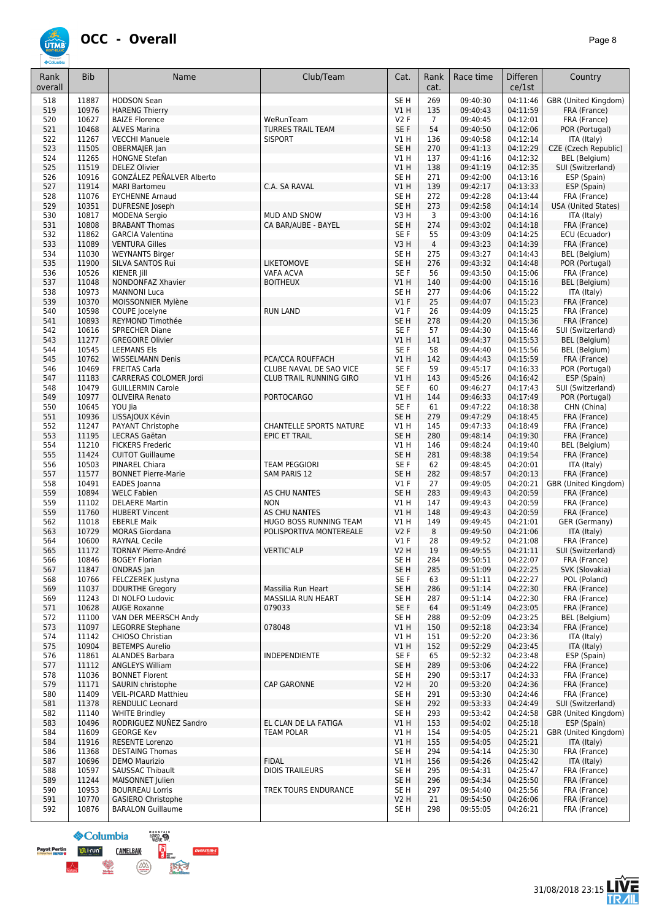

| Rank<br>overall | <b>Bib</b>     | Name                                                   | Club/Team                      | Cat.                      | Rank<br>cat.   | Race time            | Differen<br>ce/1st   | Country                               |
|-----------------|----------------|--------------------------------------------------------|--------------------------------|---------------------------|----------------|----------------------|----------------------|---------------------------------------|
| 518             | 11887          | <b>HODSON Sean</b>                                     |                                | SE <sub>H</sub>           | 269            | 09:40:30             | 04:11:46             | GBR (United Kingdom)                  |
| 519             | 10976          | <b>HARENG Thierry</b>                                  |                                | V1H                       | 135            | 09:40:43             | 04:11:59             | FRA (France)                          |
| 520             | 10627          | <b>BAIZE Florence</b>                                  | WeRunTeam                      | V2F                       | $\overline{7}$ | 09:40:45             | 04:12:01             | FRA (France)                          |
| 521             | 10468          | <b>ALVES Marina</b>                                    | <b>TURRES TRAIL TEAM</b>       | SE F                      | 54             | 09:40:50             | 04:12:06             | POR (Portugal)                        |
| 522<br>523      | 11267          | <b>VECCHI Manuele</b>                                  | <b>SISPORT</b>                 | V1 H<br>SE <sub>H</sub>   | 136<br>270     | 09:40:58<br>09:41:13 | 04:12:14             | ITA (Italy)                           |
| 524             | 11505<br>11265 | OBERMAJER Jan<br><b>HONGNE Stefan</b>                  |                                | V1 H                      | 137            | 09:41:16             | 04:12:29<br>04:12:32 | CZE (Czech Republic)<br>BEL (Belgium) |
| 525             | 11519          | <b>DELEZ Olivier</b>                                   |                                | V1H                       | 138            | 09:41:19             | 04:12:35             | SUI (Switzerland)                     |
| 526             | 10916          | GONZÁLEZ PEÑALVER Alberto                              |                                | SE <sub>H</sub>           | 271            | 09:42:00             | 04:13:16             | ESP (Spain)                           |
| 527             | 11914          | <b>MARI Bartomeu</b>                                   | C.A. SA RAVAL                  | V1H                       | 139            | 09:42:17             | 04:13:33             | ESP (Spain)                           |
| 528             | 11076          | <b>EYCHENNE Arnaud</b>                                 |                                | SE <sub>H</sub>           | 272            | 09:42:28             | 04:13:44             | FRA (France)                          |
| 529             | 10351          | DUFRESNE Joseph                                        |                                | SE <sub>H</sub>           | 273            | 09:42:58             | 04:14:14             | USA (United States)                   |
| 530             | 10817          | <b>MODENA Sergio</b>                                   | MUD AND SNOW                   | V3H                       | 3              | 09:43:00             | 04:14:16             | ITA (Italy)                           |
| 531<br>532      | 10808<br>11862 | <b>BRABANT Thomas</b><br><b>GARCIA Valentina</b>       | CA BAR/AUBE - BAYEL            | SE <sub>H</sub><br>SE F   | 274<br>55      | 09:43:02<br>09:43:09 | 04:14:18<br>04:14:25 | FRA (France)<br>ECU (Ecuador)         |
| 533             | 11089          | <b>VENTURA Gilles</b>                                  |                                | V3H                       | $\overline{4}$ | 09:43:23             | 04:14:39             | FRA (France)                          |
| 534             | 11030          | <b>WEYNANTS Birger</b>                                 |                                | SE <sub>H</sub>           | 275            | 09:43:27             | 04:14:43             | BEL (Belgium)                         |
| 535             | 11900          | SILVA SANTOS Rui                                       | <b>LIKETOMOVE</b>              | SE H                      | 276            | 09:43:32             | 04:14:48             | POR (Portugal)                        |
| 536             | 10526          | KIENER Jill                                            | VAFA ACVA                      | SE F                      | 56             | 09:43:50             | 04:15:06             | FRA (France)                          |
| 537             | 11048          | NONDONFAZ Xhavier                                      | <b>BOITHEUX</b>                | V1 H                      | 140            | 09:44:00             | 04:15:16             | BEL (Belgium)                         |
| 538             | 10973          | <b>MANNONI Luca</b>                                    |                                | SE <sub>H</sub>           | 277            | 09:44:06             | 04:15:22             | ITA (Italy)                           |
| 539             | 10370          | MOISSONNIER Mylène                                     |                                | $VI$ F                    | 25             | 09:44:07             | 04:15:23             | FRA (France)                          |
| 540<br>541      | 10598<br>10893 | COUPE Jocelyne<br>REYMOND Timothée                     | <b>RUN LAND</b>                | $VI$ F<br>SE <sub>H</sub> | 26<br>278      | 09:44:09<br>09:44:20 | 04:15:25<br>04:15:36 | FRA (France)<br>FRA (France)          |
| 542             | 10616          | <b>SPRECHER Diane</b>                                  |                                | SE <sub>F</sub>           | 57             | 09:44:30             | 04:15:46             | SUI (Switzerland)                     |
| 543             | 11277          | <b>GREGOIRE Olivier</b>                                |                                | V1 H                      | 141            | 09:44:37             | 04:15:53             | <b>BEL</b> (Belgium)                  |
| 544             | 10545          | <b>LEEMANS Els</b>                                     |                                | SE F                      | 58             | 09:44:40             | 04:15:56             | BEL (Belgium)                         |
| 545             | 10762          | <b>WISSELMANN Denis</b>                                | PCA/CCA ROUFFACH               | V1H                       | 142            | 09:44:43             | 04:15:59             | FRA (France)                          |
| 546             | 10469          | <b>FREITAS Carla</b>                                   | CLUBE NAVAL DE SAO VICE        | SE F                      | 59             | 09:45:17             | 04:16:33             | POR (Portugal)                        |
| 547             | 11183          | CARRERAS COLOMER Jordi                                 | CLUB TRAIL RUNNING GIRO        | V1 H                      | 143            | 09:45:26             | 04:16:42             | ESP (Spain)                           |
| 548             | 10479          | <b>GUILLERMIN Carole</b>                               |                                | SE F                      | 60             | 09:46:27             | 04:17:43             | SUI (Switzerland)                     |
| 549<br>550      | 10977<br>10645 | <b>OLIVEIRA Renato</b><br>YOU Jia                      | <b>PORTOCARGO</b>              | V1 H<br>SE <sub>F</sub>   | 144<br>61      | 09:46:33<br>09:47:22 | 04:17:49<br>04:18:38 | POR (Portugal)<br>CHN (China)         |
| 551             | 10936          | LISSAJOUX Kévin                                        |                                | SE <sub>H</sub>           | 279            | 09:47:29             | 04:18:45             | FRA (France)                          |
| 552             | 11247          | PAYANT Christophe                                      | <b>CHANTELLE SPORTS NATURE</b> | V1H                       | 145            | 09:47:33             | 04:18:49             | FRA (France)                          |
| 553             | 11195          | LECRAS Gaëtan                                          | <b>EPIC ET TRAIL</b>           | SE <sub>H</sub>           | 280            | 09:48:14             | 04:19:30             | FRA (France)                          |
| 554             | 11210          | <b>FICKERS Frederic</b>                                |                                | V1H                       | 146            | 09:48:24             | 04:19:40             | BEL (Belgium)                         |
| 555             | 11424          | <b>CUITOT Guillaume</b>                                |                                | SE <sub>H</sub>           | 281            | 09:48:38             | 04:19:54             | FRA (France)                          |
| 556             | 10503          | PINAREL Chiara                                         | <b>TEAM PEGGIORI</b>           | SE F                      | 62             | 09:48:45             | 04:20:01             | ITA (Italy)                           |
| 557<br>558      | 11577<br>10491 | <b>BONNET Pierre-Marie</b><br>EADES Joanna             | <b>SAM PARIS 12</b>            | SE <sub>H</sub><br>$VI$ F | 282<br>27      | 09:48:57<br>09:49:05 | 04:20:13<br>04:20:21 | FRA (France)<br>GBR (United Kingdom)  |
| 559             | 10894          | <b>WELC Fabien</b>                                     | AS CHU NANTES                  | SE <sub>H</sub>           | 283            | 09:49:43             | 04:20:59             | FRA (France)                          |
| 559             | 11102          | <b>DELAERE Martin</b>                                  | <b>NON</b>                     | V1 H                      | 147            | 09:49:43             | 04:20:59             | FRA (France)                          |
| 559             | 11760          | <b>HUBERT Vincent</b>                                  | <b>AS CHU NANTES</b>           | VIH                       | 148            | 09:49:43             | 04:20:59             | FRA (France)                          |
| 562             | 11018          | <b>EBERLE Maik</b>                                     | HUGO BOSS RUNNING TEAM         | V1 H                      | 149            | 09:49:45             | 04:21:01             | GER (Germany)                         |
| 563             | 10729          | <b>MORAS Giordana</b>                                  | POLISPORTIVA MONTEREALE        | V2F                       | 8              | 09:49:50             | 04:21:06             | ITA (Italy)                           |
| 564             | 10600          | <b>RAYNAL Cecile</b>                                   |                                | $VI$ F                    | 28             | 09:49:52             | 04:21:08             | FRA (France)                          |
| 565<br>566      | 11172<br>10846 | <b>TORNAY Pierre-André</b><br><b>BOGEY Florian</b>     | <b>VERTIC'ALP</b>              | <b>V2 H</b><br>SE H       | 19<br>284      | 09:49:55<br>09:50:51 | 04:21:11<br>04:22:07 | SUI (Switzerland)                     |
| 567             | 11847          | ONDRAS Jan                                             |                                | SE H                      | 285            | 09:51:09             | 04:22:25             | FRA (France)<br>SVK (Slovakia)        |
| 568             | 10766          | FELCZEREK Justyna                                      |                                | SE F                      | 63             | 09:51:11             | 04:22:27             | POL (Poland)                          |
| 569             | 11037          | <b>DOURTHE Gregory</b>                                 | Massilia Run Heart             | SE H                      | 286            | 09:51:14             | 04:22:30             | FRA (France)                          |
| 569             | 11243          | DI NOLFO Ludovic                                       | MASSILIA RUN HEART             | SE H                      | 287            | 09:51:14             | 04:22:30             | FRA (France)                          |
| 571             | 10628          | <b>AUGE Roxanne</b>                                    | 079033                         | SE F                      | 64             | 09:51:49             | 04:23:05             | FRA (France)                          |
| 572             | 11100          | VAN DER MEERSCH Andy                                   |                                | SE H                      | 288            | 09:52:09             | 04:23:25             | BEL (Belgium)<br>FRA (France)         |
| 573<br>574      | 11097<br>11142 | LEGORRE Stephane<br>CHIOSO Christian                   | 078048                         | V1 H<br>V1 H              | 150<br>151     | 09:52:18<br>09:52:20 | 04:23:34<br>04:23:36 | ITA (Italy)                           |
| 575             | 10904          | <b>BETEMPS Aurelio</b>                                 |                                | V1H                       | 152            | 09:52:29             | 04:23:45             | ITA (Italy)                           |
| 576             | 11861          | <b>ALANDES Barbara</b>                                 | <b>INDEPENDIENTE</b>           | SE F                      | 65             | 09:52:32             | 04:23:48             | ESP (Spain)                           |
| 577             | 11112          | <b>ANGLEYS William</b>                                 |                                | SE <sub>H</sub>           | 289            | 09:53:06             | 04:24:22             | FRA (France)                          |
| 578             | 11036          | <b>BONNET Florent</b>                                  |                                | SE H                      | 290            | 09:53:17             | 04:24:33             | FRA (France)                          |
| 579             | 11171          | SAURIN christophe                                      | <b>CAP GARONNE</b>             | <b>V2 H</b>               | 20             | 09:53:20             | 04:24:36             | FRA (France)                          |
| 580<br>581      | 11409<br>11378 | <b>VEIL-PICARD Matthieu</b><br><b>RENDULIC Leonard</b> |                                | SE H<br>SE H              | 291<br>292     | 09:53:30<br>09:53:33 | 04:24:46<br>04:24:49 | FRA (France)<br>SUI (Switzerland)     |
| 582             | 11140          | <b>WHITE Brindley</b>                                  |                                | SE H                      | 293            | 09:53:42             | 04:24:58             | GBR (United Kingdom)                  |
| 583             | 10496          | RODRIGUEZ NUÑEZ Sandro                                 | EL CLAN DE LA FATIGA           | VIH                       | 153            | 09:54:02             | 04:25:18             | ESP (Spain)                           |
| 584             | 11609          | <b>GEORGE Kev</b>                                      | TEAM POLAR                     | V1 H                      | 154            | 09:54:05             | 04:25:21             | GBR (United Kingdom)                  |
| 584             | 11916          | <b>RESENTE Lorenzo</b>                                 |                                | V1H                       | 155            | 09:54:05             | 04:25:21             | ITA (Italy)                           |
| 586             | 11368          | <b>DESTAING Thomas</b>                                 |                                | SE H                      | 294            | 09:54:14             | 04:25:30             | FRA (France)                          |
| 587             | 10696          | <b>DEMO Maurizio</b>                                   | <b>FIDAL</b>                   | V1H                       | 156            | 09:54:26             | 04:25:42             | ITA (Italy)                           |
| 588             | 10597          | <b>SAUSSAC Thibault</b>                                | <b>DIOIS TRAILEURS</b>         | SE H                      | 295            | 09:54:31             | 04:25:47             | FRA (France)                          |
| 589<br>590      | 11244<br>10953 | MAISONNET Julien<br><b>BOURREAU Lorris</b>             | TREK TOURS ENDURANCE           | SE <sub>H</sub><br>SE H   | 296<br>297     | 09:54:34<br>09:54:40 | 04:25:50<br>04:25:56 | FRA (France)<br>FRA (France)          |
| 591             | 10770          | <b>GASIERO Christophe</b>                              |                                | <b>V2 H</b>               | 21             | 09:54:50             | 04:26:06             | FRA (France)                          |
| 592             | 10876          | <b>BARALON Guillaume</b>                               |                                | SE H                      | 298            | 09:55:05             | 04:26:21             | FRA (France)                          |

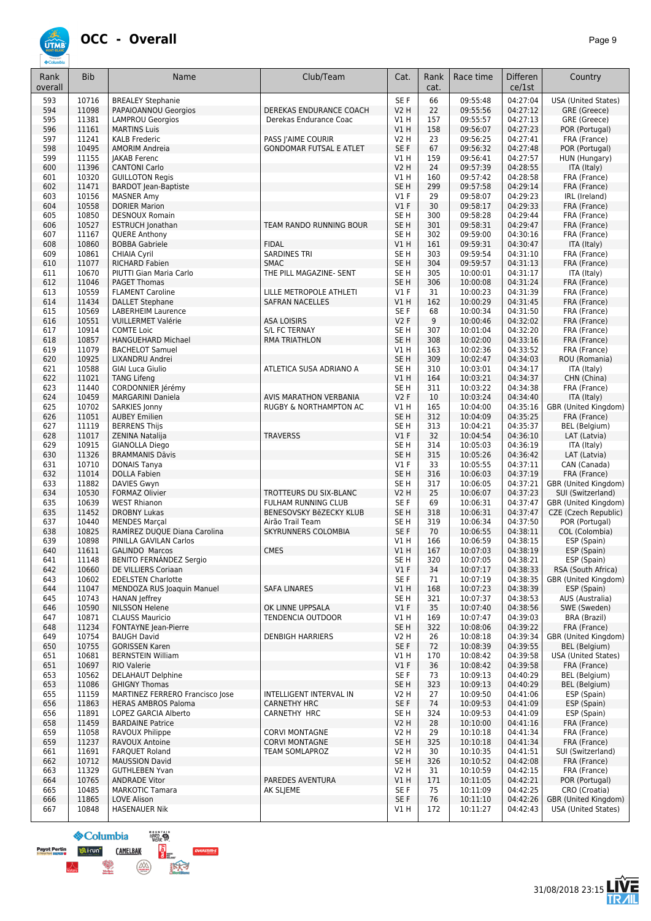

| Rank       | <b>Bib</b>     | Name                                                    | Club/Team                      | Cat.                               | Rank       | Race time            | Differen             | Country                                   |
|------------|----------------|---------------------------------------------------------|--------------------------------|------------------------------------|------------|----------------------|----------------------|-------------------------------------------|
| overall    |                |                                                         |                                |                                    | cat.       |                      | ce/1st               |                                           |
| 593        | 10716          | <b>BREALEY Stephanie</b>                                |                                | SE F                               | 66         | 09:55:48             | 04:27:04             | <b>USA (United States)</b>                |
| 594        | 11098          | PAPAIOANNOU Georgios                                    | DEREKAS ENDURANCE COACH        | <b>V2 H</b>                        | 22         | 09:55:56             | 04:27:12             | GRE (Greece)                              |
| 595<br>596 | 11381<br>11161 | <b>LAMPROU Georgios</b><br><b>MARTINS Luis</b>          | Derekas Endurance Coac         | V1 H<br>VIH                        | 157<br>158 | 09:55:57<br>09:56:07 | 04:27:13<br>04:27:23 | GRE (Greece)                              |
| 597        | 11241          | <b>KALB Frederic</b>                                    | PASS J'AIME COURIR             | <b>V2 H</b>                        | 23         | 09:56:25             | 04:27:41             | POR (Portugal)<br>FRA (France)            |
| 598        | 10495          | <b>AMORIM Andreia</b>                                   | <b>GONDOMAR FUTSAL E ATLET</b> | SE F                               | 67         | 09:56:32             | 04:27:48             | POR (Portugal)                            |
| 599        | 11155          | <b>JAKAB Ferenc</b>                                     |                                | V1H                                | 159        | 09:56:41             | 04:27:57             | HUN (Hungary)                             |
| 600        | 11396          | <b>CANTONI Carlo</b>                                    |                                | <b>V2 H</b>                        | 24         | 09:57:39             | 04:28:55             | ITA (Italy)                               |
| 601        | 10320          | <b>GUILLOTON Regis</b>                                  |                                | V1 H                               | 160        | 09:57:42             | 04:28:58             | FRA (France)                              |
| 602        | 11471          | <b>BARDOT Jean-Baptiste</b>                             |                                | SE <sub>H</sub>                    | 299        | 09:57:58             | 04:29:14             | FRA (France)                              |
| 603<br>604 | 10156<br>10558 | <b>MASNER Amv</b><br><b>DORIER Marion</b>               |                                | $VI$ F<br>$VI$ F                   | 29<br>30   | 09:58:07<br>09:58:17 | 04:29:23<br>04:29:33 | IRL (Ireland)<br>FRA (France)             |
| 605        | 10850          | <b>DESNOUX Romain</b>                                   |                                | SE <sub>H</sub>                    | 300        | 09:58:28             | 04:29:44             | FRA (France)                              |
| 606        | 10527          | <b>ESTRUCH Jonathan</b>                                 | TEAM RANDO RUNNING BOUR        | SE <sub>H</sub>                    | 301        | 09:58:31             | 04:29:47             | FRA (France)                              |
| 607        | 11167          | QUERE Anthony                                           |                                | SE H                               | 302        | 09:59:00             | 04:30:16             | FRA (France)                              |
| 608        | 10860          | <b>BOBBA Gabriele</b>                                   | <b>FIDAL</b>                   | V1 H                               | 161        | 09:59:31             | 04:30:47             | ITA (Italy)                               |
| 609        | 10861          | <b>CHIAIA Cyril</b>                                     | <b>SARDINES TRI</b>            | SE H                               | 303        | 09:59:54             | 04:31:10             | FRA (France)                              |
| 610        | 11077          | <b>RICHARD Fabien</b>                                   | <b>SMAC</b>                    | SE <sub>H</sub>                    | 304        | 09:59:57             | 04:31:13             | FRA (France)                              |
| 611        | 10670<br>11046 | PIUTTI Gian Maria Carlo<br><b>PAGET Thomas</b>          | THE PILL MAGAZINE- SENT        | SE <sub>H</sub><br>SE <sub>H</sub> | 305        | 10:00:01             | 04:31:17<br>04:31:24 | ITA (Italy)<br>FRA (France)               |
| 612<br>613 | 10559          | <b>FLAMENT Caroline</b>                                 | LILLE METROPOLE ATHLETI        | $VI$ F                             | 306<br>31  | 10:00:08<br>10:00:23 | 04:31:39             | FRA (France)                              |
| 614        | 11434          | <b>DALLET Stephane</b>                                  | <b>SAFRAN NACELLES</b>         | <b>V1 H</b>                        | 162        | 10:00:29             | 04:31:45             | FRA (France)                              |
| 615        | 10569          | <b>LABERHEIM Laurence</b>                               |                                | SE <sub>F</sub>                    | 68         | 10:00:34             | 04:31:50             | FRA (France)                              |
| 616        | 10551          | <b>VUILLERMET Valérie</b>                               | <b>ASA LOISIRS</b>             | <b>V2F</b>                         | 9          | 10:00:46             | 04:32:02             | FRA (France)                              |
| 617        | 10914          | <b>COMTE Loic</b>                                       | <b>S/L FC TERNAY</b>           | SE <sub>H</sub>                    | 307        | 10:01:04             | 04:32:20             | FRA (France)                              |
| 618        | 10857          | HANGUEHARD Michael                                      | <b>RMA TRIATHLON</b>           | SE <sub>H</sub>                    | 308        | 10:02:00             | 04:33:16             | FRA (France)                              |
| 619        | 11079          | <b>BACHELOT Samuel</b>                                  |                                | V1 H                               | 163        | 10:02:36             | 04:33:52             | FRA (France)                              |
| 620        | 10925          | LIXANDRU Andrei                                         |                                | SE <sub>H</sub>                    | 309        | 10:02:47             | 04:34:03             | ROU (Romania)                             |
| 621        | 10588          | <b>GIAI Luca Giulio</b>                                 | ATLETICA SUSA ADRIANO A        | SE H                               | 310        | 10:03:01             | 04:34:17             | ITA (Italy)                               |
| 622        | 11021          | <b>TANG Lifeng</b>                                      |                                | VIH                                | 164        | 10:03:21             | 04:34:37             | CHN (China)                               |
| 623<br>624 | 11440<br>10459 | CORDONNIER Jérémy<br><b>MARGARINI Daniela</b>           | AVIS MARATHON VERBANIA         | SE H<br><b>V2F</b>                 | 311<br>10  | 10:03:22<br>10:03:24 | 04:34:38<br>04:34:40 | FRA (France)<br>ITA (Italy)               |
| 625        | 10702          | SARKIES Jonny                                           | RUGBY & NORTHAMPTON AC         | <b>V1 H</b>                        | 165        | 10:04:00             | 04:35:16             | GBR (United Kingdom)                      |
| 626        | 11051          | <b>AUBEY Emilien</b>                                    |                                | SE <sub>H</sub>                    | 312        | 10:04:09             | 04:35:25             | FRA (France)                              |
| 627        | 11119          | <b>BERRENS Thijs</b>                                    |                                | SE <sub>H</sub>                    | 313        | 10:04:21             | 04:35:37             | BEL (Belgium)                             |
| 628        | 11017          | ZENINA Natalija                                         | <b>TRAVERSS</b>                | $VI$ F                             | 32         | 10:04:54             | 04:36:10             | LAT (Latvia)                              |
| 629        | 10915          | <b>GIANOLLA Diego</b>                                   |                                | SE <sub>H</sub>                    | 314        | 10:05:03             | 04:36:19             | ITA (Italy)                               |
| 630        | 11326          | <b>BRAMMANIS Dāvis</b>                                  |                                | SE H                               | 315        | 10:05:26             | 04:36:42             | LAT (Latvia)                              |
| 631        | 10710          | <b>DONAIS Tanya</b>                                     |                                | $VI$ F                             | 33         | 10:05:55             | 04:37:11             | CAN (Canada)                              |
| 632        | 11014          | <b>DOLLA Fabien</b>                                     |                                | SE <sub>H</sub>                    | 316        | 10:06:03             | 04:37:19             | FRA (France)                              |
| 633        | 11882<br>10530 | DAVIES Gwyn                                             | TROTTEURS DU SIX-BLANC         | SE H                               | 317<br>25  | 10:06:05             | 04:37:21<br>04:37:23 | GBR (United Kingdom)                      |
| 634<br>635 | 10639          | <b>FORMAZ Olivier</b><br><b>WEST Rhianon</b>            | FULHAM RUNNING CLUB            | V2 H<br>SE F                       | 69         | 10:06:07<br>10:06:31 | 04:37:47             | SUI (Switzerland)<br>GBR (United Kingdom) |
| 635        | 11452          | <b>DROBNY Lukas</b>                                     | BENESOVSKY BěZECKY KLUB        | SE <sub>H</sub>                    | 318        | 10:06:31             | 04:37:47             | CZE (Czech Republic)                      |
| 637        | 10440          | <b>MENDES Marcal</b>                                    | Airão Trail Team               | SE <sub>H</sub>                    | 319        | 10:06:34             | 04:37:50             | POR (Portugal)                            |
| 638        | 10825          | RAMÍREZ DUQUE Diana Carolina                            | <b>SKYRUNNERS COLOMBIA</b>     | SE F                               | 70         | 10:06:55             | 04:38:11             | COL (Colombia)                            |
| 639        | 10898          | PINILLA GAVILAN Carlos                                  |                                | V1 H                               | 166        | 10:06:59             | 04:38:15             | ESP (Spain)                               |
| 640        | 11611          | <b>GALINDO Marcos</b>                                   | <b>CMES</b>                    | V1H                                | 167        | 10:07:03             | 04:38:19             | ESP (Spain)                               |
| 641        | 11148          | BENITO FERNÁNDEZ Sergio                                 |                                | SE <sub>H</sub>                    | 320        | 10:07:05             | 04:38:21             | ESP (Spain)                               |
| 642        | 10660          | DE VILLIERS Coriaan                                     |                                | $VI$ F                             | 34         | 10:07:17             | 04:38:33             | RSA (South Africa)                        |
| 643        | 10602          | <b>EDELSTEN Charlotte</b>                               | <b>SAFA LINARES</b>            | SE F                               | 71         | 10:07:19             | 04:38:35             | GBR (United Kingdom)                      |
| 644<br>645 | 11047<br>10743 | MENDOZA RUS Joaquin Manuel<br>HANAN Jeffrey             |                                | V1 H<br>SE H                       | 168<br>321 | 10:07:23<br>10:07:37 | 04:38:39<br>04:38:53 | ESP (Spain)<br>AUS (Australia)            |
| 646        | 10590          | <b>NILSSON Helene</b>                                   | OK LINNE UPPSALA               | $VI$ F                             | 35         | 10:07:40             | 04:38:56             | SWE (Sweden)                              |
| 647        | 10871          | <b>CLAUSS Mauricio</b>                                  | TENDENCIA OUTDOOR              | <b>V1 H</b>                        | 169        | 10:07:47             | 04:39:03             | BRA (Brazil)                              |
| 648        | 11234          | FONTAYNE Jean-Pierre                                    |                                | SE H                               | 322        | 10:08:06             | 04:39:22             | FRA (France)                              |
| 649        | 10754          | <b>BAUGH David</b>                                      | <b>DENBIGH HARRIERS</b>        | V2 H                               | 26         | 10:08:18             | 04:39:34             | GBR (United Kingdom)                      |
| 650        | 10755          | <b>GORISSEN Karen</b>                                   |                                | SE F                               | 72         | 10:08:39             | 04:39:55             | <b>BEL</b> (Belgium)                      |
| 651        | 10681          | <b>BERNSTEIN William</b>                                |                                | V1 H                               | 170        | 10:08:42             | 04:39:58             | <b>USA (United States)</b>                |
| 651        | 10697          | RIO Valerie                                             |                                | V1F                                | 36         | 10:08:42             | 04:39:58             | FRA (France)                              |
| 653        | 10562<br>11086 | <b>DELAHAUT Delphine</b>                                |                                | SE F                               | 73         | 10:09:13<br>10:09:13 | 04:40:29<br>04:40:29 | <b>BEL</b> (Belgium)                      |
| 653<br>655 | 11159          | <b>GHIGNY Thomas</b><br>MARTINEZ FERRERO Francisco Jose | <b>INTELLIGENT INTERVAL IN</b> | SE H<br>V2 H                       | 323<br>27  | 10:09:50             | 04:41:06             | BEL (Belgium)<br>ESP (Spain)              |
| 656        | 11863          | <b>HERAS AMBROS Paloma</b>                              | <b>CARNETHY HRC</b>            | SE F                               | 74         | 10:09:53             | 04:41:09             | ESP (Spain)                               |
| 656        | 11891          | LOPEZ GARCIA Alberto                                    | CARNETHY HRC                   | SE H                               | 324        | 10:09:53             | 04:41:09             | ESP (Spain)                               |
| 658        | 11459          | <b>BARDAINE Patrice</b>                                 |                                | <b>V2 H</b>                        | 28         | 10:10:00             | 04:41:16             | FRA (France)                              |
| 659        | 11058          | RAVOUX Philippe                                         | <b>CORVI MONTAGNE</b>          | V <sub>2</sub> H                   | 29         | 10:10:18             | 04:41:34             | FRA (France)                              |
| 659        | 11237          | RAVOUX Antoine                                          | <b>CORVI MONTAGNE</b>          | SE H                               | 325        | 10:10:18             | 04:41:34             | FRA (France)                              |
| 661        | 11691          | <b>FARQUET Roland</b>                                   | <b>TEAM SOMLAPROZ</b>          | V2 H                               | 30         | 10:10:35             | 04:41:51             | SUI (Switzerland)                         |
| 662        | 10712          | <b>MAUSSION David</b>                                   |                                | SE H                               | 326        | 10:10:52             | 04:42:08             | FRA (France)                              |
| 663        | 11329          | <b>GUTHLEBEN Yvan</b>                                   |                                | V2 H                               | 31         | 10:10:59             | 04:42:15             | FRA (France)                              |
| 664<br>665 | 10765<br>10485 | <b>ANDRADE Vitor</b><br><b>MARKOTIC Tamara</b>          | PAREDES AVENTURA<br>AK SLJEME  | V1H<br>SE F                        | 171<br>75  | 10:11:05<br>10:11:09 | 04:42:21<br>04:42:25 | POR (Portugal)<br>CRO (Croatia)           |
| 666        | 11865          | <b>LOVE Alison</b>                                      |                                | SE F                               | 76         | 10:11:10             | 04:42:26             | GBR (United Kingdom)                      |
| 667        | 10848          | HASENAUER Nik                                           |                                | VIH                                | 172        | 10:11:27             | 04:42:43             | USA (United States)                       |



 $[overs=$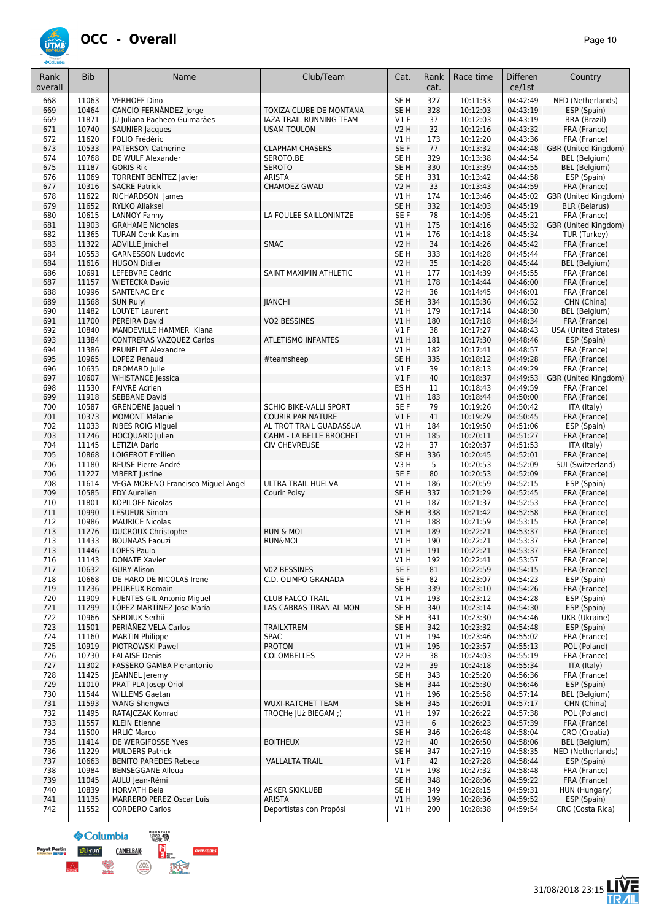

| Rank<br>overall | <b>Bib</b>     | Name                                                   | Club/Team                                          | Cat.                           | Rank<br>cat. | Race time            | <b>Differen</b><br>ce/1st | Country                              |
|-----------------|----------------|--------------------------------------------------------|----------------------------------------------------|--------------------------------|--------------|----------------------|---------------------------|--------------------------------------|
| 668             | 11063          | <b>VERHOEF Dino</b>                                    |                                                    | SE <sub>H</sub>                | 327          | 10:11:33             | 04:42:49                  | NED (Netherlands)                    |
| 669             | 10464          | CANCIO FERNÁNDEZ Jorge                                 | TOXIZA CLUBE DE MONTANA                            | SE <sub>H</sub>                | 328          | 10:12:03             | 04:43:19                  | ESP (Spain)                          |
| 669<br>671      | 11871<br>10740 | JÚ Juliana Pacheco Guimarães<br><b>SAUNIER Jacques</b> | IAZA TRAIL RUNNING TEAM<br><b>USAM TOULON</b>      | $VI$ F<br><b>V2 H</b>          | 37<br>32     | 10:12:03<br>10:12:16 | 04:43:19<br>04:43:32      | BRA (Brazil)<br>FRA (France)         |
| 672             | 11620          | FOLIO Frédéric                                         |                                                    | V1 H                           | 173          | 10:12:20             | 04:43:36                  | FRA (France)                         |
| 673             | 10533          | <b>PATERSON Catherine</b>                              | <b>CLAPHAM CHASERS</b>                             | SE F                           | 77           | 10:13:32             | 04:44:48                  | GBR (United Kingdom)                 |
| 674             | 10768          | DE WULF Alexander                                      | SEROTO.BE                                          | SE <sub>H</sub>                | 329          | 10:13:38             | 04:44:54                  | BEL (Belgium)                        |
| 675             | 11187          | <b>GORIS Rik</b>                                       | <b>SEROTO</b>                                      | SE <sub>H</sub>                | 330          | 10:13:39             | 04:44:55                  | BEL (Belgium)<br>ESP (Spain)         |
| 676<br>677      | 11069<br>10316 | <b>TORRENT BENÍTEZ Javier</b><br><b>SACRE Patrick</b>  | <b>ARISTA</b><br><b>CHAMOEZ GWAD</b>               | SE <sub>H</sub><br><b>V2 H</b> | 331<br>33    | 10:13:42<br>10:13:43 | 04:44:58<br>04:44:59      | FRA (France)                         |
| 678             | 11622          | RICHARDSON James                                       |                                                    | V1H                            | 174          | 10:13:46             | 04:45:02                  | GBR (United Kingdom)                 |
| 679             | 11652          | RYLKO Aliaksei                                         |                                                    | SE <sub>H</sub>                | 332          | 10:14:03             | 04:45:19                  | <b>BLR</b> (Belarus)                 |
| 680             | 10615          | <b>LANNOY Fanny</b>                                    | LA FOULEE SAILLONINTZE                             | SE F                           | 78           | 10:14:05             | 04:45:21                  | FRA (France)                         |
| 681<br>682      | 11903<br>11365 | <b>GRAHAME Nicholas</b><br><b>TURAN Cenk Kasim</b>     |                                                    | V1H<br>V1 H                    | 175<br>176   | 10:14:16<br>10:14:18 | 04:45:32<br>04:45:34      | GBR (United Kingdom)<br>TUR (Turkey) |
| 683             | 11322          | <b>ADVILLE Imichel</b>                                 | <b>SMAC</b>                                        | <b>V2 H</b>                    | 34           | 10:14:26             | 04:45:42                  | FRA (France)                         |
| 684             | 10553          | <b>GARNESSON Ludovic</b>                               |                                                    | SE H                           | 333          | 10:14:28             | 04:45:44                  | FRA (France)                         |
| 684             | 11616          | <b>HUGON Didier</b>                                    |                                                    | <b>V2 H</b>                    | 35           | 10:14:28             | 04:45:44                  | BEL (Belgium)                        |
| 686             | 10691          | LEFEBVRE Cédric                                        | SAINT MAXIMIN ATHLETIC                             | VIH                            | 177          | 10:14:39             | 04:45:55                  | FRA (France)                         |
| 687<br>688      | 11157<br>10996 | <b>WIETECKA David</b><br><b>SANTENAC Eric</b>          |                                                    | <b>V1 H</b><br><b>V2 H</b>     | 178<br>36    | 10:14:44<br>10:14:45 | 04:46:00<br>04:46:01      | FRA (France)<br>FRA (France)         |
| 689             | 11568          | <b>SUN Ruiyi</b>                                       | <b>JIANCHI</b>                                     | SE <sub>H</sub>                | 334          | 10:15:36             | 04:46:52                  | CHN (China)                          |
| 690             | 11482          | <b>LOUYET Laurent</b>                                  |                                                    | V1H                            | 179          | 10:17:14             | 04:48:30                  | BEL (Belgium)                        |
| 691             | 11700          | PEREIRA David                                          | VO2 BESSINES                                       | V1H                            | 180          | 10:17:18             | 04:48:34                  | FRA (France)                         |
| 692             | 10840          | MANDEVILLE HAMMER Kiana                                |                                                    | $VI$ F                         | 38           | 10:17:27             | 04:48:43                  | <b>USA (United States)</b>           |
| 693             | 11384          | CONTRERAS VAZQUEZ Carlos                               | <b>ATLETISMO INFANTES</b>                          | V1H                            | 181          | 10:17:30             | 04:48:46                  | ESP (Spain)                          |
| 694<br>695      | 11386<br>10965 | PRUNELET Alexandre<br><b>LOPEZ Renaud</b>              | #teamsheep                                         | V1 H<br>SE <sub>H</sub>        | 182<br>335   | 10:17:41<br>10:18:12 | 04:48:57<br>04:49:28      | FRA (France)<br>FRA (France)         |
| 696             | 10635          | <b>DROMARD</b> Julie                                   |                                                    | $VI$ F                         | 39           | 10:18:13             | 04:49:29                  | FRA (France)                         |
| 697             | 10607          | <b>WHISTANCE Jessica</b>                               |                                                    | $VI$ F                         | 40           | 10:18:37             | 04:49:53                  | GBR (United Kingdom)                 |
| 698             | 11530          | <b>FAIVRE Adrien</b>                                   |                                                    | ES <sub>H</sub>                | 11           | 10:18:43             | 04:49:59                  | FRA (France)                         |
| 699             | 11918          | <b>SEBBANE David</b>                                   |                                                    | V1H                            | 183          | 10:18:44             | 04:50:00                  | FRA (France)                         |
| 700<br>701      | 10587<br>10373 | <b>GRENDENE</b> Jaquelin<br><b>MOMONT Mélanie</b>      | SCHIO BIKE-VALLI SPORT<br><b>COURIR PAR NATURE</b> | SE F<br>$VI$ F                 | 79<br>41     | 10:19:26<br>10:19:29 | 04:50:42<br>04:50:45      | ITA (Italy)<br>FRA (France)          |
| 702             | 11033          | <b>RIBES ROIG Miguel</b>                               | AL TROT TRAIL GUADASSUA                            | V1H                            | 184          | 10:19:50             | 04:51:06                  | ESP (Spain)                          |
| 703             | 11246          | <b>HOCQUARD Julien</b>                                 | CAHM - LA BELLE BROCHET                            | V1H                            | 185          | 10:20:11             | 04:51:27                  | FRA (France)                         |
| 704             | 11145          | LETIZIA Dario                                          | <b>CIV CHEVREUSE</b>                               | V2 H                           | 37           | 10:20:37             | 04:51:53                  | ITA (Italy)                          |
| 705             | 10868          | <b>LOIGEROT Emilien</b>                                |                                                    | SE <sub>H</sub>                | 336          | 10:20:45             | 04:52:01                  | FRA (France)                         |
| 706<br>706      | 11180<br>11227 | REUSE Pierre-André<br><b>VIBERT</b> Justine            |                                                    | V3H<br>SE F                    | 5<br>80      | 10:20:53<br>10:20:53 | 04:52:09<br>04:52:09      | SUI (Switzerland)<br>FRA (France)    |
| 708             | 11614          | VEGA MORENO Francisco Miguel Angel                     | ULTRA TRAIL HUELVA                                 | V1 H                           | 186          | 10:20:59             | 04:52:15                  | ESP (Spain)                          |
| 709             | 10585          | <b>EDY Aurelien</b>                                    | Courir Poisy                                       | SE <sub>H</sub>                | 337          | 10:21:29             | 04:52:45                  | FRA (France)                         |
| 710             | 11801          | <b>KOPILOFF Nicolas</b>                                |                                                    | V1H                            | 187          | 10:21:37             | 04:52:53                  | FRA (France)                         |
| 711<br>712      | 10990<br>10986 | <b>LESUEUR Simon</b><br><b>MAURICE Nicolas</b>         |                                                    | SE <sub>H</sub><br>V1H         | 338<br>188   | 10:21:42<br>10:21:59 | 04:52:58<br>04:53:15      | FRA (France)<br>FRA (France)         |
| 713             | 11276          | <b>DUCROUX Christophe</b>                              | <b>RUN &amp; MOI</b>                               | V1H                            | 189          | 10:22:21             | 04:53:37                  | FRA (France)                         |
| 713             | 11433          | <b>BOUNAAS Faouzi</b>                                  | <b>RUN&amp;MOI</b>                                 | V1H                            | 190          | 10:22:21             | 04:53:37                  | FRA (France)                         |
| 713             | 11446          | <b>LOPES Paulo</b>                                     |                                                    | VIH                            | 191          | 10:22:21             | 04:53:37                  | FRA (France)                         |
| 716             | 11143          | <b>DONATE Xavier</b>                                   |                                                    | $VI$ H                         | 192          | 10:22:41             | 04:53:57                  | FRA (France)                         |
| 717<br>718      | 10632<br>10668 | <b>GURY Alison</b><br>DE HARO DE NICOLAS Irene         | V02 BESSINES<br>C.D. OLIMPO GRANADA                | SE F<br>SE F                   | 81<br>82     | 10:22:59<br>10:23:07 | 04:54:15<br>04:54:23      | FRA (France)<br>ESP (Spain)          |
| 719             | 11236          | PEUREUX Romain                                         |                                                    | SE <sub>H</sub>                | 339          | 10:23:10             | 04:54:26                  | FRA (France)                         |
| 720             | 11909          | <b>FUENTES GIL Antonio Miquel</b>                      | <b>CLUB FALCO TRAIL</b>                            | V1 H                           | 193          | 10:23:12             | 04:54:28                  | ESP (Spain)                          |
| 721             | 11299          | LOPEZ MARTINEZ Jose María                              | LAS CABRAS TIRAN AL MON                            | SE <sub>H</sub>                | 340          | 10:23:14             | 04:54:30                  | ESP (Spain)                          |
| 722<br>723      | 10966<br>11501 | SERDIUK Serhii<br>PERIÁÑEZ VELA Carlos                 | <b>TRAILXTREM</b>                                  | SE H<br>SE <sub>H</sub>        | 341<br>342   | 10:23:30<br>10:23:32 | 04:54:46<br>04:54:48      | UKR (Ukraine)<br>ESP (Spain)         |
| 724             | 11160          | <b>MARTIN Philippe</b>                                 | <b>SPAC</b>                                        | V1 H                           | 194          | 10:23:46             | 04:55:02                  | FRA (France)                         |
| 725             | 10919          | <b>PIOTROWSKI Pawel</b>                                | <b>PROTON</b>                                      | V1H                            | 195          | 10:23:57             | 04:55:13                  | POL (Poland)                         |
| 726             | 10730          | <b>FALAISE Denis</b>                                   | COLOMBELLES                                        | V2 H                           | 38           | 10:24:03             | 04:55:19                  | FRA (France)                         |
| 727             | 11302          | <b>FASSERO GAMBA Pierantonio</b>                       |                                                    | <b>V2 H</b>                    | 39           | 10:24:18             | 04:55:34                  | ITA (Italy)                          |
| 728<br>729      | 11425<br>11010 | <b>JEANNEL</b> Jeremy<br>PRAT PLA Josep Oriol          |                                                    | SE H<br>SE <sub>H</sub>        | 343<br>344   | 10:25:20<br>10:25:30 | 04:56:36<br>04:56:46      | FRA (France)<br>ESP (Spain)          |
| 730             | 11544          | <b>WILLEMS Gaetan</b>                                  |                                                    | V1 H                           | 196          | 10:25:58             | 04:57:14                  | BEL (Belgium)                        |
| 731             | 11593          | <b>WANG Shengwei</b>                                   | <b>WUXI-RATCHET TEAM</b>                           | SE <sub>H</sub>                | 345          | 10:26:01             | 04:57:17                  | CHN (China)                          |
| 732             | 11495          | RATAJCZAK Konrad                                       | TROCHe JUż BIEGAM;)                                | V1 H                           | 197          | 10:26:22             | 04:57:38                  | POL (Poland)                         |
| 733             | 11557          | <b>KLEIN Etienne</b>                                   |                                                    | V3H                            | 6            | 10:26:23             | 04:57:39                  | FRA (France)                         |
| 734<br>735      | 11500<br>11414 | <b>HRLIC Marco</b><br>DE WERGIFOSSE Yves               | <b>BOITHEUX</b>                                    | SE H<br>V2 H                   | 346<br>40    | 10:26:48<br>10:26:50 | 04:58:04<br>04:58:06      | CRO (Croatia)<br>BEL (Belgium)       |
| 736             | 11229          | <b>MULDERS Patrick</b>                                 |                                                    | SE H                           | 347          | 10:27:19             | 04:58:35                  | NED (Netherlands)                    |
| 737             | 10663          | <b>BENITO PAREDES Rebeca</b>                           | <b>VALLALTA TRAIL</b>                              | $VI$ F                         | 42           | 10:27:28             | 04:58:44                  | ESP (Spain)                          |
| 738             | 10984          | <b>BENSEGGANE Alloua</b>                               |                                                    | VIH                            | 198          | 10:27:32             | 04:58:48                  | FRA (France)                         |
| 739<br>740      | 11045<br>10839 | AULU Jean-Rémi<br><b>HORVATH Bela</b>                  | ASKER SKIKLUBB                                     | SE <sub>H</sub><br>SE H        | 348<br>349   | 10:28:06<br>10:28:15 | 04:59:22<br>04:59:31      | FRA (France)<br>HUN (Hungary)        |
| 741             | 11135          | MARRERO PEREZ Oscar Luis                               | <b>ARISTA</b>                                      | V1H                            | 199          | 10:28:36             | 04:59:52                  | ESP (Spain)                          |
| 742             | 11552          | <b>CORDERO Carlos</b>                                  | Deportistas con Propósi                            | V1 H                           | 200          | 10:28:38             | 04:59:54                  | CRC (Costa Rica)                     |



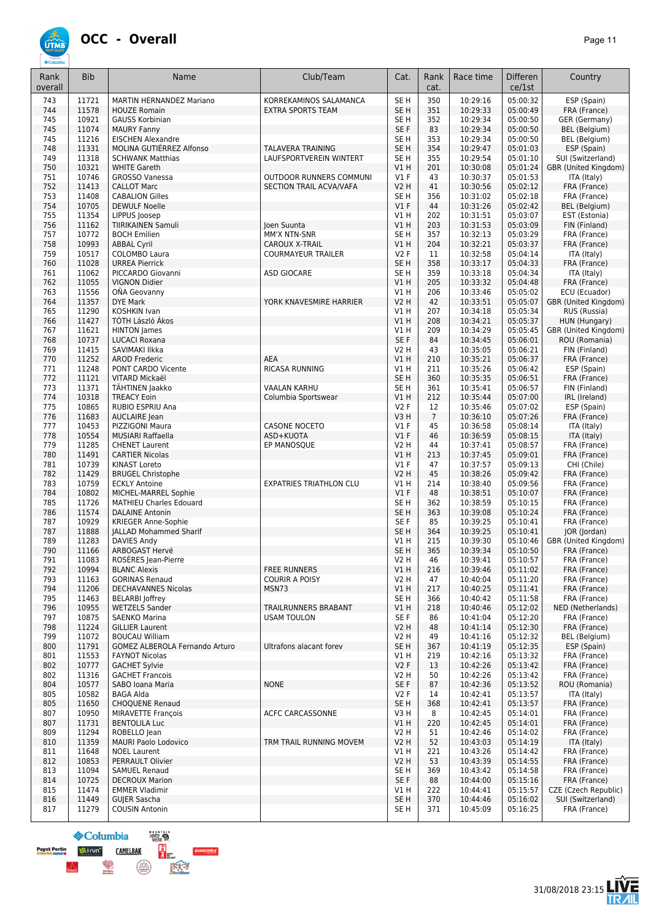

| Rank<br>overall | <b>Bib</b>     | Name                                                        | Club/Team                                          | Cat.                    | Rank<br>cat.   | Race time            | <b>Differen</b><br>ce/1st | Country                               |
|-----------------|----------------|-------------------------------------------------------------|----------------------------------------------------|-------------------------|----------------|----------------------|---------------------------|---------------------------------------|
| 743             | 11721          | MARTIN HERNANDEZ Mariano                                    | KORREKAMINOS SALAMANCA                             | SE <sub>H</sub>         | 350            | 10:29:16             | 05:00:32                  | ESP (Spain)                           |
| 744             | 11578          | <b>HOUZE Romain</b>                                         | <b>EXTRA SPORTS TEAM</b>                           | SE <sub>H</sub>         | 351            | 10:29:33             | 05:00:49                  | FRA (France)                          |
| 745<br>745      | 10921<br>11074 | <b>GAUSS Korbinian</b><br><b>MAURY Fanny</b>                |                                                    | SE <sub>H</sub><br>SE F | 352<br>83      | 10:29:34<br>10:29:34 | 05:00:50<br>05:00:50      | GER (Germany)<br><b>BEL</b> (Belgium) |
| 745             | 11216          | <b>EISCHEN Alexandre</b>                                    |                                                    | SE <sub>H</sub>         | 353            | 10:29:34             | 05:00:50                  | <b>BEL</b> (Belgium)                  |
| 748             | 11331          | MOLINA GUTIÉRREZ Alfonso                                    | <b>TALAVERA TRAINING</b>                           | SE <sub>H</sub>         | 354            | 10:29:47             | 05:01:03                  | ESP (Spain)                           |
| 749             | 11318          | <b>SCHWANK Matthias</b>                                     | LAUFSPORTVEREIN WINTERT                            | SE <sub>H</sub>         | 355            | 10:29:54             | 05:01:10                  | SUI (Switzerland)                     |
| 750             | 10321          | <b>WHITE Gareth</b>                                         |                                                    | V1H                     | 201            | 10:30:08             | 05:01:24                  | GBR (United Kingdom)                  |
| 751             | 10746          | <b>GROSSO Vanessa</b>                                       | OUTDOOR RUNNERS COMMUNI                            | $VI$ F                  | 43             | 10:30:37             | 05:01:53                  | ITA (Italy)                           |
| 752<br>753      | 11413<br>11408 | <b>CALLOT Marc</b><br><b>CABALION Gilles</b>                | SECTION TRAIL ACVA/VAFA                            | V2 H<br>SE H            | 41<br>356      | 10:30:56<br>10:31:02 | 05:02:12<br>05:02:18      | FRA (France)<br>FRA (France)          |
| 754             | 10705          | <b>DEWULF Noelle</b>                                        |                                                    | V1F                     | 44             | 10:31:26             | 05:02:42                  | BEL (Belgium)                         |
| 755             | 11354          | LIPPUS Joosep                                               |                                                    | V1H                     | 202            | 10:31:51             | 05:03:07                  | EST (Estonia)                         |
| 756             | 11162          | TIIRIKAINEN Samuli                                          | Joen Suunta                                        | V1H                     | 203            | 10:31:53             | 05:03:09                  | FIN (Finland)                         |
| 757             | 10772          | <b>BOCH Emilien</b>                                         | MM'X NTN-SNR                                       | SE <sub>H</sub>         | 357            | 10:32:13             | 05:03:29                  | FRA (France)                          |
| 758<br>759      | 10993<br>10517 | <b>ABBAL Cyril</b><br>COLOMBO Laura                         | <b>CAROUX X-TRAIL</b><br><b>COURMAYEUR TRAILER</b> | V1H<br><b>V2F</b>       | 204<br>11      | 10:32:21<br>10:32:58 | 05:03:37<br>05:04:14      | FRA (France)<br>ITA (Italy)           |
| 760             | 11028          | <b>URREA Pierrick</b>                                       |                                                    | SE <sub>H</sub>         | 358            | 10:33:17             | 05:04:33                  | FRA (France)                          |
| 761             | 11062          | PICCARDO Giovanni                                           | ASD GIOCARE                                        | SE <sub>H</sub>         | 359            | 10:33:18             | 05:04:34                  | ITA (Italy)                           |
| 762             | 11055          | <b>VIGNON Didier</b>                                        |                                                    | V1H                     | 205            | 10:33:32             | 05:04:48                  | FRA (France)                          |
| 763             | 11556          | OÑA Geovanny                                                |                                                    | V1H                     | 206            | 10:33:46             | 05:05:02                  | ECU (Ecuador)                         |
| 764             | 11357          | <b>DYE Mark</b>                                             | YORK KNAVESMIRE HARRIER                            | <b>V2 H</b>             | 42             | 10:33:51             | 05:05:07                  | GBR (United Kingdom)                  |
| 765<br>766      | 11290<br>11427 | <b>KOSHKIN Ivan</b><br>TÓTH László Ákos                     |                                                    | V1H<br>VIH              | 207<br>208     | 10:34:18<br>10:34:21 | 05:05:34<br>05:05:37      | RUS (Russia)<br>HUN (Hungary)         |
| 767             | 11621          | <b>HINTON James</b>                                         |                                                    | V1 H                    | 209            | 10:34:29             | 05:05:45                  | GBR (United Kingdom)                  |
| 768             | 10737          | LUCACI Roxana                                               |                                                    | SE F                    | 84             | 10:34:45             | 05:06:01                  | ROU (Romania)                         |
| 769             | 11415          | SAVIMAKI IIkka                                              |                                                    | V2 H                    | 43             | 10:35:05             | 05:06:21                  | FIN (Finland)                         |
| 770             | 11252          | <b>AROD Frederic</b>                                        | <b>AEA</b>                                         | V1H                     | 210            | 10:35:21             | 05:06:37                  | FRA (France)                          |
| 771             | 11248          | <b>PONT CARDO Vicente</b>                                   | RICASA RUNNING                                     | V1 H                    | 211            | 10:35:26             | 05:06:42                  | ESP (Spain)                           |
| 772             | 11121          | VITARD Mickaël                                              |                                                    | SE <sub>H</sub>         | 360            | 10:35:35             | 05:06:51                  | FRA (France)                          |
| 773<br>774      | 11371<br>10318 | TÄHTINEN Jaakko<br><b>TREACY Eoin</b>                       | <b>VAALAN KARHU</b><br>Columbia Sportswear         | SE H<br>V1H             | 361<br>212     | 10:35:41<br>10:35:44 | 05:06:57<br>05:07:00      | FIN (Finland)<br>IRL (Ireland)        |
| 775             | 10865          | RUBIO ESPRIU Ana                                            |                                                    | V2F                     | 12             | 10:35:46             | 05:07:02                  | ESP (Spain)                           |
| 776             | 11683          | <b>AUCLAIRE</b> Jean                                        |                                                    | V3H                     | $\overline{7}$ | 10:36:10             | 05:07:26                  | FRA (France)                          |
| 777             | 10453          | PIZZIGONI Maura                                             | <b>CASONE NOCETO</b>                               | $VI$ F                  | 45             | 10:36:58             | 05:08:14                  | ITA (Italy)                           |
| 778             | 10554          | <b>MUSIARI Raffaella</b>                                    | ASD+KUOTA                                          | $VI$ F                  | 46             | 10:36:59             | 05:08:15                  | ITA (Italy)                           |
| 779             | 11285          | <b>CHENET Laurent</b>                                       | EP MANOSQUE                                        | V2 H                    | 44             | 10:37:41             | 05:08:57                  | FRA (France)                          |
| 780<br>781      | 11491<br>10739 | <b>CARTIER Nicolas</b><br><b>KINAST Loreto</b>              |                                                    | V1H<br>$VI$ F           | 213<br>47      | 10:37:45<br>10:37:57 | 05:09:01<br>05:09:13      | FRA (France)<br>CHI (Chile)           |
| 782             | 11429          | <b>BRUGEL Christophe</b>                                    |                                                    | <b>V2 H</b>             | 45             | 10:38:26             | 05:09:42                  | FRA (France)                          |
| 783             | 10759          | <b>ECKLY Antoine</b>                                        | <b>EXPATRIES TRIATHLON CLU</b>                     | V1 H                    | 214            | 10:38:40             | 05:09:56                  | FRA (France)                          |
| 784             | 10802          | MICHEL-MARREL Sophie                                        |                                                    | $VI$ F                  | 48             | 10:38:51             | 05:10:07                  | FRA (France)                          |
| 785             | 11726          | <b>MATHIEU Charles Edouard</b>                              |                                                    | SE <sub>H</sub>         | 362            | 10:38:59             | 05:10:15                  | FRA (France)                          |
| 786             | 11574          | <b>DALAINE Antonin</b>                                      |                                                    | SE <sub>H</sub>         | 363            | 10:39:08             | 05:10:24                  | FRA (France)                          |
| 787<br>787      | 10929<br>11888 | <b>KRIEGER Anne-Sophie</b><br><b>JALLAD Mohammed Sharif</b> |                                                    | SE F<br>SE <sub>H</sub> | 85<br>364      | 10:39:25<br>10:39:25 | 05:10:41<br>05:10:41      | FRA (France)<br>JOR (Jordan)          |
| 789             | 11283          | <b>DAVIES Andy</b>                                          |                                                    | V1H                     | 215            | 10:39:30             | 05:10:46                  | GBR (United Kingdom)                  |
| 790             | 11166          | ARBOGAST Hervé                                              |                                                    | SE <sub>H</sub>         | 365            | 10:39:34             | 05:10:50                  | FRA (France)                          |
| 791             | 11083          | ROSERES Jean-Pierre                                         |                                                    | V2 H                    | 46             | 10:39:41             | 05:10:57                  | FRA (France)                          |
| 792             | 10994          | <b>BLANC Alexis</b>                                         | FREE RUNNERS                                       | V1H                     | 216            | 10:39:46             | 05:11:02                  | FRA (France)                          |
| 793<br>794      | 11163<br>11206 | <b>GORINAS Renaud</b><br><b>DECHAVANNES Nicolas</b>         | <b>COURIR A POISY</b><br>MSN73                     | V2 H<br>V1H             | 47<br>217      | 10:40:04<br>10:40:25 | 05:11:20<br>05:11:41      | FRA (France)<br>FRA (France)          |
| 795             | 11463          | <b>BELARBI</b> Joffrey                                      |                                                    | SE H                    | 366            | 10:40:42             | 05:11:58                  | FRA (France)                          |
| 796             | 10955          | <b>WETZELS Sander</b>                                       | <b>TRAILRUNNERS BRABANT</b>                        | V1H                     | 218            | 10:40:46             | 05:12:02                  | NED (Netherlands)                     |
| 797             | 10875          | <b>SAENKO Marina</b>                                        | <b>USAM TOULON</b>                                 | SE F                    | 86             | 10:41:04             | 05:12:20                  | FRA (France)                          |
| 798             | 11224          | <b>GILLIER Laurent</b>                                      |                                                    | V2H                     | 48             | 10:41:14             | 05:12:30                  | FRA (France)                          |
| 799             | 11072          | <b>BOUCAU William</b>                                       |                                                    | V2 H                    | 49             | 10:41:16             | 05:12:32                  | <b>BEL</b> (Belgium)                  |
| 800<br>801      | 11791<br>11553 | GOMEZ ALBEROLA Fernando Arturo<br><b>FAYNOT Nicolas</b>     | Ultrafons alacant forev                            | SE <sub>H</sub><br>V1H  | 367<br>219     | 10:41:19<br>10:42:16 | 05:12:35<br>05:13:32      | ESP (Spain)<br>FRA (France)           |
| 802             | 10777          | <b>GACHET Sylvie</b>                                        |                                                    | V2F                     | 13             | 10:42:26             | 05:13:42                  | FRA (France)                          |
| 802             | 11316          | <b>GACHET Francois</b>                                      |                                                    | V2 H                    | 50             | 10:42:26             | 05:13:42                  | FRA (France)                          |
| 804             | 10577          | SABO Ioana Maria                                            | <b>NONE</b>                                        | SE F                    | 87             | 10:42:36             | 05:13:52                  | ROU (Romania)                         |
| 805             | 10582          | <b>BAGA Alda</b>                                            |                                                    | V2F                     | 14             | 10:42:41             | 05:13:57                  | ITA (Italy)                           |
| 805             | 11650          | <b>CHOQUENE Renaud</b>                                      |                                                    | SE <sub>H</sub>         | 368            | 10:42:41             | 05:13:57                  | FRA (France)                          |
| 807<br>807      | 10950<br>11731 | <b>MIRAVETTE François</b><br><b>BENTOLILA Luc</b>           | <b>ACFC CARCASSONNE</b>                            | V3H<br>V1H              | 8<br>220       | 10:42:45<br>10:42:45 | 05:14:01<br>05:14:01      | FRA (France)<br>FRA (France)          |
| 809             | 11294          | ROBELLO Jean                                                |                                                    | V2 H                    | 51             | 10:42:46             | 05:14:02                  | FRA (France)                          |
| 810             | 11359          | <b>MAURI Paolo Lodovico</b>                                 | TRM TRAIL RUNNING MOVEM                            | V2H                     | 52             | 10:43:03             | 05:14:19                  | ITA (Italy)                           |
| 811             | 11648          | <b>NOEL Laurent</b>                                         |                                                    | V1H                     | 221            | 10:43:26             | 05:14:42                  | FRA (France)                          |
| 812             | 10853          | PERRAULT Olivier                                            |                                                    | V2H                     | 53             | 10:43:39             | 05:14:55                  | FRA (France)                          |
| 813             | 11094          | <b>SAMUEL Renaud</b>                                        |                                                    | SE H                    | 369            | 10:43:42             | 05:14:58                  | FRA (France)                          |
| 814<br>815      | 10725<br>11474 | <b>DECROUX Marion</b><br><b>EMMER Vladimir</b>              |                                                    | SE F<br>V1 H            | 88<br>222      | 10:44:00<br>10:44:41 | 05:15:16<br>05:15:57      | FRA (France)<br>CZE (Czech Republic)  |
| 816             | 11449          | <b>GUJER Sascha</b>                                         |                                                    | SE H                    | 370            | 10:44:46             | 05:16:02                  | SUI (Switzerland)                     |
| 817             | 11279          | COUSIN Antonin                                              |                                                    | SE <sub>H</sub>         | 371            | 10:45:09             | 05:16:25                  | FRA (France)                          |

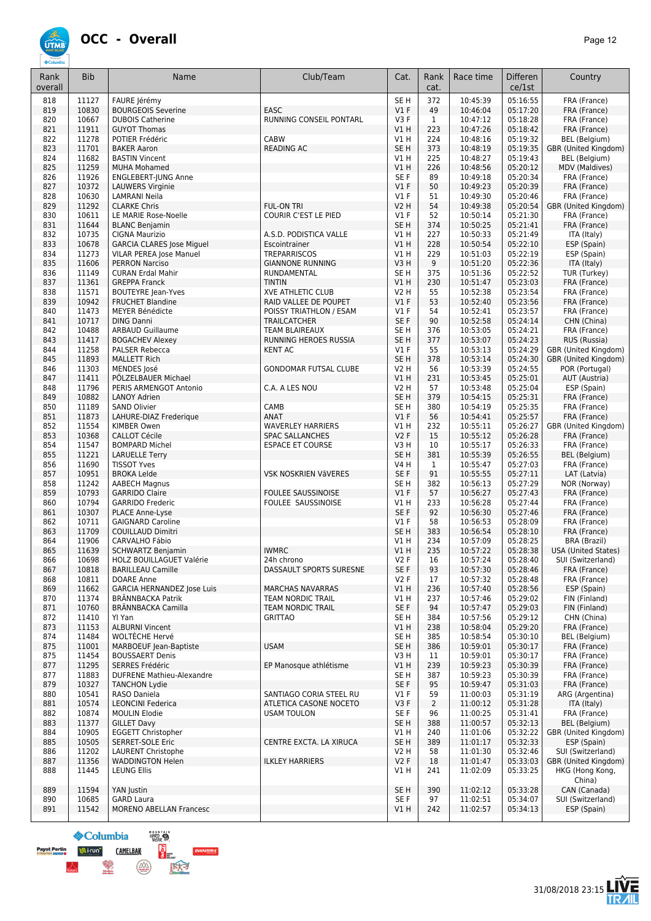

| Rank<br>overall | <b>Bib</b>     | Name                                                        | Club/Team                    | Cat.                    | Rank<br>cat.   | Race time            | <b>Differen</b><br>ce/1st | Country                                   |
|-----------------|----------------|-------------------------------------------------------------|------------------------------|-------------------------|----------------|----------------------|---------------------------|-------------------------------------------|
| 818             | 11127          | FAURE Jérémy                                                |                              | SE <sub>H</sub>         | 372            | 10:45:39             | 05:16:55                  | FRA (France)                              |
| 819             | 10830          | <b>BOURGEOIS Severine</b>                                   | EASC                         | $VI$ F                  | 49             | 10:46:04             | 05:17:20                  | FRA (France)                              |
| 820             | 10667          | <b>DUBOIS Catherine</b>                                     | RUNNING CONSEIL PONTARL      | V3F                     | $\mathbf{1}$   | 10:47:12             | 05:18:28                  | FRA (France)<br>FRA (France)              |
| 821<br>822      | 11911<br>11278 | <b>GUYOT Thomas</b><br>POTIER Frédéric                      | CABW                         | V1H<br>V1 H             | 223<br>224     | 10:47:26<br>10:48:16 | 05:18:42<br>05:19:32      | <b>BEL</b> (Belgium)                      |
| 823             | 11701          | <b>BAKER Aaron</b>                                          | <b>READING AC</b>            | SE <sub>H</sub>         | 373            | 10:48:19             | 05:19:35                  | GBR (United Kingdom)                      |
| 824             | 11682          | <b>BASTIN Vincent</b>                                       |                              | V1H                     | 225            | 10:48:27             | 05:19:43                  | BEL (Belgium)                             |
| 825             | 11259          | <b>MUHA Mohamed</b>                                         |                              | V1H                     | 226            | 10:48:56             | 05:20:12                  | MDV (Maldives)                            |
| 826             | 11926          | <b>ENGLEBERT-JUNG Anne</b>                                  |                              | SE F                    | 89             | 10:49:18             | 05:20:34                  | FRA (France)                              |
| 827             | 10372          | <b>LAUWERS Virginie</b>                                     |                              | $VI$ F                  | 50             | 10:49:23             | 05:20:39                  | FRA (France)                              |
| 828<br>829      | 10630<br>11292 | <b>LAMRANI Neila</b><br><b>CLARKE Chris</b>                 | <b>FUL-ON TRI</b>            | $VI$ F<br><b>V2 H</b>   | 51<br>54       | 10:49:30<br>10:49:38 | 05:20:46<br>05:20:54      | FRA (France)<br>GBR (United Kingdom)      |
| 830             | 10611          | LE MARIE Rose-Noelle                                        | COURIR C'EST LE PIED         | $VI$ F                  | 52             | 10:50:14             | 05:21:30                  | FRA (France)                              |
| 831             | 11644          | <b>BLANC Benjamin</b>                                       |                              | SE <sub>H</sub>         | 374            | 10:50:25             | 05:21:41                  | FRA (France)                              |
| 832             | 10735          | CIGNA Maurizio                                              | A.S.D. PODISTICA VALLE       | V1H                     | 227            | 10:50:33             | 05:21:49                  | ITA (Italy)                               |
| 833             | 10678          | <b>GARCIA CLARES Jose Miguel</b>                            | Escointrainer                | V1H                     | 228            | 10:50:54             | 05:22:10                  | ESP (Spain)                               |
| 834             | 11273          | VILAR PEREA Jose Manuel                                     | <b>TREPARRISCOS</b>          | V1H                     | 229            | 10:51:03             | 05:22:19                  | ESP (Spain)                               |
| 835             | 11606          | <b>PERRON Narciso</b>                                       | <b>GIANNONE RUNNING</b>      | V3H                     | 9              | 10:51:20             | 05:22:36                  | ITA (Italy)                               |
| 836             | 11149          | <b>CURAN Erdal Mahir</b><br><b>GREPPA Franck</b>            | RUNDAMENTAL<br><b>TINTIN</b> | SE <sub>H</sub>         | 375            | 10:51:36             | 05:22:52                  | TUR (Turkey)<br>FRA (France)              |
| 837<br>838      | 11361<br>11571 | <b>BOUTEYRE Jean-Yves</b>                                   | <b>XVE ATHLETIC CLUB</b>     | V1H<br><b>V2 H</b>      | 230<br>55      | 10:51:47<br>10:52:38 | 05:23:03<br>05:23:54      | FRA (France)                              |
| 839             | 10942          | <b>FRUCHET Blandine</b>                                     | RAID VALLEE DE POUPET        | $VI$ F                  | 53             | 10:52:40             | 05:23:56                  | FRA (France)                              |
| 840             | 11473          | MEYER Bénédicte                                             | POISSY TRIATHLON / ESAM      | V1 F                    | 54             | 10:52:41             | 05:23:57                  | FRA (France)                              |
| 841             | 10717          | <b>DING Danni</b>                                           | <b>TRAILCATCHER</b>          | SE F                    | 90             | 10:52:58             | 05:24:14                  | CHN (China)                               |
| 842             | 10488          | <b>ARBAUD Guillaume</b>                                     | <b>TEAM BLAIREAUX</b>        | SE <sub>H</sub>         | 376            | 10:53:05             | 05:24:21                  | FRA (France)                              |
| 843             | 11417          | <b>BOGACHEV Alexey</b>                                      | RUNNING HEROES RUSSIA        | SE <sub>H</sub>         | 377            | 10:53:07             | 05:24:23                  | RUS (Russia)                              |
| 844             | 11258          | <b>PALSER Rebecca</b>                                       | <b>KENT AC</b>               | $VI$ F                  | 55             | 10:53:13             | 05:24:29                  | GBR (United Kingdom)                      |
| 845             | 11893          | <b>MALLETT Rich</b>                                         |                              | SE <sub>H</sub>         | 378            | 10:53:14             | 05:24:30                  | GBR (United Kingdom)                      |
| 846             | 11303          | MENDES José                                                 | <b>GONDOMAR FUTSAL CLUBE</b> | <b>V2 H</b>             | 56             | 10:53:39             | 05:24:55                  | POR (Portugal)                            |
| 847             | 11411          | PÖLZELBAUER Michael                                         |                              | V1H                     | 231            | 10:53:45             | 05:25:01                  | AUT (Austria)                             |
| 848<br>849      | 11796<br>10882 | PERIS ARMENGOT Antonio<br><b>LANOY Adrien</b>               | C.A. A LES NOU               | V2 H<br>SE <sub>H</sub> | 57<br>379      | 10:53:48<br>10:54:15 | 05:25:04<br>05:25:31      | ESP (Spain)<br>FRA (France)               |
| 850             | 11189          | <b>SAND Olivier</b>                                         | CAMB                         | SE <sub>H</sub>         | 380            | 10:54:19             | 05:25:35                  | FRA (France)                              |
| 851             | 11873          | LAHURE-DIAZ Frederique                                      | ANAT                         | $VI$ F                  | 56             | 10:54:41             | 05:25:57                  | FRA (France)                              |
| 852             | 11554          | KIMBER Owen                                                 | <b>WAVERLEY HARRIERS</b>     | V1 H                    | 232            | 10:55:11             | 05:26:27                  | GBR (United Kingdom)                      |
| 853             | 10368          | <b>CALLOT Cécile</b>                                        | <b>SPAC SALLANCHES</b>       | V2F                     | 15             | 10:55:12             | 05:26:28                  | FRA (France)                              |
| 854             | 11547          | <b>BOMPARD Michel</b>                                       | <b>ESPACE ET COURSE</b>      | V3H                     | 10             | 10:55:17             | 05:26:33                  | FRA (France)                              |
| 855             | 11221          | <b>LARUELLE Terry</b>                                       |                              | SE <sub>H</sub>         | 381            | 10:55:39             | 05:26:55                  | <b>BEL</b> (Belgium)                      |
| 856             | 11690          | <b>TISSOT Yves</b>                                          |                              | <b>V4 H</b>             | $\mathbf{1}$   | 10:55:47             | 05:27:03                  | FRA (France)                              |
| 857<br>858      | 10951<br>11242 | <b>BROKA Lelde</b>                                          | VSK NOSKRIEN VÄVERES         | SE F<br>SE <sub>H</sub> | 91<br>382      | 10:55:55<br>10:56:13 | 05:27:11<br>05:27:29      | LAT (Latvia)<br>NOR (Norway)              |
| 859             | 10793          | <b>AABECH Magnus</b><br><b>GARRIDO Claire</b>               | <b>FOULEE SAUSSINOISE</b>    | $VI$ F                  | 57             | 10:56:27             | 05:27:43                  | FRA (France)                              |
| 860             | 10794          | <b>GARRIDO Frederic</b>                                     | FOULEE SAUSSINOISE           | V1H                     | 233            | 10:56:28             | 05:27:44                  | FRA (France)                              |
| 861             | 10307          | PLACE Anne-Lyse                                             |                              | SE F                    | 92             | 10:56:30             | 05:27:46                  | FRA (France)                              |
| 862             | 10711          | <b>GAIGNARD Caroline</b>                                    |                              | $VI$ F                  | 58             | 10:56:53             | 05:28:09                  | FRA (France)                              |
| 863             | 11709          | <b>COUILLAUD Dimitri</b>                                    |                              | SE <sub>H</sub>         | 383            | 10:56:54             | 05:28:10                  | FRA (France)                              |
| 864             | 11906          | CARVALHO Fábio                                              |                              | V1 H                    | 234            | 10:57:09             | 05:28:25                  | BRA (Brazil)                              |
| 865             | 11639          | <b>SCHWARTZ Benjamin</b>                                    | <b>IWMRC</b>                 | VIH                     | 235            | 10:57:22             | 05:28:38                  | <b>USA (United States)</b>                |
| 866             | 10698          | <b>HOLZ BOUILLAGUET Valérie</b><br><b>BARILLEAU Camille</b> | 24h chrono                   | V2 F<br>SE F            | 16             | 10:57:24             | 05:28:40<br>05:28:46      | SUI (Switzerland)                         |
| 867<br>868      | 10818<br>10811 | DOARE Anne                                                  | DASSAULT SPORTS SURESNE      | V2F                     | 93<br>17       | 10:57:30<br>10:57:32 | 05:28:48                  | FRA (France)<br>FRA (France)              |
| 869             | 11662          | <b>GARCIA HERNANDEZ lose Luis</b>                           | <b>MARCHAS NAVARRAS</b>      | VIH                     | 236            | 10:57:40             | 05:28:56                  | ESP (Spain)                               |
| 870             | 11374          | <b>BRÄNNBACKA Patrik</b>                                    | TEAM NORDIC TRAIL            | V1 H                    | 237            | 10:57:46             | 05:29:02                  | FIN (Finland)                             |
| 871             | 10760          | <b>BRÄNNBACKA Camilla</b>                                   | <b>TEAM NORDIC TRAIL</b>     | SE F                    | 94             | 10:57:47             | 05:29:03                  | FIN (Finland)                             |
| 872             | 11410          | YI Yan                                                      | <b>GRITTAO</b>               | SE <sub>H</sub>         | 384            | 10:57:56             | 05:29:12                  | CHN (China)                               |
| 873             | 11153          | <b>ALBURNI Vincent</b>                                      |                              | V1H                     | 238            | 10:58:04             | 05:29:20                  | FRA (France)                              |
| 874             | 11484          | WOLTÈCHE Hervé                                              |                              | SE <sub>H</sub>         | 385            | 10:58:54             | 05:30:10                  | BEL (Belgium)                             |
| 875             | 11001          | MARBOEUF Jean-Baptiste                                      | <b>USAM</b>                  | SE <sub>H</sub>         | 386            | 10:59:01             | 05:30:17                  | FRA (France)                              |
| 875<br>877      | 11454<br>11295 | <b>BOUSSAERT Denis</b><br>SERRES Frédéric                   | EP Manosque athlétisme       | V3H<br>V1H              | 11<br>239      | 10:59:01<br>10:59:23 | 05:30:17<br>05:30:39      | FRA (France)<br>FRA (France)              |
| 877             | 11883          | <b>DUFRENE Mathieu-Alexandre</b>                            |                              | SE H                    | 387            | 10:59:23             | 05:30:39                  | FRA (France)                              |
| 879             | 10327          | <b>TANCHON Lydie</b>                                        |                              | SE F                    | 95             | 10:59:47             | 05:31:03                  | FRA (France)                              |
| 880             | 10541          | RASO Daniela                                                | SANTIAGO CORIA STEEL RU      | $VI$ F                  | 59             | 11:00:03             | 05:31:19                  | ARG (Argentina)                           |
| 881             | 10574          | <b>LEONCINI Federica</b>                                    | ATLETICA CASONE NOCETO       | V3F                     | $\overline{2}$ | 11:00:12             | 05:31:28                  | ITA (Italy)                               |
| 882             | 10874          | <b>MOULIN Elodie</b>                                        | <b>USAM TOULON</b>           | SE F                    | 96             | 11:00:25             | 05:31:41                  | FRA (France)                              |
| 883             | 11377          | <b>GILLET Davy</b>                                          |                              | SE <sub>H</sub>         | 388            | 11:00:57             | 05:32:13                  | <b>BEL</b> (Belgium)                      |
| 884             | 10905          | <b>EGGETT Christopher</b>                                   |                              | V1H                     | 240            | 11:01:06             | 05:32:22                  | GBR (United Kingdom)                      |
| 885             | 10505          | SERRET-SOLE Eric                                            | CENTRE EXCTA. LA XIRUCA      | SE <sub>H</sub>         | 389            | 11:01:17             | 05:32:33                  | ESP (Spain)                               |
| 886<br>887      | 11202<br>11356 | <b>LAURENT Christophe</b><br><b>WADDINGTON Helen</b>        | <b>ILKLEY HARRIERS</b>       | V2 H<br>V2 F            | 58<br>18       | 11:01:30<br>11:01:47 | 05:32:46<br>05:33:03      | SUI (Switzerland)<br>GBR (United Kingdom) |
| 888             | 11445          | <b>LEUNG Ellis</b>                                          |                              | V1 H                    | 241            | 11:02:09             | 05:33:25                  | HKG (Hong Kong,<br>China)                 |
| 889             | 11594          | YAN Justin                                                  |                              | SE <sub>H</sub>         | 390            | 11:02:12             | 05:33:28                  | CAN (Canada)                              |
| 890             | 10685          | <b>GARD Laura</b>                                           |                              | SE F                    | 97             | 11:02:51             | 05:34:07                  | SUI (Switzerland)                         |
| 891             | 11542          | <b>MORENO ABELLAN Francesc</b>                              |                              | V1H                     | 242            | 11:02:57             | 05:34:13                  | ESP (Spain)                               |

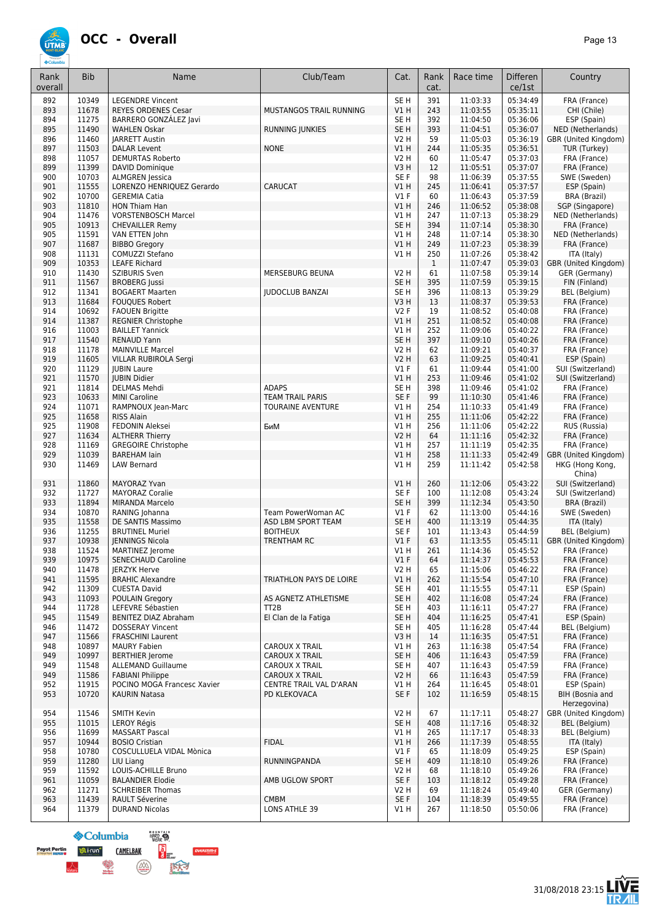

| Rank<br>overall | <b>Bib</b>     | Name                                                 | Club/Team                                 | Cat.                                | Rank<br>cat. | Race time            | <b>Differen</b><br>ce/1st | Country                         |
|-----------------|----------------|------------------------------------------------------|-------------------------------------------|-------------------------------------|--------------|----------------------|---------------------------|---------------------------------|
| 892             | 10349          | <b>LEGENDRE Vincent</b>                              |                                           | SE <sub>H</sub>                     | 391          | 11:03:33             | 05:34:49                  | FRA (France)                    |
| 893             | 11678          | <b>REYES ORDENES Cesar</b>                           | MUSTANGOS TRAIL RUNNING                   | V1H                                 | 243          | 11:03:55             | 05:35:11                  | CHI (Chile)                     |
| 894             | 11275          | BARRERO GONZÁLEZ Javi                                |                                           | SE H                                | 392          | 11:04:50             | 05:36:06                  | ESP (Spain)                     |
| 895             | 11490          | <b>WAHLEN Oskar</b>                                  | <b>RUNNING JUNKIES</b>                    | SE <sub>H</sub>                     | 393          | 11:04:51             | 05:36:07                  | NED (Netherlands)               |
| 896             | 11460          | <b>IARRETT Austin</b>                                |                                           | <b>V2 H</b>                         | 59           | 11:05:03             | 05:36:19                  | GBR (United Kingdom)            |
| 897             | 11503          | DALAR Levent                                         | <b>NONE</b>                               | V1H                                 | 244          | 11:05:35             | 05:36:51                  | TUR (Turkey)                    |
| 898             | 11057<br>11399 | <b>DEMURTAS Roberto</b>                              |                                           | <b>V2 H</b>                         | 60<br>12     | 11:05:47             | 05:37:03<br>05:37:07      | FRA (France)                    |
| 899<br>900      | 10703          | DAVID Dominique<br><b>ALMGREN</b> Jessica            |                                           | V <sub>3</sub> H<br>SE <sub>F</sub> | 98           | 11:05:51<br>11:06:39 | 05:37:55                  | FRA (France)<br>SWE (Sweden)    |
| 901             | 11555          | LORENZO HENRIQUEZ Gerardo                            | CARUCAT                                   | V1 H                                | 245          | 11:06:41             | 05:37:57                  | ESP (Spain)                     |
| 902             | 10700          | <b>GEREMIA Catia</b>                                 |                                           | $VI$ F                              | 60           | 11:06:43             | 05:37:59                  | BRA (Brazil)                    |
| 903             | 11810          | <b>HON Thiam Han</b>                                 |                                           | V1H                                 | 246          | 11:06:52             | 05:38:08                  | SGP (Singapore)                 |
| 904             | 11476          | <b>VORSTENBOSCH Marcel</b>                           |                                           | V1H                                 | 247          | 11:07:13             | 05:38:29                  | NED (Netherlands)               |
| 905             | 10913          | <b>CHEVAILLER Remy</b>                               |                                           | SE <sub>H</sub>                     | 394          | 11:07:14             | 05:38:30                  | FRA (France)                    |
| 905             | 11591          | VAN ETTEN John                                       |                                           | V1H                                 | 248          | 11:07:14             | 05:38:30                  | NED (Netherlands)               |
| 907             | 11687          | <b>BIBBO Gregory</b>                                 |                                           | V1H                                 | 249          | 11:07:23             | 05:38:39                  | FRA (France)                    |
| 908             | 11131          | COMUZZI Stefano                                      |                                           | <b>V1 H</b>                         | 250          | 11:07:26             | 05:38:42                  | ITA (Italy)                     |
| 909             | 10353          | <b>LEAFE Richard</b>                                 |                                           |                                     | $\mathbf{1}$ | 11:07:47             | 05:39:03                  | GBR (United Kingdom)            |
| 910             | 11430          | SZIBURIS Sven                                        | MERSEBURG BEUNA                           | <b>V2 H</b>                         | 61           | 11:07:58             | 05:39:14                  | GER (Germany)                   |
| 911             | 11567          | <b>BROBERG</b> Jussi<br><b>BOGAERT Maarten</b>       | <b>IUDOCLUB BANZAI</b>                    | SE <sub>H</sub>                     | 395          | 11:07:59             | 05:39:15                  | FIN (Finland)                   |
| 912<br>913      | 11341<br>11684 | <b>FOUQUES Robert</b>                                |                                           | SE H<br>V3 H                        | 396<br>13    | 11:08:13<br>11:08:37 | 05:39:29<br>05:39:53      | BEL (Belgium)                   |
| 914             | 10692          | <b>FAOUEN Brigitte</b>                               |                                           | <b>V2F</b>                          | 19           | 11:08:52             | 05:40:08                  | FRA (France)<br>FRA (France)    |
| 914             | 11387          | <b>REGNIER Christophe</b>                            |                                           | V1H                                 | 251          | 11:08:52             | 05:40:08                  | FRA (France)                    |
| 916             | 11003          | <b>BAILLET Yannick</b>                               |                                           | V1H                                 | 252          | 11:09:06             | 05:40:22                  | FRA (France)                    |
| 917             | 11540          | <b>RENAUD Yann</b>                                   |                                           | SE <sub>H</sub>                     | 397          | 11:09:10             | 05:40:26                  | FRA (France)                    |
| 918             | 11178          | <b>MAINVILLE Marcel</b>                              |                                           | <b>V2 H</b>                         | 62           | 11:09:21             | 05:40:37                  | FRA (France)                    |
| 919             | 11605          | VILLAR RUBIROLA Sergi                                |                                           | <b>V2 H</b>                         | 63           | 11:09:25             | 05:40:41                  | ESP (Spain)                     |
| 920             | 11129          | <b>JUBIN Laure</b>                                   |                                           | $VI$ F                              | 61           | 11:09:44             | 05:41:00                  | SUI (Switzerland)               |
| 921             | 11570          | <b>IUBIN Didier</b>                                  |                                           | V1H                                 | 253          | 11:09:46             | 05:41:02                  | SUI (Switzerland)               |
| 921             | 11814          | <b>DELMAS Mehdi</b>                                  | <b>ADAPS</b>                              | SE <sub>H</sub>                     | 398          | 11:09:46             | 05:41:02                  | FRA (France)                    |
| 923             | 10633          | <b>MINI Caroline</b>                                 | <b>TEAM TRAIL PARIS</b>                   | SE F                                | 99           | 11:10:30             | 05:41:46                  | FRA (France)                    |
| 924             | 11071          | RAMPNOUX Jean-Marc                                   | <b>TOURAINE AVENTURE</b>                  | V1H                                 | 254          | 11:10:33             | 05:41:49                  | FRA (France)                    |
| 925             | 11658          | <b>RISS Alain</b>                                    |                                           | <b>V1 H</b>                         | 255          | 11:11:06             | 05:42:22                  | FRA (France)                    |
| 925             | 11908          | FEDONIN Aleksei                                      | БиМ                                       | V1H                                 | 256          | 11:11:06             | 05:42:22                  | RUS (Russia)                    |
| 927<br>928      | 11634<br>11169 | <b>ALTHERR Thierry</b><br><b>GREGOIRE Christophe</b> |                                           | <b>V2 H</b><br>V1H                  | 64<br>257    | 11:11:16<br>11:11:19 | 05:42:32<br>05:42:35      | FRA (France)<br>FRA (France)    |
| 929             | 11039          | <b>BAREHAM lain</b>                                  |                                           | V1H                                 | 258          | 11:11:33             | 05:42:49                  | GBR (United Kingdom)            |
| 930             | 11469          | <b>LAW Bernard</b>                                   |                                           | <b>V1 H</b>                         | 259          | 11:11:42             | 05:42:58                  | HKG (Hong Kong,<br>China)       |
| 931             | 11860          | MAYORAZ Yvan                                         |                                           | V1H                                 | 260          | 11:12:06             | 05:43:22                  | SUI (Switzerland)               |
| 932             | 11727          | <b>MAYORAZ Coralie</b>                               |                                           | SE <sub>F</sub>                     | 100          | 11:12:08             | 05:43:24                  | SUI (Switzerland)               |
| 933             | 11894          | <b>MIRANDA Marcelo</b>                               |                                           | SE <sub>H</sub>                     | 399          | 11:12:34             | 05:43:50                  | <b>BRA (Brazil)</b>             |
| 934             | 10870          | RANING Johanna                                       | Team PowerWoman AC                        | $VI$ F                              | 62           | 11:13:00             | 05:44:16                  | SWE (Sweden)                    |
| 935             | 11558          | DE SANTIS Massimo                                    | ASD LBM SPORT TEAM                        | SE <sub>H</sub>                     | 400          | 11:13:19             | 05:44:35                  | ITA (Italy)                     |
| 936             | 11255          | <b>BRUTINEL Muriel</b>                               | <b>BOITHEUX</b>                           | SE <sub>F</sub>                     | 101          | 11:13:43             | 05:44:59                  | BEL (Belgium)                   |
| 937             | 10938          | <b>IENNINGS Nicola</b>                               | TRENTHAM RC                               | V1F                                 | 63           | 11:13:55             | 05:45:11                  | GBR (United Kingdom)            |
| 938             | 11524          | MARTINEZ Jerome                                      |                                           | VIH                                 | 261          | 11:14:36             | 05:45:52                  | FRA (France)                    |
| 939             | 10975          | SENECHAUD Caroline                                   |                                           | V1 F                                | 64           | 11:14:37             | 05:45:53                  | FRA (France)                    |
| 940             | 11478          | <b>JERZYK Herve</b>                                  |                                           | V2 H                                | 65           | 11:15:06             | 05:46:22                  | FRA (France)                    |
| 941             | 11595          | <b>BRAHIC Alexandre</b>                              | TRIATHLON PAYS DE LOIRE                   | V1 H                                | 262          | 11:15:54             | 05:47:10                  | FRA (France)                    |
| 942             | 11309          | <b>CUESTA David</b>                                  |                                           | SE H                                | 401          | 11:15:55             | 05:47:11                  | ESP (Spain)                     |
| 943             | 11093          | <b>POULAIN Gregory</b><br>LEFEVRE Sébastien          | AS AGNETZ ATHLETISME<br>TT <sub>2</sub> B | SE H                                | 402          | 11:16:08             | 05:47:24                  | FRA (France)                    |
| 944<br>945      | 11728<br>11549 | BENITEZ DIAZ Abraham                                 | El Clan de la Fatiga                      | SE H<br>SE <sub>H</sub>             | 403<br>404   | 11:16:11<br>11:16:25 | 05:47:27<br>05:47:41      | FRA (France)<br>ESP (Spain)     |
| 946             | 11472          | DOSSERAY Vincent                                     |                                           | SE H                                | 405          | 11:16:28             | 05:47:44                  | BEL (Belgium)                   |
| 947             | 11566          | <b>FRASCHINI Laurent</b>                             |                                           | V3H                                 | 14           | 11:16:35             | 05:47:51                  | FRA (France)                    |
| 948             | 10897          | <b>MAURY Fabien</b>                                  | CAROUX X TRAIL                            | V1 H                                | 263          | 11:16:38             | 05:47:54                  | FRA (France)                    |
| 949             | 10997          | <b>BERTHIER Jerome</b>                               | CAROUX X TRAIL                            | SE H                                | 406          | 11:16:43             | 05:47:59                  | FRA (France)                    |
| 949             | 11548          | <b>ALLEMAND Guillaume</b>                            | CAROUX X TRAIL                            | SE H                                | 407          | 11:16:43             | 05:47:59                  | FRA (France)                    |
| 949             | 11586          | <b>FABIANI Philippe</b>                              | CAROUX X TRAIL                            | V2 H                                | 66           | 11:16:43             | 05:47:59                  | FRA (France)                    |
| 952             | 11915          | POCINO MOGA Francesc Xavier                          | CENTRE TRAIL VAL D'ARAN                   | V1H                                 | 264          | 11:16:45             | 05:48:01                  | ESP (Spain)                     |
| 953             | 10720          | <b>KAURIN Natasa</b>                                 | PD KLEKOVACA                              | SE F                                | 102          | 11:16:59             | 05:48:15                  | BIH (Bosnia and<br>Herzegovina) |
| 954             | 11546          | <b>SMITH Kevin</b>                                   |                                           | <b>V2 H</b>                         | 67           | 11:17:11             | 05:48:27                  | GBR (United Kingdom)            |
| 955             | 11015          | <b>LEROY Régis</b>                                   |                                           | SE H                                | 408          | 11:17:16             | 05:48:32                  | BEL (Belgium)                   |
| 956             | 11699          | <b>MASSART Pascal</b>                                |                                           | V1H                                 | 265          | 11:17:17             | 05:48:33                  | BEL (Belgium)                   |
| 957             | 10944          | <b>BOSIO Cristian</b>                                | <b>FIDAL</b>                              | V1H                                 | 266          | 11:17:39             | 05:48:55                  | ITA (Italy)                     |
| 958             | 10780          | COSCULLUELA VIDAL Mònica                             |                                           | $VI$ F                              | 65           | 11:18:09             | 05:49:25                  | ESP (Spain)                     |
| 959             | 11280          | LIU Liang                                            | RUNNINGPANDA                              | SE H                                | 409          | 11:18:10             | 05:49:26                  | FRA (France)                    |
| 959             | 11592          | LOUIS-ACHILLE Bruno                                  |                                           | V2 H                                | 68           | 11:18:10             | 05:49:26                  | FRA (France)                    |
| 961             | 11059          | <b>BALANDIER Elodie</b>                              | AMB UGLOW SPORT                           | SE F                                | 103          | 11:18:12             | 05:49:28                  | FRA (France)                    |
| 962<br>963      | 11271<br>11439 | <b>SCHREIBER Thomas</b>                              | <b>CMBM</b>                               | V2 H<br>SE F                        | 69<br>104    | 11:18:24<br>11:18:39 | 05:49:40<br>05:49:55      | GER (Germany)<br>FRA (France)   |
| 964             | 11379          | <b>RAULT Séverine</b><br><b>DURAND Nicolas</b>       | LONS ATHLE 39                             | V1 H                                | 267          | 11:18:50             | 05:50:06                  | FRA (France)                    |
|                 |                |                                                      |                                           |                                     |              |                      |                           |                                 |



 $nms$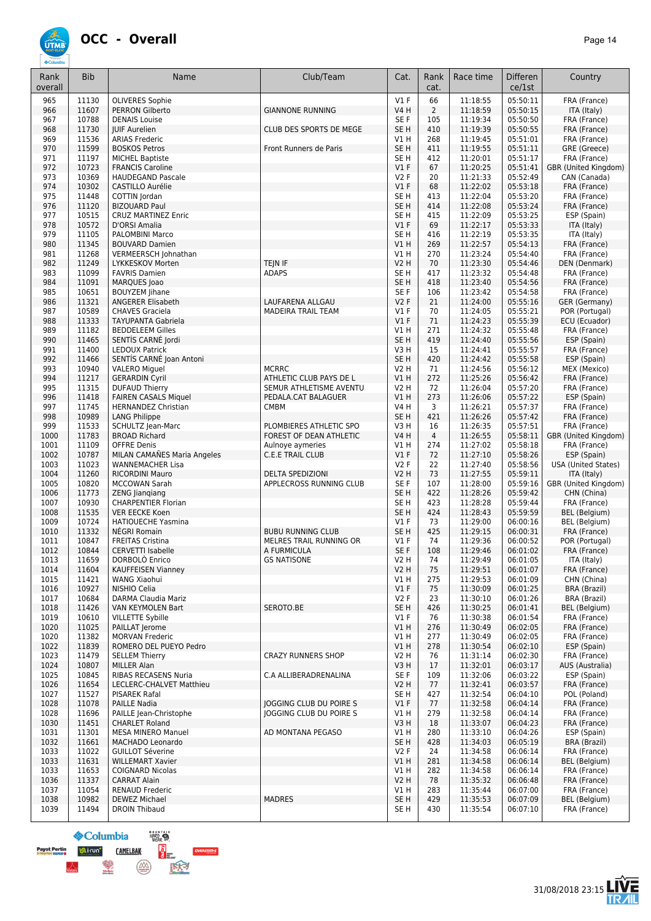

| Rank<br>overall | <b>Bib</b>     | Name                                                | Club/Team                                     | Cat.                 | Rank<br>cat.          | Race time            | <b>Differen</b><br>ce/1st | Country                              |
|-----------------|----------------|-----------------------------------------------------|-----------------------------------------------|----------------------|-----------------------|----------------------|---------------------------|--------------------------------------|
| 965             | 11130          | <b>OLIVERES Sophie</b>                              |                                               | $VI$ F               | 66                    | 11:18:55             | 05:50:11                  | FRA (France)                         |
| 966             | 11607          | <b>PERRON Gilberto</b>                              | <b>GIANNONE RUNNING</b>                       | <b>V4 H</b>          | $\overline{2}$        | 11:18:59             | 05:50:15                  | ITA (Italy)                          |
| 967             | 10788          | <b>DENAIS Louise</b>                                |                                               | SE F                 | 105                   | 11:19:34             | 05:50:50                  | FRA (France)                         |
| 968             | 11730          | <b>JUIF Aurelien</b>                                | CLUB DES SPORTS DE MEGE                       | SE <sub>H</sub>      | 410                   | 11:19:39             | 05:50:55                  | FRA (France)                         |
| 969             | 11536          | <b>ARIAS Frederic</b>                               |                                               | $VI$ H               | 268                   | 11:19:45             | 05:51:01                  | FRA (France)                         |
| 970             | 11599          | <b>BOSKOS Petros</b>                                | Front Runners de Paris                        | SE <sub>H</sub>      | 411                   | 11:19:55             | 05:51:11                  | GRE (Greece)                         |
| 971             | 11197<br>10723 | <b>MICHEL Baptiste</b>                              |                                               | SE <sub>H</sub>      | 412                   | 11:20:01             | 05:51:17<br>05:51:41      | FRA (France)                         |
| 972<br>973      | 10369          | <b>FRANCIS Caroline</b><br><b>HAUDEGAND Pascale</b> |                                               | $VI$ F<br><b>V2F</b> | 67<br>20              | 11:20:25<br>11:21:33 | 05:52:49                  | GBR (United Kingdom)<br>CAN (Canada) |
| 974             | 10302          | <b>CASTILLO Aurélie</b>                             |                                               | $VI$ F               | 68                    | 11:22:02             | 05:53:18                  | FRA (France)                         |
| 975             | 11448          | COTTIN Jordan                                       |                                               | SE <sub>H</sub>      | 413                   | 11:22:04             | 05:53:20                  | FRA (France)                         |
| 976             | 11120          | <b>BIZOUARD Paul</b>                                |                                               | SE <sub>H</sub>      | 414                   | 11:22:08             | 05:53:24                  | FRA (France)                         |
| 977             | 10515          | <b>CRUZ MARTINEZ Enric</b>                          |                                               | SE <sub>H</sub>      | 415                   | 11:22:09             | 05:53:25                  | ESP (Spain)                          |
| 978             | 10572          | D'ORSI Amalia                                       |                                               | $VI$ F               | 69                    | 11:22:17             | 05:53:33                  | ITA (Italy)                          |
| 979             | 11105          | PALOMBINI Marco                                     |                                               | SE <sub>H</sub>      | 416                   | 11:22:19             | 05:53:35                  | ITA (Italy)                          |
| 980             | 11345          | <b>BOUVARD Damien</b>                               |                                               | VIH                  | 269                   | 11:22:57             | 05:54:13                  | FRA (France)                         |
| 981             | 11268          | VERMEERSCH Johnathan                                |                                               | V1H                  | 270                   | 11:23:24             | 05:54:40                  | FRA (France)                         |
| 982             | 11249          | LYKKESKOV Morten                                    | <b>TEIN IF</b>                                | <b>V2 H</b>          | 70                    | 11:23:30             | 05:54:46                  | DEN (Denmark)                        |
| 983             | 11099          | <b>FAVRIS Damien</b>                                | <b>ADAPS</b>                                  | SE <sub>H</sub>      | 417                   | 11:23:32             | 05:54:48                  | FRA (France)                         |
| 984             | 11091          | <b>MARQUES</b> Joao                                 |                                               | SE <sub>H</sub>      | 418                   | 11:23:40             | 05:54:56                  | FRA (France)                         |
| 985             | 10651<br>11321 | <b>BOUYZEM Jihane</b>                               |                                               | SE <sub>F</sub>      | 106                   | 11:23:42             | 05:54:58                  | FRA (France)<br>GER (Germany)        |
| 986<br>987      | 10589          | <b>ANGERER Elisabeth</b><br><b>CHAVES Graciela</b>  | LAUFARENA ALLGAU<br><b>MADEIRA TRAIL TEAM</b> | <b>V2F</b><br>$VI$ F | 21<br>70              | 11:24:00<br>11:24:05 | 05:55:16<br>05:55:21      | POR (Portugal)                       |
| 988             | 11333          | <b>TAYUPANTA Gabriela</b>                           |                                               | $VI$ F               | 71                    | 11:24:23             | 05:55:39                  | ECU (Ecuador)                        |
| 989             | 11182          | <b>BEDDELEEM Gilles</b>                             |                                               | V1 H                 | 271                   | 11:24:32             | 05:55:48                  | FRA (France)                         |
| 990             | 11465          | SENTÍS CARNÉ Jordi                                  |                                               | SE <sub>H</sub>      | 419                   | 11:24:40             | 05:55:56                  | ESP (Spain)                          |
| 991             | 11400          | <b>LEDOUX Patrick</b>                               |                                               | V3H                  | 15                    | 11:24:41             | 05:55:57                  | FRA (France)                         |
| 992             | 11466          | SENTÍS CARNÉ Joan Antoni                            |                                               | SE <sub>H</sub>      | 420                   | 11:24:42             | 05:55:58                  | ESP (Spain)                          |
| 993             | 10940          | <b>VALERO Miguel</b>                                | <b>MCRRC</b>                                  | <b>V2 H</b>          | 71                    | 11:24:56             | 05:56:12                  | MEX (Mexico)                         |
| 994             | 11217          | <b>GERARDIN Cyril</b>                               | ATHLETIC CLUB PAYS DE L                       | V1H                  | 272                   | 11:25:26             | 05:56:42                  | FRA (France)                         |
| 995             | 11315          | <b>DUFAUD Thierry</b>                               | SEMUR ATHLETISME AVENTU                       | <b>V2 H</b>          | 72                    | 11:26:04             | 05:57:20                  | FRA (France)                         |
| 996             | 11418          | <b>FAIREN CASALS Miquel</b>                         | PEDALA.CAT BALAGUER                           | V1H                  | 273                   | 11:26:06             | 05:57:22                  | ESP (Spain)                          |
| 997             | 11745          | <b>HERNANDEZ Christian</b>                          | <b>CMBM</b>                                   | <b>V4 H</b>          | 3                     | 11:26:21             | 05:57:37                  | FRA (France)                         |
| 998             | 10989          | <b>LANG Philippe</b>                                |                                               | SE <sub>H</sub>      | 421                   | 11:26:26             | 05:57:42                  | FRA (France)                         |
| 999             | 11533<br>11783 | SCHULTZ Jean-Marc                                   | PLOMBIERES ATHLETIC SPO                       | V3H                  | 16                    | 11:26:35             | 05:57:51                  | FRA (France)                         |
| 1000<br>1001    | 11109          | <b>BROAD Richard</b><br><b>OFFRE Denis</b>          | FOREST OF DEAN ATHLETIC<br>Aulnoye aymeries   | <b>V4 H</b><br>V1H   | $\overline{4}$<br>274 | 11:26:55<br>11:27:02 | 05:58:11<br>05:58:18      | GBR (United Kingdom)<br>FRA (France) |
| 1002            | 10787          | MILAN CAMAÑES Maria Angeles                         | <b>C.E.E TRAIL CLUB</b>                       | $VI$ F               | 72                    | 11:27:10             | 05:58:26                  | ESP (Spain)                          |
| 1003            | 11023          | <b>WANNEMACHER Lisa</b>                             |                                               | V2F                  | 22                    | 11:27:40             | 05:58:56                  | <b>USA</b> (United States)           |
| 1004            | 11260          | <b>RICORDINI Mauro</b>                              | <b>DELTA SPEDIZIONI</b>                       | <b>V2 H</b>          | 73                    | 11:27:55             | 05:59:11                  | ITA (Italy)                          |
| 1005            | 10820          | <b>MCCOWAN Sarah</b>                                | APPLECROSS RUNNING CLUB                       | SE <sub>F</sub>      | 107                   | 11:28:00             | 05:59:16                  | GBR (United Kingdom)                 |
| 1006            | 11773          | ZENG Jiangiang                                      |                                               | SE <sub>H</sub>      | 422                   | 11:28:26             | 05:59:42                  | CHN (China)                          |
| 1007            | 10930          | <b>CHARPENTIER Florian</b>                          |                                               | SE <sub>H</sub>      | 423                   | 11:28:28             | 05:59:44                  | FRA (France)                         |
| 1008            | 11535          | VER EECKE Koen                                      |                                               | SE <sub>H</sub>      | 424                   | 11:28:43             | 05:59:59                  | <b>BEL</b> (Belgium)                 |
| 1009            | 10724          | <b>HATIOUECHE Yasmina</b>                           |                                               | $VI$ F               | 73                    | 11:29:00             | 06:00:16                  | <b>BEL</b> (Belgium)                 |
| 1010            | 11332          | NÉGRI Romain                                        | <b>BUBU RUNNING CLUB</b>                      | SE <sub>H</sub>      | 425                   | 11:29:15             | 06:00:31                  | FRA (France)                         |
| 1011            | 10847          | <b>FREITAS Cristina</b>                             | MELRES TRAIL RUNNING OR                       | $VI$ F               | 74                    | 11:29:36             | 06:00:52                  | POR (Portugal)                       |
| 1012            | 10844          | <b>CERVETTI Isabelle</b>                            | A FURMICULA                                   | SE F                 | 108                   | 11:29:46             | 06:01:02                  | FRA (France)                         |
| 1013            | 11659          | DORBOLO Enrico                                      | <b>GS NATISONE</b>                            | V2 H                 | 74                    | 11:29:49             | 06:01:05<br>06:01:07      | ITA (Italy)                          |
| 1014<br>1015    | 11604<br>11421 | <b>KAUFFEISEN Vianney</b><br>WANG Xiaohui           |                                               | <b>V2 H</b><br>V1 H  | 75<br>275             | 11:29:51<br>11:29:53 | 06:01:09                  | FRA (France)<br>CHN (China)          |
| 1016            | 10927          | NISHIO Celia                                        |                                               | $VI$ F               | 75                    | 11:30:09             | 06:01:25                  | BRA (Brazil)                         |
| 1017            | 10684          | DARMA Claudia Mariz                                 |                                               | V2F                  | 23                    | 11:30:10             | 06:01:26                  | BRA (Brazil)                         |
| 1018            | 11426          | VAN KEYMOLEN Bart                                   | SEROTO.BE                                     | SE <sub>H</sub>      | 426                   | 11:30:25             | 06:01:41                  | BEL (Belgium)                        |
| 1019            | 10610          | <b>VILLETTE Sybille</b>                             |                                               | $VI$ F               | 76                    | 11:30:38             | 06:01:54                  | FRA (France)                         |
| 1020            | 11025          | PAILLAT Jerome                                      |                                               | V1H                  | 276                   | 11:30:49             | 06:02:05                  | FRA (France)                         |
| 1020            | 11382          | <b>MORVAN Frederic</b>                              |                                               | V1 H                 | 277                   | 11:30:49             | 06:02:05                  | FRA (France)                         |
| 1022            | 11839          | ROMERO DEL PUEYO Pedro                              |                                               | V1H                  | 278                   | 11:30:54             | 06:02:10                  | ESP (Spain)                          |
| 1023            | 11479          | <b>SELLEM Thierry</b>                               | <b>CRAZY RUNNERS SHOP</b>                     | V2 H                 | 76                    | 11:31:14             | 06:02:30                  | FRA (France)                         |
| 1024            | 10807          | <b>MILLER Alan</b>                                  |                                               | V3H                  | 17                    | 11:32:01             | 06:03:17                  | AUS (Australia)                      |
| 1025            | 10845          | RIBAS RECASENS Nuria                                | C.A ALLIBERADRENALINA                         | SE F                 | 109                   | 11:32:06             | 06:03:22                  | ESP (Spain)                          |
| 1026            | 11654          | LECLERC-CHALVET Matthieu                            |                                               | <b>V2 H</b>          | 77                    | 11:32:41             | 06:03:57                  | FRA (France)                         |
| 1027            | 11527          | PISAREK Rafal                                       |                                               | SE <sub>H</sub>      | 427                   | 11:32:54             | 06:04:10                  | POL (Poland)                         |
| 1028            | 11078<br>11696 | <b>PAILLE Nadia</b>                                 | <b>JOGGING CLUB DU POIRE S</b>                | $VI$ F<br>V1 H       | 77<br>279             | 11:32:58             | 06:04:14<br>06:04:14      | FRA (France)<br>FRA (France)         |
| 1028<br>1030    | 11451          | PAILLE Jean-Christophe<br><b>CHARLET Roland</b>     | JOGGING CLUB DU POIRE S                       | V3H                  | 18                    | 11:32:58<br>11:33:07 | 06:04:23                  | FRA (France)                         |
| 1031            | 11301          | <b>MESA MINERO Manuel</b>                           | AD MONTANA PEGASO                             | V1 H                 | 280                   | 11:33:10             | 06:04:26                  | ESP (Spain)                          |
| 1032            | 11661          | MACHADO Leonardo                                    |                                               | SE <sub>H</sub>      | 428                   | 11:34:03             | 06:05:19                  | <b>BRA (Brazil)</b>                  |
| 1033            | 11022          | <b>GUILLOT Séverine</b>                             |                                               | V2F                  | 24                    | 11:34:58             | 06:06:14                  | FRA (France)                         |
| 1033            | 11631          | <b>WILLEMART Xavier</b>                             |                                               | V1H                  | 281                   | 11:34:58             | 06:06:14                  | BEL (Belgium)                        |
| 1033            | 11653          | <b>COIGNARD Nicolas</b>                             |                                               | V1 H                 | 282                   | 11:34:58             | 06:06:14                  | FRA (France)                         |
| 1036            | 11337          | <b>CARRAT Alain</b>                                 |                                               | <b>V2 H</b>          | 78                    | 11:35:32             | 06:06:48                  | FRA (France)                         |
| 1037            | 11054          | <b>RENAUD Frederic</b>                              |                                               | V1 H                 | 283                   | 11:35:44             | 06:07:00                  | FRA (France)                         |
| 1038            | 10982          | <b>DEWEZ Michael</b>                                | <b>MADRES</b>                                 | SE <sub>H</sub>      | 429                   | 11:35:53             | 06:07:09                  | BEL (Belgium)                        |
| 1039            | 11494          | <b>DROIN Thibaud</b>                                |                                               | SE H                 | 430                   | 11:35:54             | 06:07:10                  | FRA (France)                         |

**HARD SALE S**Columbia **SERVE Payot Perting and information**<br>**Experiment Supple U CAMELBAK**  $\left(\frac{\sqrt{\lambda}}{\text{couson}}\right)$ 

**averstim-s** 医大才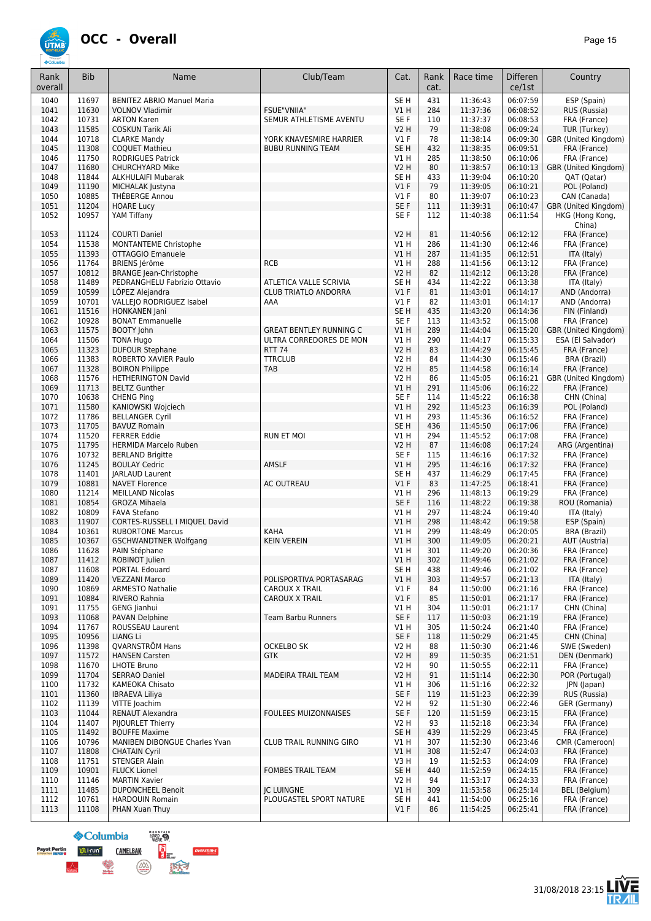

| 1040<br>11697<br>SE <sub>H</sub><br>431<br>06:07:59<br>ESP (Spain)<br><b>BENITEZ ABRIO Manuel Maria</b><br>11:36:43<br>11630<br><b>FSUE"VNIIA"</b><br>284<br>11:37:36<br>06:08:52<br>1041<br><b>VOLNOV Vladimir</b><br>VIH<br>RUS (Russia)<br>10731<br>06:08:53<br>1042<br><b>ARTON Karen</b><br>SEMUR ATHLETISME AVENTU<br>SE F<br>110<br>11:37:37<br>FRA (France)<br>11585<br><b>V2 H</b><br>79<br>06:09:24<br>1043<br><b>COSKUN Tarik Ali</b><br>11:38:08<br>TUR (Turkey)<br>10718<br>78<br>1044<br><b>CLARKE Mandy</b><br>YORK KNAVESMIRE HARRIER<br><b>V1 F</b><br>11:38:14<br>06:09:30<br>11308<br>SE <sub>H</sub><br>432<br>11:38:35<br>06:09:51<br>1045<br><b>COQUET Mathieu</b><br><b>BUBU RUNNING TEAM</b><br>FRA (France)<br>11750<br>V1 H<br>285<br>06:10:06<br>1046<br><b>RODRIGUES Patrick</b><br>11:38:50<br>FRA (France)<br>11680<br><b>V2 H</b><br>80<br>11:38:57<br>06:10:13<br>1047<br><b>CHURCHYARD Mike</b><br>GBR (United Kingdom)<br>11844<br>11:39:04<br>06:10:20<br>1048<br><b>ALKHULAIFI Mubarak</b><br>SE <sub>H</sub><br>433<br>QAT (Qatar)<br>11190<br>V1F<br>79<br>11:39:05<br>06:10:21<br>POL (Poland)<br>1049<br>MICHALAK Justyna<br>10885<br>THÉBERGE Annou<br>V1F<br>80<br>11:39:07<br>06:10:23<br>CAN (Canada)<br>1050<br>1051<br>11204<br>SE <sub>F</sub><br>111<br>11:39:31<br>06:10:47<br><b>HOARE Lucy</b><br>1052<br>10957<br>YAM Tiffany<br>SE F<br>11:40:38<br>06:11:54<br>112<br>China)<br>11124<br><b>V2 H</b><br>06:12:12<br>1053<br><b>COURTI Daniel</b><br>81<br>11:40:56<br>FRA (France)<br>MONTANTEME Christophe<br>286<br>1054<br>11538<br>V1 H<br>11:41:30<br>06:12:46<br>FRA (France)<br>11393<br>VIH<br>287<br>06:12:51<br>1055<br><b>OTTAGGIO Emanuele</b><br>11:41:35<br>ITA (Italy)<br>11764<br><b>RCB</b><br>288<br>1056<br><b>BRIENS Jérôme</b><br>V1 H<br>11:41:56<br>06:13:12<br>FRA (France)<br>10812<br><b>V2 H</b><br>82<br>06:13:28<br>1057<br><b>BRANGE Jean-Christophe</b><br>11:42:12<br>FRA (France)<br>1058<br>11489<br>PEDRANGHELU Fabrizio Ottavio<br><b>ATLETICA VALLE SCRIVIA</b><br>SE <sub>H</sub><br>434<br>11:42:22<br>06:13:38<br>ITA (Italy)<br>10599<br>LÓPEZ Alejandra<br>V1F<br>81<br>11:43:01<br>06:14:17<br>1059<br><b>CLUB TRIATLO ANDORRA</b><br>AND (Andorra)<br>1059<br>10701<br>VALLEJO RODRIGUEZ Isabel<br>AAA<br>$VI$ F<br>82<br>06:14:17<br>AND (Andorra)<br>11:43:01<br>11516<br>HONKANEN Jani<br>SE <sub>H</sub><br>435<br>11:43:20<br>06:14:36<br>1061<br>FIN (Finland)<br>1062<br>10928<br>SE F<br>113<br>11:43:52<br>06:15:08<br><b>BONAT Emmanuelle</b><br>FRA (France)<br>1063<br>11575<br><b>BOOTY John</b><br><b>GREAT BENTLEY RUNNING C</b><br>V1H<br>289<br>06:15:20<br>GBR (United Kingdom)<br>11:44:04<br>11506<br><b>TONA Hugo</b><br>290<br>11:44:17<br>06:15:33<br>ESA (El Salvador)<br>1064<br>ULTRA CORREDORES DE MON<br>V1 H<br>11323<br><b>RTT 74</b><br>1065<br><b>DUFOUR Stephane</b><br>V2 H<br>83<br>11:44:29<br>06:15:45<br>FRA (France)<br>11383<br><b>TTRCLUB</b><br>V2 H<br>84<br>1066<br>ROBERTO XAVIER Paulo<br>11:44:30<br>06:15:46<br><b>BRA (Brazil)</b><br>85<br>1067<br>11328<br><b>BOIRON Philippe</b><br><b>TAB</b><br>V2 H<br>11:44:58<br>06:16:14<br>FRA (France)<br>V2 H<br>86<br>06:16:21<br>1068<br>11576<br><b>HETHERINGTON David</b><br>11:45:05<br>11713<br>VIH<br>291<br>11:45:06<br>06:16:22<br>1069<br><b>BELTZ Gunther</b><br>FRA (France)<br>10638<br>SE F<br>114<br>11:45:22<br>06:16:38<br>1070<br><b>CHENG Ping</b><br>CHN (China)<br>1071<br>11580<br>KANIOWSKI Wojciech<br>VIH<br>292<br>11:45:23<br>06:16:39<br>POL (Poland)<br>11786<br>293<br>11:45:36<br>06:16:52<br>1072<br><b>BELLANGER Cyril</b><br>V1 H<br>FRA (France)<br>1073<br>11705<br>SE <sub>H</sub><br>436<br>11:45:50<br>06:17:06<br><b>BAVUZ Romain</b><br>FRA (France)<br>11520<br><b>FERRER Eddie</b><br>V1 H<br>294<br>11:45:52<br>06:17:08<br>FRA (France)<br>1074<br><b>RUN ET MOI</b><br>1075<br>11795<br><b>V2 H</b><br>87<br>11:46:08<br>06:17:24<br><b>HERMIDA Marcelo Ruben</b><br>10732<br>SE <sub>F</sub><br>06:17:32<br>1076<br><b>BERLAND Brigitte</b><br>115<br>11:46:16<br>FRA (France)<br>11245<br><b>BOULAY Cedric</b><br>AMSLF<br>VIH<br>295<br>06:17:32<br>1076<br>11:46:16<br>FRA (France)<br>1078<br>11401<br><b>JARLAUD Laurent</b><br>SE H<br>437<br>11:46:29<br>06:17:45<br>FRA (France)<br>10881<br><b>AC OUTREAU</b><br>V1F<br>83<br>1079<br><b>NAVET Florence</b><br>11:47:25<br>06:18:41<br>FRA (France)<br>11214<br>296<br>1080<br><b>MEILLAND Nicolas</b><br>V1 H<br>11:48:13<br>06:19:29<br>FRA (France)<br>10854<br>SE F<br>06:19:38<br>1081<br><b>GROZA Mihaela</b><br>116<br>11:48:22<br>ROU (Romania)<br>1082<br>10809<br>V1 H<br>297<br><b>FAVA Stefano</b><br>11:48:24<br>06:19:40<br>ITA (Italy)<br>1083<br>11907<br>V1H<br>298<br>06:19:58<br>ESP (Spain)<br>CORTES-RUSSELL I MIQUEL David<br>11:48:42<br><b>KAHA</b><br>10361<br>299<br>11:48:49<br>06:20:05<br>1084<br><b>RUBORTONE Marcus</b><br>V1 H<br>BRA (Brazil)<br>10367<br><b>KEIN VEREIN</b><br>V1H<br>300<br>06:20:21<br>1085<br><b>GSCHWANDTNER Wolfgang</b><br>11:49:05<br>AUT (Austria)<br>11628<br>06:20:36<br>1086<br>PAIN Stéphane<br>V1 H<br>301<br>11:49:20<br>FRA (France)<br>1087<br>11412<br>ROBINOT Julien<br>V1H<br>302<br>11:49:46<br>06:21:02<br>FRA (France)<br>SE <sub>H</sub><br>06:21:02<br>1087<br>11608<br><b>PORTAL Edouard</b><br>438<br>11:49:46<br>FRA (France)<br>1089<br>06:21:13<br>11420<br><b>VEZZANI Marco</b><br>POLISPORTIVA PORTASARAG<br>V1 H<br>303<br>11:49:57<br>ITA (Italy)<br>1090<br>10869<br><b>ARMESTO Nathalie</b><br>CAROUX X TRAIL<br>$VI$ F<br>84<br>11:50:00<br>06:21:16<br>FRA (France)<br>1091<br>10884<br>RIVERO Rahnia<br>$VI$ F<br>85<br>06:21:17<br>CAROUX X TRAIL<br>11:50:01<br>FRA (France)<br>1091<br>11755<br><b>GENG Jianhui</b><br>V1 H<br>304<br>11:50:01<br>06:21:17<br>CHN (China)<br>SE F<br>1093<br>11068<br>PAVAN Delphine<br>117<br>11:50:03<br>06:21:19<br>FRA (France)<br>Team Barbu Runners<br>06:21:40<br>1094<br>11767<br>ROUSSEAU Laurent<br>V1 H<br>305<br>11:50:24<br>FRA (France)<br>1095<br>10956<br>SE F<br>LIANG Li<br>118<br>11:50:29<br>06:21:45<br>CHN (China)<br>06:21:46<br>1096<br>11398<br>QVARNSTRÖM Hans<br>OCKELBO SK<br>V2 H<br>88<br>11:50:30<br>06:21:51<br>1097<br>11572<br><b>HANSEN Carsten</b><br>V2 H<br>11:50:35<br><b>GTK</b><br>89<br>1098<br>11670<br><b>LHOTE Bruno</b><br>V2 H<br>90<br>11:50:55<br>06:22:11<br>FRA (France)<br>11704<br>11:51:14<br>06:22:30<br>1099<br><b>SERRAO Daniel</b><br><b>MADEIRA TRAIL TEAM</b><br>V2 H<br>91<br>POR (Portugal)<br>06:22:32<br>1100<br>11732<br>KAMEOKA Chisato<br>V1 H<br>306<br>11:51:16<br>JPN (Japan)<br>06:22:39<br>1101<br>11360<br><b>IBRAEVA Liliya</b><br>SE F<br>119<br>11:51:23<br>RUS (Russia)<br>1102<br>11139<br>VITTE Joachim<br>V2 H<br>92<br>11:51:30<br>06:22:46<br>GER (Germany)<br>1103<br>11044<br><b>RENAUT Alexandra</b><br><b>FOULEES MUIZONNAISES</b><br>SE F<br>120<br>11:51:59<br>06:23:15<br>FRA (France)<br>11407<br>93<br>11:52:18<br>06:23:34<br>FRA (France)<br>1104<br>PIJOURLET Thierry<br>V2 H<br>1105<br>11492<br>SE H<br>439<br>11:52:29<br>06:23:45<br><b>BOUFFE Maxime</b><br>FRA (France)<br>1106<br>10796<br>MANIBEN DIBONGUE Charles Yvan<br>CLUB TRAIL RUNNING GIRO<br>V1 H<br>307<br>11:52:30<br>06:23:46<br>VIH<br>1107<br>11808<br><b>CHATAIN Cyril</b><br>308<br>11:52:47<br>06:24:03<br>FRA (France)<br>1108<br>11751<br>V3 H<br>19<br>11:52:53<br>06:24:09<br>FRA (France)<br><b>STENGER Alain</b><br>10901<br>06:24:15<br>1109<br><b>FLUCK Lionel</b><br><b>FOMBES TRAIL TEAM</b><br>SE <sub>H</sub><br>440<br>11:52:59<br>FRA (France)<br>1110<br>11146<br><b>MARTIN Xavier</b><br>V2 H<br>94<br>11:53:17<br>06:24:33<br>FRA (France) | Rank    | <b>Bib</b> | Name                     | Club/Team         | Cat. | Rank<br>cat. | Race time | <b>Differen</b><br>ce/1st | Country              |
|----------------------------------------------------------------------------------------------------------------------------------------------------------------------------------------------------------------------------------------------------------------------------------------------------------------------------------------------------------------------------------------------------------------------------------------------------------------------------------------------------------------------------------------------------------------------------------------------------------------------------------------------------------------------------------------------------------------------------------------------------------------------------------------------------------------------------------------------------------------------------------------------------------------------------------------------------------------------------------------------------------------------------------------------------------------------------------------------------------------------------------------------------------------------------------------------------------------------------------------------------------------------------------------------------------------------------------------------------------------------------------------------------------------------------------------------------------------------------------------------------------------------------------------------------------------------------------------------------------------------------------------------------------------------------------------------------------------------------------------------------------------------------------------------------------------------------------------------------------------------------------------------------------------------------------------------------------------------------------------------------------------------------------------------------------------------------------------------------------------------------------------------------------------------------------------------------------------------------------------------------------------------------------------------------------------------------------------------------------------------------------------------------------------------------------------------------------------------------------------------------------------------------------------------------------------------------------------------------------------------------------------------------------------------------------------------------------------------------------------------------------------------------------------------------------------------------------------------------------------------------------------------------------------------------------------------------------------------------------------------------------------------------------------------------------------------------------------------------------------------------------------------------------------------------------------------------------------------------------------------------------------------------------------------------------------------------------------------------------------------------------------------------------------------------------------------------------------------------------------------------------------------------------------------------------------------------------------------------------------------------------------------------------------------------------------------------------------------------------------------------------------------------------------------------------------------------------------------------------------------------------------------------------------------------------------------------------------------------------------------------------------------------------------------------------------------------------------------------------------------------------------------------------------------------------------------------------------------------------------------------------------------------------------------------------------------------------------------------------------------------------------------------------------------------------------------------------------------------------------------------------------------------------------------------------------------------------------------------------------------------------------------------------------------------------------------------------------------------------------------------------------------------------------------------------------------------------------------------------------------------------------------------------------------------------------------------------------------------------------------------------------------------------------------------------------------------------------------------------------------------------------------------------------------------------------------------------------------------------------------------------------------------------------------------------------------------------------------------------------------------------------------------------------------------------------------------------------------------------------------------------------------------------------------------------------------------------------------------------------------------------------------------------------------------------------------------------------------------------------------------------------------------------------------------------------------------------------------------------------------------------------------------------------------------------------------------------------------------------------------------------------------------------------------------------------------------------------------------------------------------------------------------------------------------------------------------------------------------------------------------------------------------------------------------------------------------------------------------------------------------------------------------------------------------------------------------------------------------------------------------------------------------------------------------------------------------------------------------------------------------------------------------------------------------------------------------------------------------------------------------------------------------------------------------------------------------------------------------------------------------------------------------------------------------------------------------------------------------------------------------------------------------------------------------------------------------------------------------------------------------------------------------------------------------------------------------------------------------------------------------------------------------------------------------------------------------------------------------------------------------------------------------------------------------------------------------------------------------------------------------------------------------------------------------------------------------------------------------------------------------------------------------------------------------------------------------------------------------------------------------------------------|---------|------------|--------------------------|-------------------|------|--------------|-----------|---------------------------|----------------------|
|                                                                                                                                                                                                                                                                                                                                                                                                                                                                                                                                                                                                                                                                                                                                                                                                                                                                                                                                                                                                                                                                                                                                                                                                                                                                                                                                                                                                                                                                                                                                                                                                                                                                                                                                                                                                                                                                                                                                                                                                                                                                                                                                                                                                                                                                                                                                                                                                                                                                                                                                                                                                                                                                                                                                                                                                                                                                                                                                                                                                                                                                                                                                                                                                                                                                                                                                                                                                                                                                                                                                                                                                                                                                                                                                                                                                                                                                                                                                                                                                                                                                                                                                                                                                                                                                                                                                                                                                                                                                                                                                                                                                                                                                                                                                                                                                                                                                                                                                                                                                                                                                                                                                                                                                                                                                                                                                                                                                                                                                                                                                                                                                                                                                                                                                                                                                                                                                                                                                                                                                                                                                                                                                                                                                                                                                                                                                                                                                                                                                                                                                                                                                                                                                                                                                                                                                                                                                                                                                                                                                                                                                                                                                                                                                                                                                                                                                                                                                                                                                                                                                                                                                                                                                                                                                                                      | overall |            |                          |                   |      |              |           |                           |                      |
|                                                                                                                                                                                                                                                                                                                                                                                                                                                                                                                                                                                                                                                                                                                                                                                                                                                                                                                                                                                                                                                                                                                                                                                                                                                                                                                                                                                                                                                                                                                                                                                                                                                                                                                                                                                                                                                                                                                                                                                                                                                                                                                                                                                                                                                                                                                                                                                                                                                                                                                                                                                                                                                                                                                                                                                                                                                                                                                                                                                                                                                                                                                                                                                                                                                                                                                                                                                                                                                                                                                                                                                                                                                                                                                                                                                                                                                                                                                                                                                                                                                                                                                                                                                                                                                                                                                                                                                                                                                                                                                                                                                                                                                                                                                                                                                                                                                                                                                                                                                                                                                                                                                                                                                                                                                                                                                                                                                                                                                                                                                                                                                                                                                                                                                                                                                                                                                                                                                                                                                                                                                                                                                                                                                                                                                                                                                                                                                                                                                                                                                                                                                                                                                                                                                                                                                                                                                                                                                                                                                                                                                                                                                                                                                                                                                                                                                                                                                                                                                                                                                                                                                                                                                                                                                                                                      |         |            |                          |                   |      |              |           |                           |                      |
|                                                                                                                                                                                                                                                                                                                                                                                                                                                                                                                                                                                                                                                                                                                                                                                                                                                                                                                                                                                                                                                                                                                                                                                                                                                                                                                                                                                                                                                                                                                                                                                                                                                                                                                                                                                                                                                                                                                                                                                                                                                                                                                                                                                                                                                                                                                                                                                                                                                                                                                                                                                                                                                                                                                                                                                                                                                                                                                                                                                                                                                                                                                                                                                                                                                                                                                                                                                                                                                                                                                                                                                                                                                                                                                                                                                                                                                                                                                                                                                                                                                                                                                                                                                                                                                                                                                                                                                                                                                                                                                                                                                                                                                                                                                                                                                                                                                                                                                                                                                                                                                                                                                                                                                                                                                                                                                                                                                                                                                                                                                                                                                                                                                                                                                                                                                                                                                                                                                                                                                                                                                                                                                                                                                                                                                                                                                                                                                                                                                                                                                                                                                                                                                                                                                                                                                                                                                                                                                                                                                                                                                                                                                                                                                                                                                                                                                                                                                                                                                                                                                                                                                                                                                                                                                                                                      |         |            |                          |                   |      |              |           |                           |                      |
|                                                                                                                                                                                                                                                                                                                                                                                                                                                                                                                                                                                                                                                                                                                                                                                                                                                                                                                                                                                                                                                                                                                                                                                                                                                                                                                                                                                                                                                                                                                                                                                                                                                                                                                                                                                                                                                                                                                                                                                                                                                                                                                                                                                                                                                                                                                                                                                                                                                                                                                                                                                                                                                                                                                                                                                                                                                                                                                                                                                                                                                                                                                                                                                                                                                                                                                                                                                                                                                                                                                                                                                                                                                                                                                                                                                                                                                                                                                                                                                                                                                                                                                                                                                                                                                                                                                                                                                                                                                                                                                                                                                                                                                                                                                                                                                                                                                                                                                                                                                                                                                                                                                                                                                                                                                                                                                                                                                                                                                                                                                                                                                                                                                                                                                                                                                                                                                                                                                                                                                                                                                                                                                                                                                                                                                                                                                                                                                                                                                                                                                                                                                                                                                                                                                                                                                                                                                                                                                                                                                                                                                                                                                                                                                                                                                                                                                                                                                                                                                                                                                                                                                                                                                                                                                                                                      |         |            |                          |                   |      |              |           |                           |                      |
|                                                                                                                                                                                                                                                                                                                                                                                                                                                                                                                                                                                                                                                                                                                                                                                                                                                                                                                                                                                                                                                                                                                                                                                                                                                                                                                                                                                                                                                                                                                                                                                                                                                                                                                                                                                                                                                                                                                                                                                                                                                                                                                                                                                                                                                                                                                                                                                                                                                                                                                                                                                                                                                                                                                                                                                                                                                                                                                                                                                                                                                                                                                                                                                                                                                                                                                                                                                                                                                                                                                                                                                                                                                                                                                                                                                                                                                                                                                                                                                                                                                                                                                                                                                                                                                                                                                                                                                                                                                                                                                                                                                                                                                                                                                                                                                                                                                                                                                                                                                                                                                                                                                                                                                                                                                                                                                                                                                                                                                                                                                                                                                                                                                                                                                                                                                                                                                                                                                                                                                                                                                                                                                                                                                                                                                                                                                                                                                                                                                                                                                                                                                                                                                                                                                                                                                                                                                                                                                                                                                                                                                                                                                                                                                                                                                                                                                                                                                                                                                                                                                                                                                                                                                                                                                                                                      |         |            |                          |                   |      |              |           |                           | GBR (United Kingdom) |
|                                                                                                                                                                                                                                                                                                                                                                                                                                                                                                                                                                                                                                                                                                                                                                                                                                                                                                                                                                                                                                                                                                                                                                                                                                                                                                                                                                                                                                                                                                                                                                                                                                                                                                                                                                                                                                                                                                                                                                                                                                                                                                                                                                                                                                                                                                                                                                                                                                                                                                                                                                                                                                                                                                                                                                                                                                                                                                                                                                                                                                                                                                                                                                                                                                                                                                                                                                                                                                                                                                                                                                                                                                                                                                                                                                                                                                                                                                                                                                                                                                                                                                                                                                                                                                                                                                                                                                                                                                                                                                                                                                                                                                                                                                                                                                                                                                                                                                                                                                                                                                                                                                                                                                                                                                                                                                                                                                                                                                                                                                                                                                                                                                                                                                                                                                                                                                                                                                                                                                                                                                                                                                                                                                                                                                                                                                                                                                                                                                                                                                                                                                                                                                                                                                                                                                                                                                                                                                                                                                                                                                                                                                                                                                                                                                                                                                                                                                                                                                                                                                                                                                                                                                                                                                                                                                      |         |            |                          |                   |      |              |           |                           |                      |
|                                                                                                                                                                                                                                                                                                                                                                                                                                                                                                                                                                                                                                                                                                                                                                                                                                                                                                                                                                                                                                                                                                                                                                                                                                                                                                                                                                                                                                                                                                                                                                                                                                                                                                                                                                                                                                                                                                                                                                                                                                                                                                                                                                                                                                                                                                                                                                                                                                                                                                                                                                                                                                                                                                                                                                                                                                                                                                                                                                                                                                                                                                                                                                                                                                                                                                                                                                                                                                                                                                                                                                                                                                                                                                                                                                                                                                                                                                                                                                                                                                                                                                                                                                                                                                                                                                                                                                                                                                                                                                                                                                                                                                                                                                                                                                                                                                                                                                                                                                                                                                                                                                                                                                                                                                                                                                                                                                                                                                                                                                                                                                                                                                                                                                                                                                                                                                                                                                                                                                                                                                                                                                                                                                                                                                                                                                                                                                                                                                                                                                                                                                                                                                                                                                                                                                                                                                                                                                                                                                                                                                                                                                                                                                                                                                                                                                                                                                                                                                                                                                                                                                                                                                                                                                                                                                      |         |            |                          |                   |      |              |           |                           |                      |
|                                                                                                                                                                                                                                                                                                                                                                                                                                                                                                                                                                                                                                                                                                                                                                                                                                                                                                                                                                                                                                                                                                                                                                                                                                                                                                                                                                                                                                                                                                                                                                                                                                                                                                                                                                                                                                                                                                                                                                                                                                                                                                                                                                                                                                                                                                                                                                                                                                                                                                                                                                                                                                                                                                                                                                                                                                                                                                                                                                                                                                                                                                                                                                                                                                                                                                                                                                                                                                                                                                                                                                                                                                                                                                                                                                                                                                                                                                                                                                                                                                                                                                                                                                                                                                                                                                                                                                                                                                                                                                                                                                                                                                                                                                                                                                                                                                                                                                                                                                                                                                                                                                                                                                                                                                                                                                                                                                                                                                                                                                                                                                                                                                                                                                                                                                                                                                                                                                                                                                                                                                                                                                                                                                                                                                                                                                                                                                                                                                                                                                                                                                                                                                                                                                                                                                                                                                                                                                                                                                                                                                                                                                                                                                                                                                                                                                                                                                                                                                                                                                                                                                                                                                                                                                                                                                      |         |            |                          |                   |      |              |           |                           |                      |
|                                                                                                                                                                                                                                                                                                                                                                                                                                                                                                                                                                                                                                                                                                                                                                                                                                                                                                                                                                                                                                                                                                                                                                                                                                                                                                                                                                                                                                                                                                                                                                                                                                                                                                                                                                                                                                                                                                                                                                                                                                                                                                                                                                                                                                                                                                                                                                                                                                                                                                                                                                                                                                                                                                                                                                                                                                                                                                                                                                                                                                                                                                                                                                                                                                                                                                                                                                                                                                                                                                                                                                                                                                                                                                                                                                                                                                                                                                                                                                                                                                                                                                                                                                                                                                                                                                                                                                                                                                                                                                                                                                                                                                                                                                                                                                                                                                                                                                                                                                                                                                                                                                                                                                                                                                                                                                                                                                                                                                                                                                                                                                                                                                                                                                                                                                                                                                                                                                                                                                                                                                                                                                                                                                                                                                                                                                                                                                                                                                                                                                                                                                                                                                                                                                                                                                                                                                                                                                                                                                                                                                                                                                                                                                                                                                                                                                                                                                                                                                                                                                                                                                                                                                                                                                                                                                      |         |            |                          |                   |      |              |           |                           |                      |
|                                                                                                                                                                                                                                                                                                                                                                                                                                                                                                                                                                                                                                                                                                                                                                                                                                                                                                                                                                                                                                                                                                                                                                                                                                                                                                                                                                                                                                                                                                                                                                                                                                                                                                                                                                                                                                                                                                                                                                                                                                                                                                                                                                                                                                                                                                                                                                                                                                                                                                                                                                                                                                                                                                                                                                                                                                                                                                                                                                                                                                                                                                                                                                                                                                                                                                                                                                                                                                                                                                                                                                                                                                                                                                                                                                                                                                                                                                                                                                                                                                                                                                                                                                                                                                                                                                                                                                                                                                                                                                                                                                                                                                                                                                                                                                                                                                                                                                                                                                                                                                                                                                                                                                                                                                                                                                                                                                                                                                                                                                                                                                                                                                                                                                                                                                                                                                                                                                                                                                                                                                                                                                                                                                                                                                                                                                                                                                                                                                                                                                                                                                                                                                                                                                                                                                                                                                                                                                                                                                                                                                                                                                                                                                                                                                                                                                                                                                                                                                                                                                                                                                                                                                                                                                                                                                      |         |            |                          |                   |      |              |           |                           |                      |
|                                                                                                                                                                                                                                                                                                                                                                                                                                                                                                                                                                                                                                                                                                                                                                                                                                                                                                                                                                                                                                                                                                                                                                                                                                                                                                                                                                                                                                                                                                                                                                                                                                                                                                                                                                                                                                                                                                                                                                                                                                                                                                                                                                                                                                                                                                                                                                                                                                                                                                                                                                                                                                                                                                                                                                                                                                                                                                                                                                                                                                                                                                                                                                                                                                                                                                                                                                                                                                                                                                                                                                                                                                                                                                                                                                                                                                                                                                                                                                                                                                                                                                                                                                                                                                                                                                                                                                                                                                                                                                                                                                                                                                                                                                                                                                                                                                                                                                                                                                                                                                                                                                                                                                                                                                                                                                                                                                                                                                                                                                                                                                                                                                                                                                                                                                                                                                                                                                                                                                                                                                                                                                                                                                                                                                                                                                                                                                                                                                                                                                                                                                                                                                                                                                                                                                                                                                                                                                                                                                                                                                                                                                                                                                                                                                                                                                                                                                                                                                                                                                                                                                                                                                                                                                                                                                      |         |            |                          |                   |      |              |           |                           | GBR (United Kingdom) |
|                                                                                                                                                                                                                                                                                                                                                                                                                                                                                                                                                                                                                                                                                                                                                                                                                                                                                                                                                                                                                                                                                                                                                                                                                                                                                                                                                                                                                                                                                                                                                                                                                                                                                                                                                                                                                                                                                                                                                                                                                                                                                                                                                                                                                                                                                                                                                                                                                                                                                                                                                                                                                                                                                                                                                                                                                                                                                                                                                                                                                                                                                                                                                                                                                                                                                                                                                                                                                                                                                                                                                                                                                                                                                                                                                                                                                                                                                                                                                                                                                                                                                                                                                                                                                                                                                                                                                                                                                                                                                                                                                                                                                                                                                                                                                                                                                                                                                                                                                                                                                                                                                                                                                                                                                                                                                                                                                                                                                                                                                                                                                                                                                                                                                                                                                                                                                                                                                                                                                                                                                                                                                                                                                                                                                                                                                                                                                                                                                                                                                                                                                                                                                                                                                                                                                                                                                                                                                                                                                                                                                                                                                                                                                                                                                                                                                                                                                                                                                                                                                                                                                                                                                                                                                                                                                                      |         |            |                          |                   |      |              |           |                           | HKG (Hong Kong,      |
|                                                                                                                                                                                                                                                                                                                                                                                                                                                                                                                                                                                                                                                                                                                                                                                                                                                                                                                                                                                                                                                                                                                                                                                                                                                                                                                                                                                                                                                                                                                                                                                                                                                                                                                                                                                                                                                                                                                                                                                                                                                                                                                                                                                                                                                                                                                                                                                                                                                                                                                                                                                                                                                                                                                                                                                                                                                                                                                                                                                                                                                                                                                                                                                                                                                                                                                                                                                                                                                                                                                                                                                                                                                                                                                                                                                                                                                                                                                                                                                                                                                                                                                                                                                                                                                                                                                                                                                                                                                                                                                                                                                                                                                                                                                                                                                                                                                                                                                                                                                                                                                                                                                                                                                                                                                                                                                                                                                                                                                                                                                                                                                                                                                                                                                                                                                                                                                                                                                                                                                                                                                                                                                                                                                                                                                                                                                                                                                                                                                                                                                                                                                                                                                                                                                                                                                                                                                                                                                                                                                                                                                                                                                                                                                                                                                                                                                                                                                                                                                                                                                                                                                                                                                                                                                                                                      |         |            |                          |                   |      |              |           |                           |                      |
|                                                                                                                                                                                                                                                                                                                                                                                                                                                                                                                                                                                                                                                                                                                                                                                                                                                                                                                                                                                                                                                                                                                                                                                                                                                                                                                                                                                                                                                                                                                                                                                                                                                                                                                                                                                                                                                                                                                                                                                                                                                                                                                                                                                                                                                                                                                                                                                                                                                                                                                                                                                                                                                                                                                                                                                                                                                                                                                                                                                                                                                                                                                                                                                                                                                                                                                                                                                                                                                                                                                                                                                                                                                                                                                                                                                                                                                                                                                                                                                                                                                                                                                                                                                                                                                                                                                                                                                                                                                                                                                                                                                                                                                                                                                                                                                                                                                                                                                                                                                                                                                                                                                                                                                                                                                                                                                                                                                                                                                                                                                                                                                                                                                                                                                                                                                                                                                                                                                                                                                                                                                                                                                                                                                                                                                                                                                                                                                                                                                                                                                                                                                                                                                                                                                                                                                                                                                                                                                                                                                                                                                                                                                                                                                                                                                                                                                                                                                                                                                                                                                                                                                                                                                                                                                                                                      |         |            |                          |                   |      |              |           |                           |                      |
|                                                                                                                                                                                                                                                                                                                                                                                                                                                                                                                                                                                                                                                                                                                                                                                                                                                                                                                                                                                                                                                                                                                                                                                                                                                                                                                                                                                                                                                                                                                                                                                                                                                                                                                                                                                                                                                                                                                                                                                                                                                                                                                                                                                                                                                                                                                                                                                                                                                                                                                                                                                                                                                                                                                                                                                                                                                                                                                                                                                                                                                                                                                                                                                                                                                                                                                                                                                                                                                                                                                                                                                                                                                                                                                                                                                                                                                                                                                                                                                                                                                                                                                                                                                                                                                                                                                                                                                                                                                                                                                                                                                                                                                                                                                                                                                                                                                                                                                                                                                                                                                                                                                                                                                                                                                                                                                                                                                                                                                                                                                                                                                                                                                                                                                                                                                                                                                                                                                                                                                                                                                                                                                                                                                                                                                                                                                                                                                                                                                                                                                                                                                                                                                                                                                                                                                                                                                                                                                                                                                                                                                                                                                                                                                                                                                                                                                                                                                                                                                                                                                                                                                                                                                                                                                                                                      |         |            |                          |                   |      |              |           |                           |                      |
|                                                                                                                                                                                                                                                                                                                                                                                                                                                                                                                                                                                                                                                                                                                                                                                                                                                                                                                                                                                                                                                                                                                                                                                                                                                                                                                                                                                                                                                                                                                                                                                                                                                                                                                                                                                                                                                                                                                                                                                                                                                                                                                                                                                                                                                                                                                                                                                                                                                                                                                                                                                                                                                                                                                                                                                                                                                                                                                                                                                                                                                                                                                                                                                                                                                                                                                                                                                                                                                                                                                                                                                                                                                                                                                                                                                                                                                                                                                                                                                                                                                                                                                                                                                                                                                                                                                                                                                                                                                                                                                                                                                                                                                                                                                                                                                                                                                                                                                                                                                                                                                                                                                                                                                                                                                                                                                                                                                                                                                                                                                                                                                                                                                                                                                                                                                                                                                                                                                                                                                                                                                                                                                                                                                                                                                                                                                                                                                                                                                                                                                                                                                                                                                                                                                                                                                                                                                                                                                                                                                                                                                                                                                                                                                                                                                                                                                                                                                                                                                                                                                                                                                                                                                                                                                                                                      |         |            |                          |                   |      |              |           |                           |                      |
|                                                                                                                                                                                                                                                                                                                                                                                                                                                                                                                                                                                                                                                                                                                                                                                                                                                                                                                                                                                                                                                                                                                                                                                                                                                                                                                                                                                                                                                                                                                                                                                                                                                                                                                                                                                                                                                                                                                                                                                                                                                                                                                                                                                                                                                                                                                                                                                                                                                                                                                                                                                                                                                                                                                                                                                                                                                                                                                                                                                                                                                                                                                                                                                                                                                                                                                                                                                                                                                                                                                                                                                                                                                                                                                                                                                                                                                                                                                                                                                                                                                                                                                                                                                                                                                                                                                                                                                                                                                                                                                                                                                                                                                                                                                                                                                                                                                                                                                                                                                                                                                                                                                                                                                                                                                                                                                                                                                                                                                                                                                                                                                                                                                                                                                                                                                                                                                                                                                                                                                                                                                                                                                                                                                                                                                                                                                                                                                                                                                                                                                                                                                                                                                                                                                                                                                                                                                                                                                                                                                                                                                                                                                                                                                                                                                                                                                                                                                                                                                                                                                                                                                                                                                                                                                                                                      |         |            |                          |                   |      |              |           |                           |                      |
|                                                                                                                                                                                                                                                                                                                                                                                                                                                                                                                                                                                                                                                                                                                                                                                                                                                                                                                                                                                                                                                                                                                                                                                                                                                                                                                                                                                                                                                                                                                                                                                                                                                                                                                                                                                                                                                                                                                                                                                                                                                                                                                                                                                                                                                                                                                                                                                                                                                                                                                                                                                                                                                                                                                                                                                                                                                                                                                                                                                                                                                                                                                                                                                                                                                                                                                                                                                                                                                                                                                                                                                                                                                                                                                                                                                                                                                                                                                                                                                                                                                                                                                                                                                                                                                                                                                                                                                                                                                                                                                                                                                                                                                                                                                                                                                                                                                                                                                                                                                                                                                                                                                                                                                                                                                                                                                                                                                                                                                                                                                                                                                                                                                                                                                                                                                                                                                                                                                                                                                                                                                                                                                                                                                                                                                                                                                                                                                                                                                                                                                                                                                                                                                                                                                                                                                                                                                                                                                                                                                                                                                                                                                                                                                                                                                                                                                                                                                                                                                                                                                                                                                                                                                                                                                                                                      |         |            |                          |                   |      |              |           |                           |                      |
|                                                                                                                                                                                                                                                                                                                                                                                                                                                                                                                                                                                                                                                                                                                                                                                                                                                                                                                                                                                                                                                                                                                                                                                                                                                                                                                                                                                                                                                                                                                                                                                                                                                                                                                                                                                                                                                                                                                                                                                                                                                                                                                                                                                                                                                                                                                                                                                                                                                                                                                                                                                                                                                                                                                                                                                                                                                                                                                                                                                                                                                                                                                                                                                                                                                                                                                                                                                                                                                                                                                                                                                                                                                                                                                                                                                                                                                                                                                                                                                                                                                                                                                                                                                                                                                                                                                                                                                                                                                                                                                                                                                                                                                                                                                                                                                                                                                                                                                                                                                                                                                                                                                                                                                                                                                                                                                                                                                                                                                                                                                                                                                                                                                                                                                                                                                                                                                                                                                                                                                                                                                                                                                                                                                                                                                                                                                                                                                                                                                                                                                                                                                                                                                                                                                                                                                                                                                                                                                                                                                                                                                                                                                                                                                                                                                                                                                                                                                                                                                                                                                                                                                                                                                                                                                                                                      |         |            |                          |                   |      |              |           |                           |                      |
|                                                                                                                                                                                                                                                                                                                                                                                                                                                                                                                                                                                                                                                                                                                                                                                                                                                                                                                                                                                                                                                                                                                                                                                                                                                                                                                                                                                                                                                                                                                                                                                                                                                                                                                                                                                                                                                                                                                                                                                                                                                                                                                                                                                                                                                                                                                                                                                                                                                                                                                                                                                                                                                                                                                                                                                                                                                                                                                                                                                                                                                                                                                                                                                                                                                                                                                                                                                                                                                                                                                                                                                                                                                                                                                                                                                                                                                                                                                                                                                                                                                                                                                                                                                                                                                                                                                                                                                                                                                                                                                                                                                                                                                                                                                                                                                                                                                                                                                                                                                                                                                                                                                                                                                                                                                                                                                                                                                                                                                                                                                                                                                                                                                                                                                                                                                                                                                                                                                                                                                                                                                                                                                                                                                                                                                                                                                                                                                                                                                                                                                                                                                                                                                                                                                                                                                                                                                                                                                                                                                                                                                                                                                                                                                                                                                                                                                                                                                                                                                                                                                                                                                                                                                                                                                                                                      |         |            |                          |                   |      |              |           |                           |                      |
|                                                                                                                                                                                                                                                                                                                                                                                                                                                                                                                                                                                                                                                                                                                                                                                                                                                                                                                                                                                                                                                                                                                                                                                                                                                                                                                                                                                                                                                                                                                                                                                                                                                                                                                                                                                                                                                                                                                                                                                                                                                                                                                                                                                                                                                                                                                                                                                                                                                                                                                                                                                                                                                                                                                                                                                                                                                                                                                                                                                                                                                                                                                                                                                                                                                                                                                                                                                                                                                                                                                                                                                                                                                                                                                                                                                                                                                                                                                                                                                                                                                                                                                                                                                                                                                                                                                                                                                                                                                                                                                                                                                                                                                                                                                                                                                                                                                                                                                                                                                                                                                                                                                                                                                                                                                                                                                                                                                                                                                                                                                                                                                                                                                                                                                                                                                                                                                                                                                                                                                                                                                                                                                                                                                                                                                                                                                                                                                                                                                                                                                                                                                                                                                                                                                                                                                                                                                                                                                                                                                                                                                                                                                                                                                                                                                                                                                                                                                                                                                                                                                                                                                                                                                                                                                                                                      |         |            |                          |                   |      |              |           |                           |                      |
|                                                                                                                                                                                                                                                                                                                                                                                                                                                                                                                                                                                                                                                                                                                                                                                                                                                                                                                                                                                                                                                                                                                                                                                                                                                                                                                                                                                                                                                                                                                                                                                                                                                                                                                                                                                                                                                                                                                                                                                                                                                                                                                                                                                                                                                                                                                                                                                                                                                                                                                                                                                                                                                                                                                                                                                                                                                                                                                                                                                                                                                                                                                                                                                                                                                                                                                                                                                                                                                                                                                                                                                                                                                                                                                                                                                                                                                                                                                                                                                                                                                                                                                                                                                                                                                                                                                                                                                                                                                                                                                                                                                                                                                                                                                                                                                                                                                                                                                                                                                                                                                                                                                                                                                                                                                                                                                                                                                                                                                                                                                                                                                                                                                                                                                                                                                                                                                                                                                                                                                                                                                                                                                                                                                                                                                                                                                                                                                                                                                                                                                                                                                                                                                                                                                                                                                                                                                                                                                                                                                                                                                                                                                                                                                                                                                                                                                                                                                                                                                                                                                                                                                                                                                                                                                                                                      |         |            |                          |                   |      |              |           |                           |                      |
|                                                                                                                                                                                                                                                                                                                                                                                                                                                                                                                                                                                                                                                                                                                                                                                                                                                                                                                                                                                                                                                                                                                                                                                                                                                                                                                                                                                                                                                                                                                                                                                                                                                                                                                                                                                                                                                                                                                                                                                                                                                                                                                                                                                                                                                                                                                                                                                                                                                                                                                                                                                                                                                                                                                                                                                                                                                                                                                                                                                                                                                                                                                                                                                                                                                                                                                                                                                                                                                                                                                                                                                                                                                                                                                                                                                                                                                                                                                                                                                                                                                                                                                                                                                                                                                                                                                                                                                                                                                                                                                                                                                                                                                                                                                                                                                                                                                                                                                                                                                                                                                                                                                                                                                                                                                                                                                                                                                                                                                                                                                                                                                                                                                                                                                                                                                                                                                                                                                                                                                                                                                                                                                                                                                                                                                                                                                                                                                                                                                                                                                                                                                                                                                                                                                                                                                                                                                                                                                                                                                                                                                                                                                                                                                                                                                                                                                                                                                                                                                                                                                                                                                                                                                                                                                                                                      |         |            |                          |                   |      |              |           |                           |                      |
|                                                                                                                                                                                                                                                                                                                                                                                                                                                                                                                                                                                                                                                                                                                                                                                                                                                                                                                                                                                                                                                                                                                                                                                                                                                                                                                                                                                                                                                                                                                                                                                                                                                                                                                                                                                                                                                                                                                                                                                                                                                                                                                                                                                                                                                                                                                                                                                                                                                                                                                                                                                                                                                                                                                                                                                                                                                                                                                                                                                                                                                                                                                                                                                                                                                                                                                                                                                                                                                                                                                                                                                                                                                                                                                                                                                                                                                                                                                                                                                                                                                                                                                                                                                                                                                                                                                                                                                                                                                                                                                                                                                                                                                                                                                                                                                                                                                                                                                                                                                                                                                                                                                                                                                                                                                                                                                                                                                                                                                                                                                                                                                                                                                                                                                                                                                                                                                                                                                                                                                                                                                                                                                                                                                                                                                                                                                                                                                                                                                                                                                                                                                                                                                                                                                                                                                                                                                                                                                                                                                                                                                                                                                                                                                                                                                                                                                                                                                                                                                                                                                                                                                                                                                                                                                                                                      |         |            |                          |                   |      |              |           |                           |                      |
|                                                                                                                                                                                                                                                                                                                                                                                                                                                                                                                                                                                                                                                                                                                                                                                                                                                                                                                                                                                                                                                                                                                                                                                                                                                                                                                                                                                                                                                                                                                                                                                                                                                                                                                                                                                                                                                                                                                                                                                                                                                                                                                                                                                                                                                                                                                                                                                                                                                                                                                                                                                                                                                                                                                                                                                                                                                                                                                                                                                                                                                                                                                                                                                                                                                                                                                                                                                                                                                                                                                                                                                                                                                                                                                                                                                                                                                                                                                                                                                                                                                                                                                                                                                                                                                                                                                                                                                                                                                                                                                                                                                                                                                                                                                                                                                                                                                                                                                                                                                                                                                                                                                                                                                                                                                                                                                                                                                                                                                                                                                                                                                                                                                                                                                                                                                                                                                                                                                                                                                                                                                                                                                                                                                                                                                                                                                                                                                                                                                                                                                                                                                                                                                                                                                                                                                                                                                                                                                                                                                                                                                                                                                                                                                                                                                                                                                                                                                                                                                                                                                                                                                                                                                                                                                                                                      |         |            |                          |                   |      |              |           |                           |                      |
|                                                                                                                                                                                                                                                                                                                                                                                                                                                                                                                                                                                                                                                                                                                                                                                                                                                                                                                                                                                                                                                                                                                                                                                                                                                                                                                                                                                                                                                                                                                                                                                                                                                                                                                                                                                                                                                                                                                                                                                                                                                                                                                                                                                                                                                                                                                                                                                                                                                                                                                                                                                                                                                                                                                                                                                                                                                                                                                                                                                                                                                                                                                                                                                                                                                                                                                                                                                                                                                                                                                                                                                                                                                                                                                                                                                                                                                                                                                                                                                                                                                                                                                                                                                                                                                                                                                                                                                                                                                                                                                                                                                                                                                                                                                                                                                                                                                                                                                                                                                                                                                                                                                                                                                                                                                                                                                                                                                                                                                                                                                                                                                                                                                                                                                                                                                                                                                                                                                                                                                                                                                                                                                                                                                                                                                                                                                                                                                                                                                                                                                                                                                                                                                                                                                                                                                                                                                                                                                                                                                                                                                                                                                                                                                                                                                                                                                                                                                                                                                                                                                                                                                                                                                                                                                                                                      |         |            |                          |                   |      |              |           |                           | GBR (United Kingdom) |
|                                                                                                                                                                                                                                                                                                                                                                                                                                                                                                                                                                                                                                                                                                                                                                                                                                                                                                                                                                                                                                                                                                                                                                                                                                                                                                                                                                                                                                                                                                                                                                                                                                                                                                                                                                                                                                                                                                                                                                                                                                                                                                                                                                                                                                                                                                                                                                                                                                                                                                                                                                                                                                                                                                                                                                                                                                                                                                                                                                                                                                                                                                                                                                                                                                                                                                                                                                                                                                                                                                                                                                                                                                                                                                                                                                                                                                                                                                                                                                                                                                                                                                                                                                                                                                                                                                                                                                                                                                                                                                                                                                                                                                                                                                                                                                                                                                                                                                                                                                                                                                                                                                                                                                                                                                                                                                                                                                                                                                                                                                                                                                                                                                                                                                                                                                                                                                                                                                                                                                                                                                                                                                                                                                                                                                                                                                                                                                                                                                                                                                                                                                                                                                                                                                                                                                                                                                                                                                                                                                                                                                                                                                                                                                                                                                                                                                                                                                                                                                                                                                                                                                                                                                                                                                                                                                      |         |            |                          |                   |      |              |           |                           |                      |
|                                                                                                                                                                                                                                                                                                                                                                                                                                                                                                                                                                                                                                                                                                                                                                                                                                                                                                                                                                                                                                                                                                                                                                                                                                                                                                                                                                                                                                                                                                                                                                                                                                                                                                                                                                                                                                                                                                                                                                                                                                                                                                                                                                                                                                                                                                                                                                                                                                                                                                                                                                                                                                                                                                                                                                                                                                                                                                                                                                                                                                                                                                                                                                                                                                                                                                                                                                                                                                                                                                                                                                                                                                                                                                                                                                                                                                                                                                                                                                                                                                                                                                                                                                                                                                                                                                                                                                                                                                                                                                                                                                                                                                                                                                                                                                                                                                                                                                                                                                                                                                                                                                                                                                                                                                                                                                                                                                                                                                                                                                                                                                                                                                                                                                                                                                                                                                                                                                                                                                                                                                                                                                                                                                                                                                                                                                                                                                                                                                                                                                                                                                                                                                                                                                                                                                                                                                                                                                                                                                                                                                                                                                                                                                                                                                                                                                                                                                                                                                                                                                                                                                                                                                                                                                                                                                      |         |            |                          |                   |      |              |           |                           |                      |
|                                                                                                                                                                                                                                                                                                                                                                                                                                                                                                                                                                                                                                                                                                                                                                                                                                                                                                                                                                                                                                                                                                                                                                                                                                                                                                                                                                                                                                                                                                                                                                                                                                                                                                                                                                                                                                                                                                                                                                                                                                                                                                                                                                                                                                                                                                                                                                                                                                                                                                                                                                                                                                                                                                                                                                                                                                                                                                                                                                                                                                                                                                                                                                                                                                                                                                                                                                                                                                                                                                                                                                                                                                                                                                                                                                                                                                                                                                                                                                                                                                                                                                                                                                                                                                                                                                                                                                                                                                                                                                                                                                                                                                                                                                                                                                                                                                                                                                                                                                                                                                                                                                                                                                                                                                                                                                                                                                                                                                                                                                                                                                                                                                                                                                                                                                                                                                                                                                                                                                                                                                                                                                                                                                                                                                                                                                                                                                                                                                                                                                                                                                                                                                                                                                                                                                                                                                                                                                                                                                                                                                                                                                                                                                                                                                                                                                                                                                                                                                                                                                                                                                                                                                                                                                                                                                      |         |            |                          |                   |      |              |           |                           |                      |
|                                                                                                                                                                                                                                                                                                                                                                                                                                                                                                                                                                                                                                                                                                                                                                                                                                                                                                                                                                                                                                                                                                                                                                                                                                                                                                                                                                                                                                                                                                                                                                                                                                                                                                                                                                                                                                                                                                                                                                                                                                                                                                                                                                                                                                                                                                                                                                                                                                                                                                                                                                                                                                                                                                                                                                                                                                                                                                                                                                                                                                                                                                                                                                                                                                                                                                                                                                                                                                                                                                                                                                                                                                                                                                                                                                                                                                                                                                                                                                                                                                                                                                                                                                                                                                                                                                                                                                                                                                                                                                                                                                                                                                                                                                                                                                                                                                                                                                                                                                                                                                                                                                                                                                                                                                                                                                                                                                                                                                                                                                                                                                                                                                                                                                                                                                                                                                                                                                                                                                                                                                                                                                                                                                                                                                                                                                                                                                                                                                                                                                                                                                                                                                                                                                                                                                                                                                                                                                                                                                                                                                                                                                                                                                                                                                                                                                                                                                                                                                                                                                                                                                                                                                                                                                                                                                      |         |            |                          |                   |      |              |           |                           |                      |
|                                                                                                                                                                                                                                                                                                                                                                                                                                                                                                                                                                                                                                                                                                                                                                                                                                                                                                                                                                                                                                                                                                                                                                                                                                                                                                                                                                                                                                                                                                                                                                                                                                                                                                                                                                                                                                                                                                                                                                                                                                                                                                                                                                                                                                                                                                                                                                                                                                                                                                                                                                                                                                                                                                                                                                                                                                                                                                                                                                                                                                                                                                                                                                                                                                                                                                                                                                                                                                                                                                                                                                                                                                                                                                                                                                                                                                                                                                                                                                                                                                                                                                                                                                                                                                                                                                                                                                                                                                                                                                                                                                                                                                                                                                                                                                                                                                                                                                                                                                                                                                                                                                                                                                                                                                                                                                                                                                                                                                                                                                                                                                                                                                                                                                                                                                                                                                                                                                                                                                                                                                                                                                                                                                                                                                                                                                                                                                                                                                                                                                                                                                                                                                                                                                                                                                                                                                                                                                                                                                                                                                                                                                                                                                                                                                                                                                                                                                                                                                                                                                                                                                                                                                                                                                                                                                      |         |            |                          |                   |      |              |           |                           |                      |
|                                                                                                                                                                                                                                                                                                                                                                                                                                                                                                                                                                                                                                                                                                                                                                                                                                                                                                                                                                                                                                                                                                                                                                                                                                                                                                                                                                                                                                                                                                                                                                                                                                                                                                                                                                                                                                                                                                                                                                                                                                                                                                                                                                                                                                                                                                                                                                                                                                                                                                                                                                                                                                                                                                                                                                                                                                                                                                                                                                                                                                                                                                                                                                                                                                                                                                                                                                                                                                                                                                                                                                                                                                                                                                                                                                                                                                                                                                                                                                                                                                                                                                                                                                                                                                                                                                                                                                                                                                                                                                                                                                                                                                                                                                                                                                                                                                                                                                                                                                                                                                                                                                                                                                                                                                                                                                                                                                                                                                                                                                                                                                                                                                                                                                                                                                                                                                                                                                                                                                                                                                                                                                                                                                                                                                                                                                                                                                                                                                                                                                                                                                                                                                                                                                                                                                                                                                                                                                                                                                                                                                                                                                                                                                                                                                                                                                                                                                                                                                                                                                                                                                                                                                                                                                                                                                      |         |            |                          |                   |      |              |           |                           | ARG (Argentina)      |
|                                                                                                                                                                                                                                                                                                                                                                                                                                                                                                                                                                                                                                                                                                                                                                                                                                                                                                                                                                                                                                                                                                                                                                                                                                                                                                                                                                                                                                                                                                                                                                                                                                                                                                                                                                                                                                                                                                                                                                                                                                                                                                                                                                                                                                                                                                                                                                                                                                                                                                                                                                                                                                                                                                                                                                                                                                                                                                                                                                                                                                                                                                                                                                                                                                                                                                                                                                                                                                                                                                                                                                                                                                                                                                                                                                                                                                                                                                                                                                                                                                                                                                                                                                                                                                                                                                                                                                                                                                                                                                                                                                                                                                                                                                                                                                                                                                                                                                                                                                                                                                                                                                                                                                                                                                                                                                                                                                                                                                                                                                                                                                                                                                                                                                                                                                                                                                                                                                                                                                                                                                                                                                                                                                                                                                                                                                                                                                                                                                                                                                                                                                                                                                                                                                                                                                                                                                                                                                                                                                                                                                                                                                                                                                                                                                                                                                                                                                                                                                                                                                                                                                                                                                                                                                                                                                      |         |            |                          |                   |      |              |           |                           |                      |
|                                                                                                                                                                                                                                                                                                                                                                                                                                                                                                                                                                                                                                                                                                                                                                                                                                                                                                                                                                                                                                                                                                                                                                                                                                                                                                                                                                                                                                                                                                                                                                                                                                                                                                                                                                                                                                                                                                                                                                                                                                                                                                                                                                                                                                                                                                                                                                                                                                                                                                                                                                                                                                                                                                                                                                                                                                                                                                                                                                                                                                                                                                                                                                                                                                                                                                                                                                                                                                                                                                                                                                                                                                                                                                                                                                                                                                                                                                                                                                                                                                                                                                                                                                                                                                                                                                                                                                                                                                                                                                                                                                                                                                                                                                                                                                                                                                                                                                                                                                                                                                                                                                                                                                                                                                                                                                                                                                                                                                                                                                                                                                                                                                                                                                                                                                                                                                                                                                                                                                                                                                                                                                                                                                                                                                                                                                                                                                                                                                                                                                                                                                                                                                                                                                                                                                                                                                                                                                                                                                                                                                                                                                                                                                                                                                                                                                                                                                                                                                                                                                                                                                                                                                                                                                                                                                      |         |            |                          |                   |      |              |           |                           |                      |
|                                                                                                                                                                                                                                                                                                                                                                                                                                                                                                                                                                                                                                                                                                                                                                                                                                                                                                                                                                                                                                                                                                                                                                                                                                                                                                                                                                                                                                                                                                                                                                                                                                                                                                                                                                                                                                                                                                                                                                                                                                                                                                                                                                                                                                                                                                                                                                                                                                                                                                                                                                                                                                                                                                                                                                                                                                                                                                                                                                                                                                                                                                                                                                                                                                                                                                                                                                                                                                                                                                                                                                                                                                                                                                                                                                                                                                                                                                                                                                                                                                                                                                                                                                                                                                                                                                                                                                                                                                                                                                                                                                                                                                                                                                                                                                                                                                                                                                                                                                                                                                                                                                                                                                                                                                                                                                                                                                                                                                                                                                                                                                                                                                                                                                                                                                                                                                                                                                                                                                                                                                                                                                                                                                                                                                                                                                                                                                                                                                                                                                                                                                                                                                                                                                                                                                                                                                                                                                                                                                                                                                                                                                                                                                                                                                                                                                                                                                                                                                                                                                                                                                                                                                                                                                                                                                      |         |            |                          |                   |      |              |           |                           |                      |
|                                                                                                                                                                                                                                                                                                                                                                                                                                                                                                                                                                                                                                                                                                                                                                                                                                                                                                                                                                                                                                                                                                                                                                                                                                                                                                                                                                                                                                                                                                                                                                                                                                                                                                                                                                                                                                                                                                                                                                                                                                                                                                                                                                                                                                                                                                                                                                                                                                                                                                                                                                                                                                                                                                                                                                                                                                                                                                                                                                                                                                                                                                                                                                                                                                                                                                                                                                                                                                                                                                                                                                                                                                                                                                                                                                                                                                                                                                                                                                                                                                                                                                                                                                                                                                                                                                                                                                                                                                                                                                                                                                                                                                                                                                                                                                                                                                                                                                                                                                                                                                                                                                                                                                                                                                                                                                                                                                                                                                                                                                                                                                                                                                                                                                                                                                                                                                                                                                                                                                                                                                                                                                                                                                                                                                                                                                                                                                                                                                                                                                                                                                                                                                                                                                                                                                                                                                                                                                                                                                                                                                                                                                                                                                                                                                                                                                                                                                                                                                                                                                                                                                                                                                                                                                                                                                      |         |            |                          |                   |      |              |           |                           |                      |
|                                                                                                                                                                                                                                                                                                                                                                                                                                                                                                                                                                                                                                                                                                                                                                                                                                                                                                                                                                                                                                                                                                                                                                                                                                                                                                                                                                                                                                                                                                                                                                                                                                                                                                                                                                                                                                                                                                                                                                                                                                                                                                                                                                                                                                                                                                                                                                                                                                                                                                                                                                                                                                                                                                                                                                                                                                                                                                                                                                                                                                                                                                                                                                                                                                                                                                                                                                                                                                                                                                                                                                                                                                                                                                                                                                                                                                                                                                                                                                                                                                                                                                                                                                                                                                                                                                                                                                                                                                                                                                                                                                                                                                                                                                                                                                                                                                                                                                                                                                                                                                                                                                                                                                                                                                                                                                                                                                                                                                                                                                                                                                                                                                                                                                                                                                                                                                                                                                                                                                                                                                                                                                                                                                                                                                                                                                                                                                                                                                                                                                                                                                                                                                                                                                                                                                                                                                                                                                                                                                                                                                                                                                                                                                                                                                                                                                                                                                                                                                                                                                                                                                                                                                                                                                                                                                      |         |            |                          |                   |      |              |           |                           |                      |
|                                                                                                                                                                                                                                                                                                                                                                                                                                                                                                                                                                                                                                                                                                                                                                                                                                                                                                                                                                                                                                                                                                                                                                                                                                                                                                                                                                                                                                                                                                                                                                                                                                                                                                                                                                                                                                                                                                                                                                                                                                                                                                                                                                                                                                                                                                                                                                                                                                                                                                                                                                                                                                                                                                                                                                                                                                                                                                                                                                                                                                                                                                                                                                                                                                                                                                                                                                                                                                                                                                                                                                                                                                                                                                                                                                                                                                                                                                                                                                                                                                                                                                                                                                                                                                                                                                                                                                                                                                                                                                                                                                                                                                                                                                                                                                                                                                                                                                                                                                                                                                                                                                                                                                                                                                                                                                                                                                                                                                                                                                                                                                                                                                                                                                                                                                                                                                                                                                                                                                                                                                                                                                                                                                                                                                                                                                                                                                                                                                                                                                                                                                                                                                                                                                                                                                                                                                                                                                                                                                                                                                                                                                                                                                                                                                                                                                                                                                                                                                                                                                                                                                                                                                                                                                                                                                      |         |            |                          |                   |      |              |           |                           |                      |
|                                                                                                                                                                                                                                                                                                                                                                                                                                                                                                                                                                                                                                                                                                                                                                                                                                                                                                                                                                                                                                                                                                                                                                                                                                                                                                                                                                                                                                                                                                                                                                                                                                                                                                                                                                                                                                                                                                                                                                                                                                                                                                                                                                                                                                                                                                                                                                                                                                                                                                                                                                                                                                                                                                                                                                                                                                                                                                                                                                                                                                                                                                                                                                                                                                                                                                                                                                                                                                                                                                                                                                                                                                                                                                                                                                                                                                                                                                                                                                                                                                                                                                                                                                                                                                                                                                                                                                                                                                                                                                                                                                                                                                                                                                                                                                                                                                                                                                                                                                                                                                                                                                                                                                                                                                                                                                                                                                                                                                                                                                                                                                                                                                                                                                                                                                                                                                                                                                                                                                                                                                                                                                                                                                                                                                                                                                                                                                                                                                                                                                                                                                                                                                                                                                                                                                                                                                                                                                                                                                                                                                                                                                                                                                                                                                                                                                                                                                                                                                                                                                                                                                                                                                                                                                                                                                      |         |            |                          |                   |      |              |           |                           |                      |
|                                                                                                                                                                                                                                                                                                                                                                                                                                                                                                                                                                                                                                                                                                                                                                                                                                                                                                                                                                                                                                                                                                                                                                                                                                                                                                                                                                                                                                                                                                                                                                                                                                                                                                                                                                                                                                                                                                                                                                                                                                                                                                                                                                                                                                                                                                                                                                                                                                                                                                                                                                                                                                                                                                                                                                                                                                                                                                                                                                                                                                                                                                                                                                                                                                                                                                                                                                                                                                                                                                                                                                                                                                                                                                                                                                                                                                                                                                                                                                                                                                                                                                                                                                                                                                                                                                                                                                                                                                                                                                                                                                                                                                                                                                                                                                                                                                                                                                                                                                                                                                                                                                                                                                                                                                                                                                                                                                                                                                                                                                                                                                                                                                                                                                                                                                                                                                                                                                                                                                                                                                                                                                                                                                                                                                                                                                                                                                                                                                                                                                                                                                                                                                                                                                                                                                                                                                                                                                                                                                                                                                                                                                                                                                                                                                                                                                                                                                                                                                                                                                                                                                                                                                                                                                                                                                      |         |            |                          |                   |      |              |           |                           |                      |
|                                                                                                                                                                                                                                                                                                                                                                                                                                                                                                                                                                                                                                                                                                                                                                                                                                                                                                                                                                                                                                                                                                                                                                                                                                                                                                                                                                                                                                                                                                                                                                                                                                                                                                                                                                                                                                                                                                                                                                                                                                                                                                                                                                                                                                                                                                                                                                                                                                                                                                                                                                                                                                                                                                                                                                                                                                                                                                                                                                                                                                                                                                                                                                                                                                                                                                                                                                                                                                                                                                                                                                                                                                                                                                                                                                                                                                                                                                                                                                                                                                                                                                                                                                                                                                                                                                                                                                                                                                                                                                                                                                                                                                                                                                                                                                                                                                                                                                                                                                                                                                                                                                                                                                                                                                                                                                                                                                                                                                                                                                                                                                                                                                                                                                                                                                                                                                                                                                                                                                                                                                                                                                                                                                                                                                                                                                                                                                                                                                                                                                                                                                                                                                                                                                                                                                                                                                                                                                                                                                                                                                                                                                                                                                                                                                                                                                                                                                                                                                                                                                                                                                                                                                                                                                                                                                      |         |            |                          |                   |      |              |           |                           |                      |
|                                                                                                                                                                                                                                                                                                                                                                                                                                                                                                                                                                                                                                                                                                                                                                                                                                                                                                                                                                                                                                                                                                                                                                                                                                                                                                                                                                                                                                                                                                                                                                                                                                                                                                                                                                                                                                                                                                                                                                                                                                                                                                                                                                                                                                                                                                                                                                                                                                                                                                                                                                                                                                                                                                                                                                                                                                                                                                                                                                                                                                                                                                                                                                                                                                                                                                                                                                                                                                                                                                                                                                                                                                                                                                                                                                                                                                                                                                                                                                                                                                                                                                                                                                                                                                                                                                                                                                                                                                                                                                                                                                                                                                                                                                                                                                                                                                                                                                                                                                                                                                                                                                                                                                                                                                                                                                                                                                                                                                                                                                                                                                                                                                                                                                                                                                                                                                                                                                                                                                                                                                                                                                                                                                                                                                                                                                                                                                                                                                                                                                                                                                                                                                                                                                                                                                                                                                                                                                                                                                                                                                                                                                                                                                                                                                                                                                                                                                                                                                                                                                                                                                                                                                                                                                                                                                      |         |            |                          |                   |      |              |           |                           |                      |
|                                                                                                                                                                                                                                                                                                                                                                                                                                                                                                                                                                                                                                                                                                                                                                                                                                                                                                                                                                                                                                                                                                                                                                                                                                                                                                                                                                                                                                                                                                                                                                                                                                                                                                                                                                                                                                                                                                                                                                                                                                                                                                                                                                                                                                                                                                                                                                                                                                                                                                                                                                                                                                                                                                                                                                                                                                                                                                                                                                                                                                                                                                                                                                                                                                                                                                                                                                                                                                                                                                                                                                                                                                                                                                                                                                                                                                                                                                                                                                                                                                                                                                                                                                                                                                                                                                                                                                                                                                                                                                                                                                                                                                                                                                                                                                                                                                                                                                                                                                                                                                                                                                                                                                                                                                                                                                                                                                                                                                                                                                                                                                                                                                                                                                                                                                                                                                                                                                                                                                                                                                                                                                                                                                                                                                                                                                                                                                                                                                                                                                                                                                                                                                                                                                                                                                                                                                                                                                                                                                                                                                                                                                                                                                                                                                                                                                                                                                                                                                                                                                                                                                                                                                                                                                                                                                      |         |            |                          |                   |      |              |           |                           |                      |
|                                                                                                                                                                                                                                                                                                                                                                                                                                                                                                                                                                                                                                                                                                                                                                                                                                                                                                                                                                                                                                                                                                                                                                                                                                                                                                                                                                                                                                                                                                                                                                                                                                                                                                                                                                                                                                                                                                                                                                                                                                                                                                                                                                                                                                                                                                                                                                                                                                                                                                                                                                                                                                                                                                                                                                                                                                                                                                                                                                                                                                                                                                                                                                                                                                                                                                                                                                                                                                                                                                                                                                                                                                                                                                                                                                                                                                                                                                                                                                                                                                                                                                                                                                                                                                                                                                                                                                                                                                                                                                                                                                                                                                                                                                                                                                                                                                                                                                                                                                                                                                                                                                                                                                                                                                                                                                                                                                                                                                                                                                                                                                                                                                                                                                                                                                                                                                                                                                                                                                                                                                                                                                                                                                                                                                                                                                                                                                                                                                                                                                                                                                                                                                                                                                                                                                                                                                                                                                                                                                                                                                                                                                                                                                                                                                                                                                                                                                                                                                                                                                                                                                                                                                                                                                                                                                      |         |            |                          |                   |      |              |           |                           |                      |
|                                                                                                                                                                                                                                                                                                                                                                                                                                                                                                                                                                                                                                                                                                                                                                                                                                                                                                                                                                                                                                                                                                                                                                                                                                                                                                                                                                                                                                                                                                                                                                                                                                                                                                                                                                                                                                                                                                                                                                                                                                                                                                                                                                                                                                                                                                                                                                                                                                                                                                                                                                                                                                                                                                                                                                                                                                                                                                                                                                                                                                                                                                                                                                                                                                                                                                                                                                                                                                                                                                                                                                                                                                                                                                                                                                                                                                                                                                                                                                                                                                                                                                                                                                                                                                                                                                                                                                                                                                                                                                                                                                                                                                                                                                                                                                                                                                                                                                                                                                                                                                                                                                                                                                                                                                                                                                                                                                                                                                                                                                                                                                                                                                                                                                                                                                                                                                                                                                                                                                                                                                                                                                                                                                                                                                                                                                                                                                                                                                                                                                                                                                                                                                                                                                                                                                                                                                                                                                                                                                                                                                                                                                                                                                                                                                                                                                                                                                                                                                                                                                                                                                                                                                                                                                                                                                      |         |            |                          |                   |      |              |           |                           |                      |
|                                                                                                                                                                                                                                                                                                                                                                                                                                                                                                                                                                                                                                                                                                                                                                                                                                                                                                                                                                                                                                                                                                                                                                                                                                                                                                                                                                                                                                                                                                                                                                                                                                                                                                                                                                                                                                                                                                                                                                                                                                                                                                                                                                                                                                                                                                                                                                                                                                                                                                                                                                                                                                                                                                                                                                                                                                                                                                                                                                                                                                                                                                                                                                                                                                                                                                                                                                                                                                                                                                                                                                                                                                                                                                                                                                                                                                                                                                                                                                                                                                                                                                                                                                                                                                                                                                                                                                                                                                                                                                                                                                                                                                                                                                                                                                                                                                                                                                                                                                                                                                                                                                                                                                                                                                                                                                                                                                                                                                                                                                                                                                                                                                                                                                                                                                                                                                                                                                                                                                                                                                                                                                                                                                                                                                                                                                                                                                                                                                                                                                                                                                                                                                                                                                                                                                                                                                                                                                                                                                                                                                                                                                                                                                                                                                                                                                                                                                                                                                                                                                                                                                                                                                                                                                                                                                      |         |            |                          |                   |      |              |           |                           |                      |
|                                                                                                                                                                                                                                                                                                                                                                                                                                                                                                                                                                                                                                                                                                                                                                                                                                                                                                                                                                                                                                                                                                                                                                                                                                                                                                                                                                                                                                                                                                                                                                                                                                                                                                                                                                                                                                                                                                                                                                                                                                                                                                                                                                                                                                                                                                                                                                                                                                                                                                                                                                                                                                                                                                                                                                                                                                                                                                                                                                                                                                                                                                                                                                                                                                                                                                                                                                                                                                                                                                                                                                                                                                                                                                                                                                                                                                                                                                                                                                                                                                                                                                                                                                                                                                                                                                                                                                                                                                                                                                                                                                                                                                                                                                                                                                                                                                                                                                                                                                                                                                                                                                                                                                                                                                                                                                                                                                                                                                                                                                                                                                                                                                                                                                                                                                                                                                                                                                                                                                                                                                                                                                                                                                                                                                                                                                                                                                                                                                                                                                                                                                                                                                                                                                                                                                                                                                                                                                                                                                                                                                                                                                                                                                                                                                                                                                                                                                                                                                                                                                                                                                                                                                                                                                                                                                      |         |            |                          |                   |      |              |           |                           |                      |
|                                                                                                                                                                                                                                                                                                                                                                                                                                                                                                                                                                                                                                                                                                                                                                                                                                                                                                                                                                                                                                                                                                                                                                                                                                                                                                                                                                                                                                                                                                                                                                                                                                                                                                                                                                                                                                                                                                                                                                                                                                                                                                                                                                                                                                                                                                                                                                                                                                                                                                                                                                                                                                                                                                                                                                                                                                                                                                                                                                                                                                                                                                                                                                                                                                                                                                                                                                                                                                                                                                                                                                                                                                                                                                                                                                                                                                                                                                                                                                                                                                                                                                                                                                                                                                                                                                                                                                                                                                                                                                                                                                                                                                                                                                                                                                                                                                                                                                                                                                                                                                                                                                                                                                                                                                                                                                                                                                                                                                                                                                                                                                                                                                                                                                                                                                                                                                                                                                                                                                                                                                                                                                                                                                                                                                                                                                                                                                                                                                                                                                                                                                                                                                                                                                                                                                                                                                                                                                                                                                                                                                                                                                                                                                                                                                                                                                                                                                                                                                                                                                                                                                                                                                                                                                                                                                      |         |            |                          |                   |      |              |           |                           |                      |
|                                                                                                                                                                                                                                                                                                                                                                                                                                                                                                                                                                                                                                                                                                                                                                                                                                                                                                                                                                                                                                                                                                                                                                                                                                                                                                                                                                                                                                                                                                                                                                                                                                                                                                                                                                                                                                                                                                                                                                                                                                                                                                                                                                                                                                                                                                                                                                                                                                                                                                                                                                                                                                                                                                                                                                                                                                                                                                                                                                                                                                                                                                                                                                                                                                                                                                                                                                                                                                                                                                                                                                                                                                                                                                                                                                                                                                                                                                                                                                                                                                                                                                                                                                                                                                                                                                                                                                                                                                                                                                                                                                                                                                                                                                                                                                                                                                                                                                                                                                                                                                                                                                                                                                                                                                                                                                                                                                                                                                                                                                                                                                                                                                                                                                                                                                                                                                                                                                                                                                                                                                                                                                                                                                                                                                                                                                                                                                                                                                                                                                                                                                                                                                                                                                                                                                                                                                                                                                                                                                                                                                                                                                                                                                                                                                                                                                                                                                                                                                                                                                                                                                                                                                                                                                                                                                      |         |            |                          |                   |      |              |           |                           |                      |
|                                                                                                                                                                                                                                                                                                                                                                                                                                                                                                                                                                                                                                                                                                                                                                                                                                                                                                                                                                                                                                                                                                                                                                                                                                                                                                                                                                                                                                                                                                                                                                                                                                                                                                                                                                                                                                                                                                                                                                                                                                                                                                                                                                                                                                                                                                                                                                                                                                                                                                                                                                                                                                                                                                                                                                                                                                                                                                                                                                                                                                                                                                                                                                                                                                                                                                                                                                                                                                                                                                                                                                                                                                                                                                                                                                                                                                                                                                                                                                                                                                                                                                                                                                                                                                                                                                                                                                                                                                                                                                                                                                                                                                                                                                                                                                                                                                                                                                                                                                                                                                                                                                                                                                                                                                                                                                                                                                                                                                                                                                                                                                                                                                                                                                                                                                                                                                                                                                                                                                                                                                                                                                                                                                                                                                                                                                                                                                                                                                                                                                                                                                                                                                                                                                                                                                                                                                                                                                                                                                                                                                                                                                                                                                                                                                                                                                                                                                                                                                                                                                                                                                                                                                                                                                                                                                      |         |            |                          |                   |      |              |           |                           | SWE (Sweden)         |
|                                                                                                                                                                                                                                                                                                                                                                                                                                                                                                                                                                                                                                                                                                                                                                                                                                                                                                                                                                                                                                                                                                                                                                                                                                                                                                                                                                                                                                                                                                                                                                                                                                                                                                                                                                                                                                                                                                                                                                                                                                                                                                                                                                                                                                                                                                                                                                                                                                                                                                                                                                                                                                                                                                                                                                                                                                                                                                                                                                                                                                                                                                                                                                                                                                                                                                                                                                                                                                                                                                                                                                                                                                                                                                                                                                                                                                                                                                                                                                                                                                                                                                                                                                                                                                                                                                                                                                                                                                                                                                                                                                                                                                                                                                                                                                                                                                                                                                                                                                                                                                                                                                                                                                                                                                                                                                                                                                                                                                                                                                                                                                                                                                                                                                                                                                                                                                                                                                                                                                                                                                                                                                                                                                                                                                                                                                                                                                                                                                                                                                                                                                                                                                                                                                                                                                                                                                                                                                                                                                                                                                                                                                                                                                                                                                                                                                                                                                                                                                                                                                                                                                                                                                                                                                                                                                      |         |            |                          |                   |      |              |           |                           | DEN (Denmark)        |
|                                                                                                                                                                                                                                                                                                                                                                                                                                                                                                                                                                                                                                                                                                                                                                                                                                                                                                                                                                                                                                                                                                                                                                                                                                                                                                                                                                                                                                                                                                                                                                                                                                                                                                                                                                                                                                                                                                                                                                                                                                                                                                                                                                                                                                                                                                                                                                                                                                                                                                                                                                                                                                                                                                                                                                                                                                                                                                                                                                                                                                                                                                                                                                                                                                                                                                                                                                                                                                                                                                                                                                                                                                                                                                                                                                                                                                                                                                                                                                                                                                                                                                                                                                                                                                                                                                                                                                                                                                                                                                                                                                                                                                                                                                                                                                                                                                                                                                                                                                                                                                                                                                                                                                                                                                                                                                                                                                                                                                                                                                                                                                                                                                                                                                                                                                                                                                                                                                                                                                                                                                                                                                                                                                                                                                                                                                                                                                                                                                                                                                                                                                                                                                                                                                                                                                                                                                                                                                                                                                                                                                                                                                                                                                                                                                                                                                                                                                                                                                                                                                                                                                                                                                                                                                                                                                      |         |            |                          |                   |      |              |           |                           |                      |
|                                                                                                                                                                                                                                                                                                                                                                                                                                                                                                                                                                                                                                                                                                                                                                                                                                                                                                                                                                                                                                                                                                                                                                                                                                                                                                                                                                                                                                                                                                                                                                                                                                                                                                                                                                                                                                                                                                                                                                                                                                                                                                                                                                                                                                                                                                                                                                                                                                                                                                                                                                                                                                                                                                                                                                                                                                                                                                                                                                                                                                                                                                                                                                                                                                                                                                                                                                                                                                                                                                                                                                                                                                                                                                                                                                                                                                                                                                                                                                                                                                                                                                                                                                                                                                                                                                                                                                                                                                                                                                                                                                                                                                                                                                                                                                                                                                                                                                                                                                                                                                                                                                                                                                                                                                                                                                                                                                                                                                                                                                                                                                                                                                                                                                                                                                                                                                                                                                                                                                                                                                                                                                                                                                                                                                                                                                                                                                                                                                                                                                                                                                                                                                                                                                                                                                                                                                                                                                                                                                                                                                                                                                                                                                                                                                                                                                                                                                                                                                                                                                                                                                                                                                                                                                                                                                      |         |            |                          |                   |      |              |           |                           |                      |
|                                                                                                                                                                                                                                                                                                                                                                                                                                                                                                                                                                                                                                                                                                                                                                                                                                                                                                                                                                                                                                                                                                                                                                                                                                                                                                                                                                                                                                                                                                                                                                                                                                                                                                                                                                                                                                                                                                                                                                                                                                                                                                                                                                                                                                                                                                                                                                                                                                                                                                                                                                                                                                                                                                                                                                                                                                                                                                                                                                                                                                                                                                                                                                                                                                                                                                                                                                                                                                                                                                                                                                                                                                                                                                                                                                                                                                                                                                                                                                                                                                                                                                                                                                                                                                                                                                                                                                                                                                                                                                                                                                                                                                                                                                                                                                                                                                                                                                                                                                                                                                                                                                                                                                                                                                                                                                                                                                                                                                                                                                                                                                                                                                                                                                                                                                                                                                                                                                                                                                                                                                                                                                                                                                                                                                                                                                                                                                                                                                                                                                                                                                                                                                                                                                                                                                                                                                                                                                                                                                                                                                                                                                                                                                                                                                                                                                                                                                                                                                                                                                                                                                                                                                                                                                                                                                      |         |            |                          |                   |      |              |           |                           |                      |
|                                                                                                                                                                                                                                                                                                                                                                                                                                                                                                                                                                                                                                                                                                                                                                                                                                                                                                                                                                                                                                                                                                                                                                                                                                                                                                                                                                                                                                                                                                                                                                                                                                                                                                                                                                                                                                                                                                                                                                                                                                                                                                                                                                                                                                                                                                                                                                                                                                                                                                                                                                                                                                                                                                                                                                                                                                                                                                                                                                                                                                                                                                                                                                                                                                                                                                                                                                                                                                                                                                                                                                                                                                                                                                                                                                                                                                                                                                                                                                                                                                                                                                                                                                                                                                                                                                                                                                                                                                                                                                                                                                                                                                                                                                                                                                                                                                                                                                                                                                                                                                                                                                                                                                                                                                                                                                                                                                                                                                                                                                                                                                                                                                                                                                                                                                                                                                                                                                                                                                                                                                                                                                                                                                                                                                                                                                                                                                                                                                                                                                                                                                                                                                                                                                                                                                                                                                                                                                                                                                                                                                                                                                                                                                                                                                                                                                                                                                                                                                                                                                                                                                                                                                                                                                                                                                      |         |            |                          |                   |      |              |           |                           |                      |
|                                                                                                                                                                                                                                                                                                                                                                                                                                                                                                                                                                                                                                                                                                                                                                                                                                                                                                                                                                                                                                                                                                                                                                                                                                                                                                                                                                                                                                                                                                                                                                                                                                                                                                                                                                                                                                                                                                                                                                                                                                                                                                                                                                                                                                                                                                                                                                                                                                                                                                                                                                                                                                                                                                                                                                                                                                                                                                                                                                                                                                                                                                                                                                                                                                                                                                                                                                                                                                                                                                                                                                                                                                                                                                                                                                                                                                                                                                                                                                                                                                                                                                                                                                                                                                                                                                                                                                                                                                                                                                                                                                                                                                                                                                                                                                                                                                                                                                                                                                                                                                                                                                                                                                                                                                                                                                                                                                                                                                                                                                                                                                                                                                                                                                                                                                                                                                                                                                                                                                                                                                                                                                                                                                                                                                                                                                                                                                                                                                                                                                                                                                                                                                                                                                                                                                                                                                                                                                                                                                                                                                                                                                                                                                                                                                                                                                                                                                                                                                                                                                                                                                                                                                                                                                                                                                      |         |            |                          |                   |      |              |           |                           |                      |
|                                                                                                                                                                                                                                                                                                                                                                                                                                                                                                                                                                                                                                                                                                                                                                                                                                                                                                                                                                                                                                                                                                                                                                                                                                                                                                                                                                                                                                                                                                                                                                                                                                                                                                                                                                                                                                                                                                                                                                                                                                                                                                                                                                                                                                                                                                                                                                                                                                                                                                                                                                                                                                                                                                                                                                                                                                                                                                                                                                                                                                                                                                                                                                                                                                                                                                                                                                                                                                                                                                                                                                                                                                                                                                                                                                                                                                                                                                                                                                                                                                                                                                                                                                                                                                                                                                                                                                                                                                                                                                                                                                                                                                                                                                                                                                                                                                                                                                                                                                                                                                                                                                                                                                                                                                                                                                                                                                                                                                                                                                                                                                                                                                                                                                                                                                                                                                                                                                                                                                                                                                                                                                                                                                                                                                                                                                                                                                                                                                                                                                                                                                                                                                                                                                                                                                                                                                                                                                                                                                                                                                                                                                                                                                                                                                                                                                                                                                                                                                                                                                                                                                                                                                                                                                                                                                      |         |            |                          |                   |      |              |           |                           |                      |
|                                                                                                                                                                                                                                                                                                                                                                                                                                                                                                                                                                                                                                                                                                                                                                                                                                                                                                                                                                                                                                                                                                                                                                                                                                                                                                                                                                                                                                                                                                                                                                                                                                                                                                                                                                                                                                                                                                                                                                                                                                                                                                                                                                                                                                                                                                                                                                                                                                                                                                                                                                                                                                                                                                                                                                                                                                                                                                                                                                                                                                                                                                                                                                                                                                                                                                                                                                                                                                                                                                                                                                                                                                                                                                                                                                                                                                                                                                                                                                                                                                                                                                                                                                                                                                                                                                                                                                                                                                                                                                                                                                                                                                                                                                                                                                                                                                                                                                                                                                                                                                                                                                                                                                                                                                                                                                                                                                                                                                                                                                                                                                                                                                                                                                                                                                                                                                                                                                                                                                                                                                                                                                                                                                                                                                                                                                                                                                                                                                                                                                                                                                                                                                                                                                                                                                                                                                                                                                                                                                                                                                                                                                                                                                                                                                                                                                                                                                                                                                                                                                                                                                                                                                                                                                                                                                      |         |            |                          |                   |      |              |           |                           |                      |
|                                                                                                                                                                                                                                                                                                                                                                                                                                                                                                                                                                                                                                                                                                                                                                                                                                                                                                                                                                                                                                                                                                                                                                                                                                                                                                                                                                                                                                                                                                                                                                                                                                                                                                                                                                                                                                                                                                                                                                                                                                                                                                                                                                                                                                                                                                                                                                                                                                                                                                                                                                                                                                                                                                                                                                                                                                                                                                                                                                                                                                                                                                                                                                                                                                                                                                                                                                                                                                                                                                                                                                                                                                                                                                                                                                                                                                                                                                                                                                                                                                                                                                                                                                                                                                                                                                                                                                                                                                                                                                                                                                                                                                                                                                                                                                                                                                                                                                                                                                                                                                                                                                                                                                                                                                                                                                                                                                                                                                                                                                                                                                                                                                                                                                                                                                                                                                                                                                                                                                                                                                                                                                                                                                                                                                                                                                                                                                                                                                                                                                                                                                                                                                                                                                                                                                                                                                                                                                                                                                                                                                                                                                                                                                                                                                                                                                                                                                                                                                                                                                                                                                                                                                                                                                                                                                      |         |            |                          |                   |      |              |           |                           | CMR (Cameroon)       |
|                                                                                                                                                                                                                                                                                                                                                                                                                                                                                                                                                                                                                                                                                                                                                                                                                                                                                                                                                                                                                                                                                                                                                                                                                                                                                                                                                                                                                                                                                                                                                                                                                                                                                                                                                                                                                                                                                                                                                                                                                                                                                                                                                                                                                                                                                                                                                                                                                                                                                                                                                                                                                                                                                                                                                                                                                                                                                                                                                                                                                                                                                                                                                                                                                                                                                                                                                                                                                                                                                                                                                                                                                                                                                                                                                                                                                                                                                                                                                                                                                                                                                                                                                                                                                                                                                                                                                                                                                                                                                                                                                                                                                                                                                                                                                                                                                                                                                                                                                                                                                                                                                                                                                                                                                                                                                                                                                                                                                                                                                                                                                                                                                                                                                                                                                                                                                                                                                                                                                                                                                                                                                                                                                                                                                                                                                                                                                                                                                                                                                                                                                                                                                                                                                                                                                                                                                                                                                                                                                                                                                                                                                                                                                                                                                                                                                                                                                                                                                                                                                                                                                                                                                                                                                                                                                                      |         |            |                          |                   |      |              |           |                           |                      |
|                                                                                                                                                                                                                                                                                                                                                                                                                                                                                                                                                                                                                                                                                                                                                                                                                                                                                                                                                                                                                                                                                                                                                                                                                                                                                                                                                                                                                                                                                                                                                                                                                                                                                                                                                                                                                                                                                                                                                                                                                                                                                                                                                                                                                                                                                                                                                                                                                                                                                                                                                                                                                                                                                                                                                                                                                                                                                                                                                                                                                                                                                                                                                                                                                                                                                                                                                                                                                                                                                                                                                                                                                                                                                                                                                                                                                                                                                                                                                                                                                                                                                                                                                                                                                                                                                                                                                                                                                                                                                                                                                                                                                                                                                                                                                                                                                                                                                                                                                                                                                                                                                                                                                                                                                                                                                                                                                                                                                                                                                                                                                                                                                                                                                                                                                                                                                                                                                                                                                                                                                                                                                                                                                                                                                                                                                                                                                                                                                                                                                                                                                                                                                                                                                                                                                                                                                                                                                                                                                                                                                                                                                                                                                                                                                                                                                                                                                                                                                                                                                                                                                                                                                                                                                                                                                                      |         |            |                          |                   |      |              |           |                           |                      |
|                                                                                                                                                                                                                                                                                                                                                                                                                                                                                                                                                                                                                                                                                                                                                                                                                                                                                                                                                                                                                                                                                                                                                                                                                                                                                                                                                                                                                                                                                                                                                                                                                                                                                                                                                                                                                                                                                                                                                                                                                                                                                                                                                                                                                                                                                                                                                                                                                                                                                                                                                                                                                                                                                                                                                                                                                                                                                                                                                                                                                                                                                                                                                                                                                                                                                                                                                                                                                                                                                                                                                                                                                                                                                                                                                                                                                                                                                                                                                                                                                                                                                                                                                                                                                                                                                                                                                                                                                                                                                                                                                                                                                                                                                                                                                                                                                                                                                                                                                                                                                                                                                                                                                                                                                                                                                                                                                                                                                                                                                                                                                                                                                                                                                                                                                                                                                                                                                                                                                                                                                                                                                                                                                                                                                                                                                                                                                                                                                                                                                                                                                                                                                                                                                                                                                                                                                                                                                                                                                                                                                                                                                                                                                                                                                                                                                                                                                                                                                                                                                                                                                                                                                                                                                                                                                                      |         |            |                          |                   |      |              |           |                           |                      |
|                                                                                                                                                                                                                                                                                                                                                                                                                                                                                                                                                                                                                                                                                                                                                                                                                                                                                                                                                                                                                                                                                                                                                                                                                                                                                                                                                                                                                                                                                                                                                                                                                                                                                                                                                                                                                                                                                                                                                                                                                                                                                                                                                                                                                                                                                                                                                                                                                                                                                                                                                                                                                                                                                                                                                                                                                                                                                                                                                                                                                                                                                                                                                                                                                                                                                                                                                                                                                                                                                                                                                                                                                                                                                                                                                                                                                                                                                                                                                                                                                                                                                                                                                                                                                                                                                                                                                                                                                                                                                                                                                                                                                                                                                                                                                                                                                                                                                                                                                                                                                                                                                                                                                                                                                                                                                                                                                                                                                                                                                                                                                                                                                                                                                                                                                                                                                                                                                                                                                                                                                                                                                                                                                                                                                                                                                                                                                                                                                                                                                                                                                                                                                                                                                                                                                                                                                                                                                                                                                                                                                                                                                                                                                                                                                                                                                                                                                                                                                                                                                                                                                                                                                                                                                                                                                                      | 1111    | 11485      | <b>DUPONCHEEL Benoit</b> | <b>IC LUINGNE</b> | V1 H | 309          | 11:53:58  | 06:25:14                  | BEL (Belgium)        |
| 1112<br>SE <sub>H</sub><br>11:54:00<br>06:25:16<br>10761<br><b>HARDOUIN Romain</b><br>PLOUGASTEL SPORT NATURE<br>441<br>FRA (France)                                                                                                                                                                                                                                                                                                                                                                                                                                                                                                                                                                                                                                                                                                                                                                                                                                                                                                                                                                                                                                                                                                                                                                                                                                                                                                                                                                                                                                                                                                                                                                                                                                                                                                                                                                                                                                                                                                                                                                                                                                                                                                                                                                                                                                                                                                                                                                                                                                                                                                                                                                                                                                                                                                                                                                                                                                                                                                                                                                                                                                                                                                                                                                                                                                                                                                                                                                                                                                                                                                                                                                                                                                                                                                                                                                                                                                                                                                                                                                                                                                                                                                                                                                                                                                                                                                                                                                                                                                                                                                                                                                                                                                                                                                                                                                                                                                                                                                                                                                                                                                                                                                                                                                                                                                                                                                                                                                                                                                                                                                                                                                                                                                                                                                                                                                                                                                                                                                                                                                                                                                                                                                                                                                                                                                                                                                                                                                                                                                                                                                                                                                                                                                                                                                                                                                                                                                                                                                                                                                                                                                                                                                                                                                                                                                                                                                                                                                                                                                                                                                                                                                                                                                 |         |            |                          |                   |      |              |           |                           |                      |
| 1113<br>11108<br>PHAN Xuan Thuy<br>$VI$ F<br>86<br>11:54:25<br>06:25:41<br>FRA (France)                                                                                                                                                                                                                                                                                                                                                                                                                                                                                                                                                                                                                                                                                                                                                                                                                                                                                                                                                                                                                                                                                                                                                                                                                                                                                                                                                                                                                                                                                                                                                                                                                                                                                                                                                                                                                                                                                                                                                                                                                                                                                                                                                                                                                                                                                                                                                                                                                                                                                                                                                                                                                                                                                                                                                                                                                                                                                                                                                                                                                                                                                                                                                                                                                                                                                                                                                                                                                                                                                                                                                                                                                                                                                                                                                                                                                                                                                                                                                                                                                                                                                                                                                                                                                                                                                                                                                                                                                                                                                                                                                                                                                                                                                                                                                                                                                                                                                                                                                                                                                                                                                                                                                                                                                                                                                                                                                                                                                                                                                                                                                                                                                                                                                                                                                                                                                                                                                                                                                                                                                                                                                                                                                                                                                                                                                                                                                                                                                                                                                                                                                                                                                                                                                                                                                                                                                                                                                                                                                                                                                                                                                                                                                                                                                                                                                                                                                                                                                                                                                                                                                                                                                                                                              |         |            |                          |                   |      |              |           |                           |                      |



 $1m·s$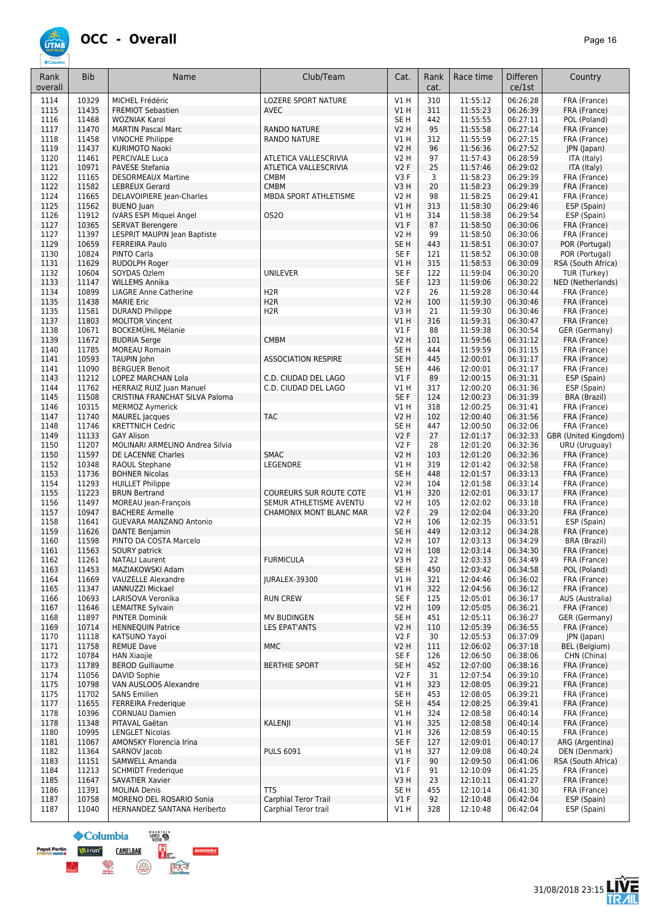#### **OCC - Overall** *Page 16*

**ÚTME** 

| Rank<br>overall | <b>Bib</b>     | Name                                                  | Club/Team                                          | Cat.                      | Rank<br>cat. | Race time            | <b>Differen</b><br>ce/1st | Country                               |
|-----------------|----------------|-------------------------------------------------------|----------------------------------------------------|---------------------------|--------------|----------------------|---------------------------|---------------------------------------|
| 1114            | 10329          | MICHEL Frédéric                                       | <b>LOZERE SPORT NATURE</b>                         | V1H                       | 310          | 11:55:12             | 06:26:28                  | FRA (France)                          |
| 1115            | 11435          | <b>FREMIOT Sebastien</b>                              | <b>AVEC</b>                                        | V1H                       | 311          | 11:55:23             | 06:26:39                  | FRA (France)                          |
| 1116            | 11468          | <b>WOZNIAK Karol</b>                                  |                                                    | SE <sub>H</sub>           | 442          | 11:55:55             | 06:27:11                  | POL (Poland)                          |
| 1117            | 11470          | <b>MARTIN Pascal Marc</b>                             | <b>RANDO NATURE</b>                                | <b>V2 H</b>               | 95           | 11:55:58             | 06:27:14                  | FRA (France)                          |
| 1118<br>1119    | 11458<br>11437 | <b>VINOCHE Philippe</b><br>KURIMOTO Naoki             | <b>RANDO NATURE</b>                                | V1 H<br><b>V2 H</b>       | 312<br>96    | 11:55:59<br>11:56:36 | 06:27:15<br>06:27:52      | FRA (France)<br>JPN (Japan)           |
| 1120            | 11461          | PERCIVALE Luca                                        | ATLETICA VALLESCRIVIA                              | V2 H                      | 97           | 11:57:43             | 06:28:59                  | ITA (Italy)                           |
| 1121            | 10971          | PAVESE Stefania                                       | ATLETICA VALLESCRIVIA                              | <b>V2F</b>                | 25           | 11:57:46             | 06:29:02                  | ITA (Italy)                           |
| 1122            | 11165          | <b>DESORMEAUX Martine</b>                             | <b>CMBM</b>                                        | V3F                       | 3            | 11:58:23             | 06:29:39                  | FRA (France)                          |
| 1122            | 11582          | <b>LEBREUX Gerard</b>                                 | <b>CMBM</b>                                        | V3H                       | 20           | 11:58:23             | 06:29:39                  | FRA (France)                          |
| 1124            | 11665          | DELAVOIPIERE Jean-Charles                             | MBDA SPORT ATHLETISME                              | <b>V2 H</b>               | 98           | 11:58:25             | 06:29:41                  | FRA (France)                          |
| 1125            | 11562<br>11912 | <b>BUENO</b> Juan<br>IVARS ESPI Miquel Angel          | <b>0S20</b>                                        | V1H<br>V1H                | 313<br>314   | 11:58:30<br>11:58:38 | 06:29:46<br>06:29:54      | ESP (Spain)<br>ESP (Spain)            |
| 1126<br>1127    | 10365          | <b>SERVAT Berengere</b>                               |                                                    | V1F                       | 87           | 11:58:50             | 06:30:06                  | FRA (France)                          |
| 1127            | 11397          | LESPRIT MAUPIN Jean Baptiste                          |                                                    | <b>V2 H</b>               | 99           | 11:58:50             | 06:30:06                  | FRA (France)                          |
| 1129            | 10659          | <b>FERREIRA Paulo</b>                                 |                                                    | SE <sub>H</sub>           | 443          | 11:58:51             | 06:30:07                  | POR (Portugal)                        |
| 1130            | 10824          | PINTO Carla                                           |                                                    | SE F                      | 121          | 11:58:52             | 06:30:08                  | POR (Portugal)                        |
| 1131            | 11629          | <b>RUDOLPH Roger</b>                                  |                                                    | V1 H                      | 315          | 11:58:53             | 06:30:09                  | RSA (South Africa)                    |
| 1132            | 10604          | SOYDAS Ozlem                                          | UNILEVER                                           | SE <sub>F</sub>           | 122          | 11:59:04             | 06:30:20                  | TUR (Turkey)                          |
| 1133<br>1134    | 11147<br>10899 | <b>WILLEMS Annika</b><br><b>LIAGRE Anne Catherine</b> | H <sub>2R</sub>                                    | SE <sub>F</sub><br>V2F    | 123<br>26    | 11:59:06<br>11:59:28 | 06:30:22<br>06:30:44      | NED (Netherlands)<br>FRA (France)     |
| 1135            | 11438          | <b>MARIE Eric</b>                                     | H <sub>2</sub> R                                   | <b>V2 H</b>               | 100          | 11:59:30             | 06:30:46                  | FRA (France)                          |
| 1135            | 11581          | <b>DURAND Philippe</b>                                | H <sub>2</sub> R                                   | V3H                       | 21           | 11:59:30             | 06:30:46                  | FRA (France)                          |
| 1137            | 11803          | <b>MOLITOR Vincent</b>                                |                                                    | V1H                       | 316          | 11:59:31             | 06:30:47                  | FRA (France)                          |
| 1138            | 10671          | <b>BOCKEMÜHL Mélanie</b>                              |                                                    | $VI$ F                    | 88           | 11:59:38             | 06:30:54                  | GER (Germany)                         |
| 1139            | 11672          | <b>BUDRIA Serge</b>                                   | <b>CMBM</b>                                        | <b>V2 H</b>               | 101          | 11:59:56             | 06:31:12                  | FRA (France)                          |
| 1140            | 11785          | <b>MOREAU Romain</b>                                  |                                                    | SE <sub>H</sub>           | 444          | 11:59:59             | 06:31:15                  | FRA (France)                          |
| 1141            | 10593          | <b>TAUPIN John</b><br><b>BERGUER Benoit</b>           | <b>ASSOCIATION RESPIRE</b>                         | SE <sub>H</sub>           | 445          | 12:00:01             | 06:31:17                  | FRA (France)                          |
| 1141<br>1143    | 11090<br>11212 | LOPEZ MARCHAN Lola                                    | C.D. CIUDAD DEL LAGO                               | SE <sub>H</sub><br>$VI$ F | 446<br>89    | 12:00:01<br>12:00:15 | 06:31:17<br>06:31:31      | FRA (France)<br>ESP (Spain)           |
| 1144            | 11762          | <b>HERRAIZ RUIZ Juan Manuel</b>                       | C.D. CIUDAD DEL LAGO                               | V1 H                      | 317          | 12:00:20             | 06:31:36                  | ESP (Spain)                           |
| 1145            | 11508          | CRISTINA FRANCHAT SILVA Paloma                        |                                                    | SE <sub>F</sub>           | 124          | 12:00:23             | 06:31:39                  | <b>BRA (Brazil)</b>                   |
| 1146            | 10315          | <b>MERMOZ Aymerick</b>                                |                                                    | V1H                       | 318          | 12:00:25             | 06:31:41                  | FRA (France)                          |
| 1147            | 11740          | <b>MAUREL</b> Jacques                                 | <b>TAC</b>                                         | <b>V2 H</b>               | 102          | 12:00:40             | 06:31:56                  | FRA (France)                          |
| 1148            | 11746          | <b>KRETTNICH Cedric</b>                               |                                                    | SE <sub>H</sub>           | 447          | 12:00:50             | 06:32:06                  | FRA (France)                          |
| 1149<br>1150    | 11133<br>11207 | <b>GAY Alison</b><br>MOLINARI ARMELINO Andrea Silvia  |                                                    | <b>V2F</b><br><b>V2F</b>  | 27<br>28     | 12:01:17<br>12:01:20 | 06:32:33<br>06:32:36      | GBR (United Kingdom)<br>URU (Uruguay) |
| 1150            | 11597          | DE LACENNE Charles                                    | <b>SMAC</b>                                        | <b>V2 H</b>               | 103          | 12:01:20             | 06:32:36                  | FRA (France)                          |
| 1152            | 10348          | RAOUL Stephane                                        | LEGENDRE                                           | V1H                       | 319          | 12:01:42             | 06:32:58                  | FRA (France)                          |
| 1153            | 11736          | <b>BOHNER Nicolas</b>                                 |                                                    | SE <sub>H</sub>           | 448          | 12:01:57             | 06:33:13                  | FRA (France)                          |
| 1154            | 11293          | <b>HUILLET Philippe</b>                               |                                                    | V2 H                      | 104          | 12:01:58             | 06:33:14                  | FRA (France)                          |
| 1155            | 11223          | <b>BRUN Bertrand</b>                                  | <b>COUREURS SUR ROUTE COTE</b>                     | VIH                       | 320          | 12:02:01             | 06:33:17                  | FRA (France)                          |
| 1156<br>1157    | 11497<br>10947 | MOREAU Jean-François<br><b>BACHERE Armelle</b>        | SEMUR ATHLETISME AVENTU<br>CHAMONIX MONT BLANC MAR | <b>V2 H</b><br><b>V2F</b> | 105<br>29    | 12:02:02<br>12:02:04 | 06:33:18<br>06:33:20      | FRA (France)<br>FRA (France)          |
| 1158            | 11641          | GUEVARA MANZANO Antonio                               |                                                    | <b>V2 H</b>               | 106          | 12:02:35             | 06:33:51                  | ESP (Spain)                           |
| 1159            | 11626          | <b>DANTE Benjamin</b>                                 |                                                    | SE <sub>H</sub>           | 449          | 12:03:12             | 06:34:28                  | FRA (France)                          |
| 1160            | 11598          | PINTO DA COSTA Marcelo                                |                                                    | <b>V2 H</b>               | 107          | 12:03:13             | 06:34:29                  | BRA (Brazil)                          |
| 1161            | 11563          | <b>SOURY patrick</b>                                  |                                                    | <b>V2 H</b>               | 108          | 12:03:14             | 06:34:30                  | FRA (France)                          |
| 1162            | 11261          | <b>NATALI Laurent</b>                                 | <b>FURMICULA</b>                                   | V3 H                      | 22           | 12:03:33             | 06:34:49                  | FRA (France)                          |
| 1163            | 11453          | MAZIAKOWSKI Adam                                      |                                                    | SE <sub>H</sub>           | 450          | 12:03:42             | 06:34:58                  | POL (Poland)                          |
| 1164<br>1165    | 11669<br>11347 | <b>VAUZELLE Alexandre</b><br><b>IANNUZZI Mickael</b>  | JURALEX-39300                                      | V1 H<br>VIH               | 321<br>322   | 12:04:46<br>12:04:56 | 06:36:02<br>06:36:12      | FRA (France)<br>FRA (France)          |
| 1166            | 10693          | LARISOVA Veronika                                     | <b>RUN CREW</b>                                    | SE F                      | 125          | 12:05:01             | 06:36:17                  | AUS (Australia)                       |
| 1167            | 11646          | <b>LEMAITRE Sylvain</b>                               |                                                    | V2 H                      | 109          | 12:05:05             | 06:36:21                  | FRA (France)                          |
| 1168            | 11897          | <b>PINTER Dominik</b>                                 | <b>MV BUDINGEN</b>                                 | SE H                      | 451          | 12:05:11             | 06:36:27                  | GER (Germany)                         |
| 1169            | 10714          | <b>HENNEQUIN Patrice</b>                              | <b>LES EPAT'ANTS</b>                               | V2 H                      | 110          | 12:05:39             | 06:36:55                  | FRA (France)                          |
| 1170            | 11118          | KATSUNO Yayoi                                         |                                                    | V2F                       | 30           | 12:05:53             | 06:37:09                  | JPN (Japan)                           |
| 1171<br>1172    | 11758<br>10784 | <b>REMUE Dave</b><br><b>HAN Xiaojie</b>               | <b>MMC</b>                                         | <b>V2 H</b><br>SE F       | 111<br>126   | 12:06:02<br>12:06:50 | 06:37:18<br>06:38:06      | BEL (Belgium)<br>CHN (China)          |
| 1173            | 11789          | <b>BEROD Guillaume</b>                                | <b>BERTHIE SPORT</b>                               | SE <sub>H</sub>           | 452          | 12:07:00             | 06:38:16                  | FRA (France)                          |
| 1174            | 11056          | DAVID Sophie                                          |                                                    | V2F                       | 31           | 12:07:54             | 06:39:10                  | FRA (France)                          |
| 1175            | 10798          | VAN AUSLOOS Alexandre                                 |                                                    | V1 H                      | 323          | 12:08:05             | 06:39:21                  | FRA (France)                          |
| 1175            | 11702          | <b>SANS Emilien</b>                                   |                                                    | SE <sub>H</sub>           | 453          | 12:08:05             | 06:39:21                  | FRA (France)                          |
| 1177            | 11655          | <b>FERREIRA Frederique</b>                            |                                                    | SE <sub>H</sub>           | 454          | 12:08:25             | 06:39:41                  | FRA (France)                          |
| 1178            | 10396          | <b>CORNUAU Damien</b>                                 | KALENJI                                            | V1 H                      | 324          | 12:08:58             | 06:40:14                  | FRA (France)                          |
| 1178<br>1180    | 11348<br>10995 | PITAVAL Gaëtan<br><b>LENGLET Nicolas</b>              |                                                    | V1 H<br>V1 H              | 325<br>326   | 12:08:58<br>12:08:59 | 06:40:14<br>06:40:15      | FRA (France)<br>FRA (France)          |
| 1181            | 11067          | AMONSKY Florencia Irina                               |                                                    | SE F                      | 127          | 12:09:01             | 06:40:17                  | ARG (Argentina)                       |
| 1182            | 11364          | SARNOV Jacob                                          | <b>PULS 6091</b>                                   | V1 H                      | 327          | 12:09:08             | 06:40:24                  | DEN (Denmark)                         |
| 1183            | 11151          | SAMWELL Amanda                                        |                                                    | V1F                       | 90           | 12:09:50             | 06:41:06                  | RSA (South Africa)                    |
| 1184            | 11213          | <b>SCHMIDT Frederique</b>                             |                                                    | $VI$ F                    | 91           | 12:10:09             | 06:41:25                  | FRA (France)                          |
| 1185            | 11647          | <b>SAVATIER Xavier</b>                                |                                                    | V3H                       | 23           | 12:10:11             | 06:41:27                  | FRA (France)                          |
| 1186            | 11391<br>10758 | <b>MOLINA Denis</b><br>MORENO DEL ROSARIO Sonia       | <b>TTS</b><br>Carphial Teror Trail                 | SE <sub>H</sub><br>V1F    | 455<br>92    | 12:10:14<br>12:10:48 | 06:41:30<br>06:42:04      | FRA (France)<br>ESP (Spain)           |
| 1187<br>1187    | 11040          | HERNANDEZ SANTANA Heriberto                           | Carphial Teror trail                               | V1 H                      | 328          | 12:10:48             | 06:42:04                  | ESP (Spain)                           |
|                 |                |                                                       |                                                    |                           |              |                      |                           |                                       |

HARD S  $\&$  Columbia **SERVE Payot Perting of Lirun<sup>e</sup>**<br>**Lists by Super U CAMELBAK DVERSTIM-S**  $\left(\frac{\partial}{\partial x}\right)$ 医大才

À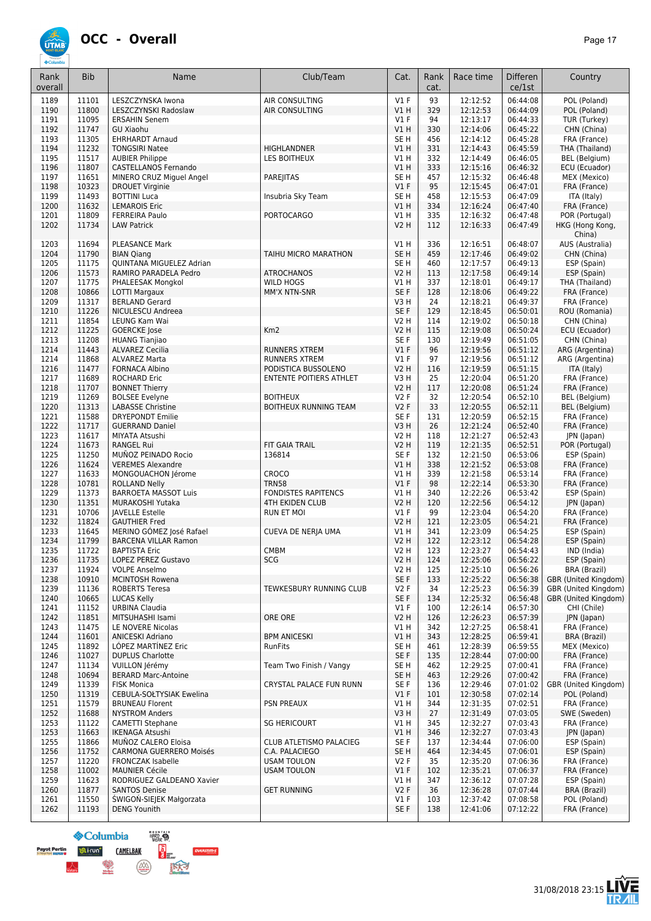

| 93<br>AIR CONSULTING<br>$VI$ F<br>06:44:08<br>POL (Poland)<br>1189<br>11101<br>LESZCZYNSKA Iwona<br>12:12:52<br>1190<br>11800<br>VIH<br>329<br>12:12:53<br>06:44:09<br>POL (Poland)<br>LESZCZYNSKI Radoslaw<br>AIR CONSULTING<br>1191<br>11095<br>94<br>12:13:17<br>06:44:33<br><b>ERSAHIN Senem</b><br><b>V1 F</b><br>TUR (Turkey)<br>11747<br>V1H<br>330<br>12:14:06<br>06:45:22<br>1192<br><b>GU Xiaohu</b><br>CHN (China)<br>1193<br>11305<br>SE <sub>H</sub><br>456<br>12:14:12<br>06:45:28<br><b>EHRHARDT Arnaud</b><br>FRA (France)<br>1194<br>11232<br><b>TONGSIRI Natee</b><br><b>HIGHLANDNER</b><br>V1H<br>331<br>12:14:43<br>06:45:59<br>THA (Thailand)<br>1195<br>11517<br>V1 H<br>332<br>12:14:49<br>06:46:05<br><b>AUBIER Philippe</b><br>LES BOITHEUX<br>BEL (Belgium)<br>11807<br>CASTELLANOS Fernando<br>333<br>1196<br>V1 H<br>12:15:16<br>06:46:32<br>ECU (Ecuador)<br>11651<br>457<br>1197<br>MINERO CRUZ Miguel Angel<br>PAREJITAS<br>SE <sub>H</sub><br>12:15:32<br>06:46:48<br>MEX (Mexico)<br>10323<br>95<br>1198<br><b>DROUET Virginie</b><br>$VI$ F<br>12:15:45<br>06:47:01<br>FRA (France)<br>11493<br>Insubria Sky Team<br>SE <sub>H</sub><br>1199<br><b>BOTTINI Luca</b><br>458<br>12:15:53<br>06:47:09<br>ITA (Italy)<br>1200<br>11632<br>334<br>12:16:24<br>06:47:40<br><b>LEMAROIS Eric</b><br>V1 H<br>FRA (France)<br>11809<br><b>PORTOCARGO</b><br>V1H<br>335<br>12:16:32<br>06:47:48<br>POR (Portugal)<br>1201<br><b>FERREIRA Paulo</b><br>1202<br>11734<br><b>V2 H</b><br>112<br>12:16:33<br><b>LAW Patrick</b><br>06:47:49<br>HKG (Hong Kong,<br>China)<br>AUS (Australia)<br>1203<br>11694<br><b>PLEASANCE Mark</b><br>V1 H<br>336<br>12:16:51<br>06:48:07<br>11790<br>SE <sub>H</sub><br>12:17:46<br>06:49:02<br>CHN (China)<br>1204<br><b>BIAN Qiang</b><br>TAIHU MICRO MARATHON<br>459<br>1205<br>11175<br>QUINTANA MIGUELEZ Adrian<br>SE <sub>H</sub><br>12:17:57<br>06:49:13<br>460<br>ESP (Spain)<br>1206<br>11573<br>RAMIRO PARADELA Pedro<br><b>V2 H</b><br>113<br>12:17:58<br>06:49:14<br><b>ATROCHANOS</b><br>ESP (Spain)<br>11775<br>12:18:01<br>06:49:17<br>1207<br>PHALEESAK Mongkol<br><b>WILD HOGS</b><br>V1 H<br>337<br>THA (Thailand)<br>10866<br>1208<br>LOTTI Margaux<br>MM'X NTN-SNR<br>SE <sub>F</sub><br>128<br>12:18:06<br>06:49:22<br>FRA (France)<br>11317<br>V3H<br>1209<br><b>BERLAND Gerard</b><br>24<br>12:18:21<br>06:49:37<br>FRA (France)<br>11226<br>SE F<br>129<br>1210<br>NICULESCU Andreea<br>12:18:45<br>06:50:01<br>ROU (Romania)<br>11854<br>V2 H<br>12:19:02<br>06:50:18<br>1211<br>LEUNG Kam Wai<br>114<br>CHN (China)<br>1212<br>11225<br>Km2<br><b>V2 H</b><br>115<br>12:19:08<br>06:50:24<br><b>GOERCKE</b> Jose<br>ECU (Ecuador)<br>11208<br>SE <sub>F</sub><br>12:19:49<br>06:51:05<br>1213<br><b>HUANG Tianjiao</b><br>130<br>CHN (China)<br>11443<br>V1F<br>96<br>12:19:56<br>06:51:12<br>1214<br><b>ALVAREZ Cecilia</b><br><b>RUNNERS XTREM</b><br>ARG (Argentina)<br>11868<br>V1F<br>97<br>12:19:56<br>06:51:12<br>ARG (Argentina)<br>1214<br><b>ALVAREZ Marta</b><br><b>RUNNERS XTREM</b><br>06:51:15<br>1216<br>11477<br><b>V2 H</b><br>12:19:59<br>ITA (Italy)<br><b>FORNACA Albino</b><br>PODISTICA BUSSOLENO<br>116<br>11689<br>V3H<br>25<br>12:20:04<br>06:51:20<br>FRA (France)<br>1217<br><b>ROCHARD Eric</b><br>ENTENTE POITIERS ATHLET<br>1218<br>11707<br><b>V2 H</b><br>117<br>12:20:08<br>06:51:24<br><b>BONNET Thierry</b><br>FRA (France)<br>11269<br>06:52:10<br>1219<br><b>BOLSEE Evelyne</b><br><b>BOITHEUX</b><br><b>V2F</b><br>32<br>12:20:54<br>BEL (Belgium)<br>1220<br>11313<br><b>V2F</b><br>33<br>12:20:55<br>06:52:11<br><b>LABASSE Christine</b><br><b>BOITHEUX RUNNING TEAM</b><br><b>BEL</b> (Belgium)<br>11588<br>06:52:15<br>1221<br><b>DRYEPONDT Emilie</b><br>SE F<br>131<br>12:20:59<br>FRA (France)<br>V3H<br>1222<br>11717<br><b>GUERRAND Daniel</b><br>26<br>12:21:24<br>06:52:40<br>FRA (France)<br>11617<br>1223<br>MIYATA Atsushi<br>V2 H<br>118<br>12:21:27<br>06:52:43<br>JPN (Japan)<br>11673<br>FIT GAIA TRAIL<br><b>V2 H</b><br>119<br>12:21:35<br>06:52:51<br>1224<br><b>RANGEL Rui</b><br>POR (Portugal)<br>1225<br>11250<br>MUÑOZ PEINADO Rocio<br>SE <sub>F</sub><br>132<br>12:21:50<br>06:53:06<br>136814<br>ESP (Spain)<br>11624<br>VIH<br>338<br>12:21:52<br>06:53:08<br>1226<br><b>VEREMES Alexandre</b><br>FRA (France)<br>11633<br>339<br>12:21:58<br>06:53:14<br>1227<br>MONGOUACHON Jérome<br><b>CROCO</b><br>V1 H<br>FRA (France)<br>10781<br>V1F<br>98<br>12:22:14<br>06:53:30<br>1228<br><b>ROLLAND Nelly</b><br><b>TRN58</b><br>FRA (France)<br>1229<br>11373<br><b>BARROETA MASSOT Luis</b><br><b>FONDISTES RAPITENCS</b><br>V1 H<br>12:22:26<br>06:53:42<br>340<br>ESP (Spain)<br>1230<br>11351<br><b>4TH EKIDEN CLUB</b><br><b>V2 H</b><br>120<br>12:22:56<br>06:54:12<br>MURAKOSHI Yutaka<br>JPN (Japan)<br>10706<br>$VI$ F<br>99<br>12:23:04<br>1231<br><b>JAVELLE Estelle</b><br><b>RUN ET MOI</b><br>06:54:20<br>FRA (France)<br>1232<br>11824<br>121<br><b>GAUTHIER Fred</b><br>V2 H<br>12:23:05<br>06:54:21<br>FRA (France)<br>1233<br>11645<br>MERINO GÓMEZ José Rafael<br>CUEVA DE NERJA UMA<br>V1 H<br>341<br>12:23:09<br>06:54:25<br>ESP (Spain)<br>1234<br>11799<br><b>BARCENA VILLAR Ramon</b><br>V2 H<br>122<br>12:23:12<br>06:54:28<br>ESP (Spain)<br>1235<br>11722<br><b>BAPTISTA Eric</b><br><b>CMBM</b><br>V2 H<br>123<br>12:23:27<br>06:54:43<br>IND (India)<br>1236<br>11735<br>LOPEZ PEREZ Gustavo<br><b>SCG</b><br>V2 H<br>124<br>12:25:06<br>06:56:22<br>ESP (Spain)<br>1237<br>11924<br><b>VOLPE Anselmo</b><br>V2 H<br>125<br>12:25:10<br>06:56:26<br>BRA (Brazil)<br>1238<br>10910<br>SE F<br>12:25:22<br>GBR (United Kingdom)<br><b>MCINTOSH Rowena</b><br>133<br>06:56:38<br>1239<br>11136<br><b>ROBERTS Teresa</b><br>TEWKESBURY RUNNING CLUB<br><b>V2F</b><br>34<br>12:25:23<br>06:56:39<br>GBR (United Kingdom)<br>1240<br>12:25:32<br>06:56:48<br>10665<br><b>LUCAS Kelly</b><br>SE F<br>GBR (United Kingdom)<br>134<br>1241<br>11152<br><b>URBINA Claudia</b><br><b>V1 F</b><br>12:26:14<br>06:57:30<br>CHI (Chile)<br>100<br>1242<br>11851<br>ORE ORE<br>12:26:23<br>06:57:39<br>MITSUHASHI Isami<br>V2 H<br>126<br>JPN (Japan)<br>1243<br>11475<br>LE NOVERE Nicolas<br>V1 H<br>342<br>12:27:25<br>06:58:41<br>FRA (France)<br>12:28:25<br>06:59:41<br>1244<br>11601<br><b>ANICESKI Adriano</b><br><b>BPM ANICESKI</b><br>V1 H<br>343<br>BRA (Brazil)<br>1245<br>11892<br>LOPEZ MARTINEZ Eric<br>RunFits<br>SE H<br>461<br>12:28:39<br>06:59:55<br>MEX (Mexico)<br>1246<br>11027<br>SE F<br>135<br>12:28:44<br>07:00:00<br><b>DUPLUS Charlotte</b><br>FRA (France)<br>1247<br>11134<br>VUILLON Jérémy<br>Team Two Finish / Vangy<br>SE H<br>462<br>12:29:25<br>07:00:41<br>FRA (France)<br>10694<br>1248<br><b>BERARD Marc-Antoine</b><br>SE H<br>463<br>12:29:26<br>07:00:42<br>FRA (France)<br>1249<br>11339<br><b>FISK Monica</b><br>CRYSTAL PALACE FUN RUNN<br>SE F<br>136<br>12:29:46<br>07:01:02<br>GBR (United Kingdom)<br>11319<br>V1F<br>07:02:14<br>1250<br>CEBULA-SOŁTYSIAK Ewelina<br>101<br>12:30:58<br>POL (Poland)<br>1251<br>11579<br><b>BRUNEAU Florent</b><br><b>PSN PREAUX</b><br>V1 H<br>344<br>12:31:35<br>07:02:51<br>FRA (France)<br>11688<br>1252<br><b>NYSTROM Anders</b><br>V3H<br>27<br>12:31:49<br>07:03:05<br>SWE (Sweden)<br>1253<br>12:32:27<br>07:03:43<br>11122<br><b>CAMETTI Stephane</b><br>V1 H<br>345<br>FRA (France)<br><b>SG HERICOURT</b><br>11663<br>12:32:27<br>07:03:43<br>1253<br>V1 H<br>346<br>JPN (Japan)<br><b>IKENAGA Atsushi</b><br>1255<br>11866<br>SE F<br>12:34:44<br>07:06:00<br>MUÑOZ CALERO Eloisa<br>CLUB ATLETISMO PALACIEG<br>137<br>ESP (Spain)<br>1256<br>11752<br><b>CARMONA GUERRERO Moisés</b><br>C.A. PALACIEGO<br>SE <sub>H</sub><br>464<br>12:34:45<br>07:06:01<br>ESP (Spain)<br>1257<br>11220<br><b>USAM TOULON</b><br>V2F<br>35<br>12:35:20<br>07:06:36<br><b>FRONCZAK Isabelle</b><br>FRA (France)<br>1258<br>11002<br><b>MAUNIER Cécile</b><br><b>USAM TOULON</b><br>$VI$ F<br>102<br>12:35:21<br>07:06:37<br>FRA (France)<br>11623<br>RODRIGUEZ GALDEANO Xavier<br>V1 H<br>347<br>12:36:12<br>07:07:28<br>1259<br>ESP (Spain)<br>1260<br>11877<br><b>GET RUNNING</b><br>V2F<br>36<br>12:36:28<br>07:07:44<br><b>SANTOS Denise</b><br>BRA (Brazil)<br>ŚWIGOŃ-SIEJEK Małgorzata<br>12:37:42<br>1261<br>11550<br><b>V1 F</b><br>103<br>07:08:58<br>POL (Poland)<br>1262<br>11193<br><b>DENG Younith</b><br>SE F<br>138<br>12:41:06<br>07:12:22<br>FRA (France) | Rank<br>overall | <b>Bib</b> | Name | Club/Team | Cat. | Rank<br>cat. | Race time | <b>Differen</b><br>ce/1st | Country |
|--------------------------------------------------------------------------------------------------------------------------------------------------------------------------------------------------------------------------------------------------------------------------------------------------------------------------------------------------------------------------------------------------------------------------------------------------------------------------------------------------------------------------------------------------------------------------------------------------------------------------------------------------------------------------------------------------------------------------------------------------------------------------------------------------------------------------------------------------------------------------------------------------------------------------------------------------------------------------------------------------------------------------------------------------------------------------------------------------------------------------------------------------------------------------------------------------------------------------------------------------------------------------------------------------------------------------------------------------------------------------------------------------------------------------------------------------------------------------------------------------------------------------------------------------------------------------------------------------------------------------------------------------------------------------------------------------------------------------------------------------------------------------------------------------------------------------------------------------------------------------------------------------------------------------------------------------------------------------------------------------------------------------------------------------------------------------------------------------------------------------------------------------------------------------------------------------------------------------------------------------------------------------------------------------------------------------------------------------------------------------------------------------------------------------------------------------------------------------------------------------------------------------------------------------------------------------------------------------------------------------------------------------------------------------------------------------------------------------------------------------------------------------------------------------------------------------------------------------------------------------------------------------------------------------------------------------------------------------------------------------------------------------------------------------------------------------------------------------------------------------------------------------------------------------------------------------------------------------------------------------------------------------------------------------------------------------------------------------------------------------------------------------------------------------------------------------------------------------------------------------------------------------------------------------------------------------------------------------------------------------------------------------------------------------------------------------------------------------------------------------------------------------------------------------------------------------------------------------------------------------------------------------------------------------------------------------------------------------------------------------------------------------------------------------------------------------------------------------------------------------------------------------------------------------------------------------------------------------------------------------------------------------------------------------------------------------------------------------------------------------------------------------------------------------------------------------------------------------------------------------------------------------------------------------------------------------------------------------------------------------------------------------------------------------------------------------------------------------------------------------------------------------------------------------------------------------------------------------------------------------------------------------------------------------------------------------------------------------------------------------------------------------------------------------------------------------------------------------------------------------------------------------------------------------------------------------------------------------------------------------------------------------------------------------------------------------------------------------------------------------------------------------------------------------------------------------------------------------------------------------------------------------------------------------------------------------------------------------------------------------------------------------------------------------------------------------------------------------------------------------------------------------------------------------------------------------------------------------------------------------------------------------------------------------------------------------------------------------------------------------------------------------------------------------------------------------------------------------------------------------------------------------------------------------------------------------------------------------------------------------------------------------------------------------------------------------------------------------------------------------------------------------------------------------------------------------------------------------------------------------------------------------------------------------------------------------------------------------------------------------------------------------------------------------------------------------------------------------------------------------------------------------------------------------------------------------------------------------------------------------------------------------------------------------------------------------------------------------------------------------------------------------------------------------------------------------------------------------------------------------------------------------------------------------------------------------------------------------------------------------------------------------------------------------------------------------------------------------------------------------------------------------------------------------------------------------------------------------------------------------------------------------------------------------------------------------------------------------------------------------------------------------------------------------------------------------------------------------------------------------------------------------------------------------------------------------------------------------------------------------------------------------------------------------------------------------------------------------------------------------------------------------------------------------------------------------------------------------------------------------------------------------------------------------------------------------------------------------------------------------------------------------------------------------------------------------------------------------------------------------------------------------------------------------------------------------------------------------------------------------------------------------------|-----------------|------------|------|-----------|------|--------------|-----------|---------------------------|---------|
|                                                                                                                                                                                                                                                                                                                                                                                                                                                                                                                                                                                                                                                                                                                                                                                                                                                                                                                                                                                                                                                                                                                                                                                                                                                                                                                                                                                                                                                                                                                                                                                                                                                                                                                                                                                                                                                                                                                                                                                                                                                                                                                                                                                                                                                                                                                                                                                                                                                                                                                                                                                                                                                                                                                                                                                                                                                                                                                                                                                                                                                                                                                                                                                                                                                                                                                                                                                                                                                                                                                                                                                                                                                                                                                                                                                                                                                                                                                                                                                                                                                                                                                                                                                                                                                                                                                                                                                                                                                                                                                                                                                                                                                                                                                                                                                                                                                                                                                                                                                                                                                                                                                                                                                                                                                                                                                                                                                                                                                                                                                                                                                                                                                                                                                                                                                                                                                                                                                                                                                                                                                                                                                                                                                                                                                                                                                                                                                                                                                                                                                                                                                                                                                                                                                                                                                                                                                                                                                                                                                                                                                                                                                                                                                                                                                                                                                                                                                                                                                                                                                                                                                                                                                                                                                                                                                                                                                                                                                                                                                                                                                                                                                                                                                                                                                                                                                                                                                                                                                                                                                                |                 |            |      |           |      |              |           |                           |         |
|                                                                                                                                                                                                                                                                                                                                                                                                                                                                                                                                                                                                                                                                                                                                                                                                                                                                                                                                                                                                                                                                                                                                                                                                                                                                                                                                                                                                                                                                                                                                                                                                                                                                                                                                                                                                                                                                                                                                                                                                                                                                                                                                                                                                                                                                                                                                                                                                                                                                                                                                                                                                                                                                                                                                                                                                                                                                                                                                                                                                                                                                                                                                                                                                                                                                                                                                                                                                                                                                                                                                                                                                                                                                                                                                                                                                                                                                                                                                                                                                                                                                                                                                                                                                                                                                                                                                                                                                                                                                                                                                                                                                                                                                                                                                                                                                                                                                                                                                                                                                                                                                                                                                                                                                                                                                                                                                                                                                                                                                                                                                                                                                                                                                                                                                                                                                                                                                                                                                                                                                                                                                                                                                                                                                                                                                                                                                                                                                                                                                                                                                                                                                                                                                                                                                                                                                                                                                                                                                                                                                                                                                                                                                                                                                                                                                                                                                                                                                                                                                                                                                                                                                                                                                                                                                                                                                                                                                                                                                                                                                                                                                                                                                                                                                                                                                                                                                                                                                                                                                                                                                |                 |            |      |           |      |              |           |                           |         |
|                                                                                                                                                                                                                                                                                                                                                                                                                                                                                                                                                                                                                                                                                                                                                                                                                                                                                                                                                                                                                                                                                                                                                                                                                                                                                                                                                                                                                                                                                                                                                                                                                                                                                                                                                                                                                                                                                                                                                                                                                                                                                                                                                                                                                                                                                                                                                                                                                                                                                                                                                                                                                                                                                                                                                                                                                                                                                                                                                                                                                                                                                                                                                                                                                                                                                                                                                                                                                                                                                                                                                                                                                                                                                                                                                                                                                                                                                                                                                                                                                                                                                                                                                                                                                                                                                                                                                                                                                                                                                                                                                                                                                                                                                                                                                                                                                                                                                                                                                                                                                                                                                                                                                                                                                                                                                                                                                                                                                                                                                                                                                                                                                                                                                                                                                                                                                                                                                                                                                                                                                                                                                                                                                                                                                                                                                                                                                                                                                                                                                                                                                                                                                                                                                                                                                                                                                                                                                                                                                                                                                                                                                                                                                                                                                                                                                                                                                                                                                                                                                                                                                                                                                                                                                                                                                                                                                                                                                                                                                                                                                                                                                                                                                                                                                                                                                                                                                                                                                                                                                                                                |                 |            |      |           |      |              |           |                           |         |
|                                                                                                                                                                                                                                                                                                                                                                                                                                                                                                                                                                                                                                                                                                                                                                                                                                                                                                                                                                                                                                                                                                                                                                                                                                                                                                                                                                                                                                                                                                                                                                                                                                                                                                                                                                                                                                                                                                                                                                                                                                                                                                                                                                                                                                                                                                                                                                                                                                                                                                                                                                                                                                                                                                                                                                                                                                                                                                                                                                                                                                                                                                                                                                                                                                                                                                                                                                                                                                                                                                                                                                                                                                                                                                                                                                                                                                                                                                                                                                                                                                                                                                                                                                                                                                                                                                                                                                                                                                                                                                                                                                                                                                                                                                                                                                                                                                                                                                                                                                                                                                                                                                                                                                                                                                                                                                                                                                                                                                                                                                                                                                                                                                                                                                                                                                                                                                                                                                                                                                                                                                                                                                                                                                                                                                                                                                                                                                                                                                                                                                                                                                                                                                                                                                                                                                                                                                                                                                                                                                                                                                                                                                                                                                                                                                                                                                                                                                                                                                                                                                                                                                                                                                                                                                                                                                                                                                                                                                                                                                                                                                                                                                                                                                                                                                                                                                                                                                                                                                                                                                                                |                 |            |      |           |      |              |           |                           |         |
|                                                                                                                                                                                                                                                                                                                                                                                                                                                                                                                                                                                                                                                                                                                                                                                                                                                                                                                                                                                                                                                                                                                                                                                                                                                                                                                                                                                                                                                                                                                                                                                                                                                                                                                                                                                                                                                                                                                                                                                                                                                                                                                                                                                                                                                                                                                                                                                                                                                                                                                                                                                                                                                                                                                                                                                                                                                                                                                                                                                                                                                                                                                                                                                                                                                                                                                                                                                                                                                                                                                                                                                                                                                                                                                                                                                                                                                                                                                                                                                                                                                                                                                                                                                                                                                                                                                                                                                                                                                                                                                                                                                                                                                                                                                                                                                                                                                                                                                                                                                                                                                                                                                                                                                                                                                                                                                                                                                                                                                                                                                                                                                                                                                                                                                                                                                                                                                                                                                                                                                                                                                                                                                                                                                                                                                                                                                                                                                                                                                                                                                                                                                                                                                                                                                                                                                                                                                                                                                                                                                                                                                                                                                                                                                                                                                                                                                                                                                                                                                                                                                                                                                                                                                                                                                                                                                                                                                                                                                                                                                                                                                                                                                                                                                                                                                                                                                                                                                                                                                                                                                                |                 |            |      |           |      |              |           |                           |         |
|                                                                                                                                                                                                                                                                                                                                                                                                                                                                                                                                                                                                                                                                                                                                                                                                                                                                                                                                                                                                                                                                                                                                                                                                                                                                                                                                                                                                                                                                                                                                                                                                                                                                                                                                                                                                                                                                                                                                                                                                                                                                                                                                                                                                                                                                                                                                                                                                                                                                                                                                                                                                                                                                                                                                                                                                                                                                                                                                                                                                                                                                                                                                                                                                                                                                                                                                                                                                                                                                                                                                                                                                                                                                                                                                                                                                                                                                                                                                                                                                                                                                                                                                                                                                                                                                                                                                                                                                                                                                                                                                                                                                                                                                                                                                                                                                                                                                                                                                                                                                                                                                                                                                                                                                                                                                                                                                                                                                                                                                                                                                                                                                                                                                                                                                                                                                                                                                                                                                                                                                                                                                                                                                                                                                                                                                                                                                                                                                                                                                                                                                                                                                                                                                                                                                                                                                                                                                                                                                                                                                                                                                                                                                                                                                                                                                                                                                                                                                                                                                                                                                                                                                                                                                                                                                                                                                                                                                                                                                                                                                                                                                                                                                                                                                                                                                                                                                                                                                                                                                                                                                |                 |            |      |           |      |              |           |                           |         |
|                                                                                                                                                                                                                                                                                                                                                                                                                                                                                                                                                                                                                                                                                                                                                                                                                                                                                                                                                                                                                                                                                                                                                                                                                                                                                                                                                                                                                                                                                                                                                                                                                                                                                                                                                                                                                                                                                                                                                                                                                                                                                                                                                                                                                                                                                                                                                                                                                                                                                                                                                                                                                                                                                                                                                                                                                                                                                                                                                                                                                                                                                                                                                                                                                                                                                                                                                                                                                                                                                                                                                                                                                                                                                                                                                                                                                                                                                                                                                                                                                                                                                                                                                                                                                                                                                                                                                                                                                                                                                                                                                                                                                                                                                                                                                                                                                                                                                                                                                                                                                                                                                                                                                                                                                                                                                                                                                                                                                                                                                                                                                                                                                                                                                                                                                                                                                                                                                                                                                                                                                                                                                                                                                                                                                                                                                                                                                                                                                                                                                                                                                                                                                                                                                                                                                                                                                                                                                                                                                                                                                                                                                                                                                                                                                                                                                                                                                                                                                                                                                                                                                                                                                                                                                                                                                                                                                                                                                                                                                                                                                                                                                                                                                                                                                                                                                                                                                                                                                                                                                                                                |                 |            |      |           |      |              |           |                           |         |
|                                                                                                                                                                                                                                                                                                                                                                                                                                                                                                                                                                                                                                                                                                                                                                                                                                                                                                                                                                                                                                                                                                                                                                                                                                                                                                                                                                                                                                                                                                                                                                                                                                                                                                                                                                                                                                                                                                                                                                                                                                                                                                                                                                                                                                                                                                                                                                                                                                                                                                                                                                                                                                                                                                                                                                                                                                                                                                                                                                                                                                                                                                                                                                                                                                                                                                                                                                                                                                                                                                                                                                                                                                                                                                                                                                                                                                                                                                                                                                                                                                                                                                                                                                                                                                                                                                                                                                                                                                                                                                                                                                                                                                                                                                                                                                                                                                                                                                                                                                                                                                                                                                                                                                                                                                                                                                                                                                                                                                                                                                                                                                                                                                                                                                                                                                                                                                                                                                                                                                                                                                                                                                                                                                                                                                                                                                                                                                                                                                                                                                                                                                                                                                                                                                                                                                                                                                                                                                                                                                                                                                                                                                                                                                                                                                                                                                                                                                                                                                                                                                                                                                                                                                                                                                                                                                                                                                                                                                                                                                                                                                                                                                                                                                                                                                                                                                                                                                                                                                                                                                                                |                 |            |      |           |      |              |           |                           |         |
|                                                                                                                                                                                                                                                                                                                                                                                                                                                                                                                                                                                                                                                                                                                                                                                                                                                                                                                                                                                                                                                                                                                                                                                                                                                                                                                                                                                                                                                                                                                                                                                                                                                                                                                                                                                                                                                                                                                                                                                                                                                                                                                                                                                                                                                                                                                                                                                                                                                                                                                                                                                                                                                                                                                                                                                                                                                                                                                                                                                                                                                                                                                                                                                                                                                                                                                                                                                                                                                                                                                                                                                                                                                                                                                                                                                                                                                                                                                                                                                                                                                                                                                                                                                                                                                                                                                                                                                                                                                                                                                                                                                                                                                                                                                                                                                                                                                                                                                                                                                                                                                                                                                                                                                                                                                                                                                                                                                                                                                                                                                                                                                                                                                                                                                                                                                                                                                                                                                                                                                                                                                                                                                                                                                                                                                                                                                                                                                                                                                                                                                                                                                                                                                                                                                                                                                                                                                                                                                                                                                                                                                                                                                                                                                                                                                                                                                                                                                                                                                                                                                                                                                                                                                                                                                                                                                                                                                                                                                                                                                                                                                                                                                                                                                                                                                                                                                                                                                                                                                                                                                                |                 |            |      |           |      |              |           |                           |         |
|                                                                                                                                                                                                                                                                                                                                                                                                                                                                                                                                                                                                                                                                                                                                                                                                                                                                                                                                                                                                                                                                                                                                                                                                                                                                                                                                                                                                                                                                                                                                                                                                                                                                                                                                                                                                                                                                                                                                                                                                                                                                                                                                                                                                                                                                                                                                                                                                                                                                                                                                                                                                                                                                                                                                                                                                                                                                                                                                                                                                                                                                                                                                                                                                                                                                                                                                                                                                                                                                                                                                                                                                                                                                                                                                                                                                                                                                                                                                                                                                                                                                                                                                                                                                                                                                                                                                                                                                                                                                                                                                                                                                                                                                                                                                                                                                                                                                                                                                                                                                                                                                                                                                                                                                                                                                                                                                                                                                                                                                                                                                                                                                                                                                                                                                                                                                                                                                                                                                                                                                                                                                                                                                                                                                                                                                                                                                                                                                                                                                                                                                                                                                                                                                                                                                                                                                                                                                                                                                                                                                                                                                                                                                                                                                                                                                                                                                                                                                                                                                                                                                                                                                                                                                                                                                                                                                                                                                                                                                                                                                                                                                                                                                                                                                                                                                                                                                                                                                                                                                                                                                |                 |            |      |           |      |              |           |                           |         |
|                                                                                                                                                                                                                                                                                                                                                                                                                                                                                                                                                                                                                                                                                                                                                                                                                                                                                                                                                                                                                                                                                                                                                                                                                                                                                                                                                                                                                                                                                                                                                                                                                                                                                                                                                                                                                                                                                                                                                                                                                                                                                                                                                                                                                                                                                                                                                                                                                                                                                                                                                                                                                                                                                                                                                                                                                                                                                                                                                                                                                                                                                                                                                                                                                                                                                                                                                                                                                                                                                                                                                                                                                                                                                                                                                                                                                                                                                                                                                                                                                                                                                                                                                                                                                                                                                                                                                                                                                                                                                                                                                                                                                                                                                                                                                                                                                                                                                                                                                                                                                                                                                                                                                                                                                                                                                                                                                                                                                                                                                                                                                                                                                                                                                                                                                                                                                                                                                                                                                                                                                                                                                                                                                                                                                                                                                                                                                                                                                                                                                                                                                                                                                                                                                                                                                                                                                                                                                                                                                                                                                                                                                                                                                                                                                                                                                                                                                                                                                                                                                                                                                                                                                                                                                                                                                                                                                                                                                                                                                                                                                                                                                                                                                                                                                                                                                                                                                                                                                                                                                                                                |                 |            |      |           |      |              |           |                           |         |
|                                                                                                                                                                                                                                                                                                                                                                                                                                                                                                                                                                                                                                                                                                                                                                                                                                                                                                                                                                                                                                                                                                                                                                                                                                                                                                                                                                                                                                                                                                                                                                                                                                                                                                                                                                                                                                                                                                                                                                                                                                                                                                                                                                                                                                                                                                                                                                                                                                                                                                                                                                                                                                                                                                                                                                                                                                                                                                                                                                                                                                                                                                                                                                                                                                                                                                                                                                                                                                                                                                                                                                                                                                                                                                                                                                                                                                                                                                                                                                                                                                                                                                                                                                                                                                                                                                                                                                                                                                                                                                                                                                                                                                                                                                                                                                                                                                                                                                                                                                                                                                                                                                                                                                                                                                                                                                                                                                                                                                                                                                                                                                                                                                                                                                                                                                                                                                                                                                                                                                                                                                                                                                                                                                                                                                                                                                                                                                                                                                                                                                                                                                                                                                                                                                                                                                                                                                                                                                                                                                                                                                                                                                                                                                                                                                                                                                                                                                                                                                                                                                                                                                                                                                                                                                                                                                                                                                                                                                                                                                                                                                                                                                                                                                                                                                                                                                                                                                                                                                                                                                                                |                 |            |      |           |      |              |           |                           |         |
|                                                                                                                                                                                                                                                                                                                                                                                                                                                                                                                                                                                                                                                                                                                                                                                                                                                                                                                                                                                                                                                                                                                                                                                                                                                                                                                                                                                                                                                                                                                                                                                                                                                                                                                                                                                                                                                                                                                                                                                                                                                                                                                                                                                                                                                                                                                                                                                                                                                                                                                                                                                                                                                                                                                                                                                                                                                                                                                                                                                                                                                                                                                                                                                                                                                                                                                                                                                                                                                                                                                                                                                                                                                                                                                                                                                                                                                                                                                                                                                                                                                                                                                                                                                                                                                                                                                                                                                                                                                                                                                                                                                                                                                                                                                                                                                                                                                                                                                                                                                                                                                                                                                                                                                                                                                                                                                                                                                                                                                                                                                                                                                                                                                                                                                                                                                                                                                                                                                                                                                                                                                                                                                                                                                                                                                                                                                                                                                                                                                                                                                                                                                                                                                                                                                                                                                                                                                                                                                                                                                                                                                                                                                                                                                                                                                                                                                                                                                                                                                                                                                                                                                                                                                                                                                                                                                                                                                                                                                                                                                                                                                                                                                                                                                                                                                                                                                                                                                                                                                                                                                                |                 |            |      |           |      |              |           |                           |         |
|                                                                                                                                                                                                                                                                                                                                                                                                                                                                                                                                                                                                                                                                                                                                                                                                                                                                                                                                                                                                                                                                                                                                                                                                                                                                                                                                                                                                                                                                                                                                                                                                                                                                                                                                                                                                                                                                                                                                                                                                                                                                                                                                                                                                                                                                                                                                                                                                                                                                                                                                                                                                                                                                                                                                                                                                                                                                                                                                                                                                                                                                                                                                                                                                                                                                                                                                                                                                                                                                                                                                                                                                                                                                                                                                                                                                                                                                                                                                                                                                                                                                                                                                                                                                                                                                                                                                                                                                                                                                                                                                                                                                                                                                                                                                                                                                                                                                                                                                                                                                                                                                                                                                                                                                                                                                                                                                                                                                                                                                                                                                                                                                                                                                                                                                                                                                                                                                                                                                                                                                                                                                                                                                                                                                                                                                                                                                                                                                                                                                                                                                                                                                                                                                                                                                                                                                                                                                                                                                                                                                                                                                                                                                                                                                                                                                                                                                                                                                                                                                                                                                                                                                                                                                                                                                                                                                                                                                                                                                                                                                                                                                                                                                                                                                                                                                                                                                                                                                                                                                                                                                |                 |            |      |           |      |              |           |                           |         |
|                                                                                                                                                                                                                                                                                                                                                                                                                                                                                                                                                                                                                                                                                                                                                                                                                                                                                                                                                                                                                                                                                                                                                                                                                                                                                                                                                                                                                                                                                                                                                                                                                                                                                                                                                                                                                                                                                                                                                                                                                                                                                                                                                                                                                                                                                                                                                                                                                                                                                                                                                                                                                                                                                                                                                                                                                                                                                                                                                                                                                                                                                                                                                                                                                                                                                                                                                                                                                                                                                                                                                                                                                                                                                                                                                                                                                                                                                                                                                                                                                                                                                                                                                                                                                                                                                                                                                                                                                                                                                                                                                                                                                                                                                                                                                                                                                                                                                                                                                                                                                                                                                                                                                                                                                                                                                                                                                                                                                                                                                                                                                                                                                                                                                                                                                                                                                                                                                                                                                                                                                                                                                                                                                                                                                                                                                                                                                                                                                                                                                                                                                                                                                                                                                                                                                                                                                                                                                                                                                                                                                                                                                                                                                                                                                                                                                                                                                                                                                                                                                                                                                                                                                                                                                                                                                                                                                                                                                                                                                                                                                                                                                                                                                                                                                                                                                                                                                                                                                                                                                                                                |                 |            |      |           |      |              |           |                           |         |
|                                                                                                                                                                                                                                                                                                                                                                                                                                                                                                                                                                                                                                                                                                                                                                                                                                                                                                                                                                                                                                                                                                                                                                                                                                                                                                                                                                                                                                                                                                                                                                                                                                                                                                                                                                                                                                                                                                                                                                                                                                                                                                                                                                                                                                                                                                                                                                                                                                                                                                                                                                                                                                                                                                                                                                                                                                                                                                                                                                                                                                                                                                                                                                                                                                                                                                                                                                                                                                                                                                                                                                                                                                                                                                                                                                                                                                                                                                                                                                                                                                                                                                                                                                                                                                                                                                                                                                                                                                                                                                                                                                                                                                                                                                                                                                                                                                                                                                                                                                                                                                                                                                                                                                                                                                                                                                                                                                                                                                                                                                                                                                                                                                                                                                                                                                                                                                                                                                                                                                                                                                                                                                                                                                                                                                                                                                                                                                                                                                                                                                                                                                                                                                                                                                                                                                                                                                                                                                                                                                                                                                                                                                                                                                                                                                                                                                                                                                                                                                                                                                                                                                                                                                                                                                                                                                                                                                                                                                                                                                                                                                                                                                                                                                                                                                                                                                                                                                                                                                                                                                                                |                 |            |      |           |      |              |           |                           |         |
|                                                                                                                                                                                                                                                                                                                                                                                                                                                                                                                                                                                                                                                                                                                                                                                                                                                                                                                                                                                                                                                                                                                                                                                                                                                                                                                                                                                                                                                                                                                                                                                                                                                                                                                                                                                                                                                                                                                                                                                                                                                                                                                                                                                                                                                                                                                                                                                                                                                                                                                                                                                                                                                                                                                                                                                                                                                                                                                                                                                                                                                                                                                                                                                                                                                                                                                                                                                                                                                                                                                                                                                                                                                                                                                                                                                                                                                                                                                                                                                                                                                                                                                                                                                                                                                                                                                                                                                                                                                                                                                                                                                                                                                                                                                                                                                                                                                                                                                                                                                                                                                                                                                                                                                                                                                                                                                                                                                                                                                                                                                                                                                                                                                                                                                                                                                                                                                                                                                                                                                                                                                                                                                                                                                                                                                                                                                                                                                                                                                                                                                                                                                                                                                                                                                                                                                                                                                                                                                                                                                                                                                                                                                                                                                                                                                                                                                                                                                                                                                                                                                                                                                                                                                                                                                                                                                                                                                                                                                                                                                                                                                                                                                                                                                                                                                                                                                                                                                                                                                                                                                                |                 |            |      |           |      |              |           |                           |         |
|                                                                                                                                                                                                                                                                                                                                                                                                                                                                                                                                                                                                                                                                                                                                                                                                                                                                                                                                                                                                                                                                                                                                                                                                                                                                                                                                                                                                                                                                                                                                                                                                                                                                                                                                                                                                                                                                                                                                                                                                                                                                                                                                                                                                                                                                                                                                                                                                                                                                                                                                                                                                                                                                                                                                                                                                                                                                                                                                                                                                                                                                                                                                                                                                                                                                                                                                                                                                                                                                                                                                                                                                                                                                                                                                                                                                                                                                                                                                                                                                                                                                                                                                                                                                                                                                                                                                                                                                                                                                                                                                                                                                                                                                                                                                                                                                                                                                                                                                                                                                                                                                                                                                                                                                                                                                                                                                                                                                                                                                                                                                                                                                                                                                                                                                                                                                                                                                                                                                                                                                                                                                                                                                                                                                                                                                                                                                                                                                                                                                                                                                                                                                                                                                                                                                                                                                                                                                                                                                                                                                                                                                                                                                                                                                                                                                                                                                                                                                                                                                                                                                                                                                                                                                                                                                                                                                                                                                                                                                                                                                                                                                                                                                                                                                                                                                                                                                                                                                                                                                                                                                |                 |            |      |           |      |              |           |                           |         |
|                                                                                                                                                                                                                                                                                                                                                                                                                                                                                                                                                                                                                                                                                                                                                                                                                                                                                                                                                                                                                                                                                                                                                                                                                                                                                                                                                                                                                                                                                                                                                                                                                                                                                                                                                                                                                                                                                                                                                                                                                                                                                                                                                                                                                                                                                                                                                                                                                                                                                                                                                                                                                                                                                                                                                                                                                                                                                                                                                                                                                                                                                                                                                                                                                                                                                                                                                                                                                                                                                                                                                                                                                                                                                                                                                                                                                                                                                                                                                                                                                                                                                                                                                                                                                                                                                                                                                                                                                                                                                                                                                                                                                                                                                                                                                                                                                                                                                                                                                                                                                                                                                                                                                                                                                                                                                                                                                                                                                                                                                                                                                                                                                                                                                                                                                                                                                                                                                                                                                                                                                                                                                                                                                                                                                                                                                                                                                                                                                                                                                                                                                                                                                                                                                                                                                                                                                                                                                                                                                                                                                                                                                                                                                                                                                                                                                                                                                                                                                                                                                                                                                                                                                                                                                                                                                                                                                                                                                                                                                                                                                                                                                                                                                                                                                                                                                                                                                                                                                                                                                                                                |                 |            |      |           |      |              |           |                           |         |
|                                                                                                                                                                                                                                                                                                                                                                                                                                                                                                                                                                                                                                                                                                                                                                                                                                                                                                                                                                                                                                                                                                                                                                                                                                                                                                                                                                                                                                                                                                                                                                                                                                                                                                                                                                                                                                                                                                                                                                                                                                                                                                                                                                                                                                                                                                                                                                                                                                                                                                                                                                                                                                                                                                                                                                                                                                                                                                                                                                                                                                                                                                                                                                                                                                                                                                                                                                                                                                                                                                                                                                                                                                                                                                                                                                                                                                                                                                                                                                                                                                                                                                                                                                                                                                                                                                                                                                                                                                                                                                                                                                                                                                                                                                                                                                                                                                                                                                                                                                                                                                                                                                                                                                                                                                                                                                                                                                                                                                                                                                                                                                                                                                                                                                                                                                                                                                                                                                                                                                                                                                                                                                                                                                                                                                                                                                                                                                                                                                                                                                                                                                                                                                                                                                                                                                                                                                                                                                                                                                                                                                                                                                                                                                                                                                                                                                                                                                                                                                                                                                                                                                                                                                                                                                                                                                                                                                                                                                                                                                                                                                                                                                                                                                                                                                                                                                                                                                                                                                                                                                                                |                 |            |      |           |      |              |           |                           |         |
|                                                                                                                                                                                                                                                                                                                                                                                                                                                                                                                                                                                                                                                                                                                                                                                                                                                                                                                                                                                                                                                                                                                                                                                                                                                                                                                                                                                                                                                                                                                                                                                                                                                                                                                                                                                                                                                                                                                                                                                                                                                                                                                                                                                                                                                                                                                                                                                                                                                                                                                                                                                                                                                                                                                                                                                                                                                                                                                                                                                                                                                                                                                                                                                                                                                                                                                                                                                                                                                                                                                                                                                                                                                                                                                                                                                                                                                                                                                                                                                                                                                                                                                                                                                                                                                                                                                                                                                                                                                                                                                                                                                                                                                                                                                                                                                                                                                                                                                                                                                                                                                                                                                                                                                                                                                                                                                                                                                                                                                                                                                                                                                                                                                                                                                                                                                                                                                                                                                                                                                                                                                                                                                                                                                                                                                                                                                                                                                                                                                                                                                                                                                                                                                                                                                                                                                                                                                                                                                                                                                                                                                                                                                                                                                                                                                                                                                                                                                                                                                                                                                                                                                                                                                                                                                                                                                                                                                                                                                                                                                                                                                                                                                                                                                                                                                                                                                                                                                                                                                                                                                                |                 |            |      |           |      |              |           |                           |         |
|                                                                                                                                                                                                                                                                                                                                                                                                                                                                                                                                                                                                                                                                                                                                                                                                                                                                                                                                                                                                                                                                                                                                                                                                                                                                                                                                                                                                                                                                                                                                                                                                                                                                                                                                                                                                                                                                                                                                                                                                                                                                                                                                                                                                                                                                                                                                                                                                                                                                                                                                                                                                                                                                                                                                                                                                                                                                                                                                                                                                                                                                                                                                                                                                                                                                                                                                                                                                                                                                                                                                                                                                                                                                                                                                                                                                                                                                                                                                                                                                                                                                                                                                                                                                                                                                                                                                                                                                                                                                                                                                                                                                                                                                                                                                                                                                                                                                                                                                                                                                                                                                                                                                                                                                                                                                                                                                                                                                                                                                                                                                                                                                                                                                                                                                                                                                                                                                                                                                                                                                                                                                                                                                                                                                                                                                                                                                                                                                                                                                                                                                                                                                                                                                                                                                                                                                                                                                                                                                                                                                                                                                                                                                                                                                                                                                                                                                                                                                                                                                                                                                                                                                                                                                                                                                                                                                                                                                                                                                                                                                                                                                                                                                                                                                                                                                                                                                                                                                                                                                                                                                |                 |            |      |           |      |              |           |                           |         |
|                                                                                                                                                                                                                                                                                                                                                                                                                                                                                                                                                                                                                                                                                                                                                                                                                                                                                                                                                                                                                                                                                                                                                                                                                                                                                                                                                                                                                                                                                                                                                                                                                                                                                                                                                                                                                                                                                                                                                                                                                                                                                                                                                                                                                                                                                                                                                                                                                                                                                                                                                                                                                                                                                                                                                                                                                                                                                                                                                                                                                                                                                                                                                                                                                                                                                                                                                                                                                                                                                                                                                                                                                                                                                                                                                                                                                                                                                                                                                                                                                                                                                                                                                                                                                                                                                                                                                                                                                                                                                                                                                                                                                                                                                                                                                                                                                                                                                                                                                                                                                                                                                                                                                                                                                                                                                                                                                                                                                                                                                                                                                                                                                                                                                                                                                                                                                                                                                                                                                                                                                                                                                                                                                                                                                                                                                                                                                                                                                                                                                                                                                                                                                                                                                                                                                                                                                                                                                                                                                                                                                                                                                                                                                                                                                                                                                                                                                                                                                                                                                                                                                                                                                                                                                                                                                                                                                                                                                                                                                                                                                                                                                                                                                                                                                                                                                                                                                                                                                                                                                                                                |                 |            |      |           |      |              |           |                           |         |
|                                                                                                                                                                                                                                                                                                                                                                                                                                                                                                                                                                                                                                                                                                                                                                                                                                                                                                                                                                                                                                                                                                                                                                                                                                                                                                                                                                                                                                                                                                                                                                                                                                                                                                                                                                                                                                                                                                                                                                                                                                                                                                                                                                                                                                                                                                                                                                                                                                                                                                                                                                                                                                                                                                                                                                                                                                                                                                                                                                                                                                                                                                                                                                                                                                                                                                                                                                                                                                                                                                                                                                                                                                                                                                                                                                                                                                                                                                                                                                                                                                                                                                                                                                                                                                                                                                                                                                                                                                                                                                                                                                                                                                                                                                                                                                                                                                                                                                                                                                                                                                                                                                                                                                                                                                                                                                                                                                                                                                                                                                                                                                                                                                                                                                                                                                                                                                                                                                                                                                                                                                                                                                                                                                                                                                                                                                                                                                                                                                                                                                                                                                                                                                                                                                                                                                                                                                                                                                                                                                                                                                                                                                                                                                                                                                                                                                                                                                                                                                                                                                                                                                                                                                                                                                                                                                                                                                                                                                                                                                                                                                                                                                                                                                                                                                                                                                                                                                                                                                                                                                                                |                 |            |      |           |      |              |           |                           |         |
|                                                                                                                                                                                                                                                                                                                                                                                                                                                                                                                                                                                                                                                                                                                                                                                                                                                                                                                                                                                                                                                                                                                                                                                                                                                                                                                                                                                                                                                                                                                                                                                                                                                                                                                                                                                                                                                                                                                                                                                                                                                                                                                                                                                                                                                                                                                                                                                                                                                                                                                                                                                                                                                                                                                                                                                                                                                                                                                                                                                                                                                                                                                                                                                                                                                                                                                                                                                                                                                                                                                                                                                                                                                                                                                                                                                                                                                                                                                                                                                                                                                                                                                                                                                                                                                                                                                                                                                                                                                                                                                                                                                                                                                                                                                                                                                                                                                                                                                                                                                                                                                                                                                                                                                                                                                                                                                                                                                                                                                                                                                                                                                                                                                                                                                                                                                                                                                                                                                                                                                                                                                                                                                                                                                                                                                                                                                                                                                                                                                                                                                                                                                                                                                                                                                                                                                                                                                                                                                                                                                                                                                                                                                                                                                                                                                                                                                                                                                                                                                                                                                                                                                                                                                                                                                                                                                                                                                                                                                                                                                                                                                                                                                                                                                                                                                                                                                                                                                                                                                                                                                                |                 |            |      |           |      |              |           |                           |         |
|                                                                                                                                                                                                                                                                                                                                                                                                                                                                                                                                                                                                                                                                                                                                                                                                                                                                                                                                                                                                                                                                                                                                                                                                                                                                                                                                                                                                                                                                                                                                                                                                                                                                                                                                                                                                                                                                                                                                                                                                                                                                                                                                                                                                                                                                                                                                                                                                                                                                                                                                                                                                                                                                                                                                                                                                                                                                                                                                                                                                                                                                                                                                                                                                                                                                                                                                                                                                                                                                                                                                                                                                                                                                                                                                                                                                                                                                                                                                                                                                                                                                                                                                                                                                                                                                                                                                                                                                                                                                                                                                                                                                                                                                                                                                                                                                                                                                                                                                                                                                                                                                                                                                                                                                                                                                                                                                                                                                                                                                                                                                                                                                                                                                                                                                                                                                                                                                                                                                                                                                                                                                                                                                                                                                                                                                                                                                                                                                                                                                                                                                                                                                                                                                                                                                                                                                                                                                                                                                                                                                                                                                                                                                                                                                                                                                                                                                                                                                                                                                                                                                                                                                                                                                                                                                                                                                                                                                                                                                                                                                                                                                                                                                                                                                                                                                                                                                                                                                                                                                                                                                |                 |            |      |           |      |              |           |                           |         |
|                                                                                                                                                                                                                                                                                                                                                                                                                                                                                                                                                                                                                                                                                                                                                                                                                                                                                                                                                                                                                                                                                                                                                                                                                                                                                                                                                                                                                                                                                                                                                                                                                                                                                                                                                                                                                                                                                                                                                                                                                                                                                                                                                                                                                                                                                                                                                                                                                                                                                                                                                                                                                                                                                                                                                                                                                                                                                                                                                                                                                                                                                                                                                                                                                                                                                                                                                                                                                                                                                                                                                                                                                                                                                                                                                                                                                                                                                                                                                                                                                                                                                                                                                                                                                                                                                                                                                                                                                                                                                                                                                                                                                                                                                                                                                                                                                                                                                                                                                                                                                                                                                                                                                                                                                                                                                                                                                                                                                                                                                                                                                                                                                                                                                                                                                                                                                                                                                                                                                                                                                                                                                                                                                                                                                                                                                                                                                                                                                                                                                                                                                                                                                                                                                                                                                                                                                                                                                                                                                                                                                                                                                                                                                                                                                                                                                                                                                                                                                                                                                                                                                                                                                                                                                                                                                                                                                                                                                                                                                                                                                                                                                                                                                                                                                                                                                                                                                                                                                                                                                                                                |                 |            |      |           |      |              |           |                           |         |
|                                                                                                                                                                                                                                                                                                                                                                                                                                                                                                                                                                                                                                                                                                                                                                                                                                                                                                                                                                                                                                                                                                                                                                                                                                                                                                                                                                                                                                                                                                                                                                                                                                                                                                                                                                                                                                                                                                                                                                                                                                                                                                                                                                                                                                                                                                                                                                                                                                                                                                                                                                                                                                                                                                                                                                                                                                                                                                                                                                                                                                                                                                                                                                                                                                                                                                                                                                                                                                                                                                                                                                                                                                                                                                                                                                                                                                                                                                                                                                                                                                                                                                                                                                                                                                                                                                                                                                                                                                                                                                                                                                                                                                                                                                                                                                                                                                                                                                                                                                                                                                                                                                                                                                                                                                                                                                                                                                                                                                                                                                                                                                                                                                                                                                                                                                                                                                                                                                                                                                                                                                                                                                                                                                                                                                                                                                                                                                                                                                                                                                                                                                                                                                                                                                                                                                                                                                                                                                                                                                                                                                                                                                                                                                                                                                                                                                                                                                                                                                                                                                                                                                                                                                                                                                                                                                                                                                                                                                                                                                                                                                                                                                                                                                                                                                                                                                                                                                                                                                                                                                                                |                 |            |      |           |      |              |           |                           |         |
|                                                                                                                                                                                                                                                                                                                                                                                                                                                                                                                                                                                                                                                                                                                                                                                                                                                                                                                                                                                                                                                                                                                                                                                                                                                                                                                                                                                                                                                                                                                                                                                                                                                                                                                                                                                                                                                                                                                                                                                                                                                                                                                                                                                                                                                                                                                                                                                                                                                                                                                                                                                                                                                                                                                                                                                                                                                                                                                                                                                                                                                                                                                                                                                                                                                                                                                                                                                                                                                                                                                                                                                                                                                                                                                                                                                                                                                                                                                                                                                                                                                                                                                                                                                                                                                                                                                                                                                                                                                                                                                                                                                                                                                                                                                                                                                                                                                                                                                                                                                                                                                                                                                                                                                                                                                                                                                                                                                                                                                                                                                                                                                                                                                                                                                                                                                                                                                                                                                                                                                                                                                                                                                                                                                                                                                                                                                                                                                                                                                                                                                                                                                                                                                                                                                                                                                                                                                                                                                                                                                                                                                                                                                                                                                                                                                                                                                                                                                                                                                                                                                                                                                                                                                                                                                                                                                                                                                                                                                                                                                                                                                                                                                                                                                                                                                                                                                                                                                                                                                                                                                                |                 |            |      |           |      |              |           |                           |         |
|                                                                                                                                                                                                                                                                                                                                                                                                                                                                                                                                                                                                                                                                                                                                                                                                                                                                                                                                                                                                                                                                                                                                                                                                                                                                                                                                                                                                                                                                                                                                                                                                                                                                                                                                                                                                                                                                                                                                                                                                                                                                                                                                                                                                                                                                                                                                                                                                                                                                                                                                                                                                                                                                                                                                                                                                                                                                                                                                                                                                                                                                                                                                                                                                                                                                                                                                                                                                                                                                                                                                                                                                                                                                                                                                                                                                                                                                                                                                                                                                                                                                                                                                                                                                                                                                                                                                                                                                                                                                                                                                                                                                                                                                                                                                                                                                                                                                                                                                                                                                                                                                                                                                                                                                                                                                                                                                                                                                                                                                                                                                                                                                                                                                                                                                                                                                                                                                                                                                                                                                                                                                                                                                                                                                                                                                                                                                                                                                                                                                                                                                                                                                                                                                                                                                                                                                                                                                                                                                                                                                                                                                                                                                                                                                                                                                                                                                                                                                                                                                                                                                                                                                                                                                                                                                                                                                                                                                                                                                                                                                                                                                                                                                                                                                                                                                                                                                                                                                                                                                                                                                |                 |            |      |           |      |              |           |                           |         |
|                                                                                                                                                                                                                                                                                                                                                                                                                                                                                                                                                                                                                                                                                                                                                                                                                                                                                                                                                                                                                                                                                                                                                                                                                                                                                                                                                                                                                                                                                                                                                                                                                                                                                                                                                                                                                                                                                                                                                                                                                                                                                                                                                                                                                                                                                                                                                                                                                                                                                                                                                                                                                                                                                                                                                                                                                                                                                                                                                                                                                                                                                                                                                                                                                                                                                                                                                                                                                                                                                                                                                                                                                                                                                                                                                                                                                                                                                                                                                                                                                                                                                                                                                                                                                                                                                                                                                                                                                                                                                                                                                                                                                                                                                                                                                                                                                                                                                                                                                                                                                                                                                                                                                                                                                                                                                                                                                                                                                                                                                                                                                                                                                                                                                                                                                                                                                                                                                                                                                                                                                                                                                                                                                                                                                                                                                                                                                                                                                                                                                                                                                                                                                                                                                                                                                                                                                                                                                                                                                                                                                                                                                                                                                                                                                                                                                                                                                                                                                                                                                                                                                                                                                                                                                                                                                                                                                                                                                                                                                                                                                                                                                                                                                                                                                                                                                                                                                                                                                                                                                                                                |                 |            |      |           |      |              |           |                           |         |
|                                                                                                                                                                                                                                                                                                                                                                                                                                                                                                                                                                                                                                                                                                                                                                                                                                                                                                                                                                                                                                                                                                                                                                                                                                                                                                                                                                                                                                                                                                                                                                                                                                                                                                                                                                                                                                                                                                                                                                                                                                                                                                                                                                                                                                                                                                                                                                                                                                                                                                                                                                                                                                                                                                                                                                                                                                                                                                                                                                                                                                                                                                                                                                                                                                                                                                                                                                                                                                                                                                                                                                                                                                                                                                                                                                                                                                                                                                                                                                                                                                                                                                                                                                                                                                                                                                                                                                                                                                                                                                                                                                                                                                                                                                                                                                                                                                                                                                                                                                                                                                                                                                                                                                                                                                                                                                                                                                                                                                                                                                                                                                                                                                                                                                                                                                                                                                                                                                                                                                                                                                                                                                                                                                                                                                                                                                                                                                                                                                                                                                                                                                                                                                                                                                                                                                                                                                                                                                                                                                                                                                                                                                                                                                                                                                                                                                                                                                                                                                                                                                                                                                                                                                                                                                                                                                                                                                                                                                                                                                                                                                                                                                                                                                                                                                                                                                                                                                                                                                                                                                                                |                 |            |      |           |      |              |           |                           |         |
|                                                                                                                                                                                                                                                                                                                                                                                                                                                                                                                                                                                                                                                                                                                                                                                                                                                                                                                                                                                                                                                                                                                                                                                                                                                                                                                                                                                                                                                                                                                                                                                                                                                                                                                                                                                                                                                                                                                                                                                                                                                                                                                                                                                                                                                                                                                                                                                                                                                                                                                                                                                                                                                                                                                                                                                                                                                                                                                                                                                                                                                                                                                                                                                                                                                                                                                                                                                                                                                                                                                                                                                                                                                                                                                                                                                                                                                                                                                                                                                                                                                                                                                                                                                                                                                                                                                                                                                                                                                                                                                                                                                                                                                                                                                                                                                                                                                                                                                                                                                                                                                                                                                                                                                                                                                                                                                                                                                                                                                                                                                                                                                                                                                                                                                                                                                                                                                                                                                                                                                                                                                                                                                                                                                                                                                                                                                                                                                                                                                                                                                                                                                                                                                                                                                                                                                                                                                                                                                                                                                                                                                                                                                                                                                                                                                                                                                                                                                                                                                                                                                                                                                                                                                                                                                                                                                                                                                                                                                                                                                                                                                                                                                                                                                                                                                                                                                                                                                                                                                                                                                                |                 |            |      |           |      |              |           |                           |         |
|                                                                                                                                                                                                                                                                                                                                                                                                                                                                                                                                                                                                                                                                                                                                                                                                                                                                                                                                                                                                                                                                                                                                                                                                                                                                                                                                                                                                                                                                                                                                                                                                                                                                                                                                                                                                                                                                                                                                                                                                                                                                                                                                                                                                                                                                                                                                                                                                                                                                                                                                                                                                                                                                                                                                                                                                                                                                                                                                                                                                                                                                                                                                                                                                                                                                                                                                                                                                                                                                                                                                                                                                                                                                                                                                                                                                                                                                                                                                                                                                                                                                                                                                                                                                                                                                                                                                                                                                                                                                                                                                                                                                                                                                                                                                                                                                                                                                                                                                                                                                                                                                                                                                                                                                                                                                                                                                                                                                                                                                                                                                                                                                                                                                                                                                                                                                                                                                                                                                                                                                                                                                                                                                                                                                                                                                                                                                                                                                                                                                                                                                                                                                                                                                                                                                                                                                                                                                                                                                                                                                                                                                                                                                                                                                                                                                                                                                                                                                                                                                                                                                                                                                                                                                                                                                                                                                                                                                                                                                                                                                                                                                                                                                                                                                                                                                                                                                                                                                                                                                                                                                |                 |            |      |           |      |              |           |                           |         |
|                                                                                                                                                                                                                                                                                                                                                                                                                                                                                                                                                                                                                                                                                                                                                                                                                                                                                                                                                                                                                                                                                                                                                                                                                                                                                                                                                                                                                                                                                                                                                                                                                                                                                                                                                                                                                                                                                                                                                                                                                                                                                                                                                                                                                                                                                                                                                                                                                                                                                                                                                                                                                                                                                                                                                                                                                                                                                                                                                                                                                                                                                                                                                                                                                                                                                                                                                                                                                                                                                                                                                                                                                                                                                                                                                                                                                                                                                                                                                                                                                                                                                                                                                                                                                                                                                                                                                                                                                                                                                                                                                                                                                                                                                                                                                                                                                                                                                                                                                                                                                                                                                                                                                                                                                                                                                                                                                                                                                                                                                                                                                                                                                                                                                                                                                                                                                                                                                                                                                                                                                                                                                                                                                                                                                                                                                                                                                                                                                                                                                                                                                                                                                                                                                                                                                                                                                                                                                                                                                                                                                                                                                                                                                                                                                                                                                                                                                                                                                                                                                                                                                                                                                                                                                                                                                                                                                                                                                                                                                                                                                                                                                                                                                                                                                                                                                                                                                                                                                                                                                                                                |                 |            |      |           |      |              |           |                           |         |
|                                                                                                                                                                                                                                                                                                                                                                                                                                                                                                                                                                                                                                                                                                                                                                                                                                                                                                                                                                                                                                                                                                                                                                                                                                                                                                                                                                                                                                                                                                                                                                                                                                                                                                                                                                                                                                                                                                                                                                                                                                                                                                                                                                                                                                                                                                                                                                                                                                                                                                                                                                                                                                                                                                                                                                                                                                                                                                                                                                                                                                                                                                                                                                                                                                                                                                                                                                                                                                                                                                                                                                                                                                                                                                                                                                                                                                                                                                                                                                                                                                                                                                                                                                                                                                                                                                                                                                                                                                                                                                                                                                                                                                                                                                                                                                                                                                                                                                                                                                                                                                                                                                                                                                                                                                                                                                                                                                                                                                                                                                                                                                                                                                                                                                                                                                                                                                                                                                                                                                                                                                                                                                                                                                                                                                                                                                                                                                                                                                                                                                                                                                                                                                                                                                                                                                                                                                                                                                                                                                                                                                                                                                                                                                                                                                                                                                                                                                                                                                                                                                                                                                                                                                                                                                                                                                                                                                                                                                                                                                                                                                                                                                                                                                                                                                                                                                                                                                                                                                                                                                                                |                 |            |      |           |      |              |           |                           |         |
|                                                                                                                                                                                                                                                                                                                                                                                                                                                                                                                                                                                                                                                                                                                                                                                                                                                                                                                                                                                                                                                                                                                                                                                                                                                                                                                                                                                                                                                                                                                                                                                                                                                                                                                                                                                                                                                                                                                                                                                                                                                                                                                                                                                                                                                                                                                                                                                                                                                                                                                                                                                                                                                                                                                                                                                                                                                                                                                                                                                                                                                                                                                                                                                                                                                                                                                                                                                                                                                                                                                                                                                                                                                                                                                                                                                                                                                                                                                                                                                                                                                                                                                                                                                                                                                                                                                                                                                                                                                                                                                                                                                                                                                                                                                                                                                                                                                                                                                                                                                                                                                                                                                                                                                                                                                                                                                                                                                                                                                                                                                                                                                                                                                                                                                                                                                                                                                                                                                                                                                                                                                                                                                                                                                                                                                                                                                                                                                                                                                                                                                                                                                                                                                                                                                                                                                                                                                                                                                                                                                                                                                                                                                                                                                                                                                                                                                                                                                                                                                                                                                                                                                                                                                                                                                                                                                                                                                                                                                                                                                                                                                                                                                                                                                                                                                                                                                                                                                                                                                                                                                                |                 |            |      |           |      |              |           |                           |         |
|                                                                                                                                                                                                                                                                                                                                                                                                                                                                                                                                                                                                                                                                                                                                                                                                                                                                                                                                                                                                                                                                                                                                                                                                                                                                                                                                                                                                                                                                                                                                                                                                                                                                                                                                                                                                                                                                                                                                                                                                                                                                                                                                                                                                                                                                                                                                                                                                                                                                                                                                                                                                                                                                                                                                                                                                                                                                                                                                                                                                                                                                                                                                                                                                                                                                                                                                                                                                                                                                                                                                                                                                                                                                                                                                                                                                                                                                                                                                                                                                                                                                                                                                                                                                                                                                                                                                                                                                                                                                                                                                                                                                                                                                                                                                                                                                                                                                                                                                                                                                                                                                                                                                                                                                                                                                                                                                                                                                                                                                                                                                                                                                                                                                                                                                                                                                                                                                                                                                                                                                                                                                                                                                                                                                                                                                                                                                                                                                                                                                                                                                                                                                                                                                                                                                                                                                                                                                                                                                                                                                                                                                                                                                                                                                                                                                                                                                                                                                                                                                                                                                                                                                                                                                                                                                                                                                                                                                                                                                                                                                                                                                                                                                                                                                                                                                                                                                                                                                                                                                                                                                |                 |            |      |           |      |              |           |                           |         |
|                                                                                                                                                                                                                                                                                                                                                                                                                                                                                                                                                                                                                                                                                                                                                                                                                                                                                                                                                                                                                                                                                                                                                                                                                                                                                                                                                                                                                                                                                                                                                                                                                                                                                                                                                                                                                                                                                                                                                                                                                                                                                                                                                                                                                                                                                                                                                                                                                                                                                                                                                                                                                                                                                                                                                                                                                                                                                                                                                                                                                                                                                                                                                                                                                                                                                                                                                                                                                                                                                                                                                                                                                                                                                                                                                                                                                                                                                                                                                                                                                                                                                                                                                                                                                                                                                                                                                                                                                                                                                                                                                                                                                                                                                                                                                                                                                                                                                                                                                                                                                                                                                                                                                                                                                                                                                                                                                                                                                                                                                                                                                                                                                                                                                                                                                                                                                                                                                                                                                                                                                                                                                                                                                                                                                                                                                                                                                                                                                                                                                                                                                                                                                                                                                                                                                                                                                                                                                                                                                                                                                                                                                                                                                                                                                                                                                                                                                                                                                                                                                                                                                                                                                                                                                                                                                                                                                                                                                                                                                                                                                                                                                                                                                                                                                                                                                                                                                                                                                                                                                                                                |                 |            |      |           |      |              |           |                           |         |
|                                                                                                                                                                                                                                                                                                                                                                                                                                                                                                                                                                                                                                                                                                                                                                                                                                                                                                                                                                                                                                                                                                                                                                                                                                                                                                                                                                                                                                                                                                                                                                                                                                                                                                                                                                                                                                                                                                                                                                                                                                                                                                                                                                                                                                                                                                                                                                                                                                                                                                                                                                                                                                                                                                                                                                                                                                                                                                                                                                                                                                                                                                                                                                                                                                                                                                                                                                                                                                                                                                                                                                                                                                                                                                                                                                                                                                                                                                                                                                                                                                                                                                                                                                                                                                                                                                                                                                                                                                                                                                                                                                                                                                                                                                                                                                                                                                                                                                                                                                                                                                                                                                                                                                                                                                                                                                                                                                                                                                                                                                                                                                                                                                                                                                                                                                                                                                                                                                                                                                                                                                                                                                                                                                                                                                                                                                                                                                                                                                                                                                                                                                                                                                                                                                                                                                                                                                                                                                                                                                                                                                                                                                                                                                                                                                                                                                                                                                                                                                                                                                                                                                                                                                                                                                                                                                                                                                                                                                                                                                                                                                                                                                                                                                                                                                                                                                                                                                                                                                                                                                                                |                 |            |      |           |      |              |           |                           |         |
|                                                                                                                                                                                                                                                                                                                                                                                                                                                                                                                                                                                                                                                                                                                                                                                                                                                                                                                                                                                                                                                                                                                                                                                                                                                                                                                                                                                                                                                                                                                                                                                                                                                                                                                                                                                                                                                                                                                                                                                                                                                                                                                                                                                                                                                                                                                                                                                                                                                                                                                                                                                                                                                                                                                                                                                                                                                                                                                                                                                                                                                                                                                                                                                                                                                                                                                                                                                                                                                                                                                                                                                                                                                                                                                                                                                                                                                                                                                                                                                                                                                                                                                                                                                                                                                                                                                                                                                                                                                                                                                                                                                                                                                                                                                                                                                                                                                                                                                                                                                                                                                                                                                                                                                                                                                                                                                                                                                                                                                                                                                                                                                                                                                                                                                                                                                                                                                                                                                                                                                                                                                                                                                                                                                                                                                                                                                                                                                                                                                                                                                                                                                                                                                                                                                                                                                                                                                                                                                                                                                                                                                                                                                                                                                                                                                                                                                                                                                                                                                                                                                                                                                                                                                                                                                                                                                                                                                                                                                                                                                                                                                                                                                                                                                                                                                                                                                                                                                                                                                                                                                                |                 |            |      |           |      |              |           |                           |         |
|                                                                                                                                                                                                                                                                                                                                                                                                                                                                                                                                                                                                                                                                                                                                                                                                                                                                                                                                                                                                                                                                                                                                                                                                                                                                                                                                                                                                                                                                                                                                                                                                                                                                                                                                                                                                                                                                                                                                                                                                                                                                                                                                                                                                                                                                                                                                                                                                                                                                                                                                                                                                                                                                                                                                                                                                                                                                                                                                                                                                                                                                                                                                                                                                                                                                                                                                                                                                                                                                                                                                                                                                                                                                                                                                                                                                                                                                                                                                                                                                                                                                                                                                                                                                                                                                                                                                                                                                                                                                                                                                                                                                                                                                                                                                                                                                                                                                                                                                                                                                                                                                                                                                                                                                                                                                                                                                                                                                                                                                                                                                                                                                                                                                                                                                                                                                                                                                                                                                                                                                                                                                                                                                                                                                                                                                                                                                                                                                                                                                                                                                                                                                                                                                                                                                                                                                                                                                                                                                                                                                                                                                                                                                                                                                                                                                                                                                                                                                                                                                                                                                                                                                                                                                                                                                                                                                                                                                                                                                                                                                                                                                                                                                                                                                                                                                                                                                                                                                                                                                                                                                |                 |            |      |           |      |              |           |                           |         |
|                                                                                                                                                                                                                                                                                                                                                                                                                                                                                                                                                                                                                                                                                                                                                                                                                                                                                                                                                                                                                                                                                                                                                                                                                                                                                                                                                                                                                                                                                                                                                                                                                                                                                                                                                                                                                                                                                                                                                                                                                                                                                                                                                                                                                                                                                                                                                                                                                                                                                                                                                                                                                                                                                                                                                                                                                                                                                                                                                                                                                                                                                                                                                                                                                                                                                                                                                                                                                                                                                                                                                                                                                                                                                                                                                                                                                                                                                                                                                                                                                                                                                                                                                                                                                                                                                                                                                                                                                                                                                                                                                                                                                                                                                                                                                                                                                                                                                                                                                                                                                                                                                                                                                                                                                                                                                                                                                                                                                                                                                                                                                                                                                                                                                                                                                                                                                                                                                                                                                                                                                                                                                                                                                                                                                                                                                                                                                                                                                                                                                                                                                                                                                                                                                                                                                                                                                                                                                                                                                                                                                                                                                                                                                                                                                                                                                                                                                                                                                                                                                                                                                                                                                                                                                                                                                                                                                                                                                                                                                                                                                                                                                                                                                                                                                                                                                                                                                                                                                                                                                                                                |                 |            |      |           |      |              |           |                           |         |
|                                                                                                                                                                                                                                                                                                                                                                                                                                                                                                                                                                                                                                                                                                                                                                                                                                                                                                                                                                                                                                                                                                                                                                                                                                                                                                                                                                                                                                                                                                                                                                                                                                                                                                                                                                                                                                                                                                                                                                                                                                                                                                                                                                                                                                                                                                                                                                                                                                                                                                                                                                                                                                                                                                                                                                                                                                                                                                                                                                                                                                                                                                                                                                                                                                                                                                                                                                                                                                                                                                                                                                                                                                                                                                                                                                                                                                                                                                                                                                                                                                                                                                                                                                                                                                                                                                                                                                                                                                                                                                                                                                                                                                                                                                                                                                                                                                                                                                                                                                                                                                                                                                                                                                                                                                                                                                                                                                                                                                                                                                                                                                                                                                                                                                                                                                                                                                                                                                                                                                                                                                                                                                                                                                                                                                                                                                                                                                                                                                                                                                                                                                                                                                                                                                                                                                                                                                                                                                                                                                                                                                                                                                                                                                                                                                                                                                                                                                                                                                                                                                                                                                                                                                                                                                                                                                                                                                                                                                                                                                                                                                                                                                                                                                                                                                                                                                                                                                                                                                                                                                                                |                 |            |      |           |      |              |           |                           |         |
|                                                                                                                                                                                                                                                                                                                                                                                                                                                                                                                                                                                                                                                                                                                                                                                                                                                                                                                                                                                                                                                                                                                                                                                                                                                                                                                                                                                                                                                                                                                                                                                                                                                                                                                                                                                                                                                                                                                                                                                                                                                                                                                                                                                                                                                                                                                                                                                                                                                                                                                                                                                                                                                                                                                                                                                                                                                                                                                                                                                                                                                                                                                                                                                                                                                                                                                                                                                                                                                                                                                                                                                                                                                                                                                                                                                                                                                                                                                                                                                                                                                                                                                                                                                                                                                                                                                                                                                                                                                                                                                                                                                                                                                                                                                                                                                                                                                                                                                                                                                                                                                                                                                                                                                                                                                                                                                                                                                                                                                                                                                                                                                                                                                                                                                                                                                                                                                                                                                                                                                                                                                                                                                                                                                                                                                                                                                                                                                                                                                                                                                                                                                                                                                                                                                                                                                                                                                                                                                                                                                                                                                                                                                                                                                                                                                                                                                                                                                                                                                                                                                                                                                                                                                                                                                                                                                                                                                                                                                                                                                                                                                                                                                                                                                                                                                                                                                                                                                                                                                                                                                                |                 |            |      |           |      |              |           |                           |         |
|                                                                                                                                                                                                                                                                                                                                                                                                                                                                                                                                                                                                                                                                                                                                                                                                                                                                                                                                                                                                                                                                                                                                                                                                                                                                                                                                                                                                                                                                                                                                                                                                                                                                                                                                                                                                                                                                                                                                                                                                                                                                                                                                                                                                                                                                                                                                                                                                                                                                                                                                                                                                                                                                                                                                                                                                                                                                                                                                                                                                                                                                                                                                                                                                                                                                                                                                                                                                                                                                                                                                                                                                                                                                                                                                                                                                                                                                                                                                                                                                                                                                                                                                                                                                                                                                                                                                                                                                                                                                                                                                                                                                                                                                                                                                                                                                                                                                                                                                                                                                                                                                                                                                                                                                                                                                                                                                                                                                                                                                                                                                                                                                                                                                                                                                                                                                                                                                                                                                                                                                                                                                                                                                                                                                                                                                                                                                                                                                                                                                                                                                                                                                                                                                                                                                                                                                                                                                                                                                                                                                                                                                                                                                                                                                                                                                                                                                                                                                                                                                                                                                                                                                                                                                                                                                                                                                                                                                                                                                                                                                                                                                                                                                                                                                                                                                                                                                                                                                                                                                                                                                |                 |            |      |           |      |              |           |                           |         |
|                                                                                                                                                                                                                                                                                                                                                                                                                                                                                                                                                                                                                                                                                                                                                                                                                                                                                                                                                                                                                                                                                                                                                                                                                                                                                                                                                                                                                                                                                                                                                                                                                                                                                                                                                                                                                                                                                                                                                                                                                                                                                                                                                                                                                                                                                                                                                                                                                                                                                                                                                                                                                                                                                                                                                                                                                                                                                                                                                                                                                                                                                                                                                                                                                                                                                                                                                                                                                                                                                                                                                                                                                                                                                                                                                                                                                                                                                                                                                                                                                                                                                                                                                                                                                                                                                                                                                                                                                                                                                                                                                                                                                                                                                                                                                                                                                                                                                                                                                                                                                                                                                                                                                                                                                                                                                                                                                                                                                                                                                                                                                                                                                                                                                                                                                                                                                                                                                                                                                                                                                                                                                                                                                                                                                                                                                                                                                                                                                                                                                                                                                                                                                                                                                                                                                                                                                                                                                                                                                                                                                                                                                                                                                                                                                                                                                                                                                                                                                                                                                                                                                                                                                                                                                                                                                                                                                                                                                                                                                                                                                                                                                                                                                                                                                                                                                                                                                                                                                                                                                                                                |                 |            |      |           |      |              |           |                           |         |
|                                                                                                                                                                                                                                                                                                                                                                                                                                                                                                                                                                                                                                                                                                                                                                                                                                                                                                                                                                                                                                                                                                                                                                                                                                                                                                                                                                                                                                                                                                                                                                                                                                                                                                                                                                                                                                                                                                                                                                                                                                                                                                                                                                                                                                                                                                                                                                                                                                                                                                                                                                                                                                                                                                                                                                                                                                                                                                                                                                                                                                                                                                                                                                                                                                                                                                                                                                                                                                                                                                                                                                                                                                                                                                                                                                                                                                                                                                                                                                                                                                                                                                                                                                                                                                                                                                                                                                                                                                                                                                                                                                                                                                                                                                                                                                                                                                                                                                                                                                                                                                                                                                                                                                                                                                                                                                                                                                                                                                                                                                                                                                                                                                                                                                                                                                                                                                                                                                                                                                                                                                                                                                                                                                                                                                                                                                                                                                                                                                                                                                                                                                                                                                                                                                                                                                                                                                                                                                                                                                                                                                                                                                                                                                                                                                                                                                                                                                                                                                                                                                                                                                                                                                                                                                                                                                                                                                                                                                                                                                                                                                                                                                                                                                                                                                                                                                                                                                                                                                                                                                                                |                 |            |      |           |      |              |           |                           |         |
|                                                                                                                                                                                                                                                                                                                                                                                                                                                                                                                                                                                                                                                                                                                                                                                                                                                                                                                                                                                                                                                                                                                                                                                                                                                                                                                                                                                                                                                                                                                                                                                                                                                                                                                                                                                                                                                                                                                                                                                                                                                                                                                                                                                                                                                                                                                                                                                                                                                                                                                                                                                                                                                                                                                                                                                                                                                                                                                                                                                                                                                                                                                                                                                                                                                                                                                                                                                                                                                                                                                                                                                                                                                                                                                                                                                                                                                                                                                                                                                                                                                                                                                                                                                                                                                                                                                                                                                                                                                                                                                                                                                                                                                                                                                                                                                                                                                                                                                                                                                                                                                                                                                                                                                                                                                                                                                                                                                                                                                                                                                                                                                                                                                                                                                                                                                                                                                                                                                                                                                                                                                                                                                                                                                                                                                                                                                                                                                                                                                                                                                                                                                                                                                                                                                                                                                                                                                                                                                                                                                                                                                                                                                                                                                                                                                                                                                                                                                                                                                                                                                                                                                                                                                                                                                                                                                                                                                                                                                                                                                                                                                                                                                                                                                                                                                                                                                                                                                                                                                                                                                                |                 |            |      |           |      |              |           |                           |         |
|                                                                                                                                                                                                                                                                                                                                                                                                                                                                                                                                                                                                                                                                                                                                                                                                                                                                                                                                                                                                                                                                                                                                                                                                                                                                                                                                                                                                                                                                                                                                                                                                                                                                                                                                                                                                                                                                                                                                                                                                                                                                                                                                                                                                                                                                                                                                                                                                                                                                                                                                                                                                                                                                                                                                                                                                                                                                                                                                                                                                                                                                                                                                                                                                                                                                                                                                                                                                                                                                                                                                                                                                                                                                                                                                                                                                                                                                                                                                                                                                                                                                                                                                                                                                                                                                                                                                                                                                                                                                                                                                                                                                                                                                                                                                                                                                                                                                                                                                                                                                                                                                                                                                                                                                                                                                                                                                                                                                                                                                                                                                                                                                                                                                                                                                                                                                                                                                                                                                                                                                                                                                                                                                                                                                                                                                                                                                                                                                                                                                                                                                                                                                                                                                                                                                                                                                                                                                                                                                                                                                                                                                                                                                                                                                                                                                                                                                                                                                                                                                                                                                                                                                                                                                                                                                                                                                                                                                                                                                                                                                                                                                                                                                                                                                                                                                                                                                                                                                                                                                                                                                |                 |            |      |           |      |              |           |                           |         |
|                                                                                                                                                                                                                                                                                                                                                                                                                                                                                                                                                                                                                                                                                                                                                                                                                                                                                                                                                                                                                                                                                                                                                                                                                                                                                                                                                                                                                                                                                                                                                                                                                                                                                                                                                                                                                                                                                                                                                                                                                                                                                                                                                                                                                                                                                                                                                                                                                                                                                                                                                                                                                                                                                                                                                                                                                                                                                                                                                                                                                                                                                                                                                                                                                                                                                                                                                                                                                                                                                                                                                                                                                                                                                                                                                                                                                                                                                                                                                                                                                                                                                                                                                                                                                                                                                                                                                                                                                                                                                                                                                                                                                                                                                                                                                                                                                                                                                                                                                                                                                                                                                                                                                                                                                                                                                                                                                                                                                                                                                                                                                                                                                                                                                                                                                                                                                                                                                                                                                                                                                                                                                                                                                                                                                                                                                                                                                                                                                                                                                                                                                                                                                                                                                                                                                                                                                                                                                                                                                                                                                                                                                                                                                                                                                                                                                                                                                                                                                                                                                                                                                                                                                                                                                                                                                                                                                                                                                                                                                                                                                                                                                                                                                                                                                                                                                                                                                                                                                                                                                                                                |                 |            |      |           |      |              |           |                           |         |
|                                                                                                                                                                                                                                                                                                                                                                                                                                                                                                                                                                                                                                                                                                                                                                                                                                                                                                                                                                                                                                                                                                                                                                                                                                                                                                                                                                                                                                                                                                                                                                                                                                                                                                                                                                                                                                                                                                                                                                                                                                                                                                                                                                                                                                                                                                                                                                                                                                                                                                                                                                                                                                                                                                                                                                                                                                                                                                                                                                                                                                                                                                                                                                                                                                                                                                                                                                                                                                                                                                                                                                                                                                                                                                                                                                                                                                                                                                                                                                                                                                                                                                                                                                                                                                                                                                                                                                                                                                                                                                                                                                                                                                                                                                                                                                                                                                                                                                                                                                                                                                                                                                                                                                                                                                                                                                                                                                                                                                                                                                                                                                                                                                                                                                                                                                                                                                                                                                                                                                                                                                                                                                                                                                                                                                                                                                                                                                                                                                                                                                                                                                                                                                                                                                                                                                                                                                                                                                                                                                                                                                                                                                                                                                                                                                                                                                                                                                                                                                                                                                                                                                                                                                                                                                                                                                                                                                                                                                                                                                                                                                                                                                                                                                                                                                                                                                                                                                                                                                                                                                                                |                 |            |      |           |      |              |           |                           |         |
|                                                                                                                                                                                                                                                                                                                                                                                                                                                                                                                                                                                                                                                                                                                                                                                                                                                                                                                                                                                                                                                                                                                                                                                                                                                                                                                                                                                                                                                                                                                                                                                                                                                                                                                                                                                                                                                                                                                                                                                                                                                                                                                                                                                                                                                                                                                                                                                                                                                                                                                                                                                                                                                                                                                                                                                                                                                                                                                                                                                                                                                                                                                                                                                                                                                                                                                                                                                                                                                                                                                                                                                                                                                                                                                                                                                                                                                                                                                                                                                                                                                                                                                                                                                                                                                                                                                                                                                                                                                                                                                                                                                                                                                                                                                                                                                                                                                                                                                                                                                                                                                                                                                                                                                                                                                                                                                                                                                                                                                                                                                                                                                                                                                                                                                                                                                                                                                                                                                                                                                                                                                                                                                                                                                                                                                                                                                                                                                                                                                                                                                                                                                                                                                                                                                                                                                                                                                                                                                                                                                                                                                                                                                                                                                                                                                                                                                                                                                                                                                                                                                                                                                                                                                                                                                                                                                                                                                                                                                                                                                                                                                                                                                                                                                                                                                                                                                                                                                                                                                                                                                                |                 |            |      |           |      |              |           |                           |         |
|                                                                                                                                                                                                                                                                                                                                                                                                                                                                                                                                                                                                                                                                                                                                                                                                                                                                                                                                                                                                                                                                                                                                                                                                                                                                                                                                                                                                                                                                                                                                                                                                                                                                                                                                                                                                                                                                                                                                                                                                                                                                                                                                                                                                                                                                                                                                                                                                                                                                                                                                                                                                                                                                                                                                                                                                                                                                                                                                                                                                                                                                                                                                                                                                                                                                                                                                                                                                                                                                                                                                                                                                                                                                                                                                                                                                                                                                                                                                                                                                                                                                                                                                                                                                                                                                                                                                                                                                                                                                                                                                                                                                                                                                                                                                                                                                                                                                                                                                                                                                                                                                                                                                                                                                                                                                                                                                                                                                                                                                                                                                                                                                                                                                                                                                                                                                                                                                                                                                                                                                                                                                                                                                                                                                                                                                                                                                                                                                                                                                                                                                                                                                                                                                                                                                                                                                                                                                                                                                                                                                                                                                                                                                                                                                                                                                                                                                                                                                                                                                                                                                                                                                                                                                                                                                                                                                                                                                                                                                                                                                                                                                                                                                                                                                                                                                                                                                                                                                                                                                                                                                |                 |            |      |           |      |              |           |                           |         |
|                                                                                                                                                                                                                                                                                                                                                                                                                                                                                                                                                                                                                                                                                                                                                                                                                                                                                                                                                                                                                                                                                                                                                                                                                                                                                                                                                                                                                                                                                                                                                                                                                                                                                                                                                                                                                                                                                                                                                                                                                                                                                                                                                                                                                                                                                                                                                                                                                                                                                                                                                                                                                                                                                                                                                                                                                                                                                                                                                                                                                                                                                                                                                                                                                                                                                                                                                                                                                                                                                                                                                                                                                                                                                                                                                                                                                                                                                                                                                                                                                                                                                                                                                                                                                                                                                                                                                                                                                                                                                                                                                                                                                                                                                                                                                                                                                                                                                                                                                                                                                                                                                                                                                                                                                                                                                                                                                                                                                                                                                                                                                                                                                                                                                                                                                                                                                                                                                                                                                                                                                                                                                                                                                                                                                                                                                                                                                                                                                                                                                                                                                                                                                                                                                                                                                                                                                                                                                                                                                                                                                                                                                                                                                                                                                                                                                                                                                                                                                                                                                                                                                                                                                                                                                                                                                                                                                                                                                                                                                                                                                                                                                                                                                                                                                                                                                                                                                                                                                                                                                                                                |                 |            |      |           |      |              |           |                           |         |
|                                                                                                                                                                                                                                                                                                                                                                                                                                                                                                                                                                                                                                                                                                                                                                                                                                                                                                                                                                                                                                                                                                                                                                                                                                                                                                                                                                                                                                                                                                                                                                                                                                                                                                                                                                                                                                                                                                                                                                                                                                                                                                                                                                                                                                                                                                                                                                                                                                                                                                                                                                                                                                                                                                                                                                                                                                                                                                                                                                                                                                                                                                                                                                                                                                                                                                                                                                                                                                                                                                                                                                                                                                                                                                                                                                                                                                                                                                                                                                                                                                                                                                                                                                                                                                                                                                                                                                                                                                                                                                                                                                                                                                                                                                                                                                                                                                                                                                                                                                                                                                                                                                                                                                                                                                                                                                                                                                                                                                                                                                                                                                                                                                                                                                                                                                                                                                                                                                                                                                                                                                                                                                                                                                                                                                                                                                                                                                                                                                                                                                                                                                                                                                                                                                                                                                                                                                                                                                                                                                                                                                                                                                                                                                                                                                                                                                                                                                                                                                                                                                                                                                                                                                                                                                                                                                                                                                                                                                                                                                                                                                                                                                                                                                                                                                                                                                                                                                                                                                                                                                                                |                 |            |      |           |      |              |           |                           |         |
|                                                                                                                                                                                                                                                                                                                                                                                                                                                                                                                                                                                                                                                                                                                                                                                                                                                                                                                                                                                                                                                                                                                                                                                                                                                                                                                                                                                                                                                                                                                                                                                                                                                                                                                                                                                                                                                                                                                                                                                                                                                                                                                                                                                                                                                                                                                                                                                                                                                                                                                                                                                                                                                                                                                                                                                                                                                                                                                                                                                                                                                                                                                                                                                                                                                                                                                                                                                                                                                                                                                                                                                                                                                                                                                                                                                                                                                                                                                                                                                                                                                                                                                                                                                                                                                                                                                                                                                                                                                                                                                                                                                                                                                                                                                                                                                                                                                                                                                                                                                                                                                                                                                                                                                                                                                                                                                                                                                                                                                                                                                                                                                                                                                                                                                                                                                                                                                                                                                                                                                                                                                                                                                                                                                                                                                                                                                                                                                                                                                                                                                                                                                                                                                                                                                                                                                                                                                                                                                                                                                                                                                                                                                                                                                                                                                                                                                                                                                                                                                                                                                                                                                                                                                                                                                                                                                                                                                                                                                                                                                                                                                                                                                                                                                                                                                                                                                                                                                                                                                                                                                                |                 |            |      |           |      |              |           |                           |         |
|                                                                                                                                                                                                                                                                                                                                                                                                                                                                                                                                                                                                                                                                                                                                                                                                                                                                                                                                                                                                                                                                                                                                                                                                                                                                                                                                                                                                                                                                                                                                                                                                                                                                                                                                                                                                                                                                                                                                                                                                                                                                                                                                                                                                                                                                                                                                                                                                                                                                                                                                                                                                                                                                                                                                                                                                                                                                                                                                                                                                                                                                                                                                                                                                                                                                                                                                                                                                                                                                                                                                                                                                                                                                                                                                                                                                                                                                                                                                                                                                                                                                                                                                                                                                                                                                                                                                                                                                                                                                                                                                                                                                                                                                                                                                                                                                                                                                                                                                                                                                                                                                                                                                                                                                                                                                                                                                                                                                                                                                                                                                                                                                                                                                                                                                                                                                                                                                                                                                                                                                                                                                                                                                                                                                                                                                                                                                                                                                                                                                                                                                                                                                                                                                                                                                                                                                                                                                                                                                                                                                                                                                                                                                                                                                                                                                                                                                                                                                                                                                                                                                                                                                                                                                                                                                                                                                                                                                                                                                                                                                                                                                                                                                                                                                                                                                                                                                                                                                                                                                                                                                |                 |            |      |           |      |              |           |                           |         |
|                                                                                                                                                                                                                                                                                                                                                                                                                                                                                                                                                                                                                                                                                                                                                                                                                                                                                                                                                                                                                                                                                                                                                                                                                                                                                                                                                                                                                                                                                                                                                                                                                                                                                                                                                                                                                                                                                                                                                                                                                                                                                                                                                                                                                                                                                                                                                                                                                                                                                                                                                                                                                                                                                                                                                                                                                                                                                                                                                                                                                                                                                                                                                                                                                                                                                                                                                                                                                                                                                                                                                                                                                                                                                                                                                                                                                                                                                                                                                                                                                                                                                                                                                                                                                                                                                                                                                                                                                                                                                                                                                                                                                                                                                                                                                                                                                                                                                                                                                                                                                                                                                                                                                                                                                                                                                                                                                                                                                                                                                                                                                                                                                                                                                                                                                                                                                                                                                                                                                                                                                                                                                                                                                                                                                                                                                                                                                                                                                                                                                                                                                                                                                                                                                                                                                                                                                                                                                                                                                                                                                                                                                                                                                                                                                                                                                                                                                                                                                                                                                                                                                                                                                                                                                                                                                                                                                                                                                                                                                                                                                                                                                                                                                                                                                                                                                                                                                                                                                                                                                                                                |                 |            |      |           |      |              |           |                           |         |
|                                                                                                                                                                                                                                                                                                                                                                                                                                                                                                                                                                                                                                                                                                                                                                                                                                                                                                                                                                                                                                                                                                                                                                                                                                                                                                                                                                                                                                                                                                                                                                                                                                                                                                                                                                                                                                                                                                                                                                                                                                                                                                                                                                                                                                                                                                                                                                                                                                                                                                                                                                                                                                                                                                                                                                                                                                                                                                                                                                                                                                                                                                                                                                                                                                                                                                                                                                                                                                                                                                                                                                                                                                                                                                                                                                                                                                                                                                                                                                                                                                                                                                                                                                                                                                                                                                                                                                                                                                                                                                                                                                                                                                                                                                                                                                                                                                                                                                                                                                                                                                                                                                                                                                                                                                                                                                                                                                                                                                                                                                                                                                                                                                                                                                                                                                                                                                                                                                                                                                                                                                                                                                                                                                                                                                                                                                                                                                                                                                                                                                                                                                                                                                                                                                                                                                                                                                                                                                                                                                                                                                                                                                                                                                                                                                                                                                                                                                                                                                                                                                                                                                                                                                                                                                                                                                                                                                                                                                                                                                                                                                                                                                                                                                                                                                                                                                                                                                                                                                                                                                                                |                 |            |      |           |      |              |           |                           |         |
|                                                                                                                                                                                                                                                                                                                                                                                                                                                                                                                                                                                                                                                                                                                                                                                                                                                                                                                                                                                                                                                                                                                                                                                                                                                                                                                                                                                                                                                                                                                                                                                                                                                                                                                                                                                                                                                                                                                                                                                                                                                                                                                                                                                                                                                                                                                                                                                                                                                                                                                                                                                                                                                                                                                                                                                                                                                                                                                                                                                                                                                                                                                                                                                                                                                                                                                                                                                                                                                                                                                                                                                                                                                                                                                                                                                                                                                                                                                                                                                                                                                                                                                                                                                                                                                                                                                                                                                                                                                                                                                                                                                                                                                                                                                                                                                                                                                                                                                                                                                                                                                                                                                                                                                                                                                                                                                                                                                                                                                                                                                                                                                                                                                                                                                                                                                                                                                                                                                                                                                                                                                                                                                                                                                                                                                                                                                                                                                                                                                                                                                                                                                                                                                                                                                                                                                                                                                                                                                                                                                                                                                                                                                                                                                                                                                                                                                                                                                                                                                                                                                                                                                                                                                                                                                                                                                                                                                                                                                                                                                                                                                                                                                                                                                                                                                                                                                                                                                                                                                                                                                                |                 |            |      |           |      |              |           |                           |         |
|                                                                                                                                                                                                                                                                                                                                                                                                                                                                                                                                                                                                                                                                                                                                                                                                                                                                                                                                                                                                                                                                                                                                                                                                                                                                                                                                                                                                                                                                                                                                                                                                                                                                                                                                                                                                                                                                                                                                                                                                                                                                                                                                                                                                                                                                                                                                                                                                                                                                                                                                                                                                                                                                                                                                                                                                                                                                                                                                                                                                                                                                                                                                                                                                                                                                                                                                                                                                                                                                                                                                                                                                                                                                                                                                                                                                                                                                                                                                                                                                                                                                                                                                                                                                                                                                                                                                                                                                                                                                                                                                                                                                                                                                                                                                                                                                                                                                                                                                                                                                                                                                                                                                                                                                                                                                                                                                                                                                                                                                                                                                                                                                                                                                                                                                                                                                                                                                                                                                                                                                                                                                                                                                                                                                                                                                                                                                                                                                                                                                                                                                                                                                                                                                                                                                                                                                                                                                                                                                                                                                                                                                                                                                                                                                                                                                                                                                                                                                                                                                                                                                                                                                                                                                                                                                                                                                                                                                                                                                                                                                                                                                                                                                                                                                                                                                                                                                                                                                                                                                                                                                |                 |            |      |           |      |              |           |                           |         |
|                                                                                                                                                                                                                                                                                                                                                                                                                                                                                                                                                                                                                                                                                                                                                                                                                                                                                                                                                                                                                                                                                                                                                                                                                                                                                                                                                                                                                                                                                                                                                                                                                                                                                                                                                                                                                                                                                                                                                                                                                                                                                                                                                                                                                                                                                                                                                                                                                                                                                                                                                                                                                                                                                                                                                                                                                                                                                                                                                                                                                                                                                                                                                                                                                                                                                                                                                                                                                                                                                                                                                                                                                                                                                                                                                                                                                                                                                                                                                                                                                                                                                                                                                                                                                                                                                                                                                                                                                                                                                                                                                                                                                                                                                                                                                                                                                                                                                                                                                                                                                                                                                                                                                                                                                                                                                                                                                                                                                                                                                                                                                                                                                                                                                                                                                                                                                                                                                                                                                                                                                                                                                                                                                                                                                                                                                                                                                                                                                                                                                                                                                                                                                                                                                                                                                                                                                                                                                                                                                                                                                                                                                                                                                                                                                                                                                                                                                                                                                                                                                                                                                                                                                                                                                                                                                                                                                                                                                                                                                                                                                                                                                                                                                                                                                                                                                                                                                                                                                                                                                                                                |                 |            |      |           |      |              |           |                           |         |
|                                                                                                                                                                                                                                                                                                                                                                                                                                                                                                                                                                                                                                                                                                                                                                                                                                                                                                                                                                                                                                                                                                                                                                                                                                                                                                                                                                                                                                                                                                                                                                                                                                                                                                                                                                                                                                                                                                                                                                                                                                                                                                                                                                                                                                                                                                                                                                                                                                                                                                                                                                                                                                                                                                                                                                                                                                                                                                                                                                                                                                                                                                                                                                                                                                                                                                                                                                                                                                                                                                                                                                                                                                                                                                                                                                                                                                                                                                                                                                                                                                                                                                                                                                                                                                                                                                                                                                                                                                                                                                                                                                                                                                                                                                                                                                                                                                                                                                                                                                                                                                                                                                                                                                                                                                                                                                                                                                                                                                                                                                                                                                                                                                                                                                                                                                                                                                                                                                                                                                                                                                                                                                                                                                                                                                                                                                                                                                                                                                                                                                                                                                                                                                                                                                                                                                                                                                                                                                                                                                                                                                                                                                                                                                                                                                                                                                                                                                                                                                                                                                                                                                                                                                                                                                                                                                                                                                                                                                                                                                                                                                                                                                                                                                                                                                                                                                                                                                                                                                                                                                                                |                 |            |      |           |      |              |           |                           |         |
|                                                                                                                                                                                                                                                                                                                                                                                                                                                                                                                                                                                                                                                                                                                                                                                                                                                                                                                                                                                                                                                                                                                                                                                                                                                                                                                                                                                                                                                                                                                                                                                                                                                                                                                                                                                                                                                                                                                                                                                                                                                                                                                                                                                                                                                                                                                                                                                                                                                                                                                                                                                                                                                                                                                                                                                                                                                                                                                                                                                                                                                                                                                                                                                                                                                                                                                                                                                                                                                                                                                                                                                                                                                                                                                                                                                                                                                                                                                                                                                                                                                                                                                                                                                                                                                                                                                                                                                                                                                                                                                                                                                                                                                                                                                                                                                                                                                                                                                                                                                                                                                                                                                                                                                                                                                                                                                                                                                                                                                                                                                                                                                                                                                                                                                                                                                                                                                                                                                                                                                                                                                                                                                                                                                                                                                                                                                                                                                                                                                                                                                                                                                                                                                                                                                                                                                                                                                                                                                                                                                                                                                                                                                                                                                                                                                                                                                                                                                                                                                                                                                                                                                                                                                                                                                                                                                                                                                                                                                                                                                                                                                                                                                                                                                                                                                                                                                                                                                                                                                                                                                                |                 |            |      |           |      |              |           |                           |         |
|                                                                                                                                                                                                                                                                                                                                                                                                                                                                                                                                                                                                                                                                                                                                                                                                                                                                                                                                                                                                                                                                                                                                                                                                                                                                                                                                                                                                                                                                                                                                                                                                                                                                                                                                                                                                                                                                                                                                                                                                                                                                                                                                                                                                                                                                                                                                                                                                                                                                                                                                                                                                                                                                                                                                                                                                                                                                                                                                                                                                                                                                                                                                                                                                                                                                                                                                                                                                                                                                                                                                                                                                                                                                                                                                                                                                                                                                                                                                                                                                                                                                                                                                                                                                                                                                                                                                                                                                                                                                                                                                                                                                                                                                                                                                                                                                                                                                                                                                                                                                                                                                                                                                                                                                                                                                                                                                                                                                                                                                                                                                                                                                                                                                                                                                                                                                                                                                                                                                                                                                                                                                                                                                                                                                                                                                                                                                                                                                                                                                                                                                                                                                                                                                                                                                                                                                                                                                                                                                                                                                                                                                                                                                                                                                                                                                                                                                                                                                                                                                                                                                                                                                                                                                                                                                                                                                                                                                                                                                                                                                                                                                                                                                                                                                                                                                                                                                                                                                                                                                                                                                |                 |            |      |           |      |              |           |                           |         |
|                                                                                                                                                                                                                                                                                                                                                                                                                                                                                                                                                                                                                                                                                                                                                                                                                                                                                                                                                                                                                                                                                                                                                                                                                                                                                                                                                                                                                                                                                                                                                                                                                                                                                                                                                                                                                                                                                                                                                                                                                                                                                                                                                                                                                                                                                                                                                                                                                                                                                                                                                                                                                                                                                                                                                                                                                                                                                                                                                                                                                                                                                                                                                                                                                                                                                                                                                                                                                                                                                                                                                                                                                                                                                                                                                                                                                                                                                                                                                                                                                                                                                                                                                                                                                                                                                                                                                                                                                                                                                                                                                                                                                                                                                                                                                                                                                                                                                                                                                                                                                                                                                                                                                                                                                                                                                                                                                                                                                                                                                                                                                                                                                                                                                                                                                                                                                                                                                                                                                                                                                                                                                                                                                                                                                                                                                                                                                                                                                                                                                                                                                                                                                                                                                                                                                                                                                                                                                                                                                                                                                                                                                                                                                                                                                                                                                                                                                                                                                                                                                                                                                                                                                                                                                                                                                                                                                                                                                                                                                                                                                                                                                                                                                                                                                                                                                                                                                                                                                                                                                                                                |                 |            |      |           |      |              |           |                           |         |
|                                                                                                                                                                                                                                                                                                                                                                                                                                                                                                                                                                                                                                                                                                                                                                                                                                                                                                                                                                                                                                                                                                                                                                                                                                                                                                                                                                                                                                                                                                                                                                                                                                                                                                                                                                                                                                                                                                                                                                                                                                                                                                                                                                                                                                                                                                                                                                                                                                                                                                                                                                                                                                                                                                                                                                                                                                                                                                                                                                                                                                                                                                                                                                                                                                                                                                                                                                                                                                                                                                                                                                                                                                                                                                                                                                                                                                                                                                                                                                                                                                                                                                                                                                                                                                                                                                                                                                                                                                                                                                                                                                                                                                                                                                                                                                                                                                                                                                                                                                                                                                                                                                                                                                                                                                                                                                                                                                                                                                                                                                                                                                                                                                                                                                                                                                                                                                                                                                                                                                                                                                                                                                                                                                                                                                                                                                                                                                                                                                                                                                                                                                                                                                                                                                                                                                                                                                                                                                                                                                                                                                                                                                                                                                                                                                                                                                                                                                                                                                                                                                                                                                                                                                                                                                                                                                                                                                                                                                                                                                                                                                                                                                                                                                                                                                                                                                                                                                                                                                                                                                                                |                 |            |      |           |      |              |           |                           |         |
|                                                                                                                                                                                                                                                                                                                                                                                                                                                                                                                                                                                                                                                                                                                                                                                                                                                                                                                                                                                                                                                                                                                                                                                                                                                                                                                                                                                                                                                                                                                                                                                                                                                                                                                                                                                                                                                                                                                                                                                                                                                                                                                                                                                                                                                                                                                                                                                                                                                                                                                                                                                                                                                                                                                                                                                                                                                                                                                                                                                                                                                                                                                                                                                                                                                                                                                                                                                                                                                                                                                                                                                                                                                                                                                                                                                                                                                                                                                                                                                                                                                                                                                                                                                                                                                                                                                                                                                                                                                                                                                                                                                                                                                                                                                                                                                                                                                                                                                                                                                                                                                                                                                                                                                                                                                                                                                                                                                                                                                                                                                                                                                                                                                                                                                                                                                                                                                                                                                                                                                                                                                                                                                                                                                                                                                                                                                                                                                                                                                                                                                                                                                                                                                                                                                                                                                                                                                                                                                                                                                                                                                                                                                                                                                                                                                                                                                                                                                                                                                                                                                                                                                                                                                                                                                                                                                                                                                                                                                                                                                                                                                                                                                                                                                                                                                                                                                                                                                                                                                                                                                                |                 |            |      |           |      |              |           |                           |         |

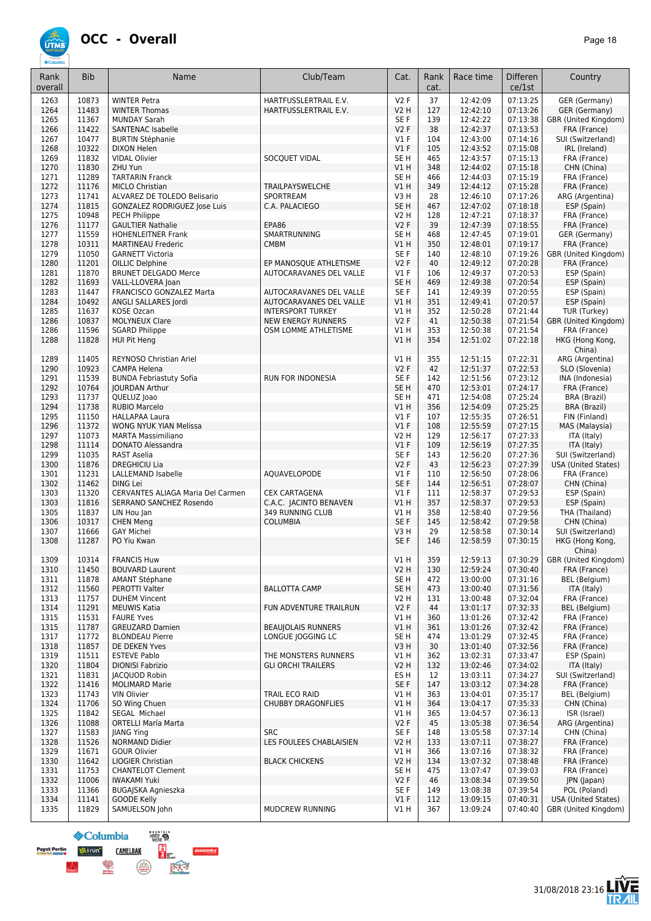# **ÚTMI**

| Rank<br>overall | <b>Bib</b>     | Name                                                | Club/Team                                          | Cat.                | Rank<br>cat. | Race time            | Differen<br>ce/1st   | Country                       |
|-----------------|----------------|-----------------------------------------------------|----------------------------------------------------|---------------------|--------------|----------------------|----------------------|-------------------------------|
| 1263            | 10873          | <b>WINTER Petra</b>                                 | HARTFUSSLERTRAIL E.V.                              | <b>V2F</b>          | 37           | 12:42:09             | 07:13:25             | GER (Germany)                 |
| 1264            | 11483          | <b>WINTER Thomas</b>                                | HARTFUSSLERTRAIL E.V.                              | <b>V2 H</b>         | 127          | 12:42:10             | 07:13:26             | <b>GER</b> (Germany)          |
| 1265            | 11367          | <b>MUNDAY Sarah</b>                                 |                                                    | SE F                | 139          | 12:42:22             | 07:13:38             | GBR (United Kingdom)          |
| 1266            | 11422          | <b>SANTENAC Isabelle</b>                            |                                                    | V2F                 | 38           | 12:42:37             | 07:13:53             | FRA (France)                  |
| 1267            | 10477          | <b>BURTIN Stéphanie</b>                             |                                                    | $VI$ F              | 104          | 12:43:00             | 07:14:16             | SUI (Switzerland)             |
| 1268            | 10322          | <b>DIXON Helen</b>                                  |                                                    | $VI$ F              | 105          | 12:43:52             | 07:15:08             | IRL (Ireland)                 |
| 1269            | 11832          | <b>VIDAL Olivier</b>                                | SOCQUET VIDAL                                      | SE <sub>H</sub>     | 465          | 12:43:57             | 07:15:13             | FRA (France)                  |
| 1270<br>1271    | 11830<br>11289 | ZHU Yun<br><b>TARTARIN Franck</b>                   |                                                    | V1H<br>SE H         | 348<br>466   | 12:44:02<br>12:44:03 | 07:15:18<br>07:15:19 | CHN (China)<br>FRA (France)   |
| 1272            | 11176          | <b>MICLO Christian</b>                              | <b>TRAILPAYSWELCHE</b>                             | V1 H                | 349          | 12:44:12             | 07:15:28             | FRA (France)                  |
| 1273            | 11741          | ALVAREZ DE TOLEDO Belisario                         | SPORTREAM                                          | V3 H                | 28           | 12:46:10             | 07:17:26             | ARG (Argentina)               |
| 1274            | 11815          | GONZALEZ RODRIGUEZ Jose Luis                        | C.A. PALACIEGO                                     | SE <sub>H</sub>     | 467          | 12:47:02             | 07:18:18             | ESP (Spain)                   |
| 1275            | 10948          | PECH Philippe                                       |                                                    | <b>V2 H</b>         | 128          | 12:47:21             | 07:18:37             | FRA (France)                  |
| 1276            | 11177          | <b>GAULTIER Nathalie</b>                            | EPA86                                              | <b>V2F</b>          | 39           | 12:47:39             | 07:18:55             | FRA (France)                  |
| 1277            | 11559          | <b>HOHENLEITNER Frank</b>                           | SMARTRUNNING                                       | SE <sub>H</sub>     | 468          | 12:47:45             | 07:19:01             | GER (Germany)                 |
| 1278            | 10311          | <b>MARTINEAU Frederic</b>                           | <b>CMBM</b>                                        | V1H                 | 350          | 12:48:01             | 07:19:17             | FRA (France)                  |
| 1279            | 11050          | <b>GARNETT Victoria</b>                             |                                                    | SE F                | 140          | 12:48:10             | 07:19:26             | GBR (United Kingdom)          |
| 1280            | 11201          | OILLIC Delphine                                     | EP MANOSQUE ATHLETISME                             | <b>V2F</b>          | 40           | 12:49:12             | 07:20:28             | FRA (France)                  |
| 1281            | 11870          | <b>BRUNET DELGADO Merce</b>                         | AUTOCARAVANES DEL VALLE                            | $VI$ F              | 106          | 12:49:37             | 07:20:53             | ESP (Spain)                   |
| 1282            | 11693          | VALL-LLOVERA Joan                                   |                                                    | SE <sub>H</sub>     | 469          | 12:49:38             | 07:20:54             | ESP (Spain)                   |
| 1283<br>1284    | 11447<br>10492 | FRANCISCO GONZALEZ Marta                            | AUTOCARAVANES DEL VALLE<br>AUTOCARAVANES DEL VALLE | SE F<br>VIH         | 141<br>351   | 12:49:39<br>12:49:41 | 07:20:55             | ESP (Spain)                   |
| 1285            | 11637          | ANGLI SALLARES Jordi<br>KOSE Ozcan                  | <b>INTERSPORT TURKEY</b>                           | V1 H                | 352          | 12:50:28             | 07:20:57<br>07:21:44 | ESP (Spain)<br>TUR (Turkey)   |
| 1286            | 10837          | <b>MOLYNEUX Clare</b>                               | <b>NEW ENERGY RUNNERS</b>                          | V2F                 | 41           | 12:50:38             | 07:21:54             | GBR (United Kingdom)          |
| 1286            | 11596          | <b>SGARD Philippe</b>                               | OSM LOMME ATHLETISME                               | V1H                 | 353          | 12:50:38             | 07:21:54             | FRA (France)                  |
| 1288            | 11828          | HUI Pit Heng                                        |                                                    | V1H                 | 354          | 12:51:02             | 07:22:18             | HKG (Hong Kong,               |
|                 |                |                                                     |                                                    |                     |              |                      |                      | China)                        |
| 1289            | 11405          | REYNOSO Christian Ariel                             |                                                    | V1H                 | 355          | 12:51:15             | 07:22:31             | ARG (Argentina)               |
| 1290            | 10923          | CAMPA Helena                                        |                                                    | V <sub>2</sub> F    | 42           | 12:51:37             | 07:22:53             | SLO (Slovenia)                |
| 1291            | 11539          | <b>BUNDA Febriastuty Sofia</b>                      | RUN FOR INDONESIA                                  | SE <sub>F</sub>     | 142          | 12:51:56             | 07:23:12             | INA (Indonesia)               |
| 1292            | 10764          | <b>JOURDAN Arthur</b>                               |                                                    | SE <sub>H</sub>     | 470          | 12:53:01             | 07:24:17             | FRA (France)                  |
| 1293            | 11737          | QUELUZ Joao                                         |                                                    | SE <sub>H</sub>     | 471          | 12:54:08             | 07:25:24             | BRA (Brazil)                  |
| 1294            | 11738          | <b>RUBIO Marcelo</b>                                |                                                    | VIH                 | 356          | 12:54:09             | 07:25:25             | BRA (Brazil)                  |
| 1295            | 11150<br>11372 | <b>HALLAPAA Laura</b>                               |                                                    | $VI$ F<br>$VI$ F    | 107<br>108   | 12:55:35             | 07:26:51             | FIN (Finland)                 |
| 1296<br>1297    | 11073          | WONG NYUK YIAN Melissa<br><b>MARTA Massimiliano</b> |                                                    | <b>V2 H</b>         | 129          | 12:55:59<br>12:56:17 | 07:27:15<br>07:27:33 | MAS (Malaysia)<br>ITA (Italy) |
| 1298            | 11114          | <b>DONATO Alessandra</b>                            |                                                    | V1F                 | 109          | 12:56:19             | 07:27:35             | ITA (Italy)                   |
| 1299            | 11035          | RAST Aselia                                         |                                                    | SE F                | 143          | 12:56:20             | 07:27:36             | SUI (Switzerland)             |
| 1300            | 11876          | <b>DREGHICIU Lia</b>                                |                                                    | V2F                 | 43           | 12:56:23             | 07:27:39             | <b>USA (United States)</b>    |
| 1301            | 11231          | <b>LALLEMAND Isabelle</b>                           | AQUAVELOPODE                                       | <b>V1 F</b>         | 110          | 12:56:50             | 07:28:06             | FRA (France)                  |
| 1302            | 11462          | <b>DING Lei</b>                                     |                                                    | SE <sub>F</sub>     | 144          | 12:56:51             | 07:28:07             | CHN (China)                   |
| 1303            | 11320          | CERVANTES ALIAGA Maria Del Carmen                   | <b>CEX CARTAGENA</b>                               | $VI$ F              | 111          | 12:58:37             | 07:29:53             | ESP (Spain)                   |
| 1303            | 11816          | SERRANO SANCHEZ Rosendo                             | C.A.C. JACINTO BENAVEN                             | V1H                 | 357          | 12:58:37             | 07:29:53             | ESP (Spain)                   |
| 1305            | 11837          | LIN Hou Jan                                         | <b>349 RUNNING CLUB</b>                            | V1 H                | 358          | 12:58:40             | 07:29:56             | THA (Thailand)                |
| 1306            | 10317          | <b>CHEN Meng</b>                                    | <b>COLUMBIA</b>                                    | SE F                | 145          | 12:58:42             | 07:29:58             | CHN (China)                   |
| 1307            | 11666          | <b>GAY Michel</b>                                   |                                                    | V3 H                | 29           | 12:58:58             | 07:30:14             | SUI (Switzerland)             |
| 1308            | 11287          | PO Yiu Kwan                                         |                                                    | SE F                | 146          | 12:58:59             | 07:30:15             | HKG (Hong Kong,<br>China)     |
| 1309            | 10314          | <b>FRANCIS Huw</b>                                  |                                                    | V1 H                | 359          | 12:59:13             | 07:30:29             | GBR (United Kingdom)          |
| 1310            | 11450          | <b>BOUVARD Laurent</b>                              |                                                    | V2H                 | 130          | 12:59:24             | 07:30:40             | FRA (France)                  |
| 1311            | 11878          | <b>AMANT Stéphane</b>                               |                                                    | SE H                | 472          | 13:00:00             | 07:31:16             | <b>BEL</b> (Belgium)          |
| 1312            | 11560          | PEROTTI Valter                                      | <b>BALLOTTA CAMP</b>                               | SE H                | 473          | 13:00:40             | 07:31:56             | ITA (Italy)                   |
| 1313            | 11757          | <b>DUHEM Vincent</b>                                |                                                    | V2 H                | 131          | 13:00:48             | 07:32:04             | FRA (France)                  |
| 1314            | 11291          | <b>MEUWIS Katia</b>                                 | FUN ADVENTURE TRAILRUN                             | V2F                 | 44           | 13:01:17             | 07:32:33             | BEL (Belgium)                 |
| 1315<br>1315    | 11531<br>11787 | <b>FAURE Yves</b><br><b>GREUZARD Damien</b>         | <b>BEAUJOLAIS RUNNERS</b>                          | V1 H<br>V1 H        | 360<br>361   | 13:01:26<br>13:01:26 | 07:32:42<br>07:32:42 | FRA (France)<br>FRA (France)  |
| 1317            | 11772          | <b>BLONDEAU Pierre</b>                              | LONGUE JOGGING LC                                  | SE H                | 474          | 13:01:29             | 07:32:45             | FRA (France)                  |
| 1318            | 11857          | DE DEKEN Yves                                       |                                                    | V3H                 | 30           | 13:01:40             | 07:32:56             | FRA (France)                  |
| 1319            | 11511          | <b>ESTEVE Pablo</b>                                 | THE MONSTERS RUNNERS                               | V1 H                | 362          | 13:02:31             | 07:33:47             | ESP (Spain)                   |
| 1320            | 11804          | <b>DIONISI Fabrizio</b>                             | <b>GLI ORCHI TRAILERS</b>                          | V2 H                | 132          | 13:02:46             | 07:34:02             | ITA (Italy)                   |
| 1321            | 11831          | JACQUOD Robin                                       |                                                    | ES H                | 12           | 13:03:11             | 07:34:27             | SUI (Switzerland)             |
| 1322            | 11416          | <b>MOLIMARD Marie</b>                               |                                                    | SE F                | 147          | 13:03:12             | 07:34:28             | FRA (France)                  |
| 1323            | 11743          | <b>VIN Olivier</b>                                  | TRAIL ECO RAID                                     | V1 H                | 363          | 13:04:01             | 07:35:17             | BEL (Belgium)                 |
| 1324            | 11706          | SO Wing Chuen                                       | <b>CHUBBY DRAGONFLIES</b>                          | V1H                 | 364          | 13:04:17             | 07:35:33             | CHN (China)                   |
| 1325            | 11842          | SEGAL Michael                                       |                                                    | V1 H                | 365          | 13:04:57             | 07:36:13             | ISR (Israel)                  |
| 1326            | 11088          | <b>ORTELLI María Marta</b>                          |                                                    | V2F                 | 45           | 13:05:38             | 07:36:54             | ARG (Argentina)               |
| 1327            | 11583          | <b>JIANG Ying</b>                                   | <b>SRC</b>                                         | SE F                | 148          | 13:05:58             | 07:37:14             | CHN (China)                   |
| 1328            | 11526          | NORMAND Didier                                      | LES FOULEES CHABLAISIEN                            | V <sub>2</sub> H    | 133          | 13:07:11             | 07:38:27             | FRA (France)                  |
| 1329            | 11671          | <b>GOUR Olivier</b>                                 |                                                    | VIH                 | 366          | 13:07:16             | 07:38:32             | FRA (France)                  |
| 1330<br>1331    | 11642<br>11753 | LIOGIER Christian<br><b>CHANTELOT Clement</b>       | <b>BLACK CHICKENS</b>                              | <b>V2 H</b><br>SE H | 134<br>475   | 13:07:32<br>13:07:47 | 07:38:48<br>07:39:03 | FRA (France)<br>FRA (France)  |
| 1332            | 11006          | <b>IWAKAMI Yuki</b>                                 |                                                    | V2F                 | 46           | 13:08:34             | 07:39:50             | JPN (Japan)                   |
| 1333            | 11366          | <b>BUGAJSKA Agnieszka</b>                           |                                                    | SE F                | 149          | 13:08:38             | 07:39:54             | POL (Poland)                  |
| 1334            | 11141          | <b>GOODE Kelly</b>                                  |                                                    | $VI$ F              | 112          | 13:09:15             | 07:40:31             | <b>USA (United States)</b>    |
| 1335            | 11829          | SAMUELSON John                                      | MUDCREW RUNNING                                    | V1 H                | 367          | 13:09:24             | 07:40:40             | GBR (United Kingdom)          |



 $\left(\frac{\sqrt{\lambda}}{\text{couson}}\right)$ 

**OVERSTIM-S** 

医疗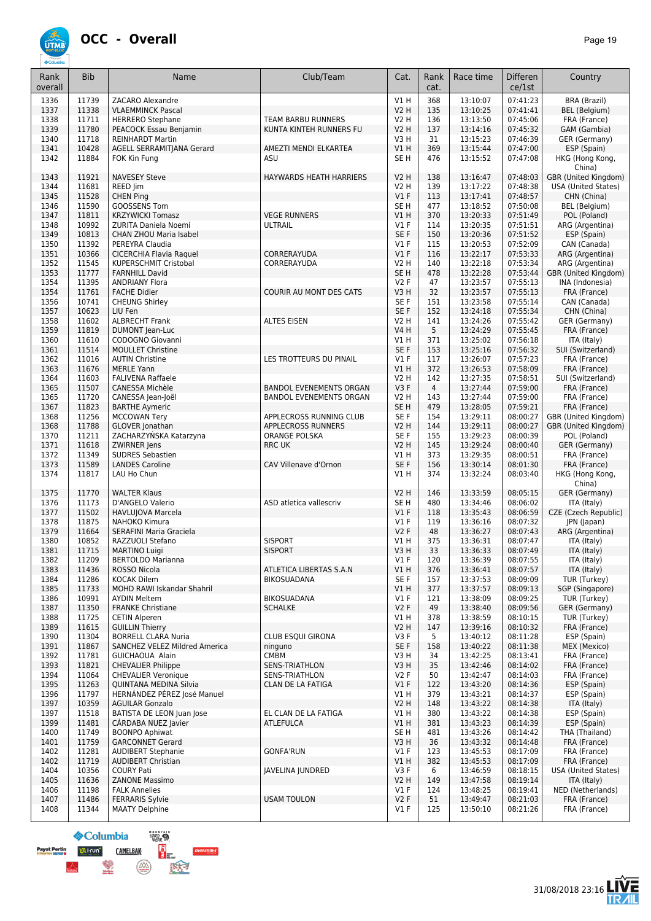

| Rank<br>overall | <b>Bib</b>     | Name                                                        | Club/Team                                | Cat.                       | Rank<br>cat.   | Race time            | <b>Differen</b><br>ce/1st | Country                                            |
|-----------------|----------------|-------------------------------------------------------------|------------------------------------------|----------------------------|----------------|----------------------|---------------------------|----------------------------------------------------|
| 1336            | 11739          | ZACARO Alexandre                                            |                                          | V1H                        | 368            | 13:10:07             | 07:41:23                  | <b>BRA</b> (Brazil)                                |
| 1337            | 11338          | <b>VLAEMMINCK Pascal</b>                                    |                                          | <b>V2 H</b>                | 135            | 13:10:25             | 07:41:41                  | BEL (Belgium)                                      |
| 1338            | 11711          | <b>HERRERO Stephane</b>                                     | TEAM BARBU RUNNERS                       | <b>V2 H</b>                | 136            | 13:13:50             | 07:45:06                  | FRA (France)                                       |
| 1339            | 11780<br>11718 | PEACOCK Essau Benjamin                                      | KUNTA KINTEH RUNNERS FU                  | V2H                        | 137<br>31      | 13:14:16<br>13:15:23 | 07:45:32                  | GAM (Gambia)                                       |
| 1340<br>1341    | 10428          | <b>REINHARDT Martin</b><br>AGELL SERRAMITJANA Gerard        | AMEZTI MENDI ELKARTEA                    | V3H<br><b>V1 H</b>         | 369            | 13:15:44             | 07:46:39<br>07:47:00      | GER (Germany)<br>ESP (Spain)                       |
| 1342            | 11884          | FOK Kin Fung                                                | ASU                                      | SE <sub>H</sub>            | 476            | 13:15:52             | 07:47:08                  | HKG (Hong Kong,<br>China)                          |
| 1343<br>1344    | 11921<br>11681 | <b>NAVESEY Steve</b><br>REED Jim                            | HAYWARDS HEATH HARRIERS                  | <b>V2 H</b><br><b>V2 H</b> | 138<br>139     | 13:16:47<br>13:17:22 | 07:48:03<br>07:48:38      | GBR (United Kingdom)<br><b>USA (United States)</b> |
| 1345            | 11528          | <b>CHEN Ping</b>                                            |                                          | V1F                        | 113            | 13:17:41             | 07:48:57                  | CHN (China)                                        |
| 1346            | 11590          | <b>GOOSSENS Tom</b>                                         |                                          | SE <sub>H</sub>            | 477            | 13:18:52             | 07:50:08                  | BEL (Belgium)                                      |
| 1347<br>1348    | 11811<br>10992 | <b>KRZYWICKI Tomasz</b><br>ZURITA Daniela Noemí             | <b>VEGE RUNNERS</b><br>ULTRAIL           | V1H<br>$VI$ F              | 370<br>114     | 13:20:33<br>13:20:35 | 07:51:49<br>07:51:51      | POL (Poland)<br>ARG (Argentina)                    |
| 1349            | 10813          | CHAN ZHOU Maria Isabel                                      |                                          | SE F                       | 150            | 13:20:36             | 07:51:52                  | ESP (Spain)                                        |
| 1350            | 11392          | PEREYRA Claudia                                             |                                          | $VI$ F                     | 115            | 13:20:53             | 07:52:09                  | CAN (Canada)                                       |
| 1351            | 10366          | CICERCHIA Flavia Raquel                                     | CORRERAYUDA                              | $VI$ F                     | 116            | 13:22:17             | 07:53:33                  | ARG (Argentina)                                    |
| 1352            | 11545          | KUPERSCHMIT Cristobal                                       | CORRERAYUDA                              | V2 H                       | 140            | 13:22:18             | 07:53:34                  | ARG (Argentina)                                    |
| 1353            | 11777          | <b>FARNHILL David</b>                                       |                                          | SE <sub>H</sub>            | 478            | 13:22:28             | 07:53:44                  | GBR (United Kingdom)                               |
| 1354<br>1354    | 11395<br>11761 | <b>ANDRIANY Flora</b><br><b>FACHE Didier</b>                | COURIR AU MONT DES CATS                  | <b>V2F</b><br>V3H          | 47<br>32       | 13:23:57<br>13:23:57 | 07:55:13<br>07:55:13      | INA (Indonesia)<br>FRA (France)                    |
| 1356            | 10741          | <b>CHEUNG Shirley</b>                                       |                                          | SE <sub>F</sub>            | 151            | 13:23:58             | 07:55:14                  | CAN (Canada)                                       |
| 1357            | 10623          | LIU Fen                                                     |                                          | SE <sub>F</sub>            | 152            | 13:24:18             | 07:55:34                  | CHN (China)                                        |
| 1358            | 11602          | <b>ALBRECHT Frank</b>                                       | <b>ALTES EISEN</b>                       | <b>V2 H</b>                | 141            | 13:24:26             | 07:55:42                  | GER (Germany)                                      |
| 1359            | 11819          | <b>DUMONT</b> Jean-Luc                                      |                                          | <b>V4 H</b>                | 5              | 13:24:29             | 07:55:45                  | FRA (France)                                       |
| 1360            | 11610          | CODOGNO Giovanni                                            |                                          | V1H                        | 371            | 13:25:02             | 07:56:18                  | ITA (Italy)                                        |
| 1361            | 11514          | <b>MOULLET Christine</b>                                    |                                          | SE F                       | 153            | 13:25:16             | 07:56:32                  | SUI (Switzerland)                                  |
| 1362<br>1363    | 11016<br>11676 | <b>AUTIN Christine</b><br><b>MERLE Yann</b>                 | LES TROTTEURS DU PINAIL                  | $VI$ F<br>VIH              | 117<br>372     | 13:26:07<br>13:26:53 | 07:57:23<br>07:58:09      | FRA (France)<br>FRA (France)                       |
| 1364            | 11603          | <b>FALIVENA Raffaele</b>                                    |                                          | V2 H                       | 142            | 13:27:35             | 07:58:51                  | SUI (Switzerland)                                  |
| 1365            | 11507          | CANESSA Michèle                                             | <b>BANDOL EVENEMENTS ORGAN</b>           | V3F                        | $\overline{4}$ | 13:27:44             | 07:59:00                  | FRA (France)                                       |
| 1365            | 11720          | CANESSA Jean-Joël                                           | <b>BANDOL EVENEMENTS ORGAN</b>           | <b>V2 H</b>                | 143            | 13:27:44             | 07:59:00                  | FRA (France)                                       |
| 1367            | 11823          | <b>BARTHE Aymeric</b>                                       |                                          | SE <sub>H</sub>            | 479            | 13:28:05             | 07:59:21                  | FRA (France)                                       |
| 1368            | 11256          | <b>MCCOWAN Terv</b>                                         | APPLECROSS RUNNING CLUB                  | SE <sub>F</sub>            | 154            | 13:29:11             | 08:00:27                  | GBR (United Kingdom)                               |
| 1368<br>1370    | 11788<br>11211 | GLOVER Jonathan<br>ZACHARZYŃSKA Katarzyna                   | APPLECROSS RUNNERS<br>ORANGE POLSKA      | V2 H<br>SE <sub>F</sub>    | 144<br>155     | 13:29:11<br>13:29:23 | 08:00:27<br>08:00:39      | GBR (United Kingdom)<br>POL (Poland)               |
| 1371            | 11618          | ZWIRNER Jens                                                | <b>RRC UK</b>                            | <b>V2 H</b>                | 145            | 13:29:24             | 08:00:40                  | GER (Germany)                                      |
| 1372            | 11349          | <b>SUDRES Sebastien</b>                                     |                                          | V1 H                       | 373            | 13:29:35             | 08:00:51                  | FRA (France)                                       |
| 1373            | 11589          | <b>LANDES Caroline</b>                                      | CAV Villenave d'Ornon                    | SE F                       | 156            | 13:30:14             | 08:01:30                  | FRA (France)                                       |
| 1374            | 11817          | LAU Ho Chun                                                 |                                          | <b>V1 H</b>                | 374            | 13:32:24             | 08:03:40                  | HKG (Hong Kong,<br>China)                          |
| 1375            | 11770          | <b>WALTER Klaus</b>                                         |                                          | V2 H                       | 146            | 13:33:59             | 08:05:15                  | GER (Germany)                                      |
| 1376<br>1377    | 11173<br>11502 | D'ANGELO Valerio<br><b>HAVLUJOVA Marcela</b>                | ASD atletica vallescriv                  | SE <sub>H</sub><br>V1F     | 480<br>118     | 13:34:46<br>13:35:43 | 08:06:02<br>08:06:59      | ITA (Italy)<br>CZE (Czech Republic)                |
| 1378            | 11875          | NAHOKO Kimura                                               |                                          | $VI$ F                     | 119            | 13:36:16             | 08:07:32                  | JPN (Japan)                                        |
| 1379            | 11664          | <b>SERAFINI Maria Graciela</b>                              |                                          | V2F                        | 48             | 13:36:27             | 08:07:43                  | ARG (Argentina)                                    |
| 1380            | 10852          | RAZZUOLI Stefano                                            | <b>SISPORT</b>                           | V1 H                       | 375            | 13:36:31             | 08:07:47                  | ITA (Italy)                                        |
| 1381            | 11715          | <b>MARTINO Luigi</b>                                        | <b>SISPORT</b>                           | V3H                        | 33             | 13:36:33             | 08:07:49                  | ITA (Italy)                                        |
| 1382            | 11209          | <b>BERTOLDO Marianna</b>                                    |                                          | V1F                        | 120            | 13:36:39             | 08:07:55                  | ITA (Italy)                                        |
| 1383<br>1384    | 11436<br>11286 | ROSSO Nicola<br><b>KOCAK Dilem</b>                          | ATLETICA LIBERTAS S.A.N<br>BIKOSUADANA   | V1H<br>SE F                | 376<br>157     | 13:36:41<br>13:37:53 | 08:07:57<br>08:09:09      | ITA (Italy)<br>TUR (Turkey)                        |
| 1385            | 11733          | <b>MOHD RAWI Iskandar Shahril</b>                           |                                          | VIH                        | 377            | 13:37:57             | 08:09:13                  | SGP (Singapore)                                    |
| 1386            | 10991          | <b>AYDIN Meltem</b>                                         | BIKOSUADANA                              | $VI$ F                     | 121            | 13:38:09             | 08:09:25                  | TUR (Turkey)                                       |
| 1387            | 11350          | <b>FRANKE Christiane</b>                                    | <b>SCHALKE</b>                           | V2F                        | 49             | 13:38:40             | 08:09:56                  | GER (Germany)                                      |
| 1388            | 11725          | <b>CETIN Alperen</b>                                        |                                          | V1 H                       | 378            | 13:38:59             | 08:10:15                  | TUR (Turkey)                                       |
| 1389            | 11615          | <b>GUILLIN Thierry</b>                                      |                                          | V2 H                       | 147            | 13:39:16             | 08:10:32                  | FRA (France)                                       |
| 1390<br>1391    | 11304<br>11867 | <b>BORRELL CLARA Nuria</b><br>SANCHEZ VELEZ Mildred America | CLUB ESQUI GIRONA                        | V3F<br>SE F                | 5<br>158       | 13:40:12<br>13:40:22 | 08:11:28<br>08:11:38      | ESP (Spain)<br>MEX (Mexico)                        |
| 1392            | 11781          | GUICHAOUA Alain                                             | ninguno<br><b>CMBM</b>                   | V3H                        | 34             | 13:42:25             | 08:13:41                  | FRA (France)                                       |
| 1393            | 11821          | <b>CHEVALIER Philippe</b>                                   | <b>SENS-TRIATHLON</b>                    | V3H                        | 35             | 13:42:46             | 08:14:02                  | FRA (France)                                       |
| 1394            | 11064          | <b>CHEVALIER Veronique</b>                                  | SENS-TRIATHLON                           | V2F                        | 50             | 13:42:47             | 08:14:03                  | FRA (France)                                       |
| 1395            | 11263          | <b>OUINTANA MEDINA Silvia</b>                               | CLAN DE LA FATIGA                        | $VI$ F                     | 122            | 13:43:20             | 08:14:36                  | ESP (Spain)                                        |
| 1396            | 11797          | HERNÁNDEZ PÉREZ José Manuel                                 |                                          | V1 H                       | 379            | 13:43:21             | 08:14:37                  | ESP (Spain)                                        |
| 1397            | 10359          | <b>AGUILAR Gonzalo</b>                                      |                                          | <b>V2 H</b>                | 148            | 13:43:22             | 08:14:38                  | ITA (Italy)                                        |
| 1397<br>1399    | 11518<br>11481 | BATISTA DE LEON Juan Jose<br>CÁRDABA NUEZ Javier            | EL CLAN DE LA FATIGA<br><b>ATLEFULCA</b> | V1 H<br>V1 H               | 380<br>381     | 13:43:22<br>13:43:23 | 08:14:38<br>08:14:39      | ESP (Spain)<br>ESP (Spain)                         |
| 1400            | 11749          | <b>BOONPO Aphiwat</b>                                       |                                          | SE H                       | 481            | 13:43:26             | 08:14:42                  | THA (Thailand)                                     |
| 1401            | 11759          | <b>GARCONNET Gerard</b>                                     |                                          | V3H                        | 36             | 13:43:32             | 08:14:48                  | FRA (France)                                       |
| 1402            | 11281          | <b>AUDIBERT Stephanie</b>                                   | <b>GONFA'RUN</b>                         | $VI$ F                     | 123            | 13:45:53             | 08:17:09                  | FRA (France)                                       |
| 1402            | 11719          | <b>AUDIBERT Christian</b>                                   |                                          | V1H                        | 382            | 13:45:53             | 08:17:09                  | FRA (France)                                       |
| 1404            | 10356          | <b>COURY Pati</b>                                           | JAVELINA JUNDRED                         | V3F                        | 6              | 13:46:59             | 08:18:15                  | <b>USA (United States)</b>                         |
| 1405            | 11636          | <b>ZANONE Massimo</b>                                       |                                          | <b>V2 H</b>                | 149            | 13:47:58             | 08:19:14                  | ITA (Italy)                                        |
| 1406<br>1407    | 11198<br>11486 | <b>FALK Annelies</b><br><b>FERRARIS Sylvie</b>              | <b>USAM TOULON</b>                       | $VI$ F<br>V2F              | 124<br>51      | 13:48:25<br>13:49:47 | 08:19:41<br>08:21:03      | NED (Netherlands)<br>FRA (France)                  |
| 1408            | 11344          | <b>MAATY Delphine</b>                                       |                                          | $VI$ F                     | 125            | 13:50:10             | 08:21:26                  | FRA (France)                                       |
|                 |                |                                                             |                                          |                            |                |                      |                           |                                                    |



 $1m-5$